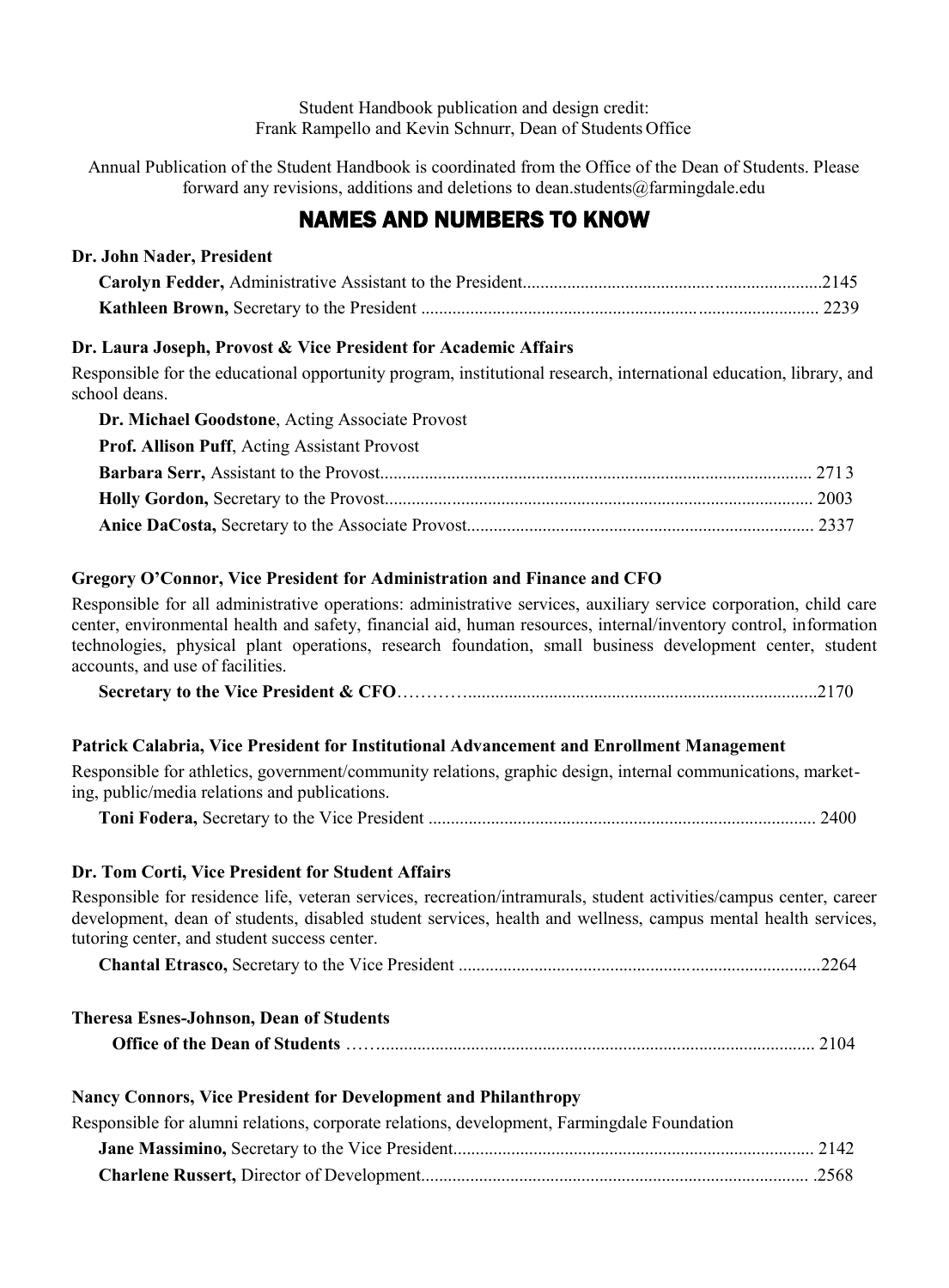Student Handbook publication and design credit: Frank Rampello and Kevin Schnurr, Dean of Students Office

Annual Publication of the Student Handbook is coordinated from the Office of the Dean of Students. Please forward any revisions, additions and deletions to [dean.students@farmingdale.edu](mailto:dean.students@farmingdale.edu)

# NAMES AND NUMBERS TO KNOW

#### **Dr. John Nader, President**

| <b>Kathleen Brown, Secretary to the President manufacture and Contract Contract Contract Contract Contract Contract Contract Contract Contract Contract Contract Contract Contract Contract Contract Contract Contract Contract </b> |  |
|--------------------------------------------------------------------------------------------------------------------------------------------------------------------------------------------------------------------------------------|--|

#### **Dr. Laura Joseph, Provost & Vice President for Academic Affairs**

Responsible for the educational opportunity program, institutional research, international education, library, and school deans.

| <b>Dr. Michael Goodstone.</b> Acting Associate Provost |  |
|--------------------------------------------------------|--|
| <b>Prof. Allison Puff.</b> Acting Assistant Provost    |  |
|                                                        |  |
|                                                        |  |
|                                                        |  |

#### **Gregory O'Connor, Vice President for Administration and Finance and CFO**

Responsible for all administrative operations: administrative services, auxiliary service corporation, child care center, environmental health and safety, financial aid, human resources, internal/inventory control, information technologies, physical plant operations, research foundation, small business development center, student accounts, and use of facilities.

|--|--|

#### **Patrick Calabria, Vice President for Institutional Advancement and Enrollment Management**

Responsible for athletics, government/community relations, graphic design, internal communications, marketing, public/media relations and publications.

**Toni Fodera,** Secretary to the Vice President ....................................................................................... 2400

#### **Dr. Tom Corti, Vice President for Student Affairs**

Responsible for residence life, veteran services, recreation/intramurals, student activities/campus center, career development, dean of students, disabled student services, health and wellness, campus mental health services, tutoring center, and student success center.

|--|--|

| <b>Theresa Esnes-Johnson, Dean of Students</b> |  |
|------------------------------------------------|--|
|                                                |  |

|  |  | Nancy Connors, Vice President for Development and Philanthropy |
|--|--|----------------------------------------------------------------|
|  |  |                                                                |

| Responsible for alumni relations, corporate relations, development, Farmingdale Foundation |  |
|--------------------------------------------------------------------------------------------|--|
|                                                                                            |  |
|                                                                                            |  |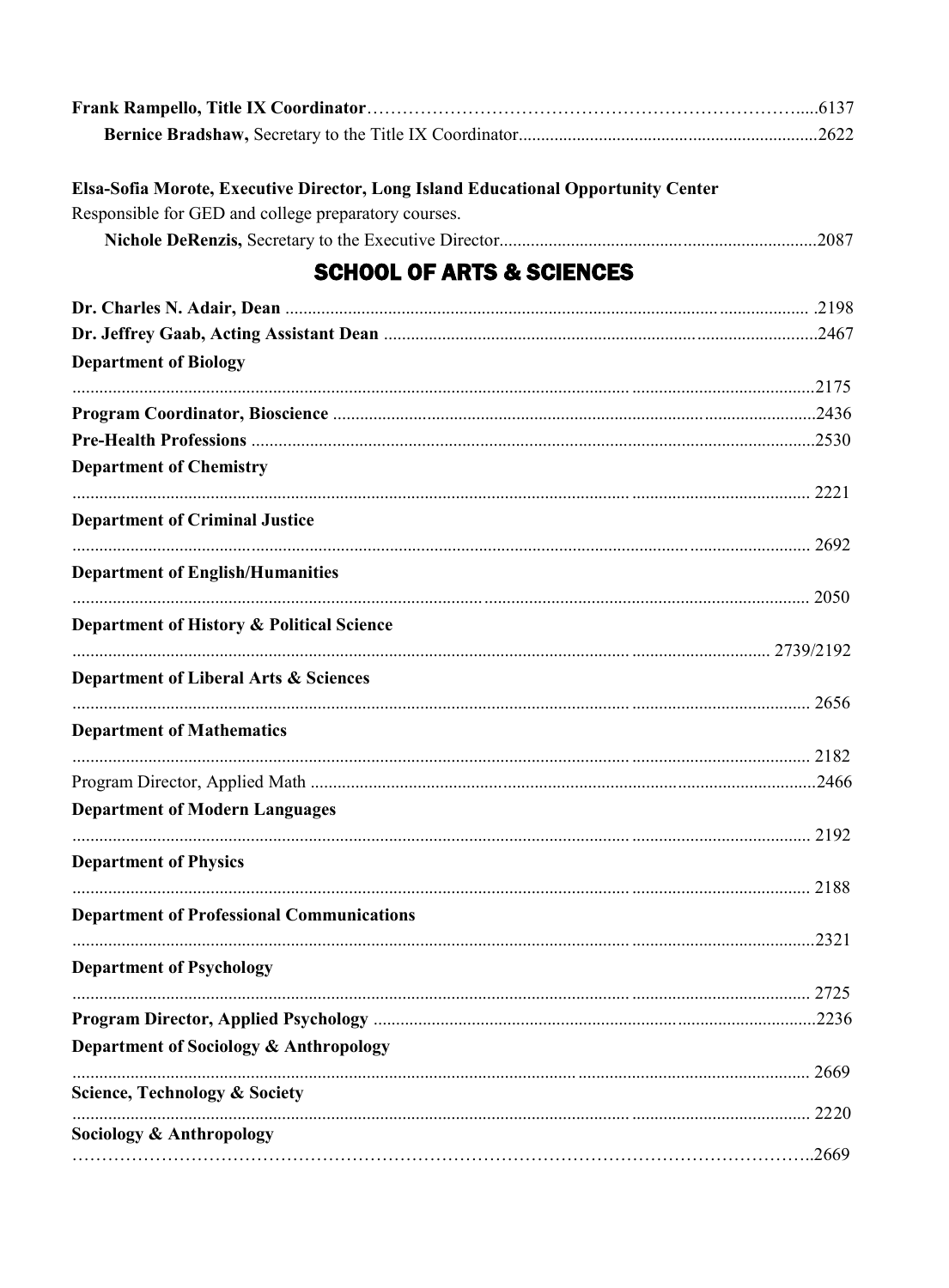| Elsa-Sofia Morote, Executive Director, Long Island Educational Opportunity Center |      |
|-----------------------------------------------------------------------------------|------|
| Responsible for GED and college preparatory courses.                              |      |
|                                                                                   |      |
| <b>SCHOOL OF ARTS &amp; SCIENCES</b>                                              |      |
|                                                                                   |      |
|                                                                                   |      |
| <b>Department of Biology</b>                                                      |      |
|                                                                                   |      |
|                                                                                   |      |
| <b>Department of Chemistry</b>                                                    |      |
|                                                                                   |      |
| <b>Department of Criminal Justice</b>                                             |      |
|                                                                                   |      |
| <b>Department of English/Humanities</b>                                           |      |
|                                                                                   |      |
| Department of History & Political Science                                         |      |
|                                                                                   |      |
| Department of Liberal Arts & Sciences                                             |      |
|                                                                                   |      |
| <b>Department of Mathematics</b>                                                  |      |
|                                                                                   |      |
|                                                                                   |      |
| <b>Department of Modern Languages</b>                                             |      |
|                                                                                   |      |
| <b>Department of Physics</b>                                                      |      |
|                                                                                   |      |
| <b>Department of Professional Communications</b>                                  |      |
|                                                                                   |      |
| <b>Department of Psychology</b>                                                   |      |
|                                                                                   | 2725 |
|                                                                                   |      |
| Department of Sociology & Anthropology                                            |      |
|                                                                                   |      |
| Science, Technology & Society                                                     |      |
| Sociology & Anthropology                                                          |      |
|                                                                                   |      |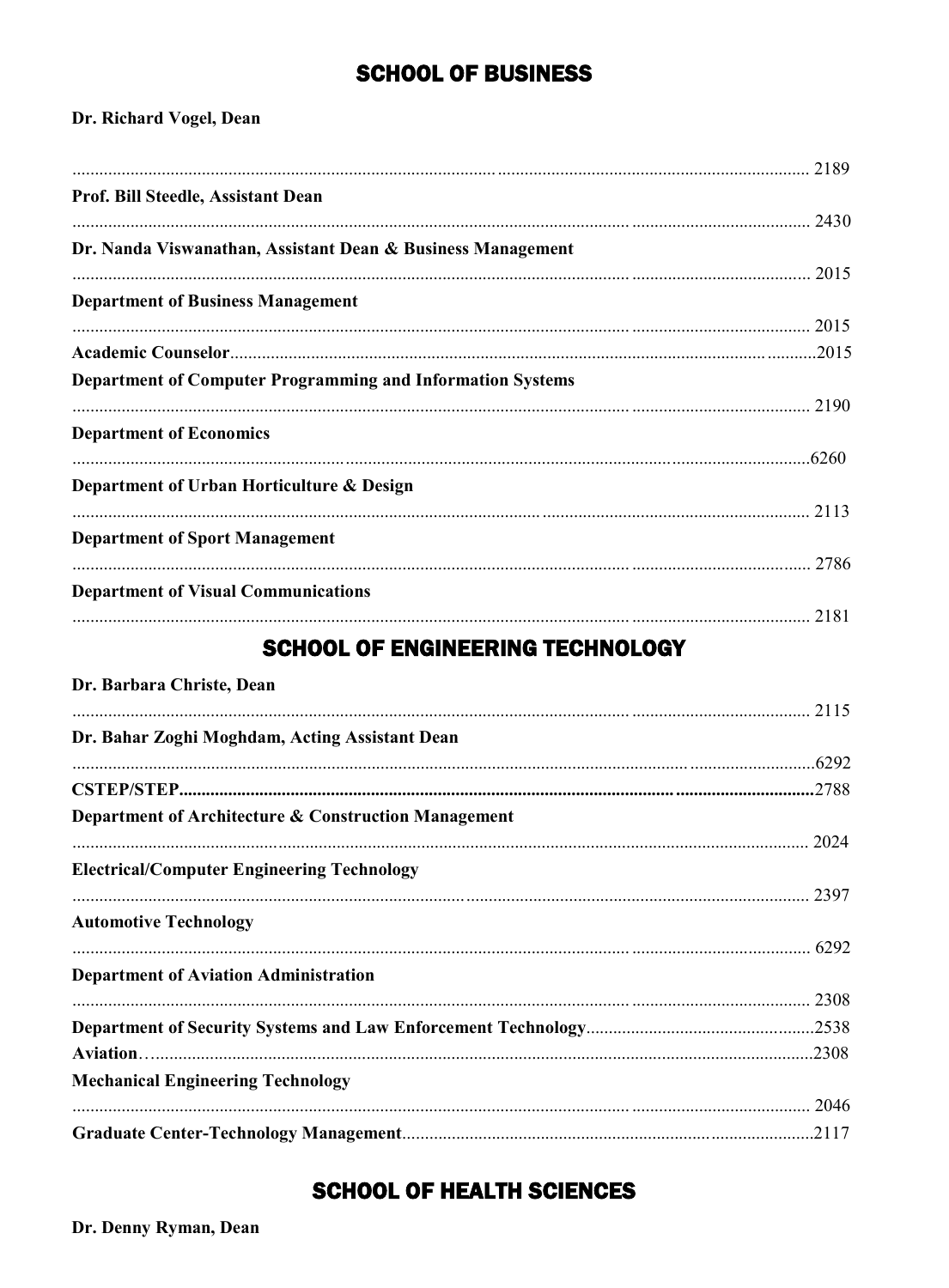# **SCHOOL OF BUSINESS**

### Dr. Richard Vogel, Dean

| Prof. Bill Steedle, Assistant Dean                                |  |
|-------------------------------------------------------------------|--|
|                                                                   |  |
| Dr. Nanda Viswanathan, Assistant Dean & Business Management       |  |
|                                                                   |  |
| <b>Department of Business Management</b>                          |  |
|                                                                   |  |
|                                                                   |  |
| <b>Department of Computer Programming and Information Systems</b> |  |
| <b>Department of Economics</b>                                    |  |
|                                                                   |  |
| Department of Urban Horticulture & Design                         |  |
|                                                                   |  |
| <b>Department of Sport Management</b>                             |  |
|                                                                   |  |
| <b>Department of Visual Communications</b>                        |  |
|                                                                   |  |
| <b>SCHOOL OF ENGINEERING TECHNOLOGY</b>                           |  |
| Dr. Barbara Christe, Dean                                         |  |
|                                                                   |  |
| Dr. Bahar Zoghi Moghdam, Acting Assistant Dean                    |  |

| Dr. Bahar Zoghi Moghdam, Acting Assistant Dean       |      |
|------------------------------------------------------|------|
|                                                      |      |
|                                                      |      |
| Department of Architecture & Construction Management |      |
|                                                      | 2024 |
| <b>Electrical/Computer Engineering Technology</b>    |      |
|                                                      | 2397 |
| <b>Automotive Technology</b>                         |      |
|                                                      |      |
| <b>Department of Aviation Administration</b>         |      |
|                                                      |      |
|                                                      |      |
|                                                      |      |
| <b>Mechanical Engineering Technology</b>             |      |
|                                                      | 2046 |
|                                                      |      |
|                                                      |      |

# **SCHOOL OF HEALTH SCIENCES**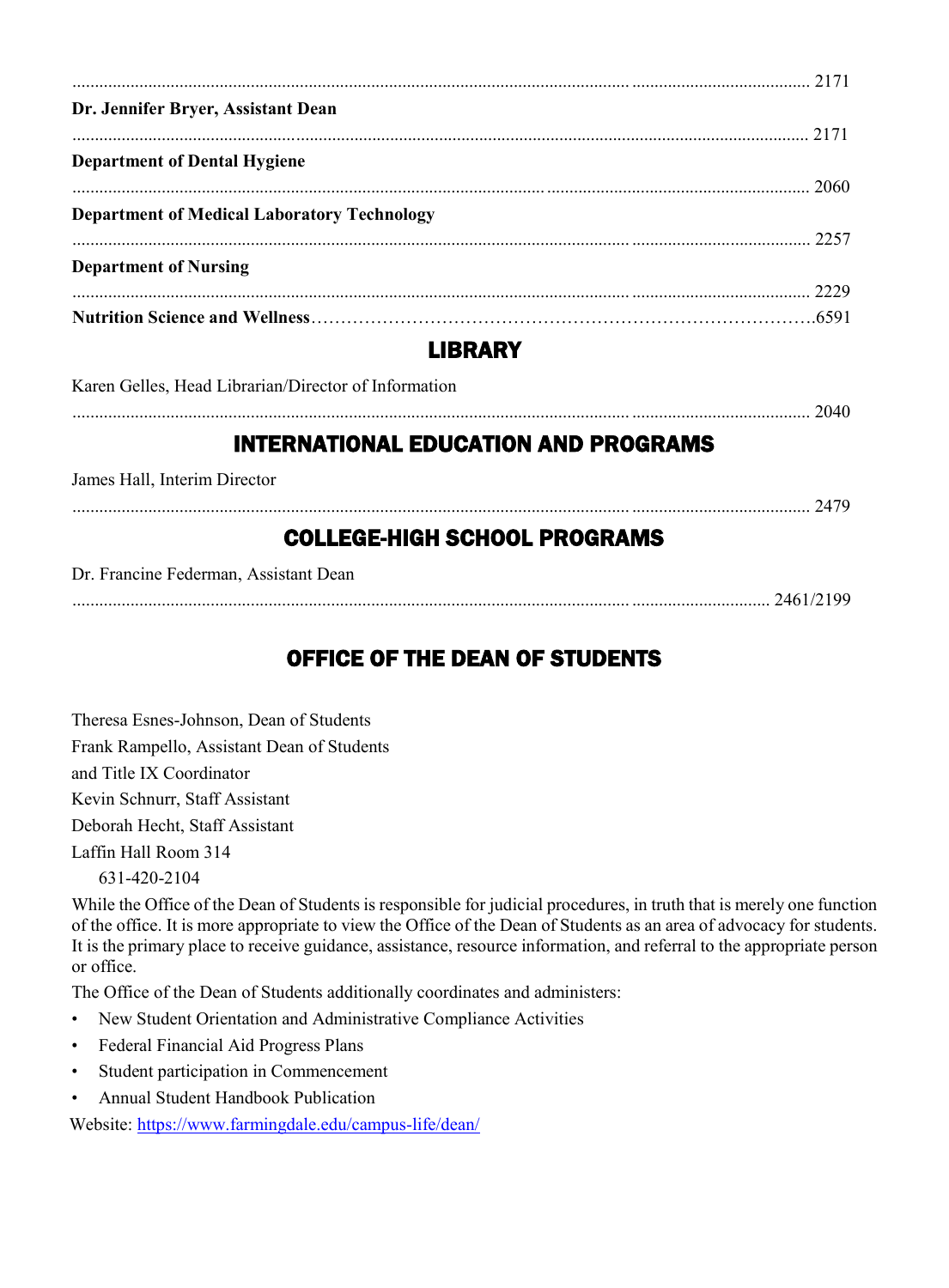| Dr. Jennifer Bryer, Assistant Dean                 |      |
|----------------------------------------------------|------|
|                                                    |      |
| <b>Department of Dental Hygiene</b>                |      |
|                                                    | 2060 |
| <b>Department of Medical Laboratory Technology</b> |      |
|                                                    |      |
| <b>Department of Nursing</b>                       |      |
|                                                    |      |
|                                                    |      |

## LIBRARY

Karen Gelles, Head Librarian/Director of Information

## INTERNATIONAL EDUCATION AND PROGRAMS

James Hall, Interim Director

|--|

## COLLEGE-HIGH SCHOOL PROGRAMS

Dr. Francine Federman, Assistant Dean

|--|--|

# OFFICE OF THE DEAN OF STUDENTS

Theresa Esnes-Johnson, Dean of Students Frank Rampello, Assistant Dean of Students and Title IX Coordinator Kevin Schnurr, Staff Assistant Deborah Hecht, Staff Assistant Laffin Hall Room 314 631-420-2104

While the Office of the Dean of Students is responsible for judicial procedures, in truth that is merely one function of the office. It is more appropriate to view the Office of the Dean of Students as an area of advocacy for students. It is the primary place to receive guidance, assistance, resource information, and referral to the appropriate person or office.

The Office of the Dean of Students additionally coordinates and administers:

- New Student Orientation and Administrative Compliance Activities
- Federal Financial Aid Progress Plans
- Student participation in Commencement
- Annual Student Handbook Publication

Website:<https://www.farmingdale.edu/campus-life/dean/>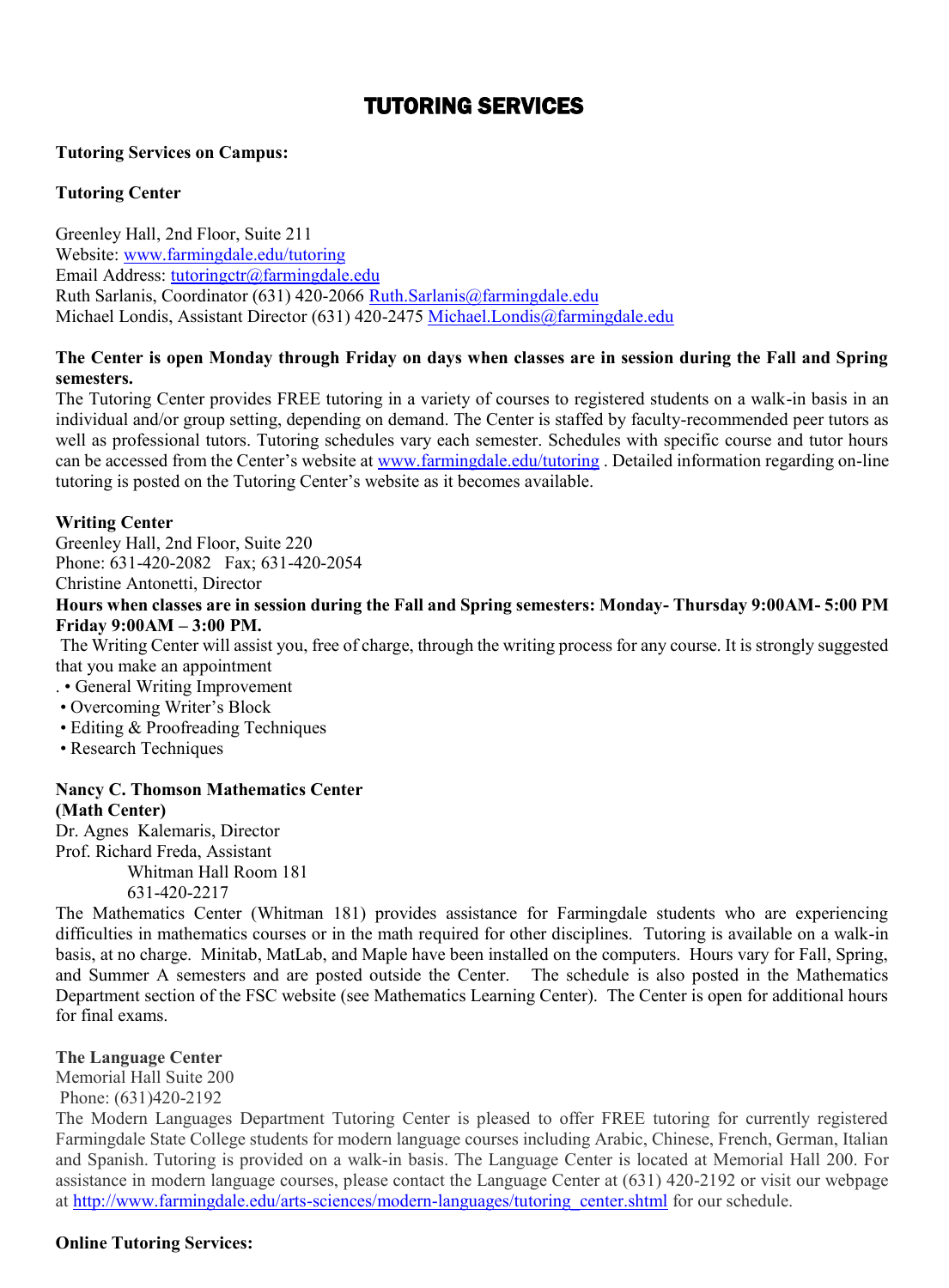# TUTORING SERVICES

#### **Tutoring Services on Campus:**

#### **Tutoring Center**

Greenley Hall, 2nd Floor, Suite 211 Website: [www.farmingdale.edu/tutoring](http://www.farmingdale.edu/tutoring) Email Address: [tutoringctr@farmingdale.edu](mailto:tutoringctr@farmingdale.edu) Ruth Sarlanis, Coordinator (631) 420-206[6 Ruth.Sarlanis@farmingdale.edu](mailto:Ruth.Sarlanis@farmingdale.edu) Michael Londis, Assistant Director (631) 420-247[5 Michael.Londis@farmingdale.edu](mailto:Michael.Londis@farmingdale.edu)

#### **The Center is open Monday through Friday on days when classes are in session during the Fall and Spring semesters.**

The Tutoring Center provides FREE tutoring in a variety of courses to registered students on a walk-in basis in an individual and/or group setting, depending on demand. The Center is staffed by faculty-recommended peer tutors as well as professional tutors. Tutoring schedules vary each semester. Schedules with specific course and tutor hours can be accessed from the Center's website at [www.farmingdale.edu/tutoring](http://www.farmingdale.edu/tutoring) . Detailed information regarding on-line tutoring is posted on the Tutoring Center's website as it becomes available.

#### **Writing Center**

Greenley Hall, 2nd Floor, Suite 220 Phone: 631-420-2082 Fax; 631-420-2054 Christine Antonetti, Director

#### **Hours when classes are in session during the Fall and Spring semesters: Monday- Thursday 9:00AM- 5:00 PM Friday 9:00AM – 3:00 PM.**

The Writing Center will assist you, free of charge, through the writing process for any course. It is strongly suggested that you make an appointment

- . General Writing Improvement
- Overcoming Writer's Block
- Editing & Proofreading Techniques
- Research Techniques

#### **Nancy C. Thomson Mathematics Center (Math Center)**

Dr. Agnes Kalemaris, Director Prof. Richard Freda, Assistant Whitman Hall Room 181 631-420-2217

The Mathematics Center (Whitman 181) provides assistance for Farmingdale students who are experiencing difficulties in mathematics courses or in the math required for other disciplines. Tutoring is available on a walk-in basis, at no charge. Minitab, MatLab, and Maple have been installed on the computers. Hours vary for Fall, Spring, and Summer A semesters and are posted outside the Center. The schedule is also posted in the Mathematics Department section of the FSC website (see Mathematics Learning Center). The Center is open for additional hours for final exams.

#### **The Language Center**

Memorial Hall Suite 200 Phone: (631)420-2192

The Modern Languages Department Tutoring Center is pleased to offer FREE tutoring for currently registered Farmingdale State College students for modern language courses including Arabic, Chinese, French, German, Italian and Spanish. Tutoring is provided on a walk-in basis. The Language Center is located at Memorial Hall 200. For assistance in modern language courses, please contact the Language Center at (631) 420-2192 or visit our webpage a[t http://www.farmingdale.edu/arts-sciences/modern-languages/tutoring\\_center.shtml](http://www.farmingdale.edu/arts-sciences/modern-languages/tutoring_center.shtml) for our schedule.

#### **Online Tutoring Services:**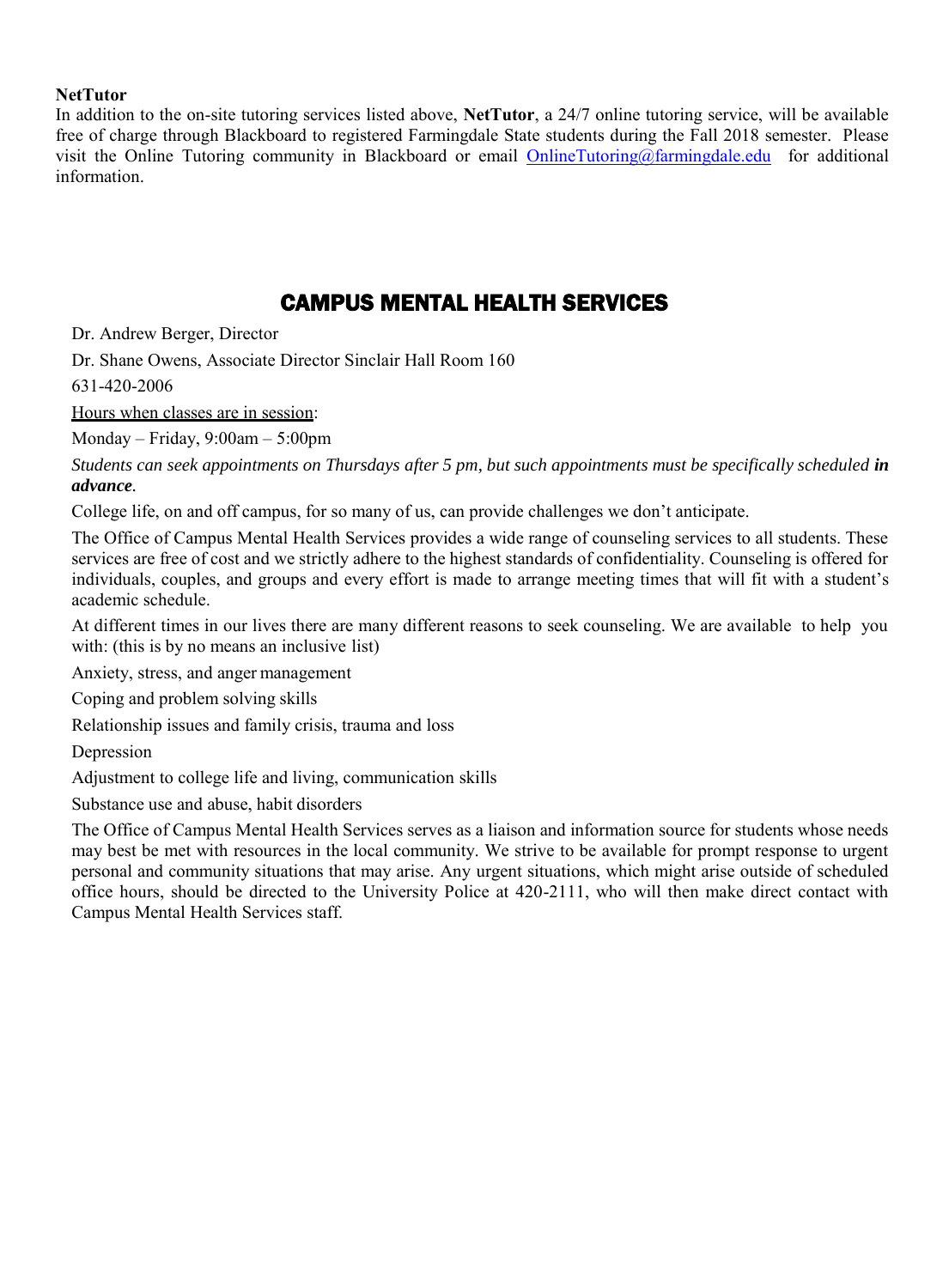#### **NetTutor**

In addition to the on-site tutoring services listed above, **NetTutor**, a 24/7 online tutoring service, will be available free of charge through Blackboard to registered Farmingdale State students during the Fall 2018 semester. Please visit the Online Tutoring community in Blackboard or email [OnlineTutoring@farmingdale.edu](mailto:OnlineTutoring@farmingdale.edu) for additional information.

# CAMPUS MENTAL HEALTH SERVICES

Dr. Andrew Berger, Director

Dr. Shane Owens, Associate Director Sinclair Hall Room 160

631-420-2006

Hours when classes are in session:

Monday – Friday, 9:00am – 5:00pm

*Students can seek appointments on Thursdays after 5 pm, but such appointments must be specifically scheduled in advance.*

College life, on and off campus, for so many of us, can provide challenges we don't anticipate.

The Office of Campus Mental Health Services provides a wide range of counseling services to all students. These services are free of cost and we strictly adhere to the highest standards of confidentiality. Counseling is offered for individuals, couples, and groups and every effort is made to arrange meeting times that will fit with a student's academic schedule.

At different times in our lives there are many different reasons to seek counseling. We are available to help you with: (this is by no means an inclusive list)

Anxiety, stress, and anger management

Coping and problem solving skills

Relationship issues and family crisis, trauma and loss

Depression

Adjustment to college life and living, communication skills

Substance use and abuse, habit disorders

The Office of Campus Mental Health Services serves as a liaison and information source for students whose needs may best be met with resources in the local community. We strive to be available for prompt response to urgent personal and community situations that may arise. Any urgent situations, which might arise outside of scheduled office hours, should be directed to the University Police at 420-2111, who will then make direct contact with Campus Mental Health Services staff.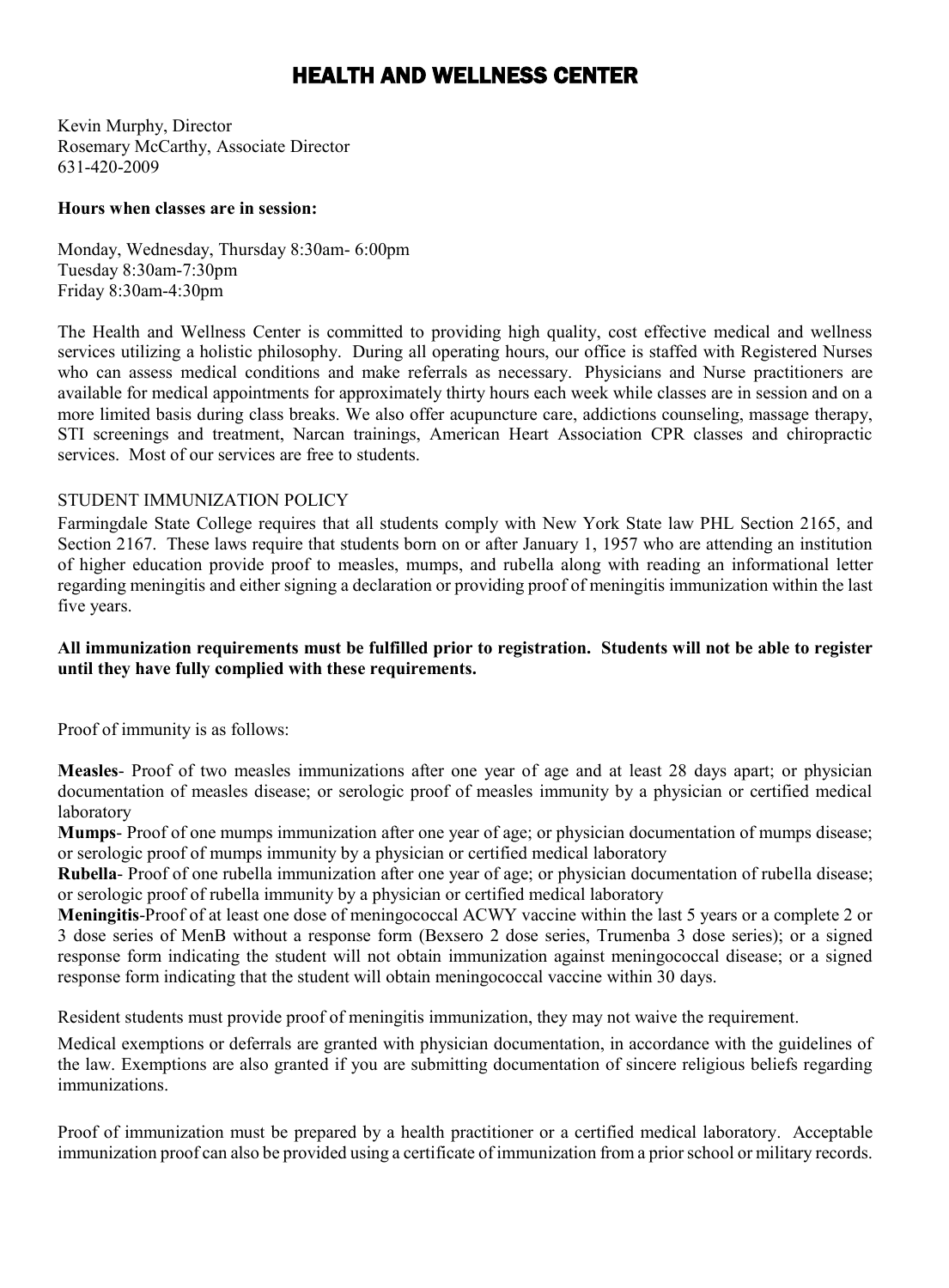## HEALTH AND WELLNESS CENTER

Kevin Murphy, Director Rosemary McCarthy, Associate Director 631-420-2009

#### **Hours when classes are in session:**

Monday, Wednesday, Thursday 8:30am- 6:00pm Tuesday 8:30am-7:30pm Friday 8:30am-4:30pm

The Health and Wellness Center is committed to providing high quality, cost effective medical and wellness services utilizing a holistic philosophy. During all operating hours, our office is staffed with Registered Nurses who can assess medical conditions and make referrals as necessary. Physicians and Nurse practitioners are available for medical appointments for approximately thirty hours each week while classes are in session and on a more limited basis during class breaks. We also offer acupuncture care, addictions counseling, massage therapy, STI screenings and treatment, Narcan trainings, American Heart Association CPR classes and chiropractic services. Most of our services are free to students.

#### STUDENT IMMUNIZATION POLICY

Farmingdale State College requires that all students comply with New York State law PHL Section 2165, and Section 2167. These laws require that students born on or after January 1, 1957 who are attending an institution of higher education provide proof to measles, mumps, and rubella along with reading an informational letter regarding meningitis and either signing a declaration or providing proof of meningitis immunization within the last five years.

#### **All immunization requirements must be fulfilled prior to registration. Students will not be able to register until they have fully complied with these requirements.**

Proof of immunity is as follows:

**Measles**- Proof of two measles immunizations after one year of age and at least 28 days apart; or physician documentation of measles disease; or serologic proof of measles immunity by a physician or certified medical laboratory

**Mumps**- Proof of one mumps immunization after one year of age; or physician documentation of mumps disease; or serologic proof of mumps immunity by a physician or certified medical laboratory

**Rubella**- Proof of one rubella immunization after one year of age; or physician documentation of rubella disease; or serologic proof of rubella immunity by a physician or certified medical laboratory

**Meningitis**-Proof of at least one dose of meningococcal ACWY vaccine within the last 5 years or a complete 2 or 3 dose series of MenB without a response form (Bexsero 2 dose series, Trumenba 3 dose series); or a signed response form indicating the student will not obtain immunization against meningococcal disease; or a signed response form indicating that the student will obtain meningococcal vaccine within 30 days.

Resident students must provide proof of meningitis immunization, they may not waive the requirement.

Medical exemptions or deferrals are granted with physician documentation, in accordance with the guidelines of the law. Exemptions are also granted if you are submitting documentation of sincere religious beliefs regarding immunizations.

Proof of immunization must be prepared by a health practitioner or a certified medical laboratory. Acceptable immunization proof can also be provided using a certificate of immunization from a prior school or military records.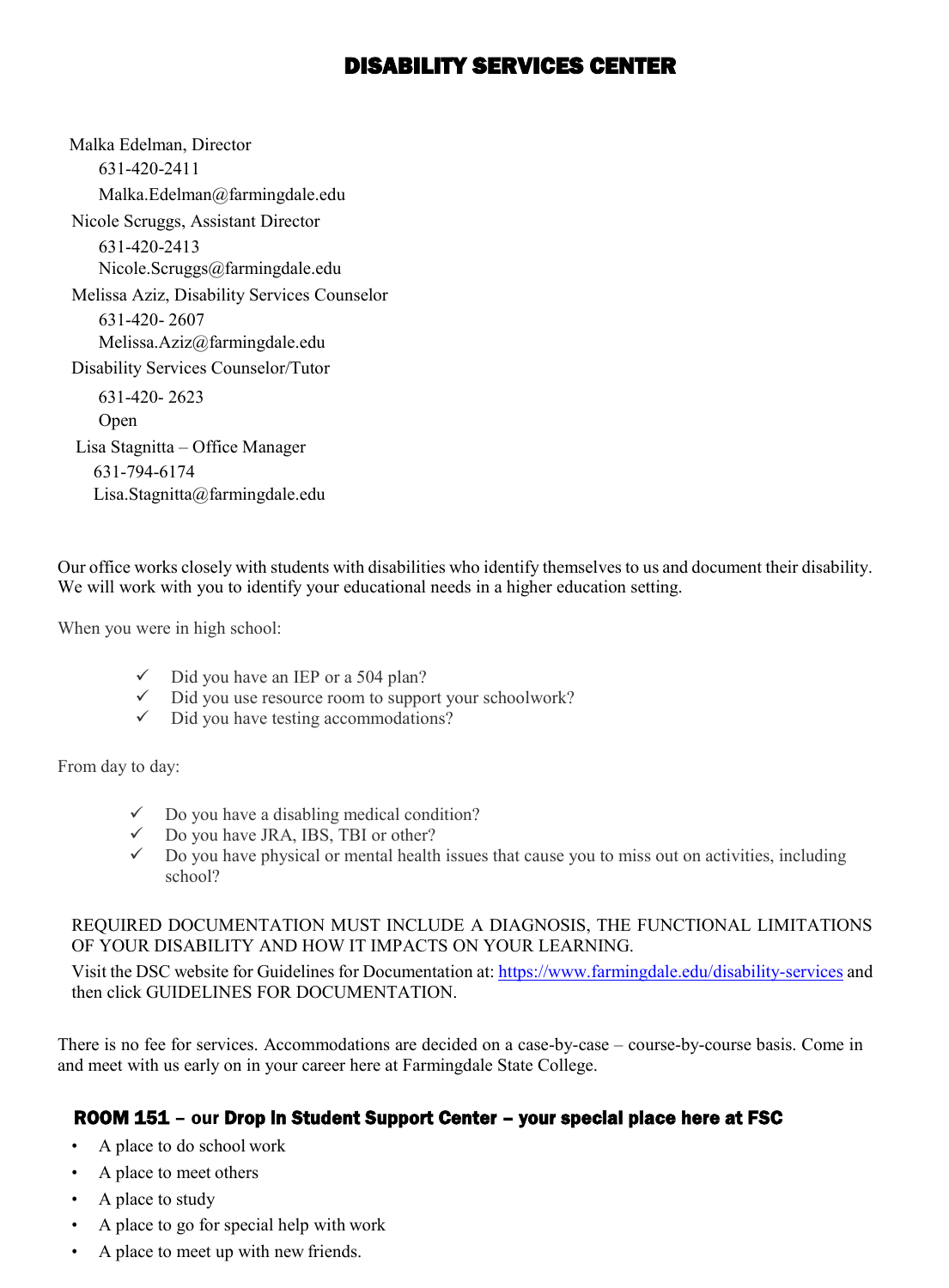## DISABILITY SERVICES CENTER

Malka Edelman, Director 631-420-2411 [Malka.Edelman@farmingdale.edu](mailto:Malka.Edelman@farmingdale.edu) Nicole Scruggs, Assistant Director 631-420-2413 [Nicole.Scruggs@farmingdale.edu](mailto:Nicole.Scruggs@farmingdale.edu) Melissa Aziz, Disability Services Counselor 631-420- 2607 [Melissa.Aziz@farmingdale.edu](mailto:Melissa.Aziz@farmingdale.edu) Disability Services Counselor/Tutor 631-420- 2623 [Open](mailto:Barbara.Blair-Reade@farmingdale.edu) Lisa Stagnitta – Office Manager 631-794-6174 Lisa.Stagnitta@farmingdale.edu

Our office works closely with students with disabilities who identify themselves to us and document their disability. We will work with you to identify your educational needs in a higher education setting.

When you were in high school:

- $\checkmark$  Did you have an IEP or a 504 plan?
- $\checkmark$  Did you use resource room to support your schoolwork?
- $\checkmark$  Did you have testing accommodations?

From day to day:

- Do you have a disabling medical condition?
- $\checkmark$  Do you have JRA, IBS, TBI or other?
- $\checkmark$  Do you have physical or mental health issues that cause you to miss out on activities, including school?

#### REQUIRED DOCUMENTATION MUST INCLUDE A DIAGNOSIS, THE FUNCTIONAL LIMITATIONS OF YOUR DISABILITY AND HOW IT IMPACTS ON YOUR LEARNING.

Visit the DSC website for Guidelines for Documentation at[: https://www.farmingdale.edu/disability-services](https://www.farmingdale.edu/disability-services) and then click GUIDELINES FOR DOCUMENTATION.

There is no fee for services. Accommodations are decided on a case-by-case – course-by-course basis. Come in and meet with us early on in your career here at Farmingdale State College.

### ROOM 151 – our Drop in Student Support Center – your special place here at FSC

- A place to do school work
- A place to meet others
- A place to study
- A place to go for special help with work
- A place to meet up with new friends.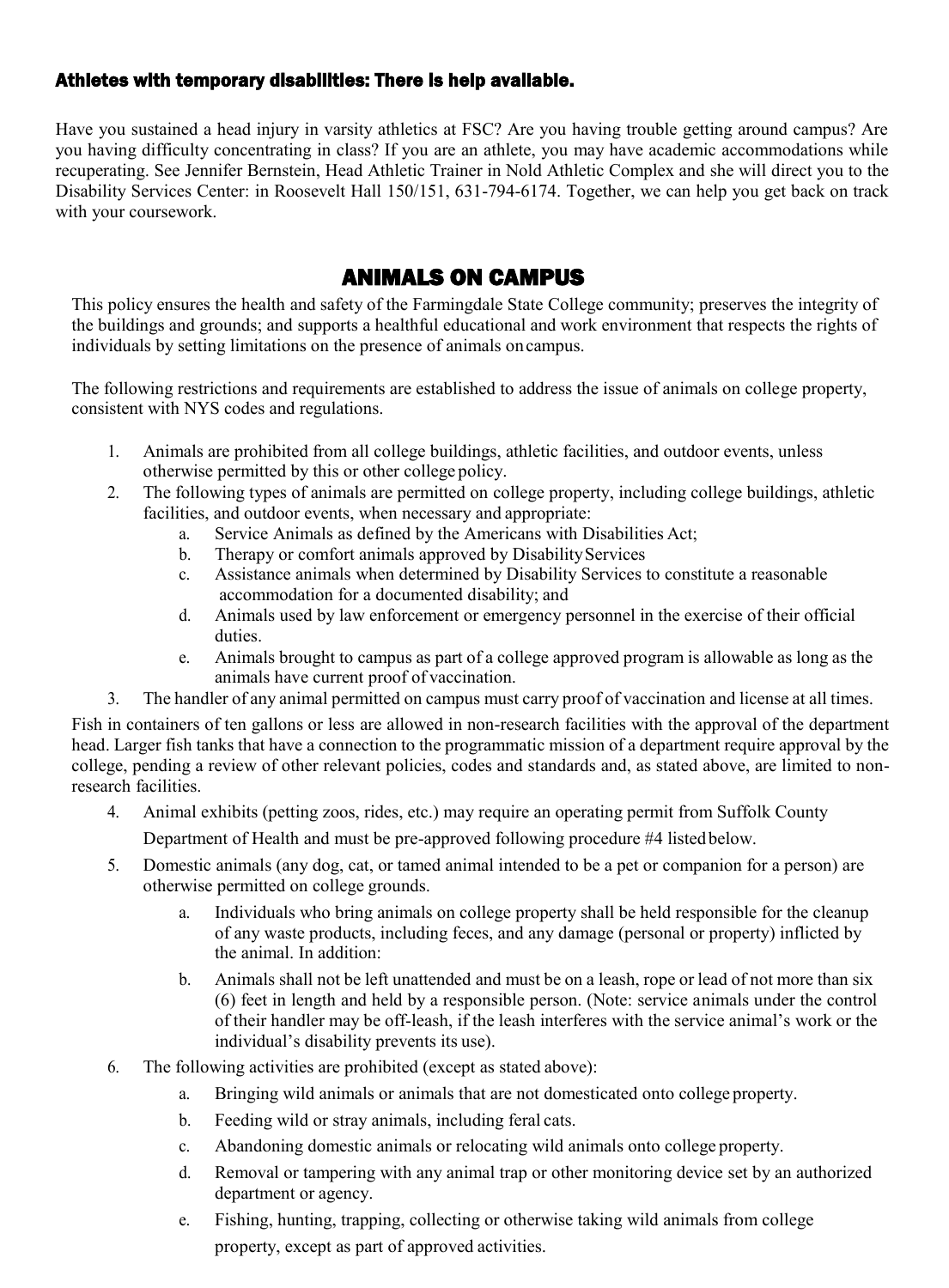### Athletes with temporary disabilities: There is help available.

Have you sustained a head injury in varsity athletics at FSC? Are you having trouble getting around campus? Are you having difficulty concentrating in class? If you are an athlete, you may have academic accommodations while recuperating. See Jennifer Bernstein, Head Athletic Trainer in Nold Athletic Complex and she will direct you to the Disability Services Center: in Roosevelt Hall 150/151, 631-794-6174. Together, we can help you get back on track with your coursework.

## ANIMALS ON CAMPUS

This policy ensures the health and safety of the Farmingdale State College community; preserves the integrity of the buildings and grounds; and supports a healthful educational and work environment that respects the rights of individuals by setting limitations on the presence of animals oncampus.

The following restrictions and requirements are established to address the issue of animals on college property, consistent with NYS codes and regulations.

- 1. Animals are prohibited from all college buildings, athletic facilities, and outdoor events, unless otherwise permitted by this or other college policy.
- 2. The following types of animals are permitted on college property, including college buildings, athletic facilities, and outdoor events, when necessary and appropriate:
	- a. Service Animals as defined by the Americans with Disabilities Act;
	- b. Therapy or comfort animals approved by Disability Services
	- c. Assistance animals when determined by Disability Services to constitute a reasonable accommodation for a documented disability; and
	- d. Animals used by law enforcement or emergency personnel in the exercise of their official duties.
	- e. Animals brought to campus as part of a college approved program is allowable as long as the animals have current proof of vaccination.
- 3. The handler of any animal permitted on campus must carry proof of vaccination and license at all times.

Fish in containers of ten gallons or less are allowed in non-research facilities with the approval of the department head. Larger fish tanks that have a connection to the programmatic mission of a department require approval by the college, pending a review of other relevant policies, codes and standards and, as stated above, are limited to nonresearch facilities.

4. Animal exhibits (petting zoos, rides, etc.) may require an operating permit from Suffolk County

Department of Health and must be pre-approved following procedure #4 listed below.

- 5. Domestic animals (any dog, cat, or tamed animal intended to be a pet or companion for a person) are otherwise permitted on college grounds.
	- a. Individuals who bring animals on college property shall be held responsible for the cleanup of any waste products, including feces, and any damage (personal or property) inflicted by the animal. In addition:
	- b. Animals shall not be left unattended and must be on a leash, rope or lead of not more than six (6) feet in length and held by a responsible person. (Note: service animals under the control of their handler may be off-leash, if the leash interferes with the service animal's work or the individual's disability prevents its use).
- 6. The following activities are prohibited (except as stated above):
	- a. Bringing wild animals or animals that are not domesticated onto college property.
	- b. Feeding wild or stray animals, including feral cats.
	- c. Abandoning domestic animals or relocating wild animals onto college property.
	- d. Removal or tampering with any animal trap or other monitoring device set by an authorized department or agency.
	- e. Fishing, hunting, trapping, collecting or otherwise taking wild animals from college property, except as part of approved activities.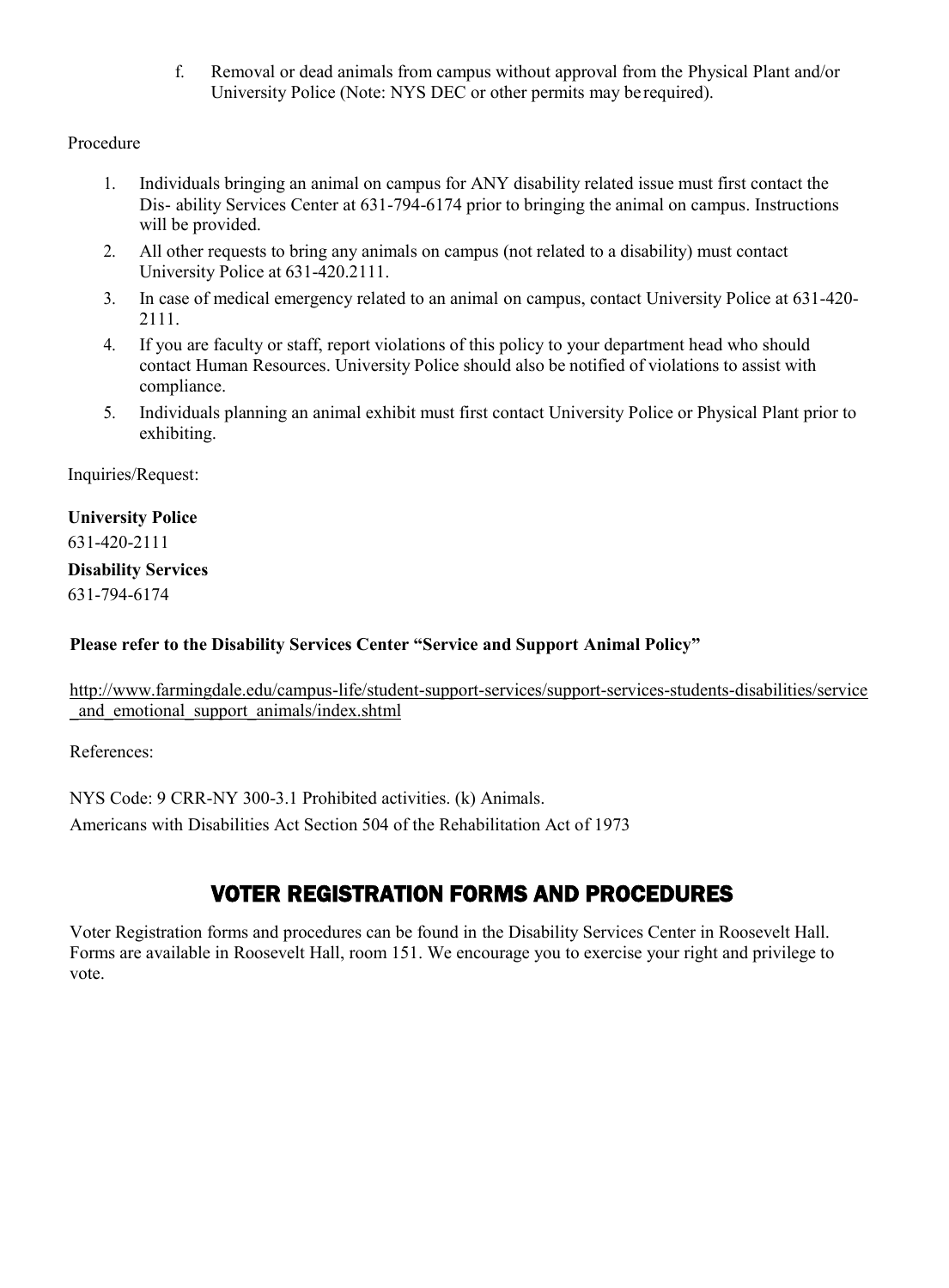f. Removal or dead animals from campus without approval from the Physical Plant and/or University Police (Note: NYS DEC or other permits may be required).

#### Procedure

- 1. Individuals bringing an animal on campus for ANY disability related issue must first contact the Dis- ability Services Center at 631-794-6174 prior to bringing the animal on campus. Instructions will be provided.
- 2. All other requests to bring any animals on campus (not related to a disability) must contact University Police at 631-420.2111.
- 3. In case of medical emergency related to an animal on campus, contact University Police at 631-420- 2111.
- 4. If you are faculty or staff, report violations of this policy to your department head who should contact Human Resources. University Police should also be notified of violations to assist with compliance.
- 5. Individuals planning an animal exhibit must first contact University Police or Physical Plant prior to exhibiting.

Inquiries/Request:

## **University Police**

631-420-2111

### **Disability Services**

631-794-6174

### **Please refer to the Disability Services Center "Service and Support Animal Policy"**

[http://www.farmingdale.edu/campus-life/student-support-services/support-services-students-disabilities/service](http://www.farmingdale.edu/campus-life/student-support-services/support-services-students-disabilities/service_and_emotional_support_animals/index.shtml) and emotional support animals/index.shtml

References:

NYS Code: 9 CRR-NY 300-3.1 Prohibited activities. (k) Animals.

Americans with Disabilities Act Section 504 of the Rehabilitation Act of 1973

# VOTER REGISTRATION FORMS AND PROCEDURES

Voter Registration forms and procedures can be found in the Disability Services Center in Roosevelt Hall. Forms are available in Roosevelt Hall, room 151. We encourage you to exercise your right and privilege to vote.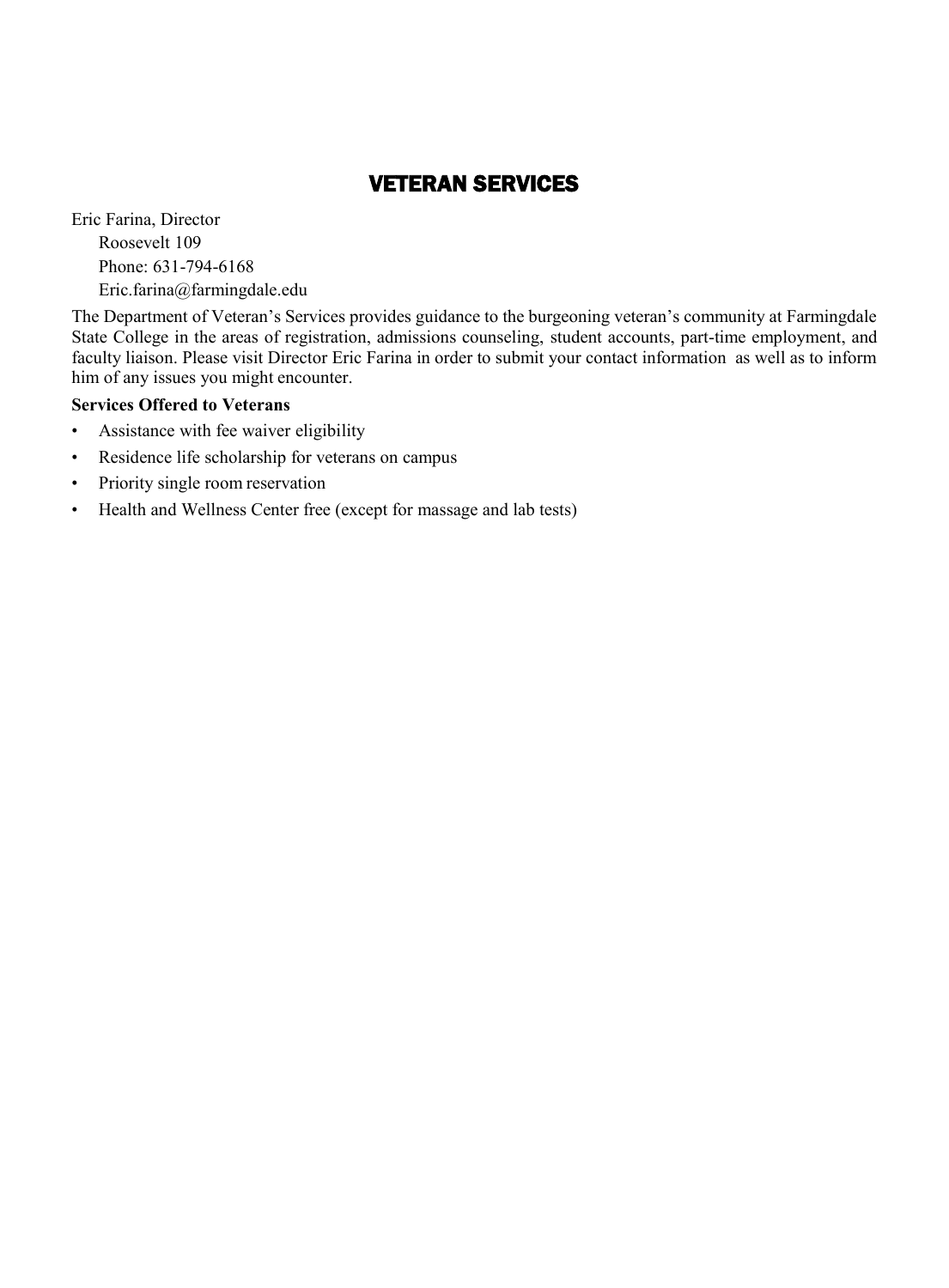# VETERAN SERVICES

Eric Farina, Director Roosevelt 109 Phone: 631-794-6168 [Eric.farina@farmingdale.edu](mailto:Eric.farina@farmingdale.edu)

The Department of Veteran's Services provides guidance to the burgeoning veteran's community at Farmingdale State College in the areas of registration, admissions counseling, student accounts, part-time employment, and faculty liaison. Please visit Director Eric Farina in order to submit your contact information as well as to inform him of any issues you might encounter.

#### **Services Offered to Veterans**

- Assistance with fee waiver eligibility
- Residence life scholarship for veterans on campus
- Priority single room reservation
- Health and Wellness Center free (except for massage and lab tests)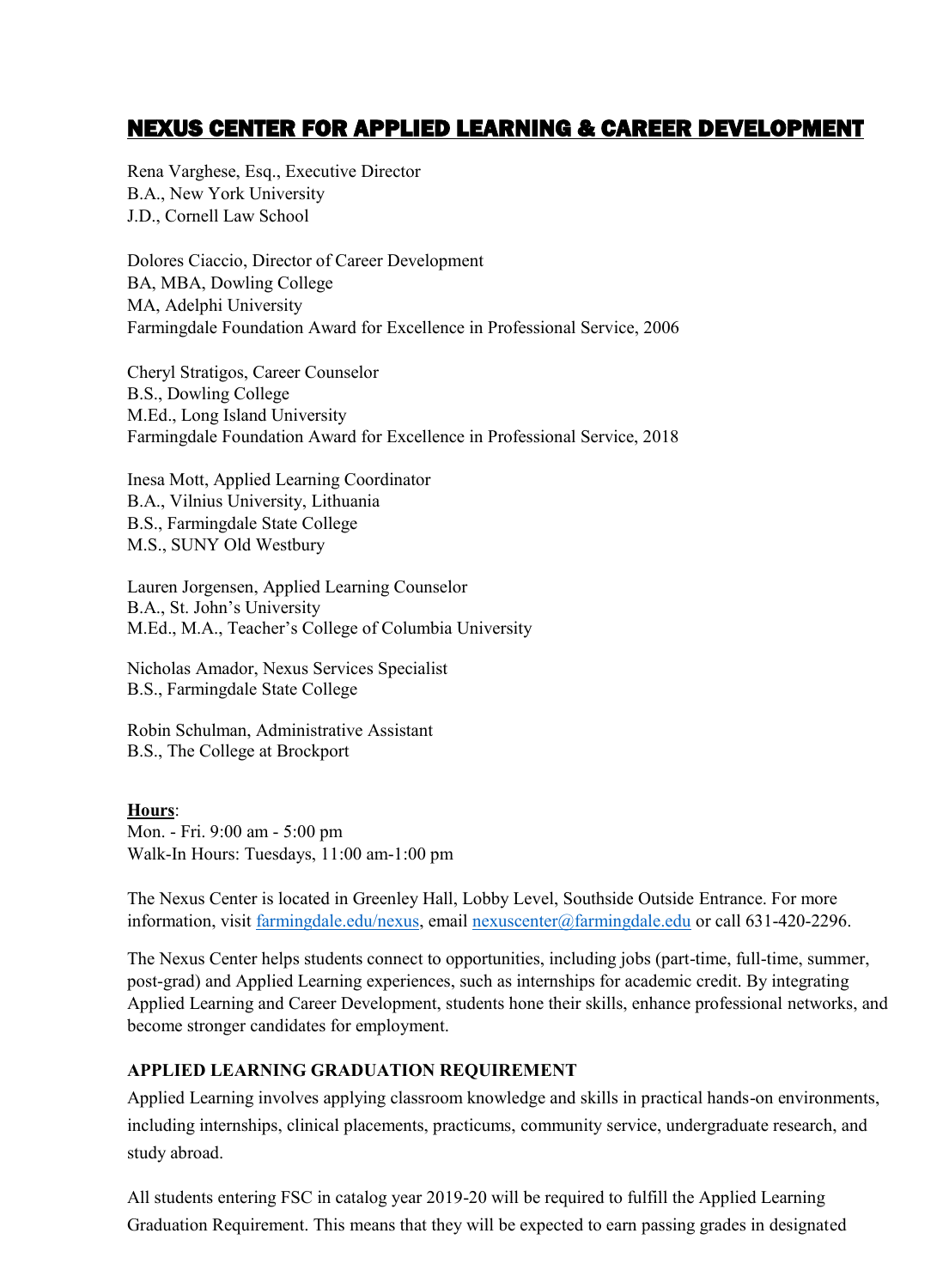## NEXUS CENTER FOR APPLIED LEARNING & CAREER DEVELOPMENT

Rena Varghese, Esq., Executive Director B.A., New York University J.D., Cornell Law School

Dolores Ciaccio, Director of Career Development BA, MBA, Dowling College MA, Adelphi University Farmingdale Foundation Award for Excellence in Professional Service, 2006

Cheryl Stratigos, Career Counselor B.S., Dowling College M.Ed., Long Island University Farmingdale Foundation Award for Excellence in Professional Service, 2018

Inesa Mott, Applied Learning Coordinator B.A., Vilnius University, Lithuania B.S., Farmingdale State College M.S., SUNY Old Westbury

Lauren Jorgensen, Applied Learning Counselor B.A., St. John's University M.Ed., M.A., Teacher's College of Columbia University

Nicholas Amador, Nexus Services Specialist B.S., Farmingdale State College

Robin Schulman, Administrative Assistant B.S., The College at Brockport

#### **Hours**:

Mon. - Fri. 9:00 am - 5:00 pm Walk-In Hours: Tuesdays, 11:00 am-1:00 pm

The Nexus Center is located in Greenley Hall, Lobby Level, Southside Outside Entrance. For more information, visi[t farmingdale.edu/nexus,](http://www.farmingdale.edu/nexus) emai[l nexuscenter@farmingdale.edu](mailto:nexuscenter@farmingdale.edu) or call 631-420-2296.

The Nexus Center helps students connect to opportunities, including jobs (part-time, full-time, summer, post-grad) and Applied Learning experiences, such as internships for academic credit. By integrating Applied Learning and Career Development, students hone their skills, enhance professional networks, and become stronger candidates for employment.

#### **APPLIED LEARNING GRADUATION REQUIREMENT**

Applied Learning involves applying classroom knowledge and skills in practical hands-on environments, including internships, clinical placements, practicums, community service, undergraduate research, and study abroad.

All students entering FSC in catalog year 2019-20 will be required to fulfill the Applied Learning Graduation Requirement. This means that they will be expected to earn passing grades in designated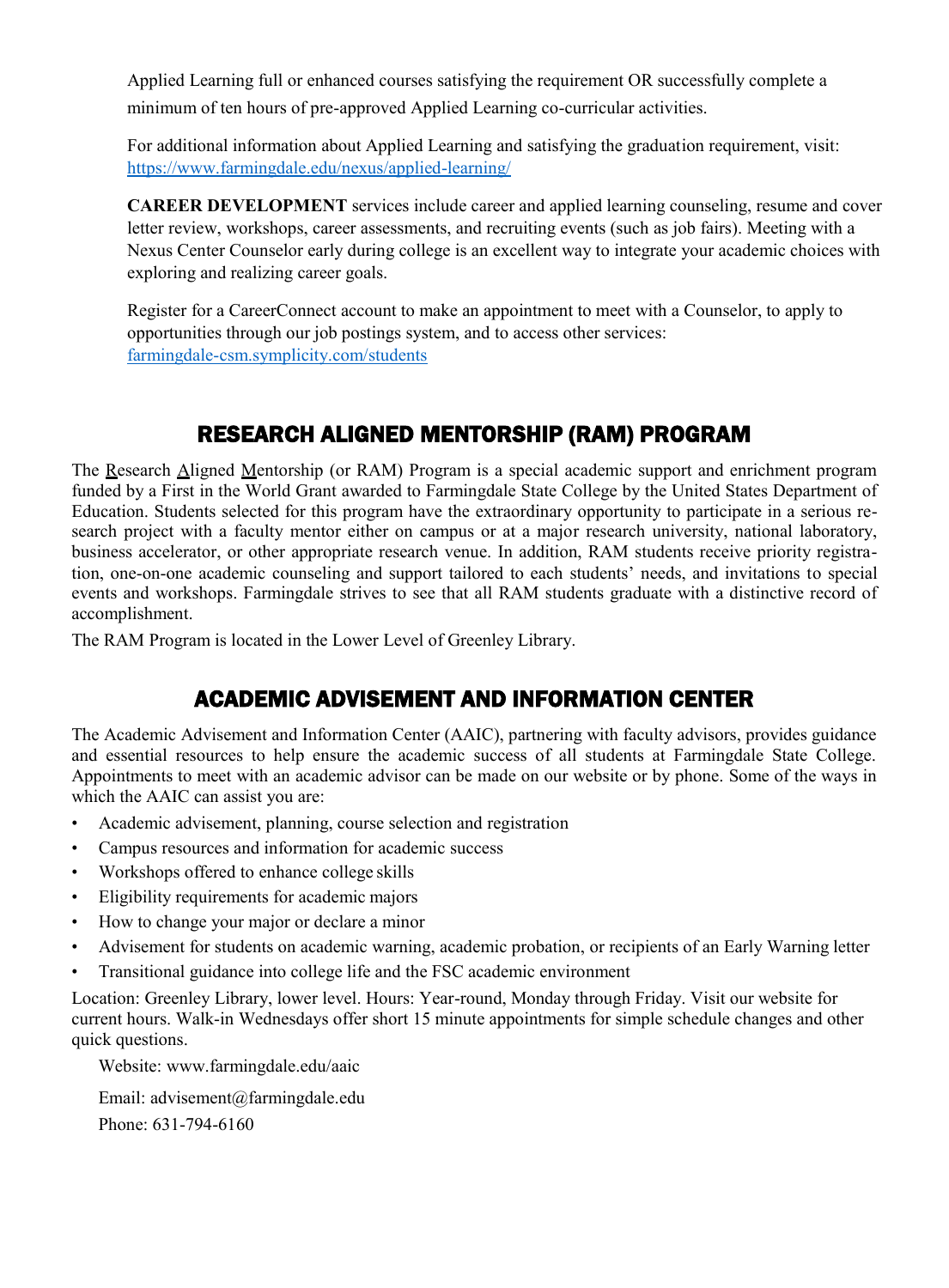Applied Learning full or enhanced courses satisfying the requirement OR successfully complete a minimum of ten hours of pre-approved Applied Learning co-curricular activities.

For additional information about Applied Learning and satisfying the graduation requirement, visit: <https://www.farmingdale.edu/nexus/applied-learning/>

**CAREER DEVELOPMENT** services include career and applied learning counseling, resume and cover letter review, workshops, career assessments, and recruiting events (such as job fairs). Meeting with a Nexus Center Counselor early during college is an excellent way to integrate your academic choices with exploring and realizing career goals.

Register for a CareerConnect account to make an appointment to meet with a Counselor, to apply to opportunities through our job postings system, and to access other services: [farmingdale-csm.symplicity.com/students](file://///fs02/groups/discipline/Student%20Handbook/Student%20Handbook%202018-2019/farmingdale-csm.symplicity.com/students)

# RESEARCH ALIGNED MENTORSHIP (RAM) PROGRAM

The Research Aligned Mentorship (or RAM) Program is a special academic support and enrichment program funded by a First in the World Grant awarded to Farmingdale State College by the United States Department of Education. Students selected for this program have the extraordinary opportunity to participate in a serious research project with a faculty mentor either on campus or at a major research university, national laboratory, business accelerator, or other appropriate research venue. In addition, RAM students receive priority registration, one-on-one academic counseling and support tailored to each students' needs, and invitations to special events and workshops. Farmingdale strives to see that all RAM students graduate with a distinctive record of accomplishment.

The RAM Program is located in the Lower Level of Greenley Library.

# ACADEMIC ADVISEMENT AND INFORMATION CENTER

The Academic Advisement and Information Center (AAIC), partnering with faculty advisors, provides guidance and essential resources to help ensure the academic success of all students at Farmingdale State College. Appointments to meet with an academic advisor can be made on our website or by phone. Some of the ways in which the AAIC can assist you are:

- Academic advisement, planning, course selection and registration
- Campus resources and information for academic success
- Workshops offered to enhance college skills
- Eligibility requirements for academic majors
- How to change your major or declare a minor
- Advisement for students on academic warning, academic probation, or recipients of an Early Warning letter
- Transitional guidance into college life and the FSC academic environment

Location: Greenley Library, lower level. Hours: Year-round, Monday through Friday. Visit our website for current hours. Walk-in Wednesdays offer short 15 minute appointments for simple schedule changes and other quick questions.

Website: www.farmingdale.edu/aaic

Email[: advisement@farmingdale.edu](mailto:advisement@farmingdale.edu) Phone: 631-794-6160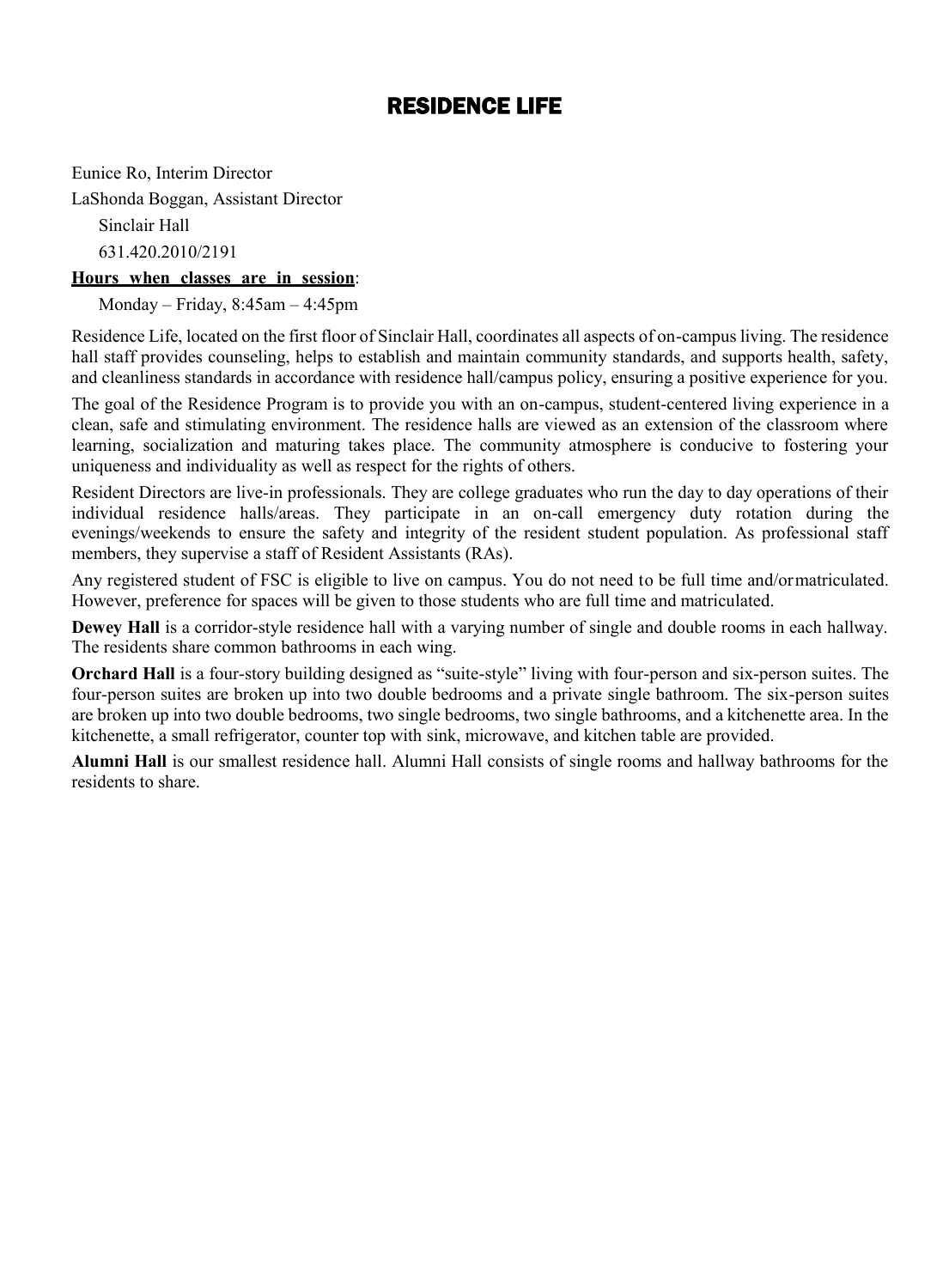## RESIDENCE LIFE

Eunice Ro, Interim Director LaShonda Boggan, Assistant Director Sinclair Hall 631.420.2010/2191

#### **Hours when classes are in session**:

Monday – Friday, 8:45am – 4:45pm

Residence Life, located on the first floor of Sinclair Hall, coordinates all aspects of on-campus living. The residence hall staff provides counseling, helps to establish and maintain community standards, and supports health, safety, and cleanliness standards in accordance with residence hall/campus policy, ensuring a positive experience for you.

The goal of the Residence Program is to provide you with an on-campus, student-centered living experience in a clean, safe and stimulating environment. The residence halls are viewed as an extension of the classroom where learning, socialization and maturing takes place. The community atmosphere is conducive to fostering your uniqueness and individuality as well as respect for the rights of others.

Resident Directors are live-in professionals. They are college graduates who run the day to day operations of their individual residence halls/areas. They participate in an on-call emergency duty rotation during the evenings/weekends to ensure the safety and integrity of the resident student population. As professional staff members, they supervise a staff of Resident Assistants (RAs).

Any registered student of FSC is eligible to live on campus. You do not need to be full time and/ormatriculated. However, preference for spaces will be given to those students who are full time and matriculated.

**Dewey Hall** is a corridor-style residence hall with a varying number of single and double rooms in each hallway. The residents share common bathrooms in each wing.

**Orchard Hall** is a four-story building designed as "suite-style" living with four-person and six-person suites. The four-person suites are broken up into two double bedrooms and a private single bathroom. The six-person suites are broken up into two double bedrooms, two single bedrooms, two single bathrooms, and a kitchenette area. In the kitchenette, a small refrigerator, counter top with sink, microwave, and kitchen table are provided.

**Alumni Hall** is our smallest residence hall. Alumni Hall consists of single rooms and hallway bathrooms for the residents to share.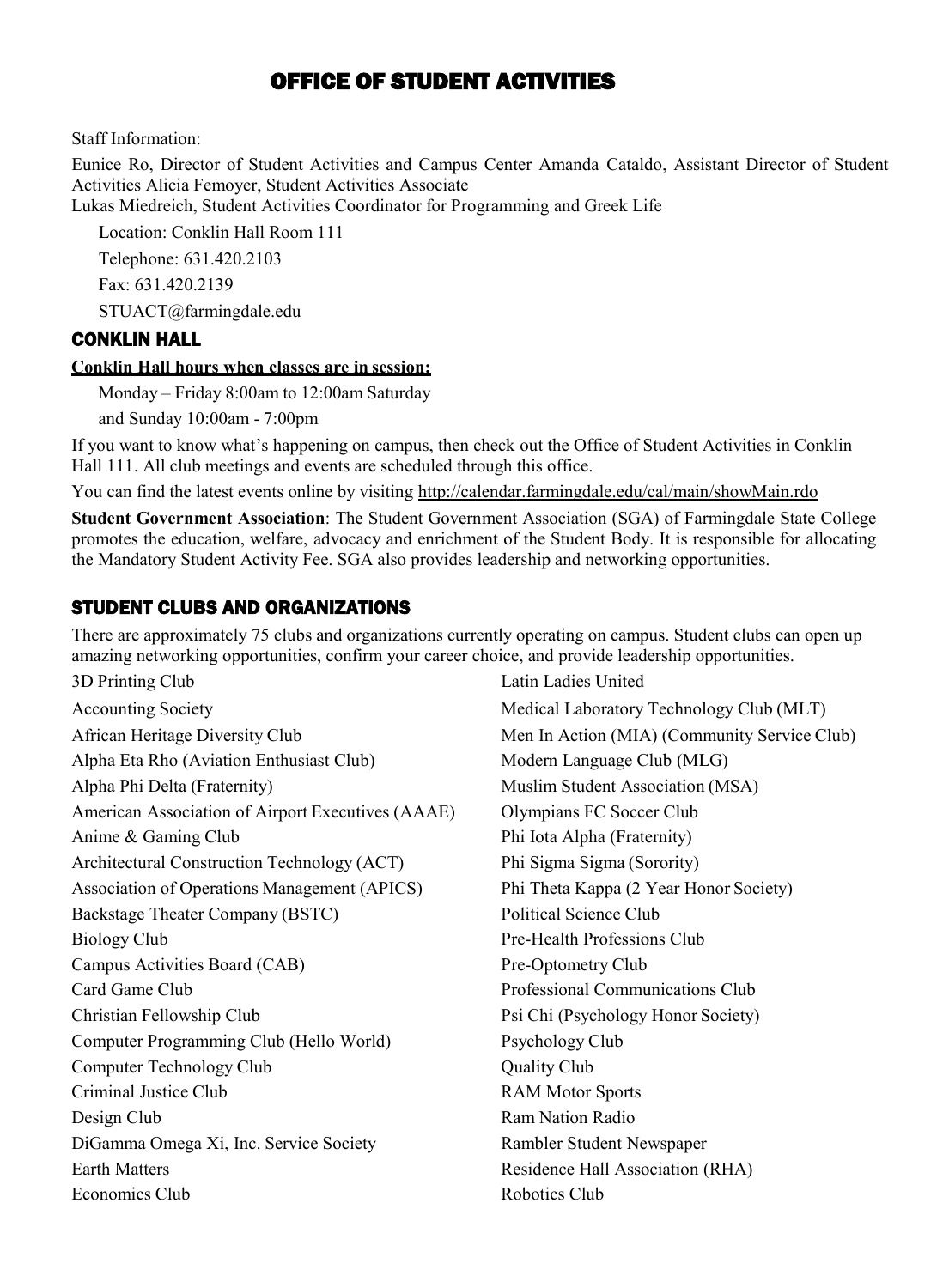## OFFICE OF STUDENT ACTIVITIES

#### Staff Information:

Eunice Ro, Director of Student Activities and Campus Center Amanda Cataldo, Assistant Director of Student Activities Alicia Femoyer, Student Activities Associate

Lukas Miedreich, Student Activities Coordinator for Programming and Greek Life

Location: Conklin Hall Room 111 Telephone: 631.420.2103 Fax: 631.420.2139 [STUACT@farmingdale.edu](mailto:STUACT@farmingdale.edu)

### CONKLIN HALL

#### **Conklin Hall hours when classes are in session:**

Monday – Friday 8:00am to 12:00am Saturday

and Sunday 10:00am - 7:00pm

If you want to know what's happening on campus, then check out the Office of Student Activities in Conklin Hall 111. All club meetings and events are scheduled through this office.

You can find the latest events online by visiting<http://calendar.farmingdale.edu/cal/main/showMain.rdo>

**Student Government Association**: The Student Government Association (SGA) of Farmingdale State College promotes the education, welfare, advocacy and enrichment of the Student Body. It is responsible for allocating the Mandatory Student Activity Fee. SGA also provides leadership and networking opportunities.

## STUDENT CLUBS AND ORGANIZATIONS

There are approximately 75 clubs and organizations currently operating on campus. Student clubs can open up amazing networking opportunities, confirm your career choice, and provide leadership opportunities.

3D Printing Club Latin Ladies United Accounting Society **Medical Laboratory Technology Club (MLT)** African Heritage Diversity Club Men In Action (MIA) (Community Service Club) Alpha Eta Rho (Aviation Enthusiast Club) Modern Language Club (MLG) Alpha Phi Delta (Fraternity) Muslim Student Association (MSA) American Association of Airport Executives (AAAE) Olympians FC Soccer Club Anime & Gaming Club Phi Iota Alpha (Fraternity) Architectural Construction Technology (ACT) Phi Sigma Sigma (Sorority) Association of Operations Management (APICS) Phi Theta Kappa (2 Year Honor Society) Backstage Theater Company (BSTC) Political Science Club Biology Club Pre-Health Professions Club Campus Activities Board (CAB) Pre-Optometry Club Card Game Club Professional Communications Club Christian Fellowship Club Psi Chi (Psychology Honor Society) Computer Programming Club (Hello World) Psychology Club Computer Technology Club Quality Club Criminal Justice Club RAM Motor Sports Design Club Ram Nation Radio DiGamma Omega Xi, Inc. Service Society Rambler Student Newspaper Earth Matters Residence Hall Association (RHA) Economics Club Robotics Club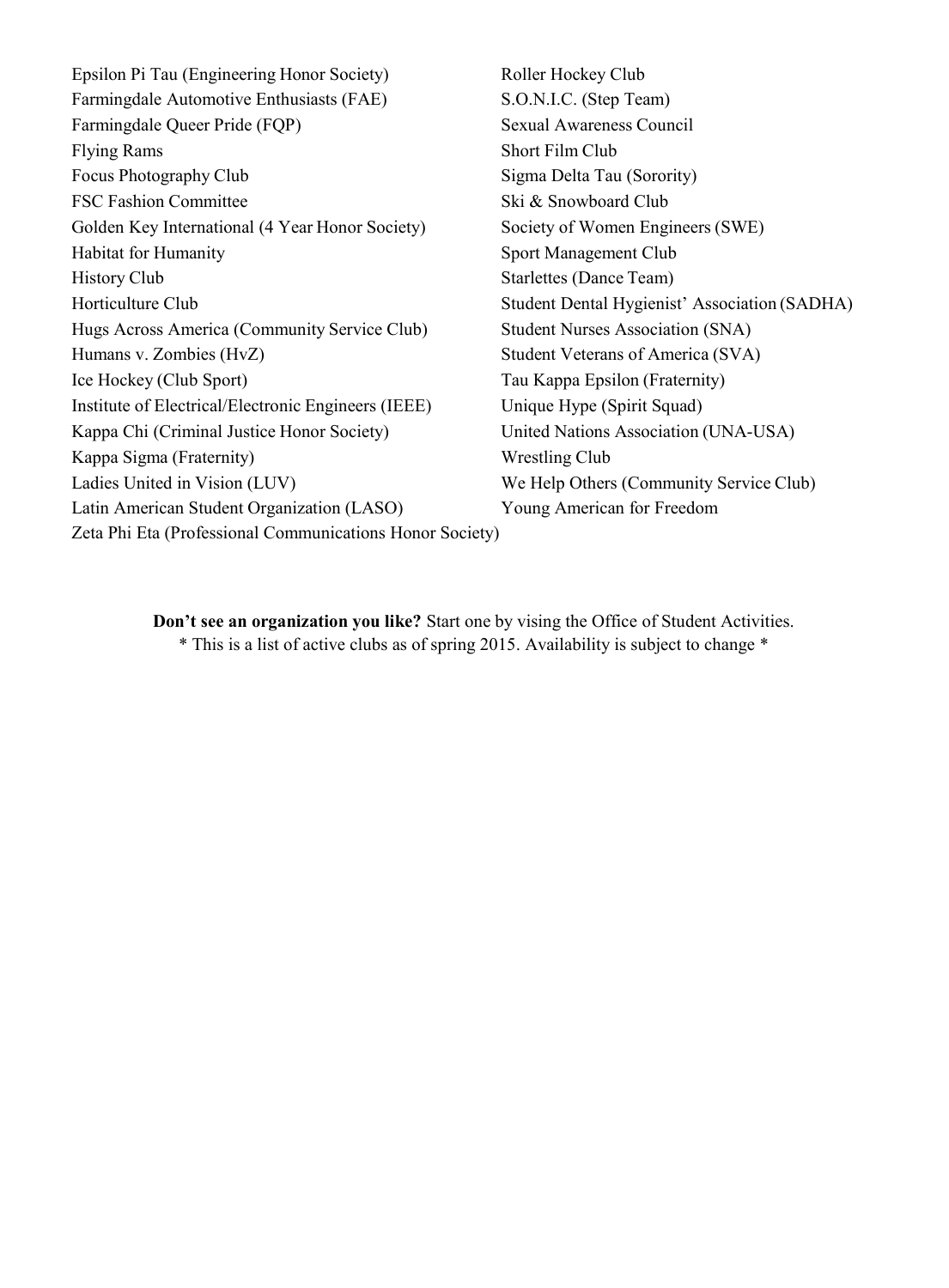Epsilon Pi Tau (Engineering Honor Society) Roller Hockey Club Farmingdale Automotive Enthusiasts (FAE) S.O.N.I.C. (Step Team) Farmingdale Queer Pride (FQP) Sexual Awareness Council Flying Rams Short Film Club Focus Photography Club Sigma Delta Tau (Sorority) FSC Fashion Committee Ski & Snowboard Club Golden Key International (4 Year Honor Society) Society of Women Engineers (SWE) Habitat for Humanity Sport Management Club History Club Starlettes (Dance Team) Horticulture Club Student Dental Hygienist' Association (SADHA) Hugs Across America (Community Service Club) Student Nurses Association (SNA) Humans v. Zombies (HvZ) Student Veterans of America (SVA) Ice Hockey (Club Sport) Tau Kappa Epsilon (Fraternity) Institute of Electrical/Electronic Engineers (IEEE) Unique Hype (Spirit Squad) Kappa Chi (Criminal Justice Honor Society) United Nations Association (UNA-USA) Kappa Sigma (Fraternity) Wrestling Club Ladies United in Vision (LUV) We Help Others (Community Service Club) Latin American Student Organization (LASO) Young American for Freedom Zeta Phi Eta (Professional Communications Honor Society)

**Don't see an organization you like?** Start one by vising the Office of Student Activities. \* This is a list of active clubs as of spring 2015. Availability is subject to change \*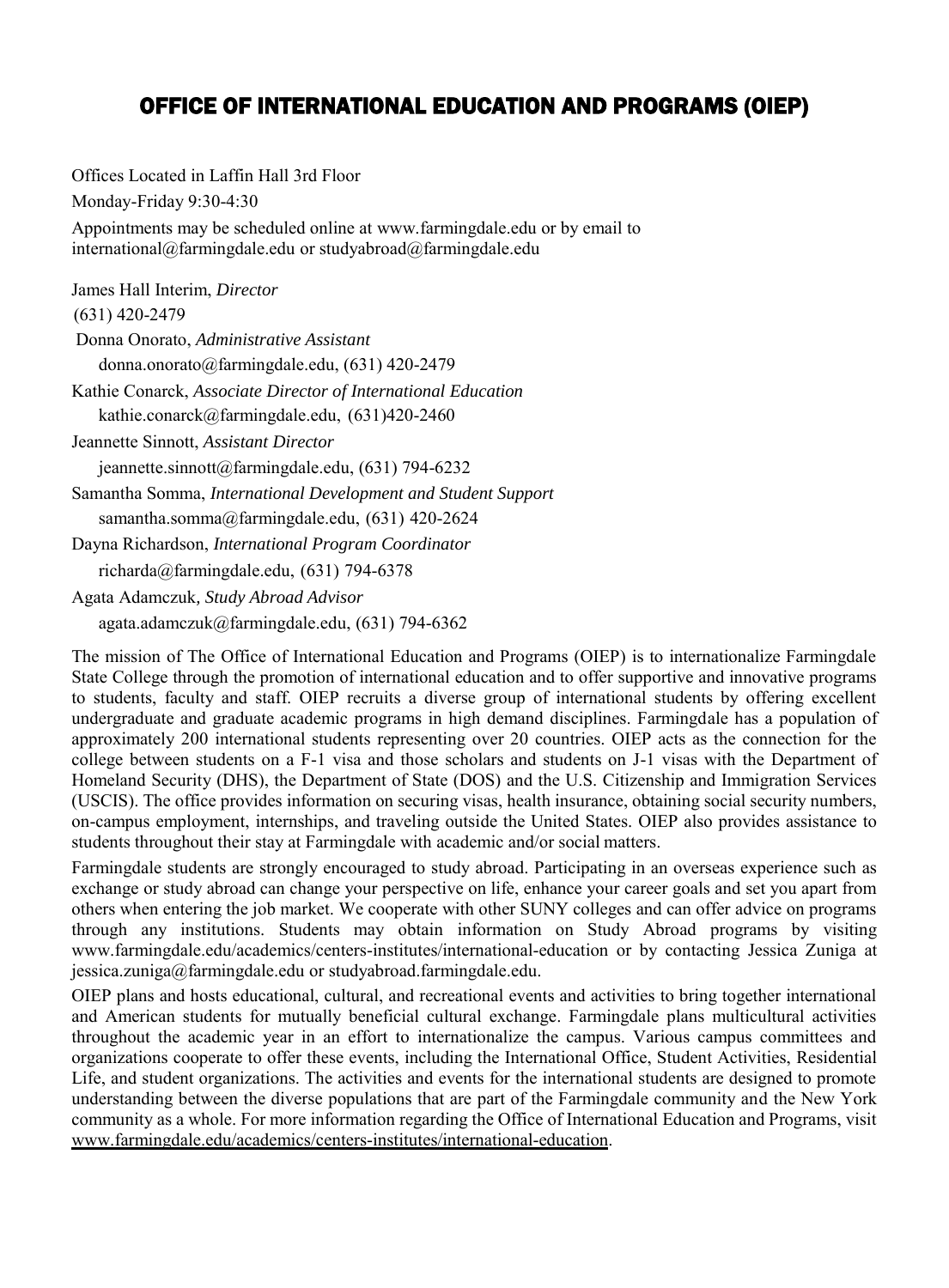## OFFICE OF INTERNATIONAL EDUCATION AND PROGRAMS (OIEP)

Offices Located in Laffin Hall 3rd Floor Monday-Friday 9:30-4:30 Appointments may be scheduled online a[t www.farmingdale.edu o](http://www.farmingdale.edu/)r by email to [international@farmingdale.edu o](mailto:international@farmingdale.edu)[r studyabroad@farmingdale.edu](mailto:studyabroad@farmingdale.edu)

James Hall Interim, *Director* (631) 420-2479 Donna Onorato, *Administrative Assistant*  [donna.onorato@farmingdale.edu, \(](mailto:donna.onorato@farmingdale.edu)631) 420-2479 Kathie Conarck, *Associate Director of International Education* [kathie.conarck@farmingdale.edu, \(](mailto:kathie.conarck@farmingdale.edu)631)420-2460 Jeannette Sinnott, *Assistant Director* [jeannette.sinnott@farmingdale.edu, \(](mailto:jeannette.sinnott@farmingdale.edu)631) 794-6232 Samantha Somma, *International Development and Student Support* [samantha.somma@farmingdale.edu, \(](mailto:samantha.somma@farmingdale.edu)631) 420-2624 Dayna Richardson, *International Program Coordinator* [richarda@farmingdale.edu, \(](mailto:richarda@farmingdale.edu)631) 794-6378 Agata Adamczuk*, Study Abroad Advisor* [agata.adamczuk@farmingdale.edu, \(](mailto:agata.adamczuk@farmingdale.edu)631) 794-6362

The mission of The Office of International Education and Programs (OIEP) is to internationalize Farmingdale State College through the promotion of international education and to offer supportive and innovative programs to students, faculty and staff. OIEP recruits a diverse group of international students by offering excellent undergraduate and graduate academic programs in high demand disciplines. Farmingdale has a population of approximately 200 international students representing over 20 countries. OIEP acts as the connection for the college between students on a F-1 visa and those scholars and students on J-1 visas with the Department of Homeland Security (DHS), the Department of State (DOS) and the U.S. Citizenship and Immigration Services (USCIS). The office provides information on securing visas, health insurance, obtaining social security numbers, on-campus employment, internships, and traveling outside the United States. OIEP also provides assistance to students throughout their stay at Farmingdale with academic and/or social matters.

Farmingdale students are strongly encouraged to study abroad. Participating in an overseas experience such as exchange or study abroad can change your perspective on life, enhance your career goals and set you apart from others when entering the job market. We cooperate with other SUNY colleges and can offer advice on programs through any institutions. Students may obtain information on Study Abroad programs by visiting [www.farmingdale.edu/academics/centers-institutes/international-education](http://www.farmingdale.edu/academics/centers-institutes/international-education) or by contacting Jessica Zuniga at [jessica.zuniga@farmingdale.edu o](mailto:jessica.zuniga@farmingdale.edu)r studyabroad.farmingdale.edu.

OIEP plans and hosts educational, cultural, and recreational events and activities to bring together international and American students for mutually beneficial cultural exchange. Farmingdale plans multicultural activities throughout the academic year in an effort to internationalize the campus. Various campus committees and organizations cooperate to offer these events, including the International Office, Student Activities, Residential Life, and student organizations. The activities and events for the international students are designed to promote understanding between the diverse populations that are part of the Farmingdale community and the New York community as a whole. For more information regarding the Office of International Education and Programs, visit [www.farmingdale.edu/academics/centers-institutes/international-education.](http://www.farmingdale.edu/academics/centers-institutes/international-education)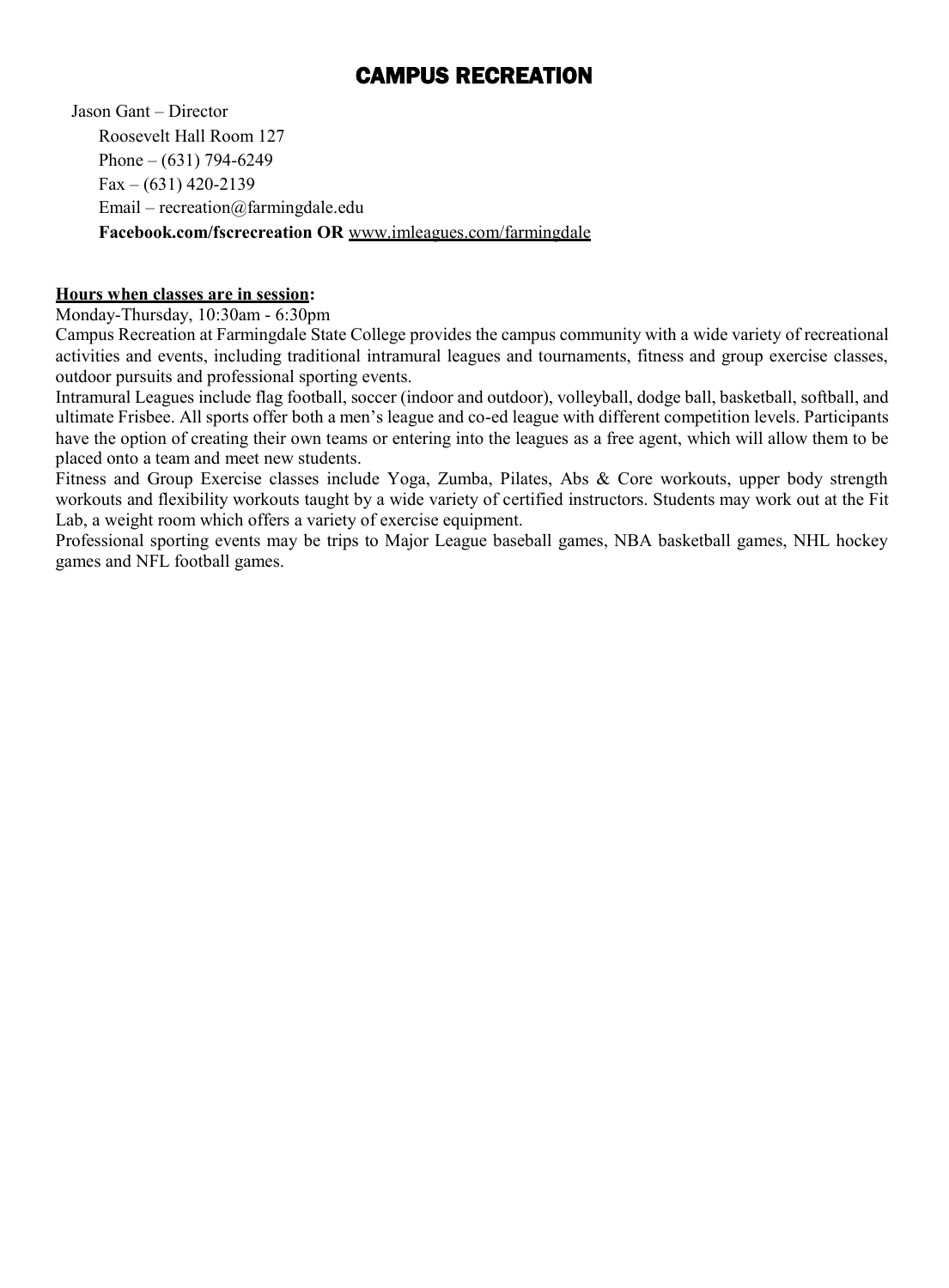# CAMPUS RECREATION

Jason Gant – Director Roosevelt Hall Room 127 Phone – (631) 794-6249 Fax – (631) 420-2139 Email – [recreation@farmingdale.edu](mailto:recreation@farmingdale.edu) **Facebook.com/fscrecreation OR** [www.imleagues.com/farmingdale](http://www.imleagues.com/farmingdale)

#### **Hours when classes are in session:**

Monday-Thursday, 10:30am - 6:30pm

Campus Recreation at Farmingdale State College provides the campus community with a wide variety of recreational activities and events, including traditional intramural leagues and tournaments, fitness and group exercise classes, outdoor pursuits and professional sporting events.

Intramural Leagues include flag football, soccer (indoor and outdoor), volleyball, dodge ball, basketball, softball, and ultimate Frisbee. All sports offer both a men's league and co-ed league with different competition levels. Participants have the option of creating their own teams or entering into the leagues as a free agent, which will allow them to be placed onto a team and meet new students.

Fitness and Group Exercise classes include Yoga, Zumba, Pilates, Abs & Core workouts, upper body strength workouts and flexibility workouts taught by a wide variety of certified instructors. Students may work out at the Fit Lab, a weight room which offers a variety of exercise equipment.

Professional sporting events may be trips to Major League baseball games, NBA basketball games, NHL hockey games and NFL football games.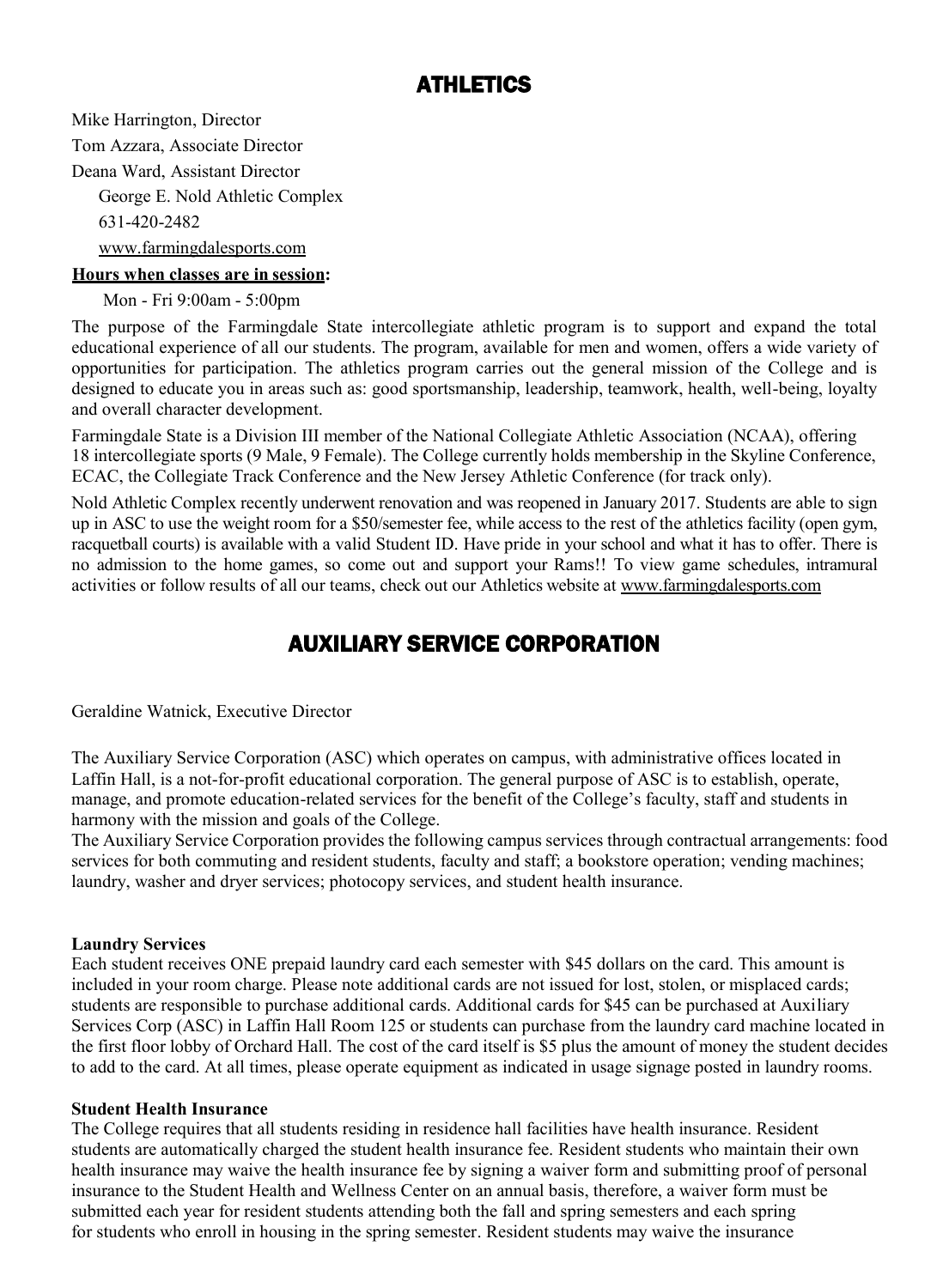

Mike Harrington, Director Tom Azzara, Associate Director Deana Ward, Assistant Director George E. Nold Athletic Complex 631-420-2482 [www.farmingdalesports.com](http://www.farmingdalesports.com/) 

#### **Hours when classes are in session:**

Mon - Fri 9:00am - 5:00pm

The purpose of the Farmingdale State intercollegiate athletic program is to support and expand the total educational experience of all our students. The program, available for men and women, offers a wide variety of opportunities for participation. The athletics program carries out the general mission of the College and is designed to educate you in areas such as: good sportsmanship, leadership, teamwork, health, well-being, loyalty and overall character development.

Farmingdale State is a Division III member of the National Collegiate Athletic Association (NCAA), offering 18 intercollegiate sports (9 Male, 9 Female). The College currently holds membership in the Skyline Conference, ECAC, the Collegiate Track Conference and the New Jersey Athletic Conference (for track only).

Nold Athletic Complex recently underwent renovation and was reopened in January 2017. Students are able to sign up in ASC to use the weight room for a \$50/semester fee, while access to the rest of the athletics facility (open gym, racquetball courts) is available with a valid Student ID. Have pride in your school and what it has to offer. There is no admission to the home games, so come out and support your Rams!! To view game schedules, intramural activities or follow results of all our teams, check out our Athletics website a[t www.farmingdalesports.com](http://www.farmingdalesports.com/)

# AUXILIARY SERVICE CORPORATION

Geraldine Watnick, Executive Director

The Auxiliary Service Corporation (ASC) which operates on campus, with administrative offices located in Laffin Hall, is a not-for-profit educational corporation. The general purpose of ASC is to establish, operate, manage, and promote education-related services for the benefit of the College's faculty, staff and students in harmony with the mission and goals of the College.

The Auxiliary Service Corporation provides the following campus services through contractual arrangements: food services for both commuting and resident students, faculty and staff; a bookstore operation; vending machines; laundry, washer and dryer services; photocopy services, and student health insurance.

#### **Laundry Services**

Each student receives ONE prepaid laundry card each semester with \$45 dollars on the card. This amount is included in your room charge. Please note additional cards are not issued for lost, stolen, or misplaced cards; students are responsible to purchase additional cards. Additional cards for \$45 can be purchased at Auxiliary Services Corp (ASC) in Laffin Hall Room 125 or students can purchase from the laundry card machine located in the first floor lobby of Orchard Hall. The cost of the card itself is \$5 plus the amount of money the student decides to add to the card. At all times, please operate equipment as indicated in usage signage posted in laundry rooms.

#### **Student Health Insurance**

The College requires that all students residing in residence hall facilities have health insurance. Resident students are automatically charged the student health insurance fee. Resident students who maintain their own health insurance may waive the health insurance fee by signing a waiver form and submitting proof of personal insurance to the Student Health and Wellness Center on an annual basis, therefore, a waiver form must be submitted each year for resident students attending both the fall and spring semesters and each spring for students who enroll in housing in the spring semester. Resident students may waive the insurance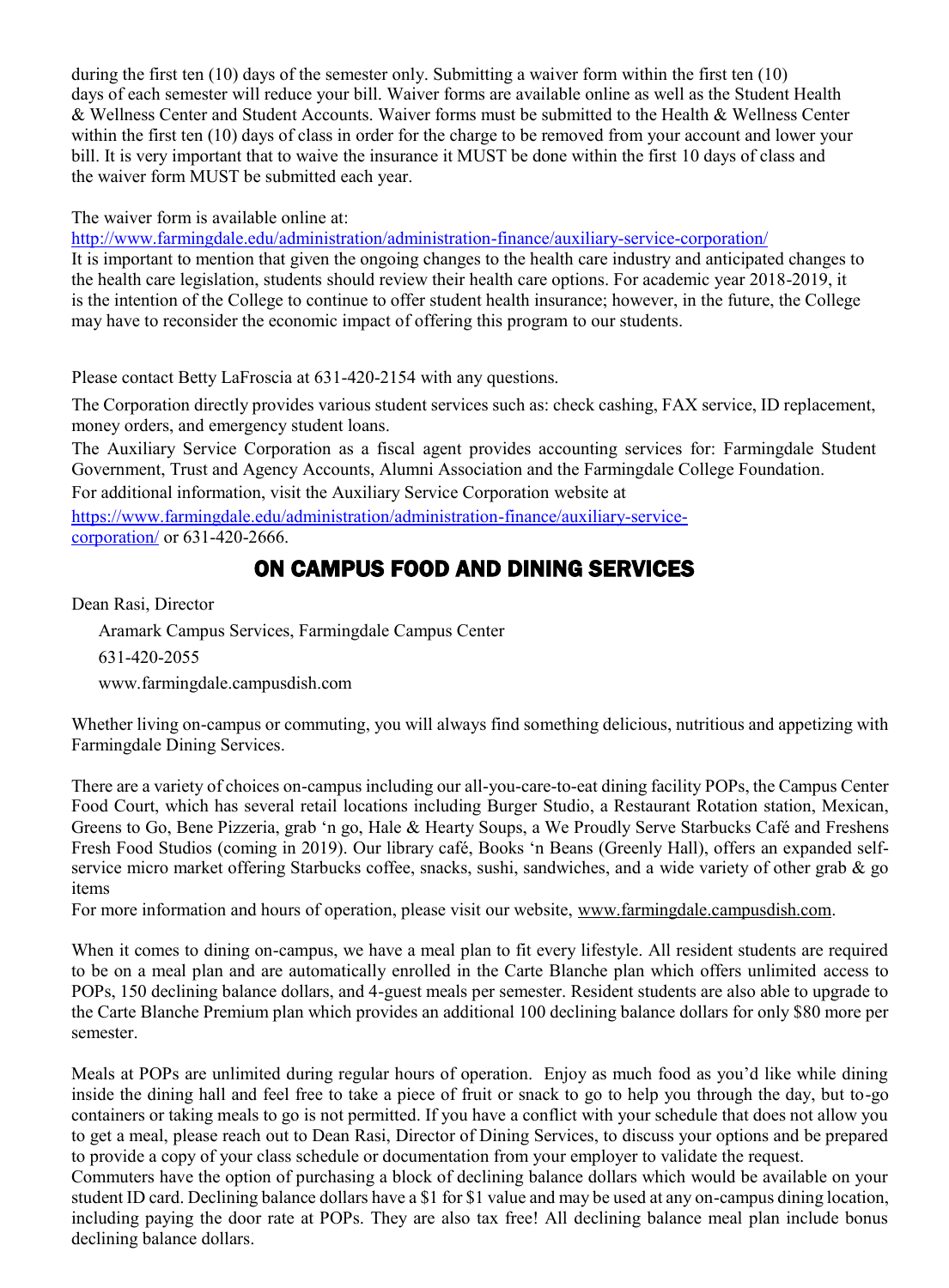during the first ten (10) days of the semester only. Submitting a waiver form within the first ten (10) days of each semester will reduce your bill. Waiver forms are available online as well as the Student Health & Wellness Center and Student Accounts. Waiver forms must be submitted to the Health & Wellness Center within the first ten (10) days of class in order for the charge to be removed from your account and lower your bill. It is very important that to waive the insurance it MUST be done within the first 10 days of class and the waiver form MUST be submitted each year.

The waiver form is available online at:

<http://www.farmingdale.edu/administration/administration-finance/auxiliary-service-corporation/>

It is important to mention that given the ongoing changes to the health care industry and anticipated changes to the health care legislation, students should review their health care options. For academic year 2018-2019, it is the intention of the College to continue to offer student health insurance; however, in the future, the College may have to reconsider the economic impact of offering this program to our students.

Please contact Betty LaFroscia at 631-420-2154 with any questions.

The Corporation directly provides various student services such as: check cashing, FAX service, ID replacement, money orders, and emergency student loans.

The Auxiliary Service Corporation as a fiscal agent provides accounting services for: Farmingdale Student Government, Trust and Agency Accounts, Alumni Association and the Farmingdale College Foundation.

For additional information, visit the Auxiliary Service Corporation website at

[https://www.farmingdale.edu/administration/administration-finance/auxiliary-service](https://www.farmingdale.edu/administration/administration-finance/auxiliary-service-corporation/)[corporation/](https://www.farmingdale.edu/administration/administration-finance/auxiliary-service-corporation/) or 631-420-2666.

## ON CAMPUS FOOD AND DINING SERVICES

Dean Rasi, Director

Aramark Campus Services, Farmingdale Campus Center 631-420-2055 [www.farmingdale.campusdish.com](http://www.farmingdale.campusdish.com/)

Whether living on-campus or commuting, you will always find something delicious, nutritious and appetizing with Farmingdale Dining Services.

There are a variety of choices on-campus including our all-you-care-to-eat dining facility POPs, the Campus Center Food Court, which has several retail locations including Burger Studio, a Restaurant Rotation station, Mexican, Greens to Go, Bene Pizzeria, grab 'n go, Hale & Hearty Soups, a We Proudly Serve Starbucks Café and Freshens Fresh Food Studios (coming in 2019). Our library café, Books 'n Beans (Greenly Hall), offers an expanded selfservice micro market offering Starbucks coffee, snacks, sushi, sandwiches, and a wide variety of other grab & go items

For more information and hours of operation, please visit our website[, www.farmingdale.campusdish.com.](http://www.farmingdale.campusdish.com/) 

When it comes to dining on-campus, we have a meal plan to fit every lifestyle. All resident students are required to be on a meal plan and are automatically enrolled in the Carte Blanche plan which offers unlimited access to POPs, 150 declining balance dollars, and 4-guest meals per semester. Resident students are also able to upgrade to the Carte Blanche Premium plan which provides an additional 100 declining balance dollars for only \$80 more per semester.

Meals at POPs are unlimited during regular hours of operation. Enjoy as much food as you'd like while dining inside the dining hall and feel free to take a piece of fruit or snack to go to help you through the day, but to-go containers or taking meals to go is not permitted. If you have a conflict with your schedule that does not allow you to get a meal, please reach out to Dean Rasi, Director of Dining Services, to discuss your options and be prepared to provide a copy of your class schedule or documentation from your employer to validate the request.

Commuters have the option of purchasing a block of declining balance dollars which would be available on your student ID card. Declining balance dollars have a \$1 for \$1 value and may be used at any on-campus dining location, including paying the door rate at POPs. They are also tax free! All declining balance meal plan include bonus declining balance dollars.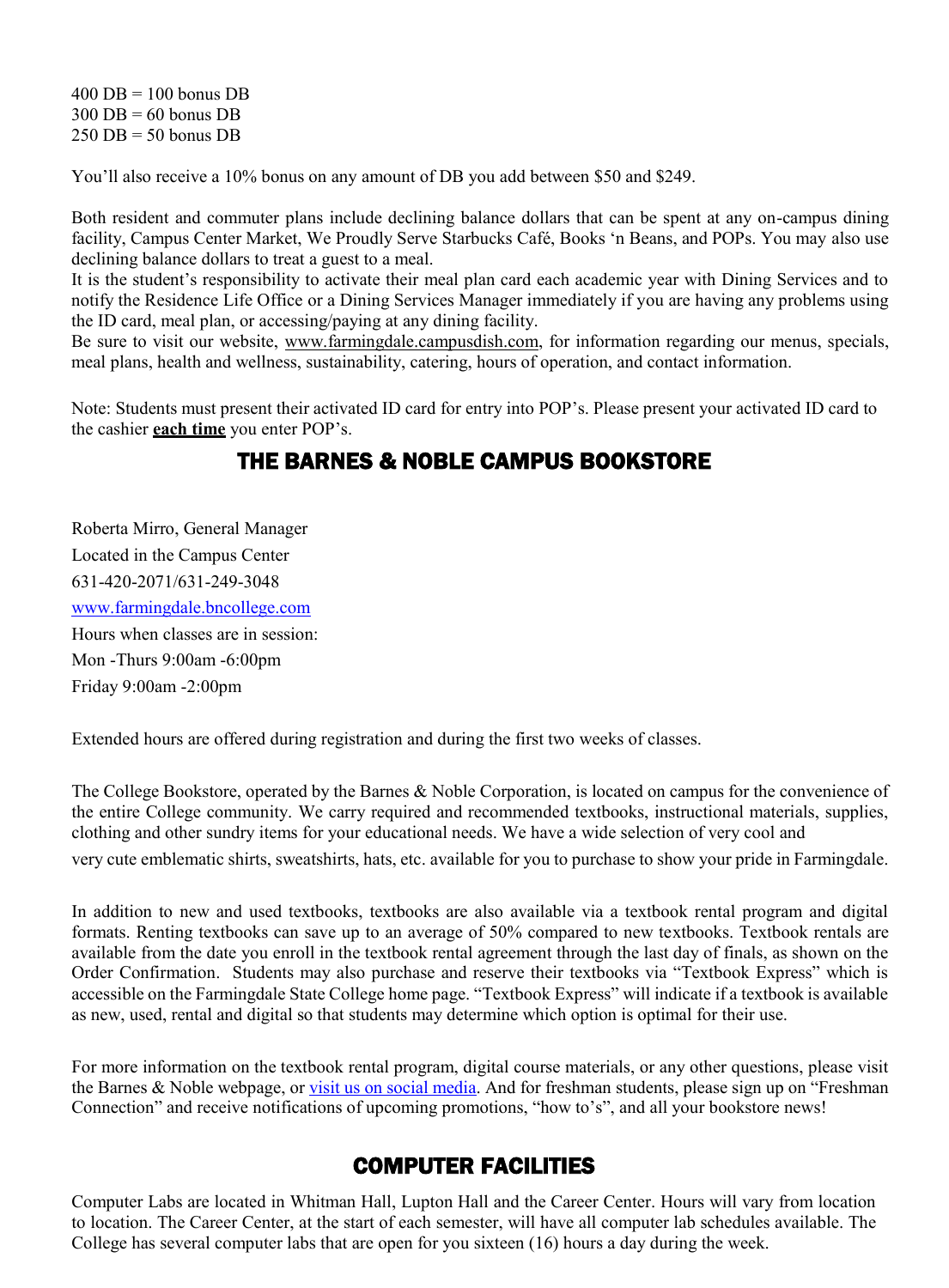$400$  DB = 100 bonus DB  $300$  DB = 60 bonus DB  $250$  DB = 50 bonus DB

You'll also receive a 10% bonus on any amount of DB you add between \$50 and \$249.

Both resident and commuter plans include declining balance dollars that can be spent at any on-campus dining facility, Campus Center Market, We Proudly Serve Starbucks Café, Books 'n Beans, and POPs. You may also use declining balance dollars to treat a guest to a meal.

It is the student's responsibility to activate their meal plan card each academic year with Dining Services and to notify the Residence Life Office or a Dining Services Manager immediately if you are having any problems using the ID card, meal plan, or accessing/paying at any dining facility.

Be sure to visit our website, [www.farmingdale.campusdish.com,](http://www.farmingdale.campusdish.com/) for information regarding our menus, specials, meal plans, health and wellness, sustainability, catering, hours of operation, and contact information.

Note: Students must present their activated ID card for entry into POP's. Please present your activated ID card to the cashier **each time** you enter POP's.

# THE BARNES & NOBLE CAMPUS BOOKSTORE

Roberta Mirro, General Manager Located in the Campus Center 631-420-2071/631-249-3048 [www.farmingdale.bncollege.com](http://www.farmingdale.bncollege.com/) Hours when classes are in session: Mon -Thurs 9:00am -6:00pm Friday 9:00am -2:00pm

Extended hours are offered during registration and during the first two weeks of classes.

The College Bookstore, operated by the Barnes & Noble Corporation, is located on campus for the convenience of the entire College community. We carry required and recommended textbooks, instructional materials, supplies, clothing and other sundry items for your educational needs. We have a wide selection of very cool and

very cute emblematic shirts, sweatshirts, hats, etc. available for you to purchase to show your pride in Farmingdale.

In addition to new and used textbooks, textbooks are also available via a textbook rental program and digital formats. Renting textbooks can save up to an average of 50% compared to new textbooks. Textbook rentals are available from the date you enroll in the textbook rental agreement through the last day of finals, as shown on the Order Confirmation. Students may also purchase and reserve their textbooks via "Textbook Express" which is accessible on the Farmingdale State College home page. "Textbook Express" will indicate if a textbook is available as new, used, rental and digital so that students may determine which option is optimal for their use.

For more information on the textbook rental program, digital course materials, or any other questions, please visit the Barnes & Noble webpage, or [visit us on social media.](https://www.instagram.com/fscbookstore/) And for freshman students, please sign up on "Freshman" Connection" and receive notifications of upcoming promotions, "how to's", and all your bookstore news!

## COMPUTER FACILITIES

Computer Labs are located in Whitman Hall, Lupton Hall and the Career Center. Hours will vary from location to location. The Career Center, at the start of each semester, will have all computer lab schedules available. The College has several computer labs that are open for you sixteen (16) hours a day during the week.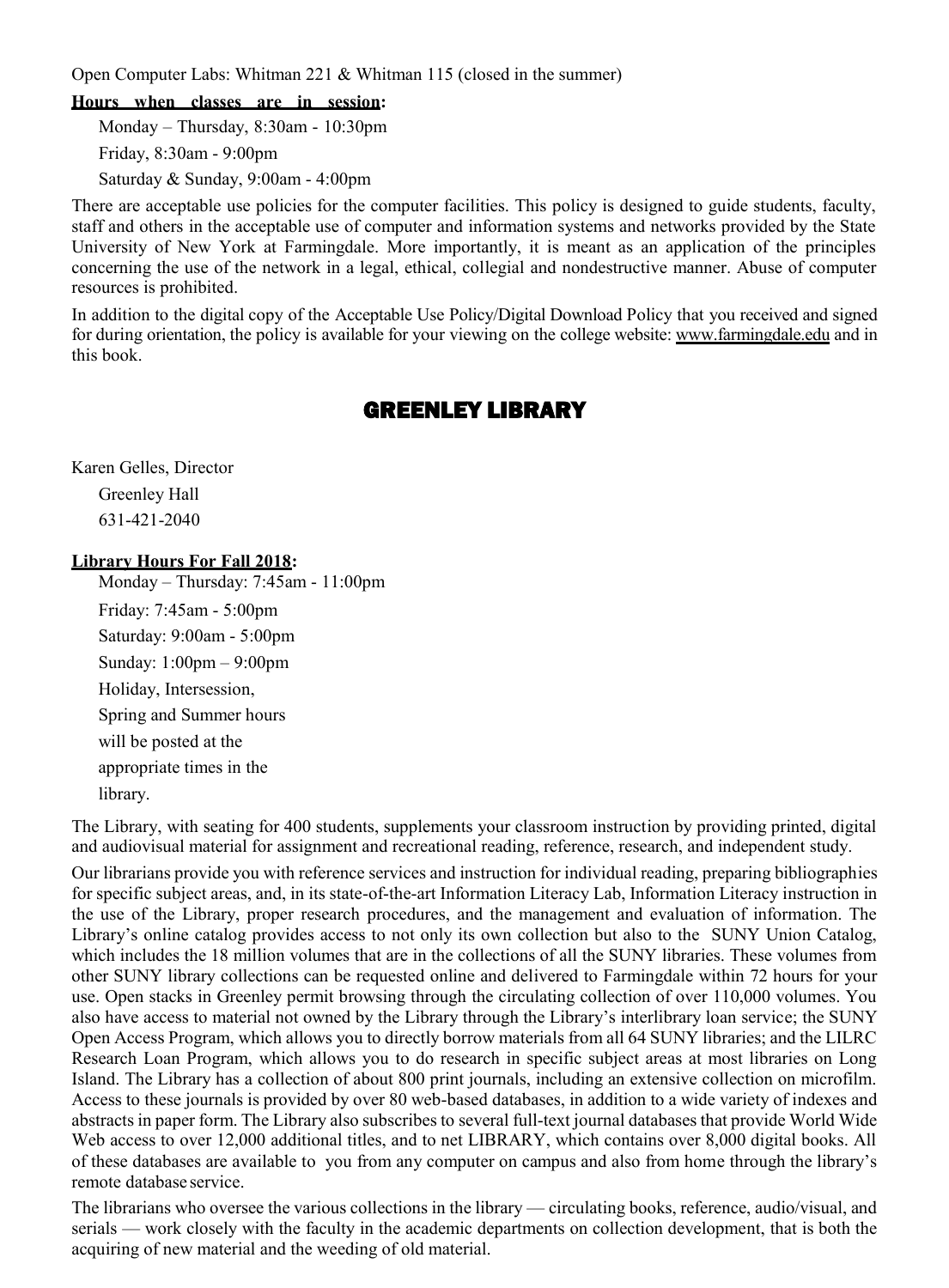Open Computer Labs: Whitman 221 & Whitman 115 (closed in the summer)

#### **Hours when classes are in session:**

Monday – Thursday, 8:30am - 10:30pm Friday, 8:30am - 9:00pm Saturday & Sunday, 9:00am - 4:00pm

There are acceptable use policies for the computer facilities. This policy is designed to guide students, faculty, staff and others in the acceptable use of computer and information systems and networks provided by the State University of New York at Farmingdale. More importantly, it is meant as an application of the principles concerning the use of the network in a legal, ethical, collegial and nondestructive manner. Abuse of computer resources is prohibited.

In addition to the digital copy of the Acceptable Use Policy/Digital Download Policy that you received and signed for during orientation, the policy is available for your viewing on the college website[: www.farmingdale.edu](http://www.farmingdale.edu/) and in this book.

## GREENLEY LIBRARY

Karen Gelles, Director Greenley Hall 631-421-2040

#### **Library Hours For Fall 2018:**

Monday – Thursday: 7:45am - 11:00pm Friday: 7:45am - 5:00pm Saturday: 9:00am - 5:00pm Sunday: 1:00pm – 9:00pm Holiday, Intersession, Spring and Summer hours will be posted at the appropriate times in the library.

The Library, with seating for 400 students, supplements your classroom instruction by providing printed, digital and audiovisual material for assignment and recreational reading, reference, research, and independent study.

Our librarians provide you with reference services and instruction for individual reading, preparing bibliographies for specific subject areas, and, in its state-of-the-art Information Literacy Lab, Information Literacy instruction in the use of the Library, proper research procedures, and the management and evaluation of information. The Library's online catalog provides access to not only its own collection but also to the SUNY Union Catalog, which includes the 18 million volumes that are in the collections of all the SUNY libraries. These volumes from other SUNY library collections can be requested online and delivered to Farmingdale within 72 hours for your use. Open stacks in Greenley permit browsing through the circulating collection of over 110,000 volumes. You also have access to material not owned by the Library through the Library's interlibrary loan service; the SUNY Open Access Program, which allows you to directly borrow materials from all 64 SUNY libraries; and the LILRC Research Loan Program, which allows you to do research in specific subject areas at most libraries on Long Island. The Library has a collection of about 800 print journals, including an extensive collection on microfilm. Access to these journals is provided by over 80 web-based databases, in addition to a wide variety of indexes and abstracts in paper form. The Library also subscribes to several full-text journal databases that provide World Wide Web access to over 12,000 additional titles, and to net LIBRARY, which contains over 8,000 digital books. All of these databases are available to you from any computer on campus and also from home through the library's remote database service.

The librarians who oversee the various collections in the library — circulating books, reference, audio/visual, and serials — work closely with the faculty in the academic departments on collection development, that is both the acquiring of new material and the weeding of old material.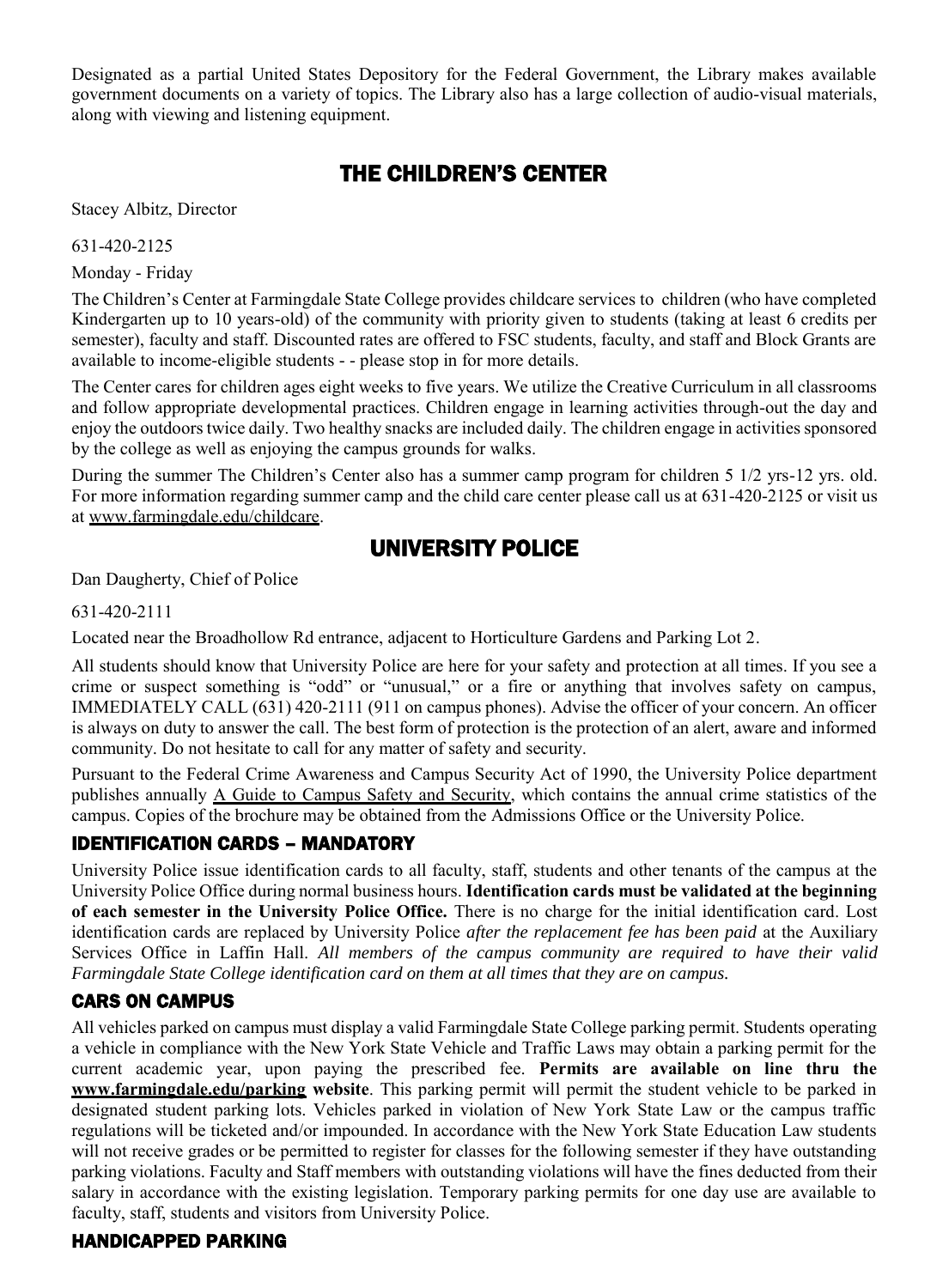Designated as a partial United States Depository for the Federal Government, the Library makes available government documents on a variety of topics. The Library also has a large collection of audio-visual materials, along with viewing and listening equipment.

## THE CHILDREN'S CENTER

Stacey Albitz, Director

631-420-2125

Monday - Friday

The Children's Center at Farmingdale State College provides childcare services to children (who have completed Kindergarten up to 10 years-old) of the community with priority given to students (taking at least 6 credits per semester), faculty and staff. Discounted rates are offered to FSC students, faculty, and staff and Block Grants are available to income-eligible students - - please stop in for more details.

The Center cares for children ages eight weeks to five years. We utilize the Creative Curriculum in all classrooms and follow appropriate developmental practices. Children engage in learning activities through-out the day and enjoy the outdoors twice daily. Two healthy snacks are included daily. The children engage in activities sponsored by the college as well as enjoying the campus grounds for walks.

During the summer The Children's Center also has a summer camp program for children 5 1/2 yrs-12 yrs. old. For more information regarding summer camp and the child care center please call us at 631-420-2125 or visit us a[t www.farmingdale.edu/childcare.](http://www.farmingdale.edu/childcare)

## UNIVERSITY POLICE

Dan Daugherty, Chief of Police

631-420-2111

Located near the Broadhollow Rd entrance, adjacent to Horticulture Gardens and Parking Lot 2.

All students should know that University Police are here for your safety and protection at all times. If you see a crime or suspect something is "odd" or "unusual," or a fire or anything that involves safety on campus, IMMEDIATELY CALL (631) 420-2111 (911 on campus phones). Advise the officer of your concern. An officer is always on duty to answer the call. The best form of protection is the protection of an alert, aware and informed community. Do not hesitate to call for any matter of safety and security.

Pursuant to the Federal Crime Awareness and Campus Security Act of 1990, the University Police department publishes annually A Guide to Campus Safety and Security, which contains the annual crime statistics of the campus. Copies of the brochure may be obtained from the Admissions Office or the University Police.

#### IDENTIFICATION CARDS – MANDATORY

University Police issue identification cards to all faculty, staff, students and other tenants of the campus at the University Police Office during normal business hours. **Identification cards must be validated at the beginning of each semester in the University Police Office.** There is no charge for the initial identification card. Lost identification cards are replaced by University Police *after the replacement fee has been paid* at the Auxiliary Services Office in Laffin Hall. *All members of the campus community are required to have their valid Farmingdale State College identification card on them at all times that they are on campus.*

### CARS ON CAMPUS

All vehicles parked on campus must display a valid Farmingdale State College parking permit. Students operating a vehicle in compliance with the New York State Vehicle and Traffic Laws may obtain a parking permit for the current academic year, upon paying the prescribed fee. **Permits are available on line thru the [www.farmingdale.edu/parking](http://www.farmingdale.edu/parking) website**. This parking permit will permit the student vehicle to be parked in designated student parking lots. Vehicles parked in violation of New York State Law or the campus traffic regulations will be ticketed and/or impounded. In accordance with the New York State Education Law students will not receive grades or be permitted to register for classes for the following semester if they have outstanding parking violations. Faculty and Staff members with outstanding violations will have the fines deducted from their salary in accordance with the existing legislation. Temporary parking permits for one day use are available to faculty, staff, students and visitors from University Police.

### HANDICAPPED PARKING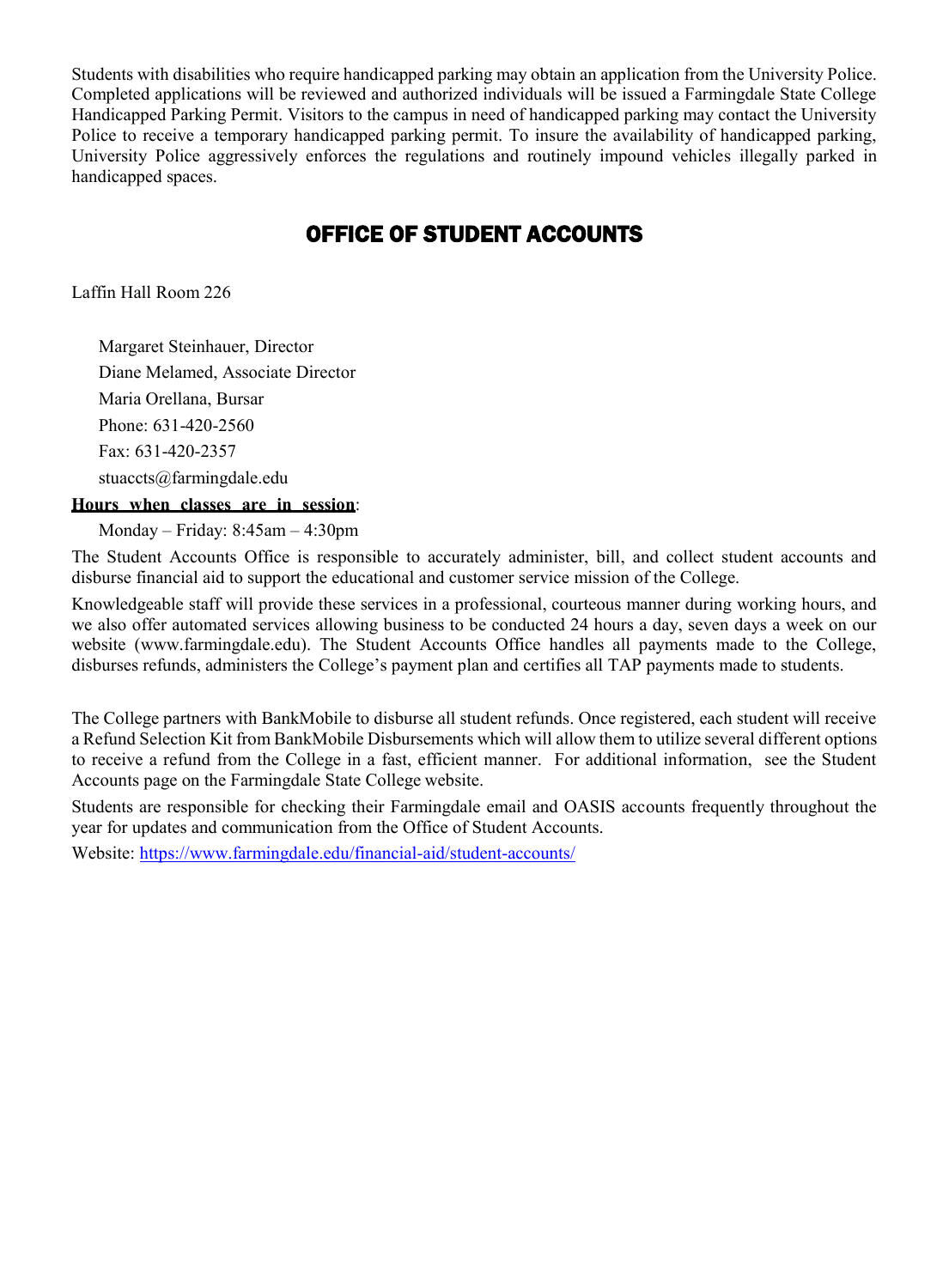Students with disabilities who require handicapped parking may obtain an application from the University Police. Completed applications will be reviewed and authorized individuals will be issued a Farmingdale State College Handicapped Parking Permit. Visitors to the campus in need of handicapped parking may contact the University Police to receive a temporary handicapped parking permit. To insure the availability of handicapped parking, University Police aggressively enforces the regulations and routinely impound vehicles illegally parked in handicapped spaces.

# OFFICE OF STUDENT ACCOUNTS

Laffin Hall Room 226

Margaret Steinhauer, Director Diane Melamed, Associate Director Maria Orellana, Bursar Phone: 631-420-2560 Fax: 631-420-2357 [stuaccts@farmingdale.edu](mailto:stuaccts@farmingdale.edu)

## **Hours when classes are in session**:

Monday – Friday: 8:45am – 4:30pm

The Student Accounts Office is responsible to accurately administer, bill, and collect student accounts and disburse financial aid to support the educational and customer service mission of the College.

Knowledgeable staff will provide these services in a professional, courteous manner during working hours, and we also offer automated services allowing business to be conducted 24 hours a day, seven days a week on our website (www.farmingdale.edu). The Student Accounts Office handles all payments made to the College, disburses refunds, administers the College's payment plan and certifies all TAP payments made to students.

The College partners with BankMobile to disburse all student refunds. Once registered, each student will receive a Refund Selection Kit from BankMobile Disbursements which will allow them to utilize several different options to receive a refund from the College in a fast, efficient manner. For additional information, see the Student Accounts page on the Farmingdale State College website.

Students are responsible for checking their Farmingdale email and OASIS accounts frequently throughout the year for updates and communication from the Office of Student Accounts.

Website:<https://www.farmingdale.edu/financial-aid/student-accounts/>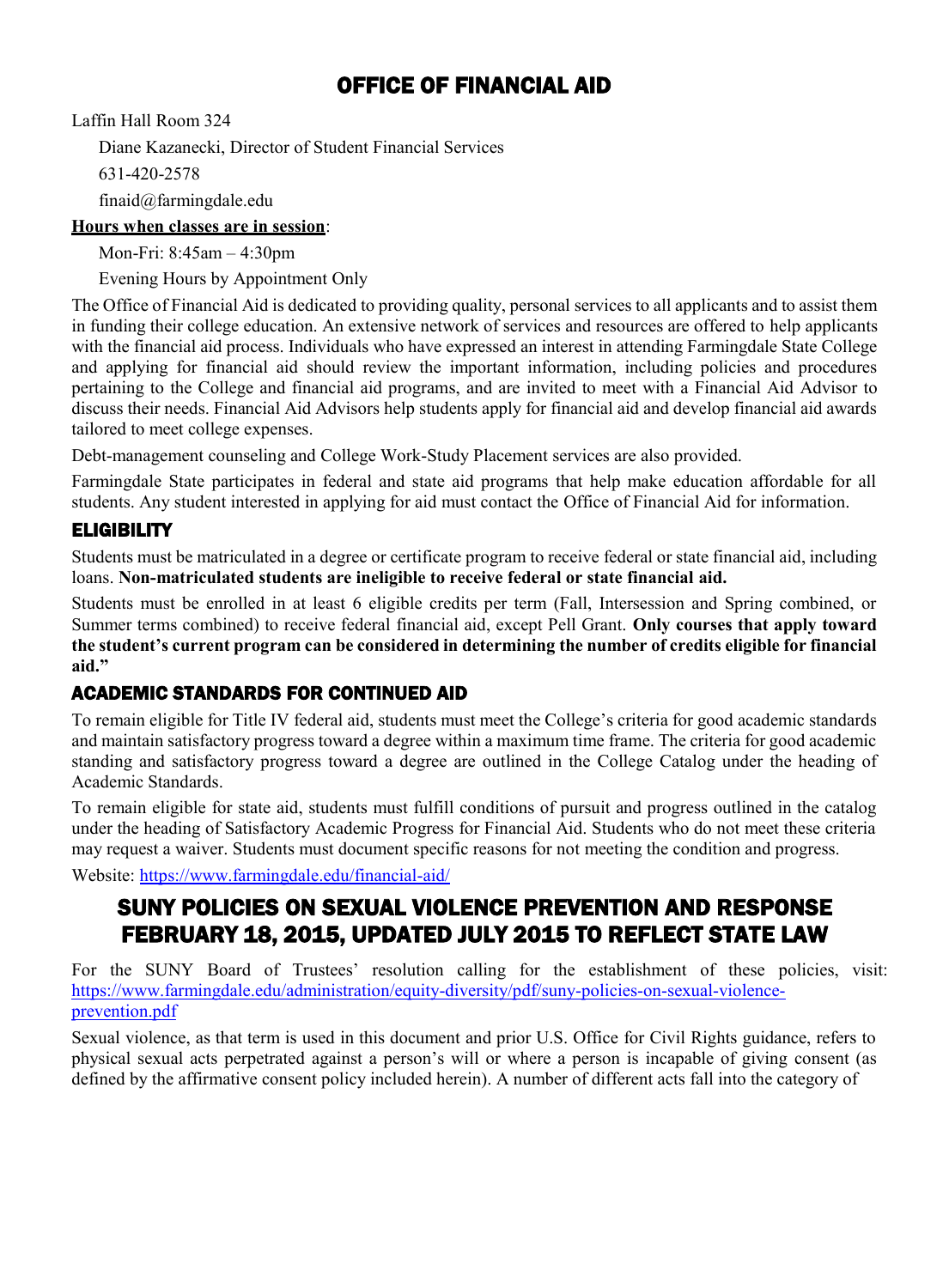# OFFICE OF FINANCIAL AID

Laffin Hall Room 324

Diane Kazanecki, Director of Student Financial Services 631-420-2578 [finaid@farmingdale.edu](mailto:finaid@farmingdale.edu)

### **Hours when classes are in session**:

Mon-Fri: 8:45am – 4:30pm

Evening Hours by Appointment Only

The Office of Financial Aid is dedicated to providing quality, personal services to all applicants and to assist them in funding their college education. An extensive network of services and resources are offered to help applicants with the financial aid process. Individuals who have expressed an interest in attending Farmingdale State College and applying for financial aid should review the important information, including policies and procedures pertaining to the College and financial aid programs, and are invited to meet with a Financial Aid Advisor to discuss their needs. Financial Aid Advisors help students apply for financial aid and develop financial aid awards tailored to meet college expenses.

Debt-management counseling and College Work-Study Placement services are also provided.

Farmingdale State participates in federal and state aid programs that help make education affordable for all students. Any student interested in applying for aid must contact the Office of Financial Aid for information.

## **ELIGIBILITY**

Students must be matriculated in a degree or certificate program to receive federal or state financial aid, including loans. **Non-matriculated students are ineligible to receive federal or state financial aid.**

Students must be enrolled in at least 6 eligible credits per term (Fall, Intersession and Spring combined, or Summer terms combined) to receive federal financial aid, except Pell Grant. **Only courses that apply toward the student's current program can be considered in determining the number of credits eligible for financial aid."**

## ACADEMIC STANDARDS FOR CONTINUED AID

To remain eligible for Title IV federal aid, students must meet the College's criteria for good academic standards and maintain satisfactory progress toward a degree within a maximum time frame. The criteria for good academic standing and satisfactory progress toward a degree are outlined in the College Catalog under the heading of Academic Standards.

To remain eligible for state aid, students must fulfill conditions of pursuit and progress outlined in the catalog under the heading of Satisfactory Academic Progress for Financial Aid. Students who do not meet these criteria may request a waiver. Students must document specific reasons for not meeting the condition and progress.

Website:<https://www.farmingdale.edu/financial-aid/>

# SUNY POLICIES ON SEXUAL VIOLENCE PREVENTION AND RESPONSE FEBRUARY 18, 2015, UPDATED JULY 2015 TO REFLECT STATE LAW

For the SUNY Board of Trustees' resolution calling for the establishment of these policies, visit: [https://www.farmingdale.edu/administration/equity-diversity/pdf/suny-policies-on-sexual-violence](https://www.farmingdale.edu/administration/equity-diversity/pdf/suny-policies-on-sexual-violence-prevention.pdf)[prevention.pdf](https://www.farmingdale.edu/administration/equity-diversity/pdf/suny-policies-on-sexual-violence-prevention.pdf)

Sexual violence, as that term is used in this document and prior U.S. Office for Civil Rights guidance, refers to physical sexual acts perpetrated against a person's will or where a person is incapable of giving consent (as defined by the affirmative consent policy included herein). A number of different acts fall into the category of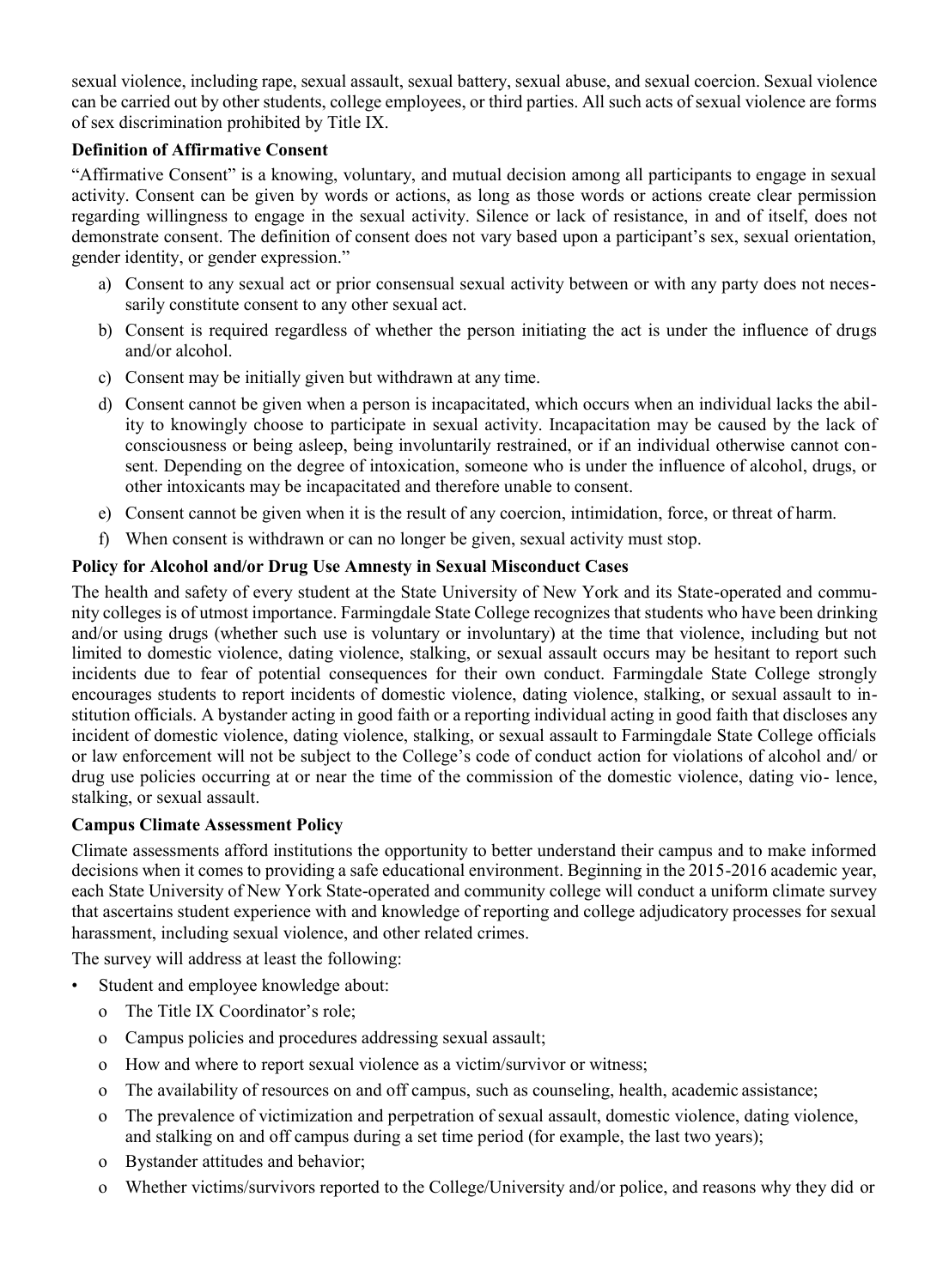sexual violence, including rape, sexual assault, sexual battery, sexual abuse, and sexual coercion. Sexual violence can be carried out by other students, college employees, or third parties. All such acts of sexual violence are forms of sex discrimination prohibited by Title IX.

#### **Definition of Affirmative Consent**

"Affirmative Consent" is a knowing, voluntary, and mutual decision among all participants to engage in sexual activity. Consent can be given by words or actions, as long as those words or actions create clear permission regarding willingness to engage in the sexual activity. Silence or lack of resistance, in and of itself, does not demonstrate consent. The definition of consent does not vary based upon a participant's sex, sexual orientation, gender identity, or gender expression."

- a) Consent to any sexual act or prior consensual sexual activity between or with any party does not necessarily constitute consent to any other sexual act.
- b) Consent is required regardless of whether the person initiating the act is under the influence of drugs and/or alcohol.
- c) Consent may be initially given but withdrawn at any time.
- d) Consent cannot be given when a person is incapacitated, which occurs when an individual lacks the ability to knowingly choose to participate in sexual activity. Incapacitation may be caused by the lack of consciousness or being asleep, being involuntarily restrained, or if an individual otherwise cannot consent. Depending on the degree of intoxication, someone who is under the influence of alcohol, drugs, or other intoxicants may be incapacitated and therefore unable to consent.
- e) Consent cannot be given when it is the result of any coercion, intimidation, force, or threat of harm.
- f) When consent is withdrawn or can no longer be given, sexual activity must stop.

### **Policy for Alcohol and/or Drug Use Amnesty in Sexual Misconduct Cases**

The health and safety of every student at the State University of New York and its State-operated and community colleges is of utmost importance. Farmingdale State College recognizes that students who have been drinking and/or using drugs (whether such use is voluntary or involuntary) at the time that violence, including but not limited to domestic violence, dating violence, stalking, or sexual assault occurs may be hesitant to report such incidents due to fear of potential consequences for their own conduct. Farmingdale State College strongly encourages students to report incidents of domestic violence, dating violence, stalking, or sexual assault to institution officials. A bystander acting in good faith or a reporting individual acting in good faith that discloses any incident of domestic violence, dating violence, stalking, or sexual assault to Farmingdale State College officials or law enforcement will not be subject to the College's code of conduct action for violations of alcohol and/ or drug use policies occurring at or near the time of the commission of the domestic violence, dating vio- lence, stalking, or sexual assault.

#### **Campus Climate Assessment Policy**

Climate assessments afford institutions the opportunity to better understand their campus and to make informed decisions when it comes to providing a safe educational environment. Beginning in the 2015-2016 academic year, each State University of New York State-operated and community college will conduct a uniform climate survey that ascertains student experience with and knowledge of reporting and college adjudicatory processes for sexual harassment, including sexual violence, and other related crimes.

The survey will address at least the following:

- Student and employee knowledge about:
	- o The Title IX Coordinator's role;
	- o Campus policies and procedures addressing sexual assault;
	- o How and where to report sexual violence as a victim/survivor or witness;
	- o The availability of resources on and off campus, such as counseling, health, academic assistance;
	- o The prevalence of victimization and perpetration of sexual assault, domestic violence, dating violence, and stalking on and off campus during a set time period (for example, the last two years);
	- o Bystander attitudes and behavior;
	- o Whether victims/survivors reported to the College/University and/or police, and reasons why they did or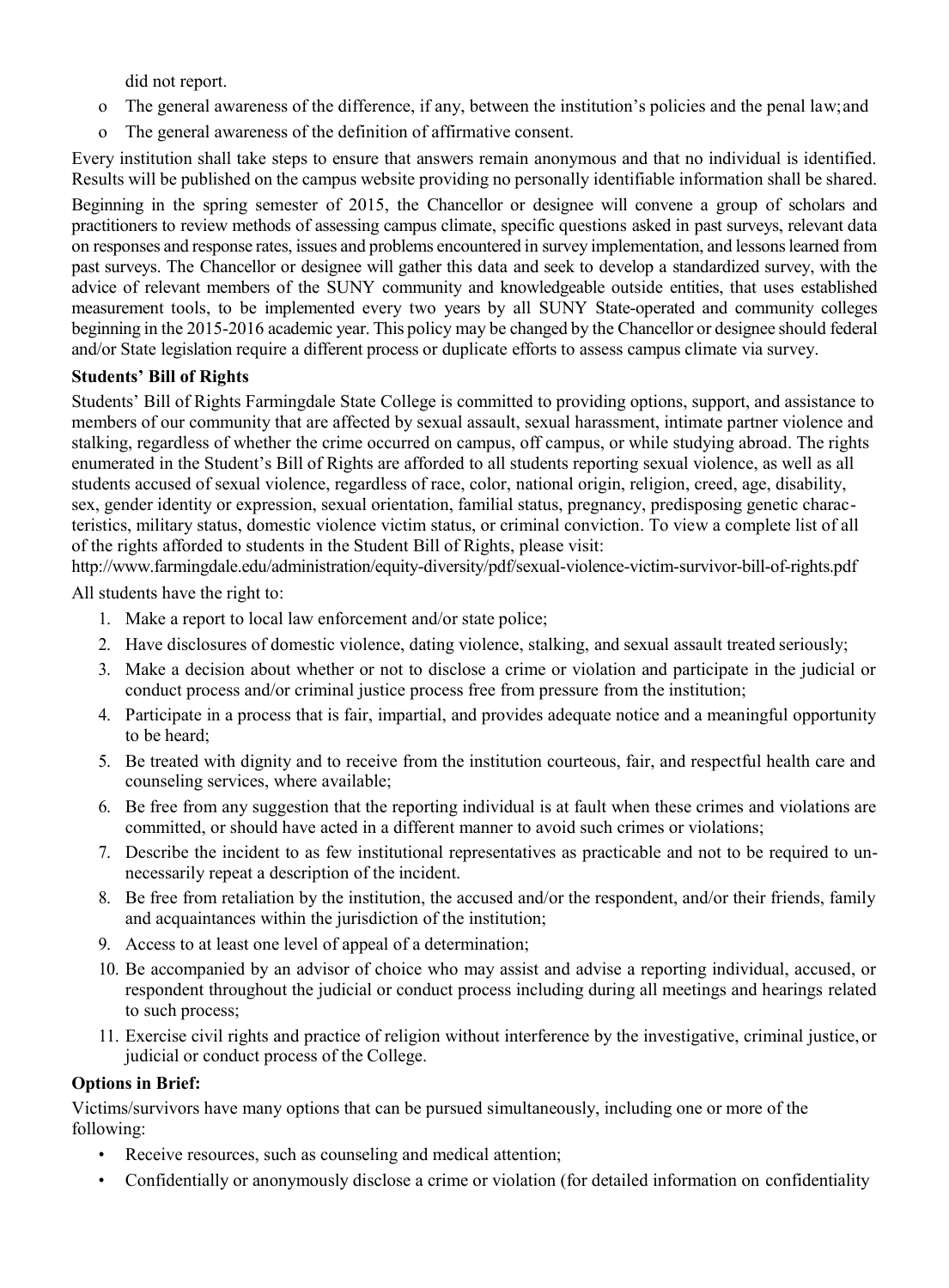did not report.

- o The general awareness of the difference, if any, between the institution's policies and the penal law;and
- o The general awareness of the definition of affirmative consent.

Every institution shall take steps to ensure that answers remain anonymous and that no individual is identified. Results will be published on the campus website providing no personally identifiable information shall be shared.

Beginning in the spring semester of 2015, the Chancellor or designee will convene a group of scholars and practitioners to review methods of assessing campus climate, specific questions asked in past surveys, relevant data on responses and response rates, issues and problems encountered in survey implementation, and lessons learned from past surveys. The Chancellor or designee will gather this data and seek to develop a standardized survey, with the advice of relevant members of the SUNY community and knowledgeable outside entities, that uses established measurement tools, to be implemented every two years by all SUNY State-operated and community colleges beginning in the 2015-2016 academic year. This policy may be changed by the Chancellor or designee should federal and/or State legislation require a different process or duplicate efforts to assess campus climate via survey.

### **Students' Bill of Rights**

Students' Bill of Rights Farmingdale State College is committed to providing options, support, and assistance to members of our community that are affected by sexual assault, sexual harassment, intimate partner violence and stalking, regardless of whether the crime occurred on campus, off campus, or while studying abroad. The rights enumerated in the Student's Bill of Rights are afforded to all students reporting sexual violence, as well as all students accused of sexual violence, regardless of race, color, national origin, religion, creed, age, disability, sex, gender identity or expression, sexual orientation, familial status, pregnancy, predisposing genetic characteristics, military status, domestic violence victim status, or criminal conv[iction. To view a complete list of all](http://www.farmingdale.edu/administration/equity-diversity/pdf/sexual-violence-victim-survivor-bill-of-rights.pdf)  of the rights afforded to students in the Student Bill of Rights, please visit:

<http://www.farmingdale.edu/administration/equity-diversity/pdf/sexual-violence-victim-survivor-bill-of-rights.pdf>

All students have the right to:

- 1. Make a report to local law enforcement and/or state police;
- 2. Have disclosures of domestic violence, dating violence, stalking, and sexual assault treated seriously;
- 3. Make a decision about whether or not to disclose a crime or violation and participate in the judicial or conduct process and/or criminal justice process free from pressure from the institution;
- 4. Participate in a process that is fair, impartial, and provides adequate notice and a meaningful opportunity to be heard;
- 5. Be treated with dignity and to receive from the institution courteous, fair, and respectful health care and counseling services, where available;
- 6. Be free from any suggestion that the reporting individual is at fault when these crimes and violations are committed, or should have acted in a different manner to avoid such crimes or violations;
- 7. Describe the incident to as few institutional representatives as practicable and not to be required to unnecessarily repeat a description of the incident.
- 8. Be free from retaliation by the institution, the accused and/or the respondent, and/or their friends, family and acquaintances within the jurisdiction of the institution;
- 9. Access to at least one level of appeal of a determination;
- 10. Be accompanied by an advisor of choice who may assist and advise a reporting individual, accused, or respondent throughout the judicial or conduct process including during all meetings and hearings related to such process;
- 11. Exercise civil rights and practice of religion without interference by the investigative, criminal justice, or judicial or conduct process of the College.

### **Options in Brief:**

Victims/survivors have many options that can be pursued simultaneously, including one or more of the following:

- Receive resources, such as counseling and medical attention;
- Confidentially or anonymously disclose a crime or violation (for detailed information on confidentiality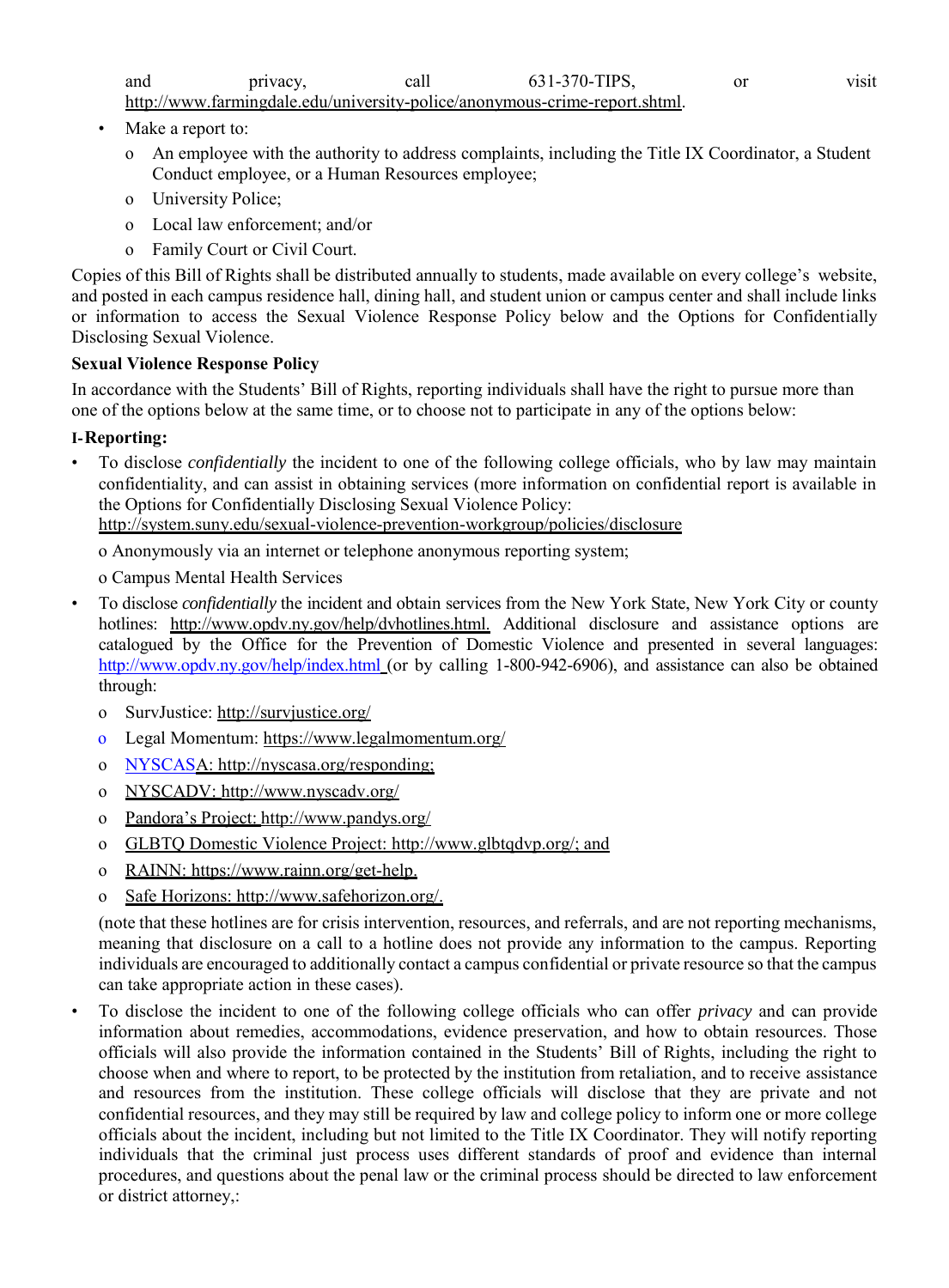| and | privacy, | call | 631-370-TIPS.                                                              | vısıt |
|-----|----------|------|----------------------------------------------------------------------------|-------|
|     |          |      | http://www.farmingdale.edu/university-police/anonymous-crime-report.shtml. |       |

- Make a report to:
	- o An employee with the authority to address complaints, including the Title IX Coordinator, a Student Conduct employee, or a Human Resources employee;
	- o University Police;
	- o Local law enforcement; and/or
	- o Family Court or Civil Court.

Copies of this Bill of Rights shall be distributed annually to students, made available on every college's website, and posted in each campus residence hall, dining hall, and student union or campus center and shall include links or information to access the Sexual Violence Response Policy below and the Options for Confidentially Disclosing Sexual Violence.

#### **Sexual Violence Response Policy**

In accordance with the Students' Bill of Rights, reporting individuals shall have the right to pursue more than one of the options below at the same time, or to choose not to participate in any of the options below:

#### **I-Reporting:**

• To disclose *confidentially* the incident to one of the following college officials, who by law may maintain confidentiality, and can assist in obtaining services (more information on confidential report is available in the Options for Confidentially Disclosing Sexual Violence Policy:

<http://system.suny.edu/sexual-violence-prevention-workgroup/policies/disclosure>

o Anonymously via an internet or telephone anonymous reporting system;

o Campus Mental Health Services

- To disclose *confidentially* the incident and obtain services from the New York State, New York City or county hotlines: [http://www.opdv.ny.gov/help/dvhotlines.html.](http://www.opdv.ny.gov/help/dvhotlines.html) Additional disclosure and assistance options are catalogued by the Office for the Prevention of Domestic Violence and presented in several languages: <http://www.opdv.ny.gov/help/index.html> (or by calling 1-800-942-6906), and assistance can also be obtained through:
	- o SurvJustice[: http://survjustice.org/](http://survjustice.org/)
	- o Legal Momentum[: https://www.legalmomentum.org/](https://www.legalmomentum.org/)
	- o [NYSCASA](http://www.legalmomentum.org/): [http://nyscasa.org/responding;](http://nyscasa.org/responding%3B)
	- o NYSCADV: <http://www.nyscadv.org/>
	- o Pandora's Project: <http://www.pandys.org/>
	- o GLBTQ Domestic Violence Project: [http://www.glbtqdvp.org/;](http://www.glbtqdvp.org/%3Band) and
	- o RAINN: https[://www.rainn.org/get-help.](http://www.rainn.org/get-help)
	- o Safe Horizons: [http://www.safehorizon.org/.](http://www.safehorizon.org/)

(note that these hotlines are for crisis intervention, resources, and referrals, and are not reporting mechanisms, meaning that disclosure on a call to a hotline does not provide any information to the campus. Reporting individuals are encouraged to additionally contact a campus confidential or private resource so that the campus can take appropriate action in these cases).

• To disclose the incident to one of the following college officials who can offer *privacy* and can provide information about remedies, accommodations, evidence preservation, and how to obtain resources. Those officials will also provide the information contained in the Students' Bill of Rights, including the right to choose when and where to report, to be protected by the institution from retaliation, and to receive assistance and resources from the institution. These college officials will disclose that they are private and not confidential resources, and they may still be required by law and college policy to inform one or more college officials about the incident, including but not limited to the Title IX Coordinator. They will notify reporting individuals that the criminal just process uses different standards of proof and evidence than internal procedures, and questions about the penal law or the criminal process should be directed to law enforcement or district attorney,: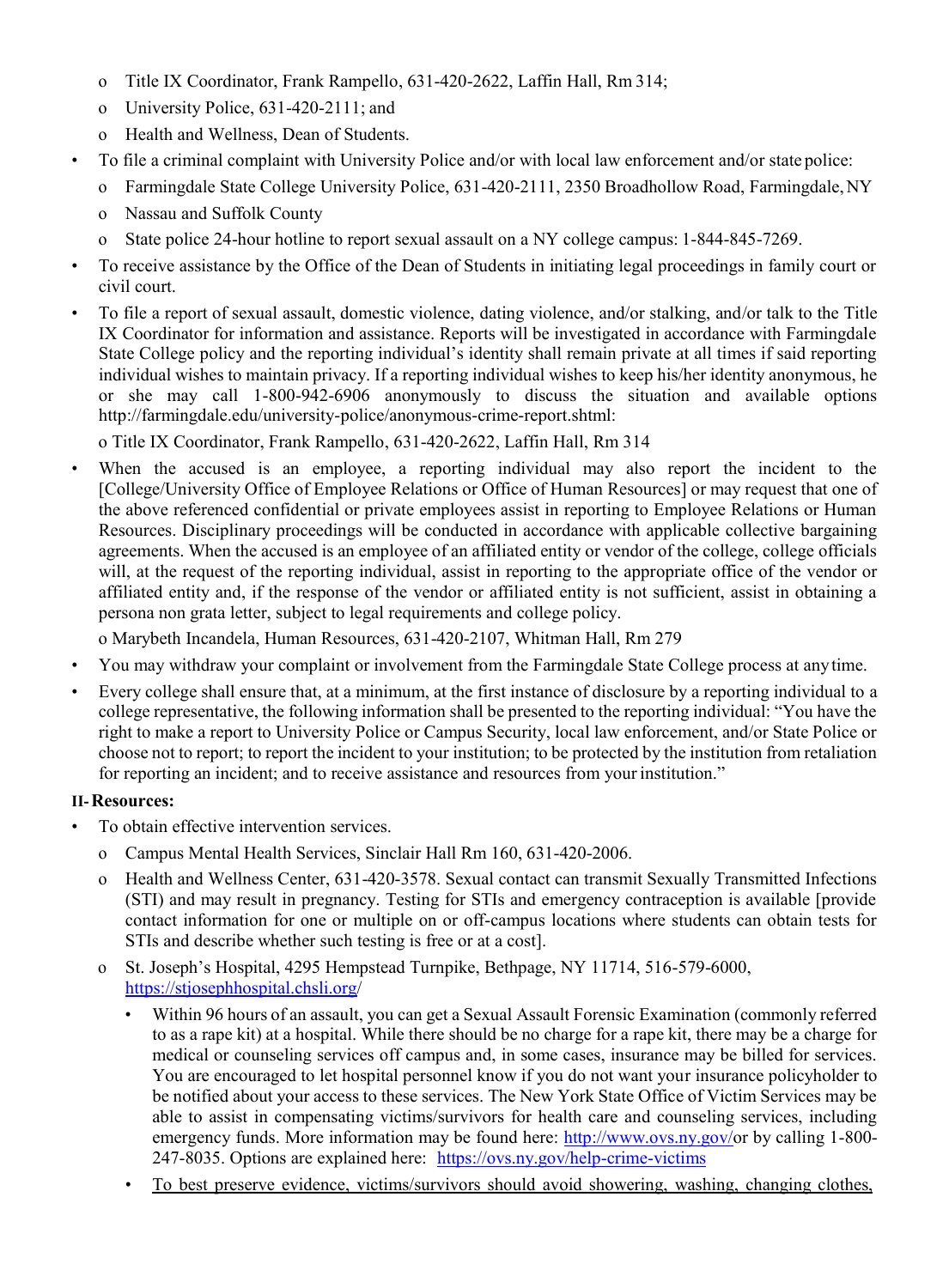- o Title IX Coordinator, Frank Rampello, 631-420-2622, Laffin Hall, Rm 314;
- o University Police, 631-420-2111; and
- o Health and Wellness, Dean of Students.
- To file a criminal complaint with University Police and/or with local law enforcement and/or state police:
	- o Farmingdale State College University Police, 631-420-2111, 2350 Broadhollow Road, Farmingdale,NY
	- o Nassau and Suffolk County
	- o State police 24-hour hotline to report sexual assault on a NY college campus: 1-844-845-7269.
- To receive assistance by the Office of the Dean of Students in initiating legal proceedings in family court or civil court.
- To file a report of sexual assault, domestic violence, dating violence, and/or stalking, and/or talk to the Title IX Coordinator for information and assistance. Reports will be investigated in accordance with Farmingdale State College policy and the reporting individual's identity shall remain private at all times if said reporting individual wishes to maintain privacy. If a reporting individual wishes to keep his/her identity anonymous, he or she may call 1-800-942-6906 anonymously to discuss the situation and available option[s](http://farmingdale.edu/university-police/anonymous-crime-report.shtml) [http://farmingdale.edu/university-police/anonymous-crime-report.shtml:](http://farmingdale.edu/university-police/anonymous-crime-report.shtml)

o Title IX Coordinator, Frank Rampello, 631-420-2622, Laffin Hall, Rm 314

When the accused is an employee, a reporting individual may also report the incident to the [College/University Office of Employee Relations or Office of Human Resources] or may request that one of the above referenced confidential or private employees assist in reporting to Employee Relations or Human Resources. Disciplinary proceedings will be conducted in accordance with applicable collective bargaining agreements. When the accused is an employee of an affiliated entity or vendor of the college, college officials will, at the request of the reporting individual, assist in reporting to the appropriate office of the vendor or affiliated entity and, if the response of the vendor or affiliated entity is not sufficient, assist in obtaining a persona non grata letter, subject to legal requirements and college policy.

o Marybeth Incandela, Human Resources, 631-420-2107, Whitman Hall, Rm 279

- You may withdraw your complaint or involvement from the Farmingdale State College process at anytime.
- Every college shall ensure that, at a minimum, at the first instance of disclosure by a reporting individual to a college representative, the following information shall be presented to the reporting individual: "You have the right to make a report to University Police or Campus Security, local law enforcement, and/or State Police or choose not to report; to report the incident to your institution; to be protected by the institution from retaliation for reporting an incident; and to receive assistance and resources from yourinstitution."

### **II- Resources:**

- To obtain effective intervention services.
	- o Campus Mental Health Services, Sinclair Hall Rm 160, 631-420-2006.
	- o Health and Wellness Center, 631-420-3578. Sexual contact can transmit Sexually Transmitted Infections (STI) and may result in pregnancy. Testing for STIs and emergency contraception is available [provide contact information for one or multiple on or off-campus locations where students can obtain tests for STIs and describe whether such testing is free or at a cost].
	- o St. Joseph's Hospital, 4295 Hempstead Turnpike, Bethpage, NY 11714, 516-579-600[0,](http://stjosephshospital.chsli.org/) <https://stjosephhospital.chsli.org/>
		- Within 96 hours of an assault, you can get a Sexual Assault Forensic Examination (commonly referred to as a rape kit) at a hospital. While there should be no charge for a rape kit, there may be a charge for medical or counseling services off campus and, in some cases, insurance may be billed for services. You are encouraged to let hospital personnel know if you do not want your insurance policyholder to be notified about your access to these services. The New York State Office of Victim Services may be able to assist in compensating victims/survivors for health care and counseling services, including emergency funds. More information may be found here: [http://www.ovs.ny.gov/o](http://www.ovs.ny.gov/)r by calling 1-800- 247-8035. Options are explained here[:](http://www.ovs.ny.gov/helpforcrimevictims.html) <https://ovs.ny.gov/help-crime-victims>
		- To best preserve evidence, victims/survivors should avoid showering, washing, changing clothes,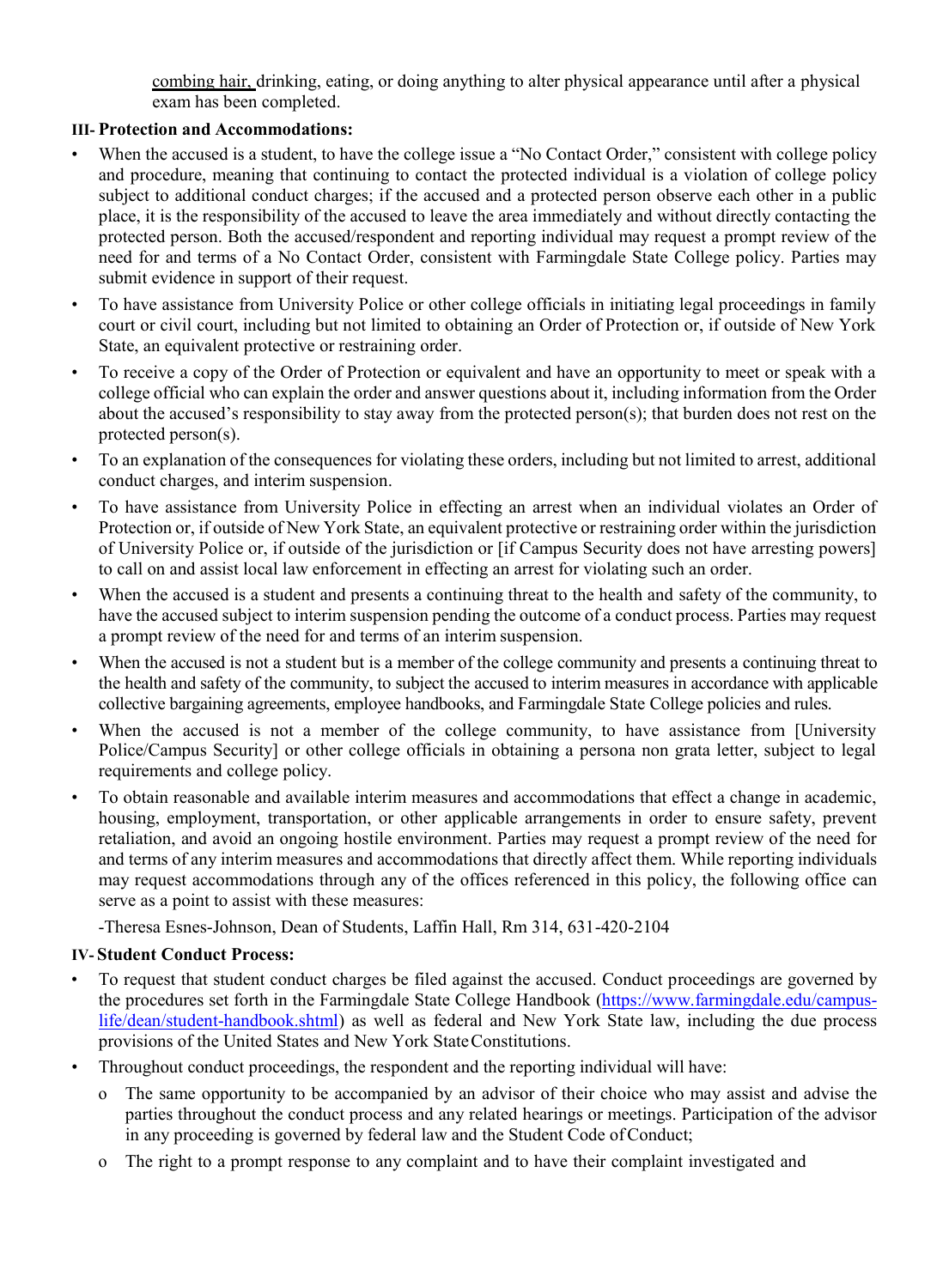combing hair, drinking, eating, or doing anything to alter physical appearance until after a physical exam has been completed.

#### **III- Protection and Accommodations:**

- When the accused is a student, to have the college issue a "No Contact Order," consistent with college policy and procedure, meaning that continuing to contact the protected individual is a violation of college policy subject to additional conduct charges; if the accused and a protected person observe each other in a public place, it is the responsibility of the accused to leave the area immediately and without directly contacting the protected person. Both the accused/respondent and reporting individual may request a prompt review of the need for and terms of a No Contact Order, consistent with Farmingdale State College policy. Parties may submit evidence in support of their request.
- To have assistance from University Police or other college officials in initiating legal proceedings in family court or civil court, including but not limited to obtaining an Order of Protection or, if outside of New York State, an equivalent protective or restraining order.
- To receive a copy of the Order of Protection or equivalent and have an opportunity to meet or speak with a college official who can explain the order and answer questions about it, including information from the Order about the accused's responsibility to stay away from the protected person(s); that burden does not rest on the protected person(s).
- To an explanation of the consequences for violating these orders, including but not limited to arrest, additional conduct charges, and interim suspension.
- To have assistance from University Police in effecting an arrest when an individual violates an Order of Protection or, if outside of New York State, an equivalent protective or restraining order within the jurisdiction of University Police or, if outside of the jurisdiction or [if Campus Security does not have arresting powers] to call on and assist local law enforcement in effecting an arrest for violating such an order.
- When the accused is a student and presents a continuing threat to the health and safety of the community, to have the accused subject to interim suspension pending the outcome of a conduct process. Parties may request a prompt review of the need for and terms of an interim suspension.
- When the accused is not a student but is a member of the college community and presents a continuing threat to the health and safety of the community, to subject the accused to interim measures in accordance with applicable collective bargaining agreements, employee handbooks, and Farmingdale State College policies and rules.
- When the accused is not a member of the college community, to have assistance from [University Police/Campus Security] or other college officials in obtaining a persona non grata letter, subject to legal requirements and college policy.
- To obtain reasonable and available interim measures and accommodations that effect a change in academic, housing, employment, transportation, or other applicable arrangements in order to ensure safety, prevent retaliation, and avoid an ongoing hostile environment. Parties may request a prompt review of the need for and terms of any interim measures and accommodations that directly affect them. While reporting individuals may request accommodations through any of the offices referenced in this policy, the following office can serve as a point to assist with these measures:

-Theresa Esnes-Johnson, Dean of Students, Laffin Hall, Rm 314, 631-420-2104

#### **IV- Student Conduct Process:**

- To request that student conduct charges be filed against the accused. Conduct proceedings are governed by the procedures set forth in the Farmingdale State College Handbook [\(https://www.farmingdale.edu/campus](https://www.farmingdale.edu/campus-life/dean/student-handbook.shtml)[life/dean/student-handbook.shtml\)](https://www.farmingdale.edu/campus-life/dean/student-handbook.shtml) as well as federal and New York State law, including the due process provisions of the United States and New York StateConstitutions.
- Throughout conduct proceedings, the respondent and the reporting individual will have:
	- o The same opportunity to be accompanied by an advisor of their choice who may assist and advise the parties throughout the conduct process and any related hearings or meetings. Participation of the advisor in any proceeding is governed by federal law and the Student Code ofConduct;
	- o The right to a prompt response to any complaint and to have their complaint investigated and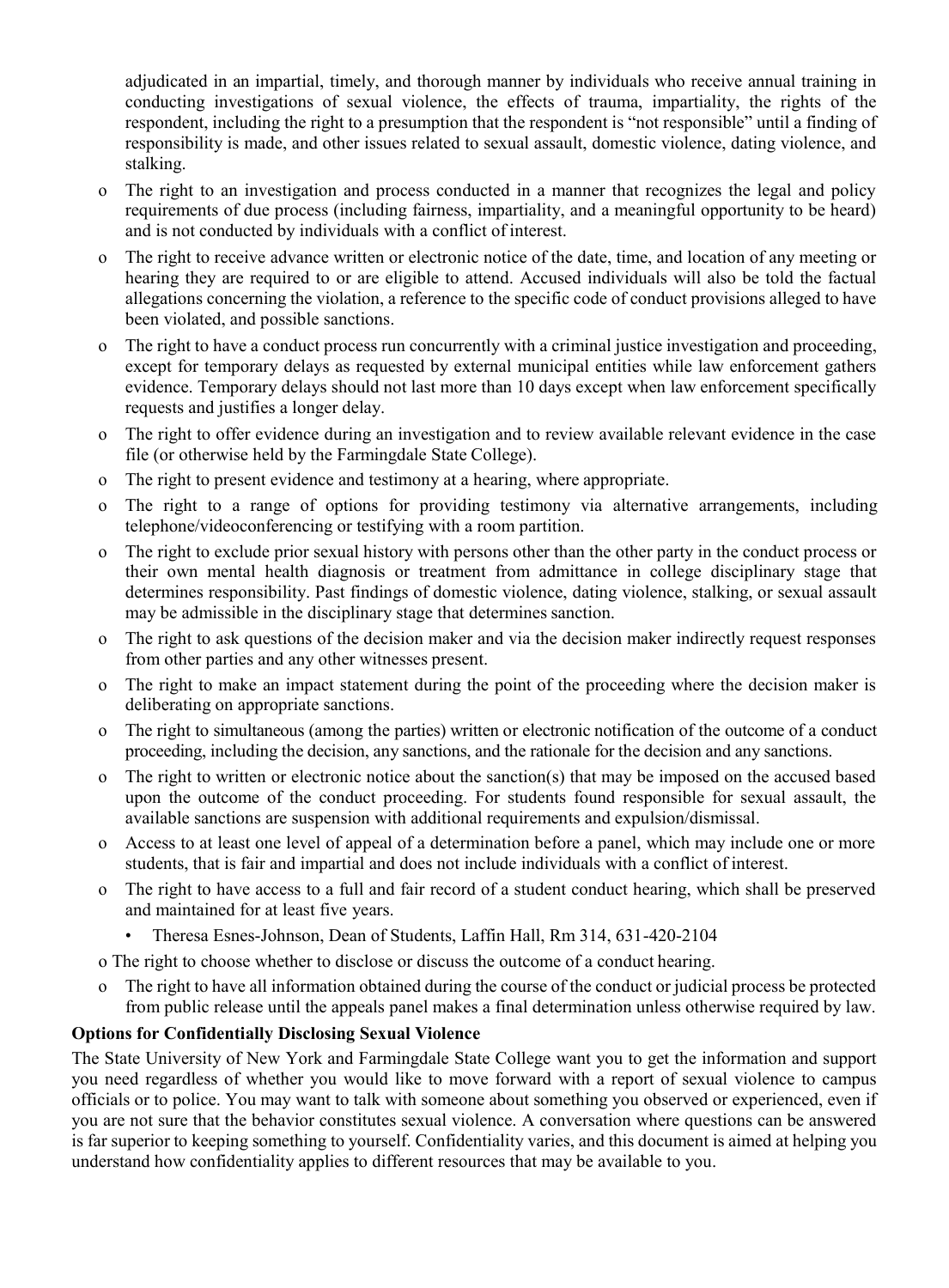adjudicated in an impartial, timely, and thorough manner by individuals who receive annual training in conducting investigations of sexual violence, the effects of trauma, impartiality, the rights of the respondent, including the right to a presumption that the respondent is "not responsible" until a finding of responsibility is made, and other issues related to sexual assault, domestic violence, dating violence, and stalking.

- o The right to an investigation and process conducted in a manner that recognizes the legal and policy requirements of due process (including fairness, impartiality, and a meaningful opportunity to be heard) and is not conducted by individuals with a conflict of interest.
- o The right to receive advance written or electronic notice of the date, time, and location of any meeting or hearing they are required to or are eligible to attend. Accused individuals will also be told the factual allegations concerning the violation, a reference to the specific code of conduct provisions alleged to have been violated, and possible sanctions.
- o The right to have a conduct process run concurrently with a criminal justice investigation and proceeding, except for temporary delays as requested by external municipal entities while law enforcement gathers evidence. Temporary delays should not last more than 10 days except when law enforcement specifically requests and justifies a longer delay.
- o The right to offer evidence during an investigation and to review available relevant evidence in the case file (or otherwise held by the Farmingdale State College).
- o The right to present evidence and testimony at a hearing, where appropriate.
- o The right to a range of options for providing testimony via alternative arrangements, including telephone/videoconferencing or testifying with a room partition.
- o The right to exclude prior sexual history with persons other than the other party in the conduct process or their own mental health diagnosis or treatment from admittance in college disciplinary stage that determines responsibility. Past findings of domestic violence, dating violence, stalking, or sexual assault may be admissible in the disciplinary stage that determines sanction.
- o The right to ask questions of the decision maker and via the decision maker indirectly request responses from other parties and any other witnesses present.
- o The right to make an impact statement during the point of the proceeding where the decision maker is deliberating on appropriate sanctions.
- o The right to simultaneous (among the parties) written or electronic notification of the outcome of a conduct proceeding, including the decision, any sanctions, and the rationale for the decision and any sanctions.
- o The right to written or electronic notice about the sanction(s) that may be imposed on the accused based upon the outcome of the conduct proceeding. For students found responsible for sexual assault, the available sanctions are suspension with additional requirements and expulsion/dismissal.
- o Access to at least one level of appeal of a determination before a panel, which may include one or more students, that is fair and impartial and does not include individuals with a conflict of interest.
- o The right to have access to a full and fair record of a student conduct hearing, which shall be preserved and maintained for at least five years.
	- Theresa Esnes-Johnson, Dean of Students, Laffin Hall, Rm 314, 631-420-2104
- o The right to choose whether to disclose or discuss the outcome of a conduct hearing.
- o The right to have all information obtained during the course of the conduct or judicial process be protected from public release until the appeals panel makes a final determination unless otherwise required by law.

#### **Options for Confidentially Disclosing Sexual Violence**

The State University of New York and Farmingdale State College want you to get the information and support you need regardless of whether you would like to move forward with a report of sexual violence to campus officials or to police. You may want to talk with someone about something you observed or experienced, even if you are not sure that the behavior constitutes sexual violence. A conversation where questions can be answered is far superior to keeping something to yourself. Confidentiality varies, and this document is aimed at helping you understand how confidentiality applies to different resources that may be available to you.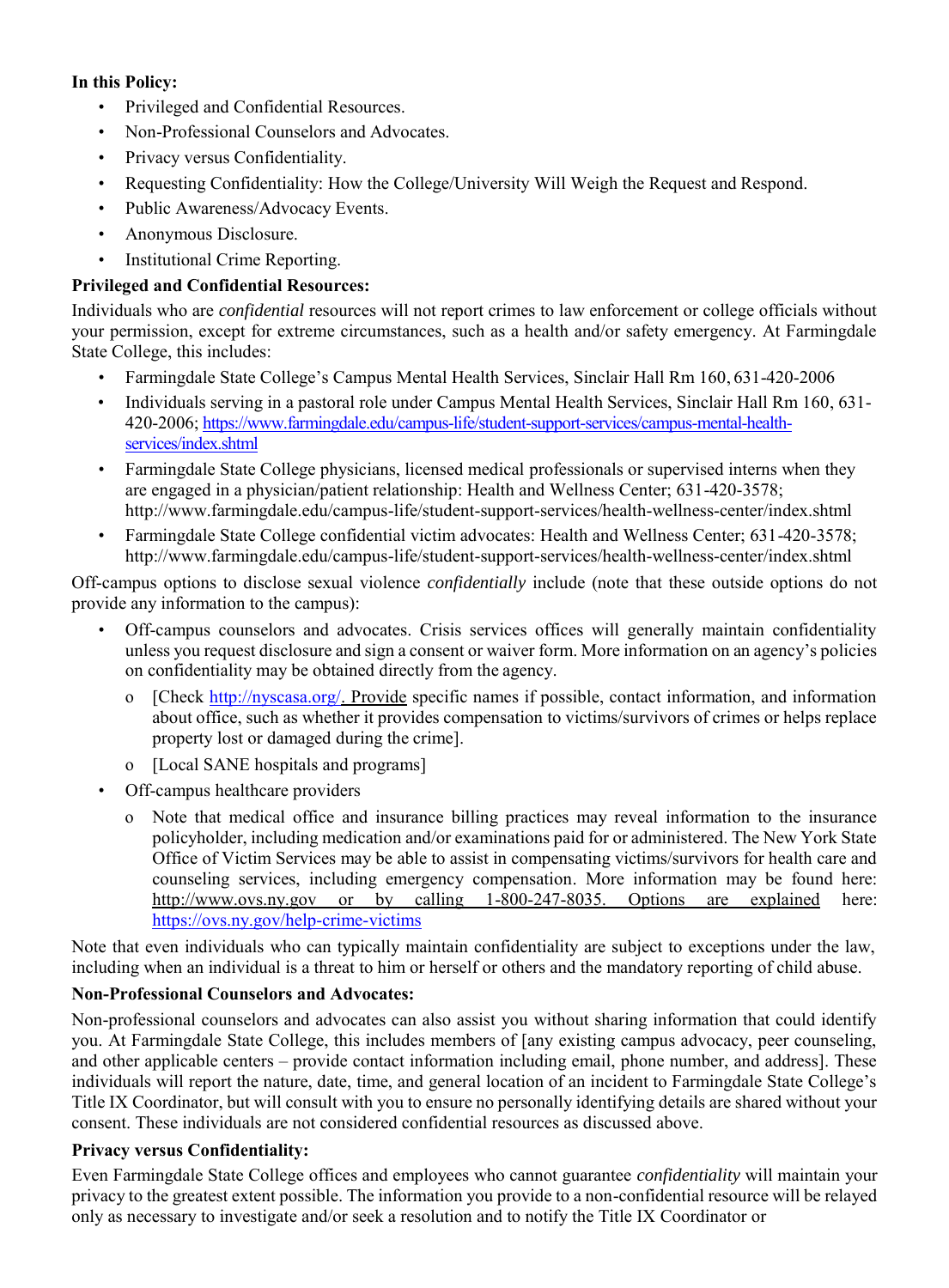### **In this Policy:**

- Privileged and Confidential Resources.
- Non-Professional Counselors and Advocates.
- Privacy versus Confidentiality.
- Requesting Confidentiality: How the College/University Will Weigh the Request and Respond.
- Public Awareness/Advocacy Events.
- Anonymous Disclosure.
- **Institutional Crime Reporting.**

### **Privileged and Confidential Resources:**

Individuals who are *confidential* resources will not report crimes to law enforcement or college officials without your permission, except for extreme circumstances, such as a health and/or safety emergency. At Farmingdale State College, this includes:

- Farmingdale State College's Campus Mental Health Services, Sinclair Hall Rm 160, 631-420-2006
- Individuals serving in a pastoral role under Campus Mental Health Services, Sinclair Hall Rm 160, 631- 420-2006; [https://www.farmingdale.edu/campus-life/student-support-services/campus-mental-health](https://www.farmingdale.edu/campus-life/student-support-services/campus-mental-health-services/index.shtml)[services/index.shtml](https://www.farmingdale.edu/campus-life/student-support-services/campus-mental-health-services/index.shtml)
- Farmingdale State College physicians, licensed medical professionals or supervised interns when they are engaged in a physician/patient relationship: Health and Wellness Center; 631-420-3578[;](http://www.farmingdale.edu/campus-life/student-support-services/health-wellness-center/index.shtml) <http://www.farmingdale.edu/campus-life/student-support-services/health-wellness-center/index.shtml>
- Farmingdale State College confidential victim advocates: Health and Wellness Center; 631-420-3578[;](http://www.farmingdale.edu/campus-life/student-support-services/health-wellness-center/index.shtml) <http://www.farmingdale.edu/campus-life/student-support-services/health-wellness-center/index.shtml>

Off-campus options to disclose sexual violence *confidentially* include (note that these outside options do not provide any information to the campus):

- Off-campus counselors and advocates. Crisis services offices will generally maintain confidentiality unless you request disclosure and sign a consent or waiver form. More information on an agency's policies on confidentiality may be obtained directly from the agency.
	- o [Check [http://nyscasa.org/.](http://nyscasa.org/) Provide specific names if possible, contact information, and information about office, such as whether it provides compensation to victims/survivors of crimes or helps replace property lost or damaged during the crime].
	- o [Local SANE hospitals and programs]
- Off-campus healthcare providers
	- o Note that medical office and insurance billing practices may reveal information to the insurance policyholder, including medication and/or examinations paid for or administered. The New York State Office of Victim Services may be able to assist in compensating victims/survivors for health care and counseling services, including emergency compensation. More information may be found here: http://www.ovs.ny.gov or by calling 1-800-247-8035. Options are explained here[:](http://www.ovs.ny.gov/helpforcrimevictims.html) <https://ovs.ny.gov/help-crime-victims>

Note that even individuals who can typically maintain confidentiality are subject to exceptions under the law, including when an individual is a threat to him or herself or others and the mandatory reporting of child abuse.

### **Non-Professional Counselors and Advocates:**

Non-professional counselors and advocates can also assist you without sharing information that could identify you. At Farmingdale State College, this includes members of [any existing campus advocacy, peer counseling, and other applicable centers – provide contact information including email, phone number, and address]. These individuals will report the nature, date, time, and general location of an incident to Farmingdale State College's Title IX Coordinator, but will consult with you to ensure no personally identifying details are shared without your consent. These individuals are not considered confidential resources as discussed above.

#### **Privacy versus Confidentiality:**

Even Farmingdale State College offices and employees who cannot guarantee *confidentiality* will maintain your privacy to the greatest extent possible. The information you provide to a non-confidential resource will be relayed only as necessary to investigate and/or seek a resolution and to notify the Title IX Coordinator or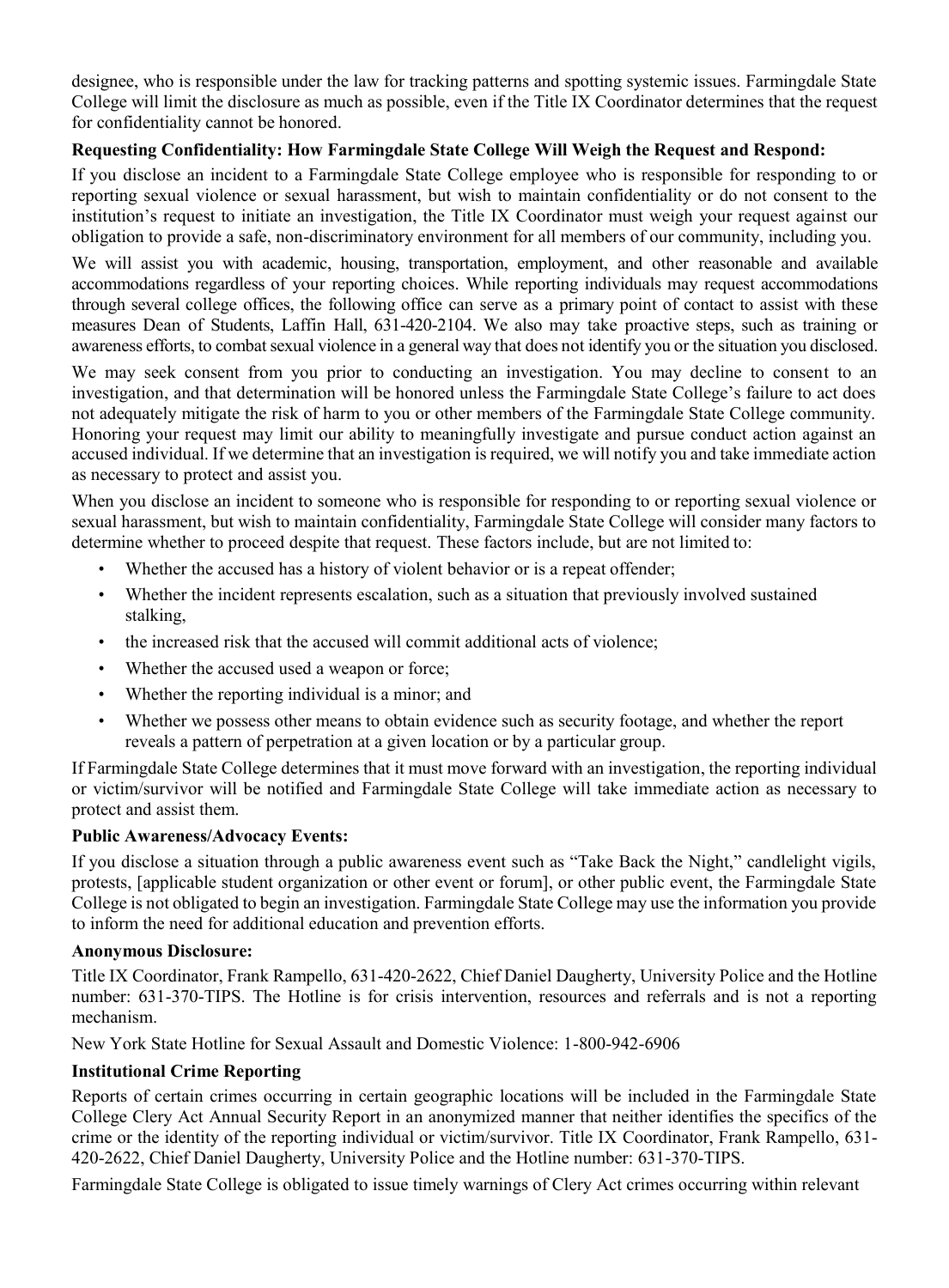designee, who is responsible under the law for tracking patterns and spotting systemic issues. Farmingdale State College will limit the disclosure as much as possible, even if the Title IX Coordinator determines that the request for confidentiality cannot be honored.

#### **Requesting Confidentiality: How Farmingdale State College Will Weigh the Request and Respond:**

If you disclose an incident to a Farmingdale State College employee who is responsible for responding to or reporting sexual violence or sexual harassment, but wish to maintain confidentiality or do not consent to the institution's request to initiate an investigation, the Title IX Coordinator must weigh your request against our obligation to provide a safe, non-discriminatory environment for all members of our community, including you.

We will assist you with academic, housing, transportation, employment, and other reasonable and available accommodations regardless of your reporting choices. While reporting individuals may request accommodations through several college offices, the following office can serve as a primary point of contact to assist with these measures Dean of Students, Laffin Hall, 631-420-2104. We also may take proactive steps, such as training or awareness efforts, to combat sexual violence in a general way that does not identify you or the situation you disclosed.

We may seek consent from you prior to conducting an investigation. You may decline to consent to an investigation, and that determination will be honored unless the Farmingdale State College's failure to act does not adequately mitigate the risk of harm to you or other members of the Farmingdale State College community. Honoring your request may limit our ability to meaningfully investigate and pursue conduct action against an accused individual. If we determine that an investigation is required, we will notify you and take immediate action as necessary to protect and assist you.

When you disclose an incident to someone who is responsible for responding to or reporting sexual violence or sexual harassment, but wish to maintain confidentiality, Farmingdale State College will consider many factors to determine whether to proceed despite that request. These factors include, but are not limited to:

- Whether the accused has a history of violent behavior or is a repeat offender;
- Whether the incident represents escalation, such as a situation that previously involved sustained stalking,
- the increased risk that the accused will commit additional acts of violence;
- Whether the accused used a weapon or force:
- Whether the reporting individual is a minor; and
- Whether we possess other means to obtain evidence such as security footage, and whether the report reveals a pattern of perpetration at a given location or by a particular group.

If Farmingdale State College determines that it must move forward with an investigation, the reporting individual or victim/survivor will be notified and Farmingdale State College will take immediate action as necessary to protect and assist them.

#### **Public Awareness/Advocacy Events:**

If you disclose a situation through a public awareness event such as "Take Back the Night," candlelight vigils, protests, [applicable student organization or other event or forum], or other public event, the Farmingdale State College is not obligated to begin an investigation. Farmingdale State College may use the information you provide to inform the need for additional education and prevention efforts.

#### **Anonymous Disclosure:**

Title IX Coordinator, Frank Rampello, 631-420-2622, Chief Daniel Daugherty, University Police and the Hotline number: 631-370-TIPS. The Hotline is for crisis intervention, resources and referrals and is not a reporting mechanism.

New York State Hotline for Sexual Assault and Domestic Violence: 1-800-942-6906

#### **Institutional Crime Reporting**

Reports of certain crimes occurring in certain geographic locations will be included in the Farmingdale State College Clery Act Annual Security Report in an anonymized manner that neither identifies the specifics of the crime or the identity of the reporting individual or victim/survivor. Title IX Coordinator, Frank Rampello, 631- 420-2622, Chief Daniel Daugherty, University Police and the Hotline number: 631-370-TIPS.

Farmingdale State College is obligated to issue timely warnings of Clery Act crimes occurring within relevant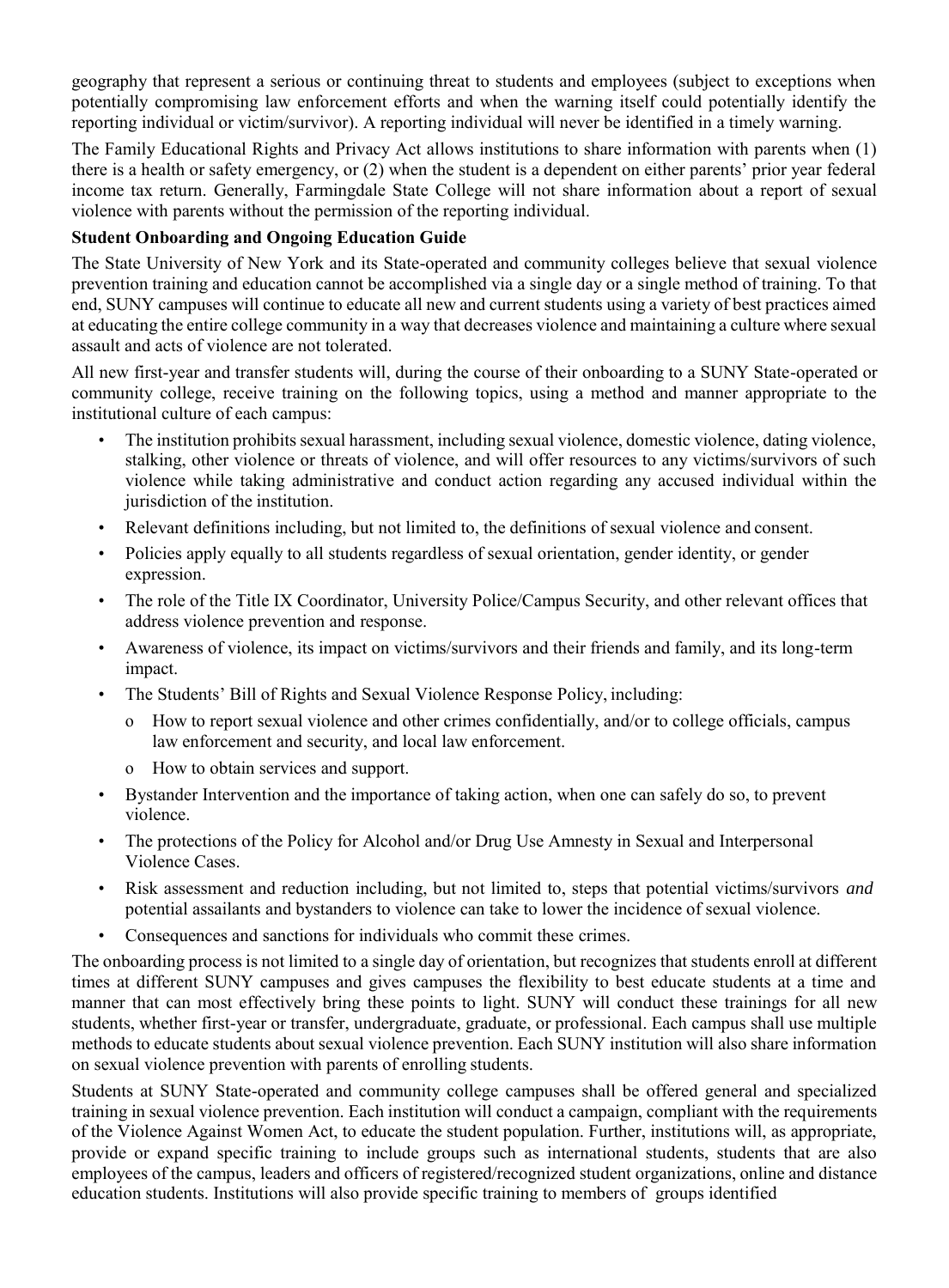geography that represent a serious or continuing threat to students and employees (subject to exceptions when potentially compromising law enforcement efforts and when the warning itself could potentially identify the reporting individual or victim/survivor). A reporting individual will never be identified in a timely warning.

The Family Educational Rights and Privacy Act allows institutions to share information with parents when (1) there is a health or safety emergency, or (2) when the student is a dependent on either parents' prior year federal income tax return. Generally, Farmingdale State College will not share information about a report of sexual violence with parents without the permission of the reporting individual.

### **Student Onboarding and Ongoing Education Guide**

The State University of New York and its State-operated and community colleges believe that sexual violence prevention training and education cannot be accomplished via a single day or a single method of training. To that end, SUNY campuses will continue to educate all new and current students using a variety of best practices aimed at educating the entire college community in a way that decreases violence and maintaining a culture where sexual assault and acts of violence are not tolerated.

All new first-year and transfer students will, during the course of their onboarding to a SUNY State-operated or community college, receive training on the following topics, using a method and manner appropriate to the institutional culture of each campus:

- The institution prohibits sexual harassment, including sexual violence, domestic violence, dating violence, stalking, other violence or threats of violence, and will offer resources to any victims/survivors of such violence while taking administrative and conduct action regarding any accused individual within the jurisdiction of the institution.
- Relevant definitions including, but not limited to, the definitions of sexual violence and consent.
- Policies apply equally to all students regardless of sexual orientation, gender identity, or gender expression.
- The role of the Title IX Coordinator, University Police/Campus Security, and other relevant offices that address violence prevention and response.
- Awareness of violence, its impact on victims/survivors and their friends and family, and its long-term impact.
- The Students' Bill of Rights and Sexual Violence Response Policy, including:
	- o How to report sexual violence and other crimes confidentially, and/or to college officials, campus law enforcement and security, and local law enforcement.
	- o How to obtain services and support.
- Bystander Intervention and the importance of taking action, when one can safely do so, to prevent violence.
- The protections of the Policy for Alcohol and/or Drug Use Amnesty in Sexual and Interpersonal Violence Cases.
- Risk assessment and reduction including, but not limited to, steps that potential victims/survivors *and* potential assailants and bystanders to violence can take to lower the incidence of sexual violence.
- Consequences and sanctions for individuals who commit these crimes.

The onboarding process is not limited to a single day of orientation, but recognizes that students enroll at different times at different SUNY campuses and gives campuses the flexibility to best educate students at a time and manner that can most effectively bring these points to light. SUNY will conduct these trainings for all new students, whether first-year or transfer, undergraduate, graduate, or professional. Each campus shall use multiple methods to educate students about sexual violence prevention. Each SUNY institution will also share information on sexual violence prevention with parents of enrolling students.

Students at SUNY State-operated and community college campuses shall be offered general and specialized training in sexual violence prevention. Each institution will conduct a campaign, compliant with the requirements of the Violence Against Women Act, to educate the student population. Further, institutions will, as appropriate, provide or expand specific training to include groups such as international students, students that are also employees of the campus, leaders and officers of registered/recognized student organizations, online and distance education students. Institutions will also provide specific training to members of groups identified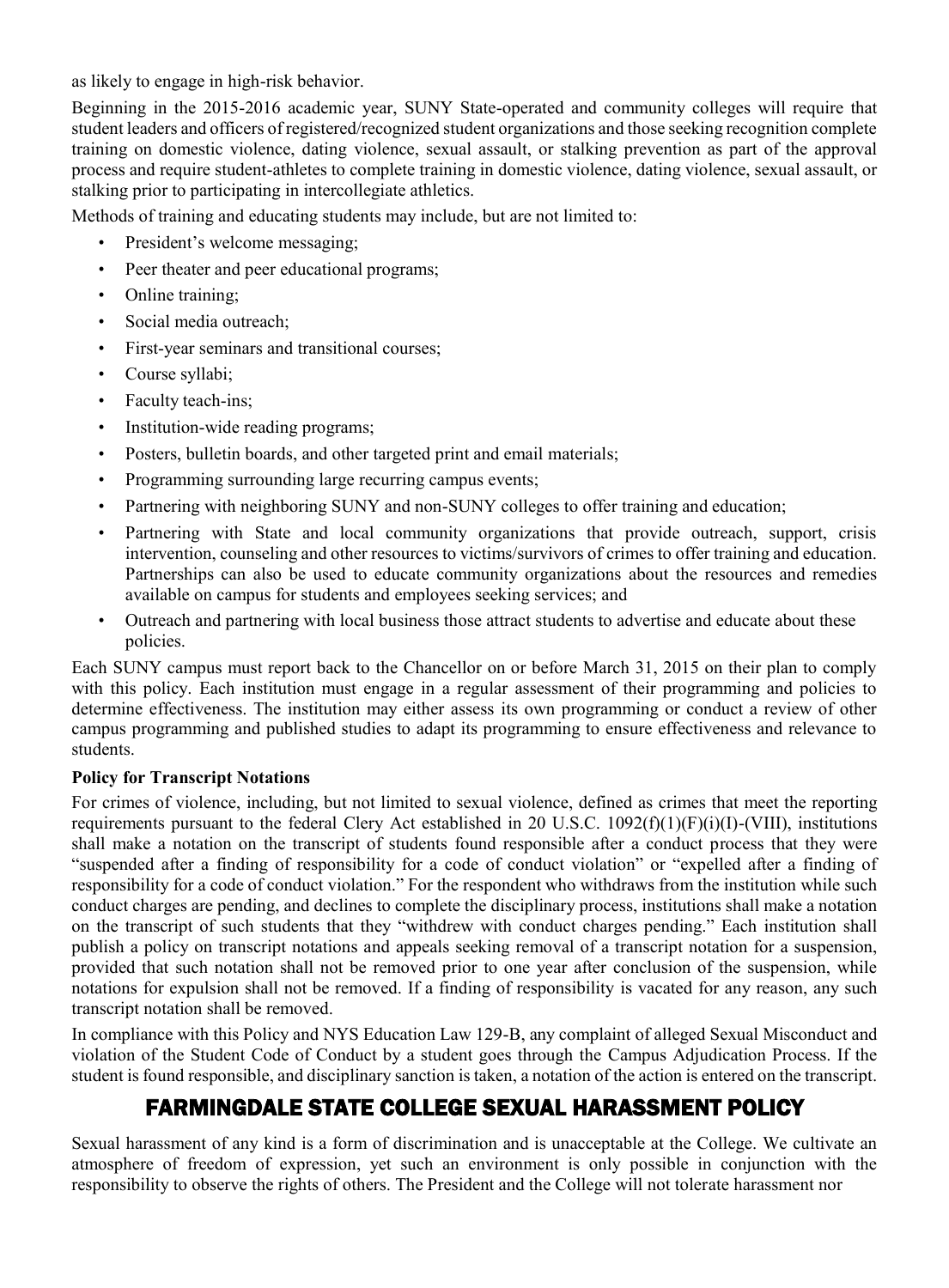as likely to engage in high-risk behavior.

Beginning in the 2015-2016 academic year, SUNY State-operated and community colleges will require that student leaders and officers of registered/recognized student organizations and those seeking recognition complete training on domestic violence, dating violence, sexual assault, or stalking prevention as part of the approval process and require student-athletes to complete training in domestic violence, dating violence, sexual assault, or stalking prior to participating in intercollegiate athletics.

Methods of training and educating students may include, but are not limited to:

- President's welcome messaging;
- Peer theater and peer educational programs;
- Online training;
- Social media outreach;
- First-year seminars and transitional courses;
- Course syllabi;
- Faculty teach-ins;
- Institution-wide reading programs;
- Posters, bulletin boards, and other targeted print and email materials;
- Programming surrounding large recurring campus events;
- Partnering with neighboring SUNY and non-SUNY colleges to offer training and education;
- Partnering with State and local community organizations that provide outreach, support, crisis intervention, counseling and other resources to victims/survivors of crimes to offer training and education. Partnerships can also be used to educate community organizations about the resources and remedies available on campus for students and employees seeking services; and
- Outreach and partnering with local business those attract students to advertise and educate about these policies.

Each SUNY campus must report back to the Chancellor on or before March 31, 2015 on their plan to comply with this policy. Each institution must engage in a regular assessment of their programming and policies to determine effectiveness. The institution may either assess its own programming or conduct a review of other campus programming and published studies to adapt its programming to ensure effectiveness and relevance to students.

#### **Policy for Transcript Notations**

For crimes of violence, including, but not limited to sexual violence, defined as crimes that meet the reporting requirements pursuant to the federal Clery Act established in 20 U.S.C.  $1092(f)(1)(F)(i)(I)$ -(VIII), institutions shall make a notation on the transcript of students found responsible after a conduct process that they were "suspended after a finding of responsibility for a code of conduct violation" or "expelled after a finding of responsibility for a code of conduct violation." For the respondent who withdraws from the institution while such conduct charges are pending, and declines to complete the disciplinary process, institutions shall make a notation on the transcript of such students that they "withdrew with conduct charges pending." Each institution shall publish a policy on transcript notations and appeals seeking removal of a transcript notation for a suspension, provided that such notation shall not be removed prior to one year after conclusion of the suspension, while notations for expulsion shall not be removed. If a finding of responsibility is vacated for any reason, any such transcript notation shall be removed.

In compliance with this Policy and NYS Education Law 129-B, any complaint of alleged Sexual Misconduct and violation of the Student Code of Conduct by a student goes through the Campus Adjudication Process. If the student is found responsible, and disciplinary sanction is taken, a notation of the action is entered on the transcript.

# FARMINGDALE STATE COLLEGE SEXUAL HARASSMENT POLICY

Sexual harassment of any kind is a form of discrimination and is unacceptable at the College. We cultivate an atmosphere of freedom of expression, yet such an environment is only possible in conjunction with the responsibility to observe the rights of others. The President and the College will not tolerate harassment nor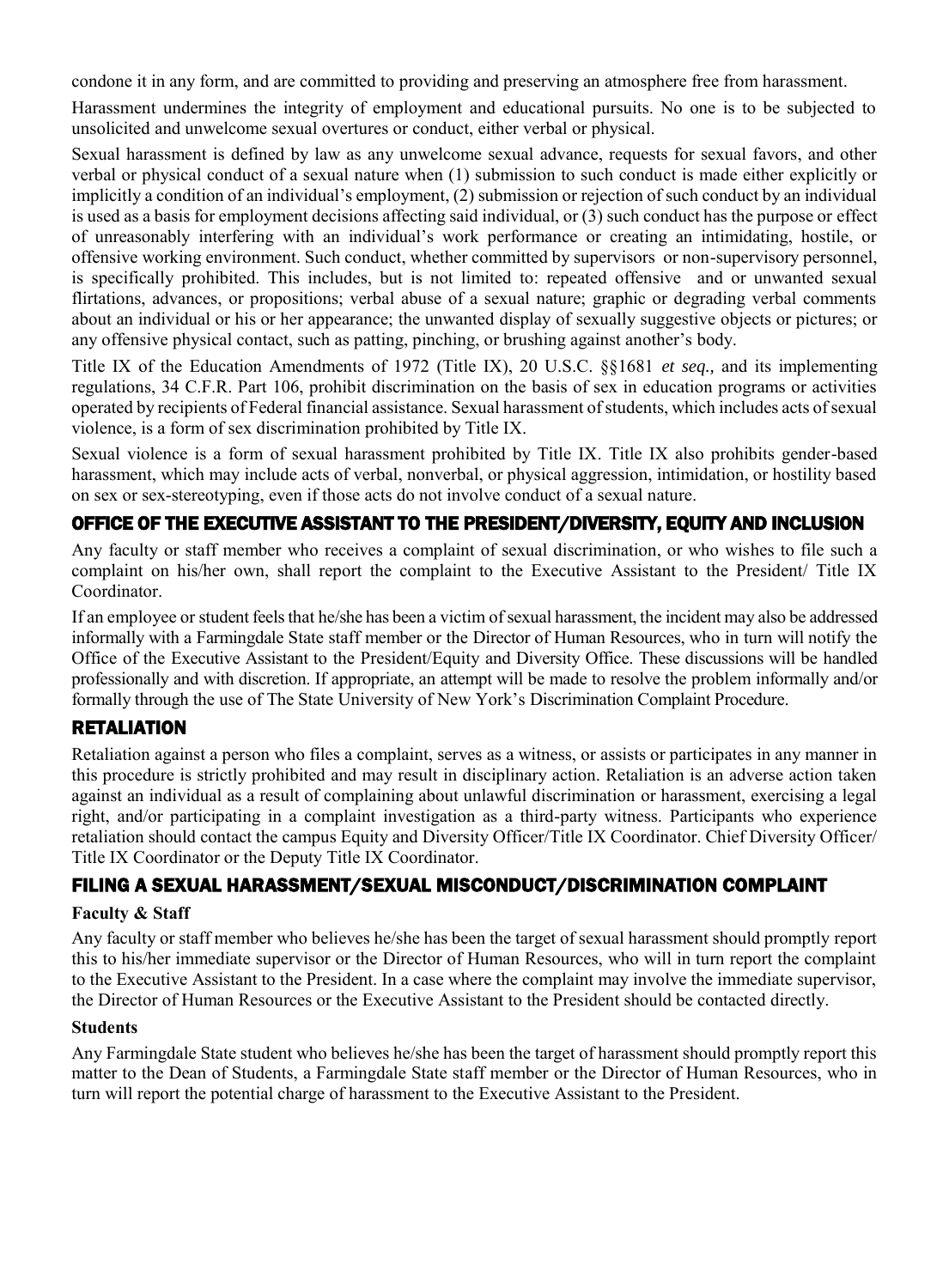condone it in any form, and are committed to providing and preserving an atmosphere free from harassment.

Harassment undermines the integrity of employment and educational pursuits. No one is to be subjected to unsolicited and unwelcome sexual overtures or conduct, either verbal or physical.

Sexual harassment is defined by law as any unwelcome sexual advance, requests for sexual favors, and other verbal or physical conduct of a sexual nature when (1) submission to such conduct is made either explicitly or implicitly a condition of an individual's employment, (2) submission or rejection of such conduct by an individual is used as a basis for employment decisions affecting said individual, or (3) such conduct has the purpose or effect of unreasonably interfering with an individual's work performance or creating an intimidating, hostile, or offensive working environment. Such conduct, whether committed by supervisors or non-supervisory personnel, is specifically prohibited. This includes, but is not limited to: repeated offensive and or unwanted sexual flirtations, advances, or propositions; verbal abuse of a sexual nature; graphic or degrading verbal comments about an individual or his or her appearance; the unwanted display of sexually suggestive objects or pictures; or any offensive physical contact, such as patting, pinching, or brushing against another's body.

Title IX of the Education Amendments of 1972 (Title IX), 20 U.S.C. §§1681 *et seq.,* and its implementing regulations, 34 C.F.R. Part 106, prohibit discrimination on the basis of sex in education programs or activities operated by recipients of Federal financial assistance. Sexual harassment of students, which includes acts of sexual violence, is a form of sex discrimination prohibited by Title IX.

Sexual violence is a form of sexual harassment prohibited by Title IX. Title IX also prohibits gender-based harassment, which may include acts of verbal, nonverbal, or physical aggression, intimidation, or hostility based on sex or sex-stereotyping, even if those acts do not involve conduct of a sexual nature.

### OFFICE OF THE EXECUTIVE ASSISTANT TO THE PRESIDENT/DIVERSITY, EQUITY AND INCLUSION

Any faculty or staff member who receives a complaint of sexual discrimination, or who wishes to file such a complaint on his/her own, shall report the complaint to the Executive Assistant to the President/ Title IX Coordinator.

If an employee or student feels that he/she has been a victim of sexual harassment, the incident may also be addressed informally with a Farmingdale State staff member or the Director of Human Resources, who in turn will notify the Office of the Executive Assistant to the President/Equity and Diversity Office. These discussions will be handled professionally and with discretion. If appropriate, an attempt will be made to resolve the problem informally and/or formally through the use of The State University of New York's Discrimination Complaint Procedure.

## RETALIATION

Retaliation against a person who files a complaint, serves as a witness, or assists or participates in any manner in this procedure is strictly prohibited and may result in disciplinary action. Retaliation is an adverse action taken against an individual as a result of complaining about unlawful discrimination or harassment, exercising a legal right, and/or participating in a complaint investigation as a third-party witness. Participants who experience retaliation should contact the campus Equity and Diversity Officer/Title IX Coordinator. Chief Diversity Officer/ Title IX Coordinator or the Deputy Title IX Coordinator.

## FILING A SEXUAL HARASSMENT/SEXUAL MISCONDUCT/DISCRIMINATION COMPLAINT

#### **Faculty & Staff**

Any faculty or staff member who believes he/she has been the target of sexual harassment should promptly report this to his/her immediate supervisor or the Director of Human Resources, who will in turn report the complaint to the Executive Assistant to the President. In a case where the complaint may involve the immediate supervisor, the Director of Human Resources or the Executive Assistant to the President should be contacted directly.

#### **Students**

Any Farmingdale State student who believes he/she has been the target of harassment should promptly report this matter to the Dean of Students, a Farmingdale State staff member or the Director of Human Resources, who in turn will report the potential charge of harassment to the Executive Assistant to the President.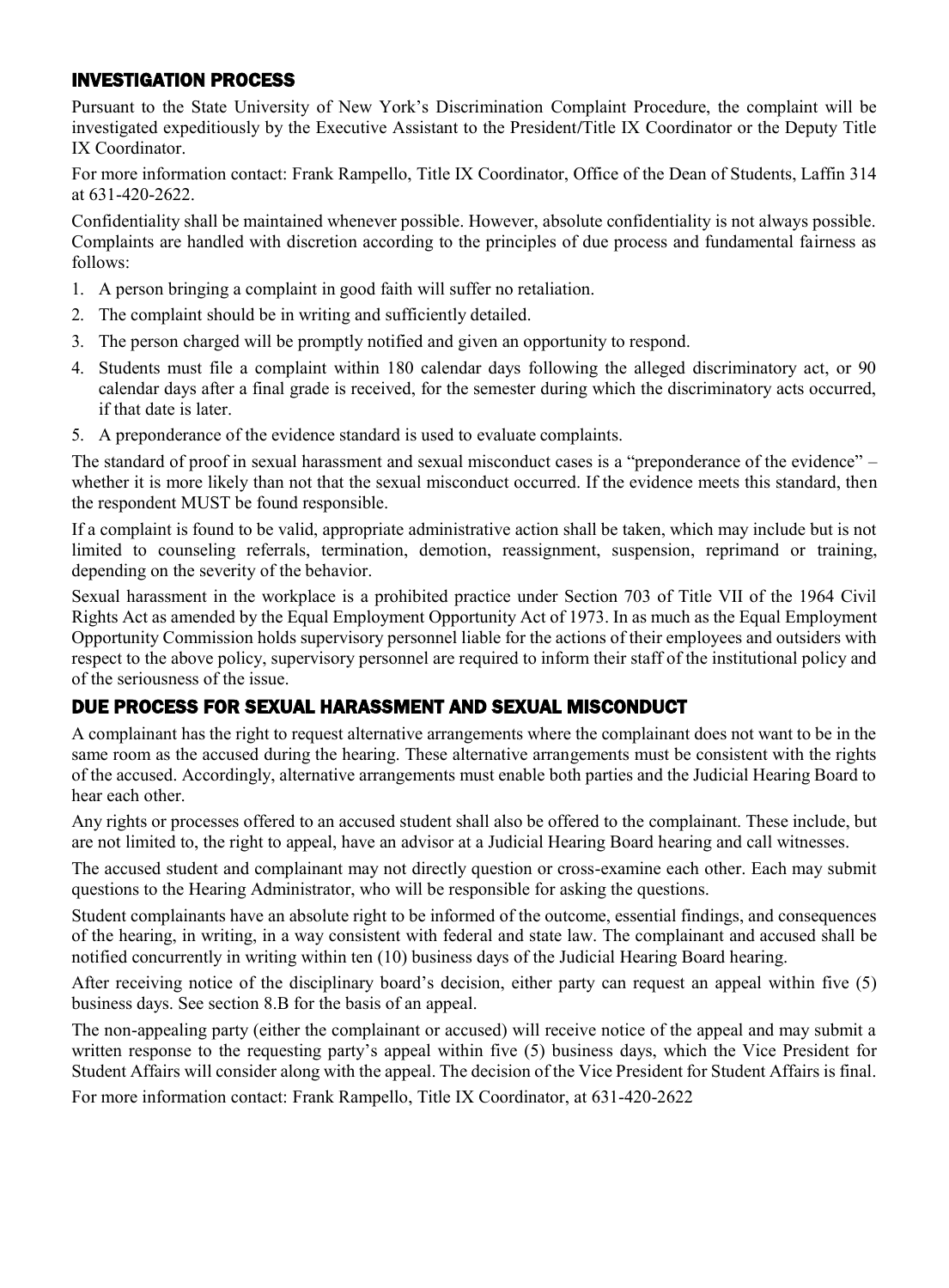#### INVESTIGATION PROCESS

Pursuant to the State University of New York's Discrimination Complaint Procedure, the complaint will be investigated expeditiously by the Executive Assistant to the President**/**Title IX Coordinator or the Deputy Title IX Coordinator.

For more information contact: Frank Rampello, Title IX Coordinator, Office of the Dean of Students, Laffin 314 at 631-420-2622.

Confidentiality shall be maintained whenever possible. However, absolute confidentiality is not always possible. Complaints are handled with discretion according to the principles of due process and fundamental fairness as follows:

- 1. A person bringing a complaint in good faith will suffer no retaliation.
- 2. The complaint should be in writing and sufficiently detailed.
- 3. The person charged will be promptly notified and given an opportunity to respond.
- 4. Students must file a complaint within 180 calendar days following the alleged discriminatory act, or 90 calendar days after a final grade is received, for the semester during which the discriminatory acts occurred, if that date is later.
- 5. A preponderance of the evidence standard is used to evaluate complaints.

The standard of proof in sexual harassment and sexual misconduct cases is a "preponderance of the evidence" – whether it is more likely than not that the sexual misconduct occurred. If the evidence meets this standard, then the respondent MUST be found responsible.

If a complaint is found to be valid, appropriate administrative action shall be taken, which may include but is not limited to counseling referrals, termination, demotion, reassignment, suspension, reprimand or training, depending on the severity of the behavior.

Sexual harassment in the workplace is a prohibited practice under Section 703 of Title VII of the 1964 Civil Rights Act as amended by the Equal Employment Opportunity Act of 1973. In as much as the Equal Employment Opportunity Commission holds supervisory personnel liable for the actions of their employees and outsiders with respect to the above policy, supervisory personnel are required to inform their staff of the institutional policy and of the seriousness of the issue.

### DUE PROCESS FOR SEXUAL HARASSMENT AND SEXUAL MISCONDUCT

A complainant has the right to request alternative arrangements where the complainant does not want to be in the same room as the accused during the hearing. These alternative arrangements must be consistent with the rights of the accused. Accordingly, alternative arrangements must enable both parties and the Judicial Hearing Board to hear each other.

Any rights or processes offered to an accused student shall also be offered to the complainant. These include, but are not limited to, the right to appeal, have an advisor at a Judicial Hearing Board hearing and call witnesses.

The accused student and complainant may not directly question or cross-examine each other. Each may submit questions to the Hearing Administrator, who will be responsible for asking the questions.

Student complainants have an absolute right to be informed of the outcome, essential findings, and consequences of the hearing, in writing, in a way consistent with federal and state law. The complainant and accused shall be notified concurrently in writing within ten (10) business days of the Judicial Hearing Board hearing.

After receiving notice of the disciplinary board's decision, either party can request an appeal within five (5) business days. See section 8.B for the basis of an appeal.

The non-appealing party (either the complainant or accused) will receive notice of the appeal and may submit a written response to the requesting party's appeal within five (5) business days, which the Vice President for Student Affairs will consider along with the appeal. The decision of the Vice President for Student Affairs is final. For more information contact: Frank Rampello, Title IX Coordinator, at 631-420-2622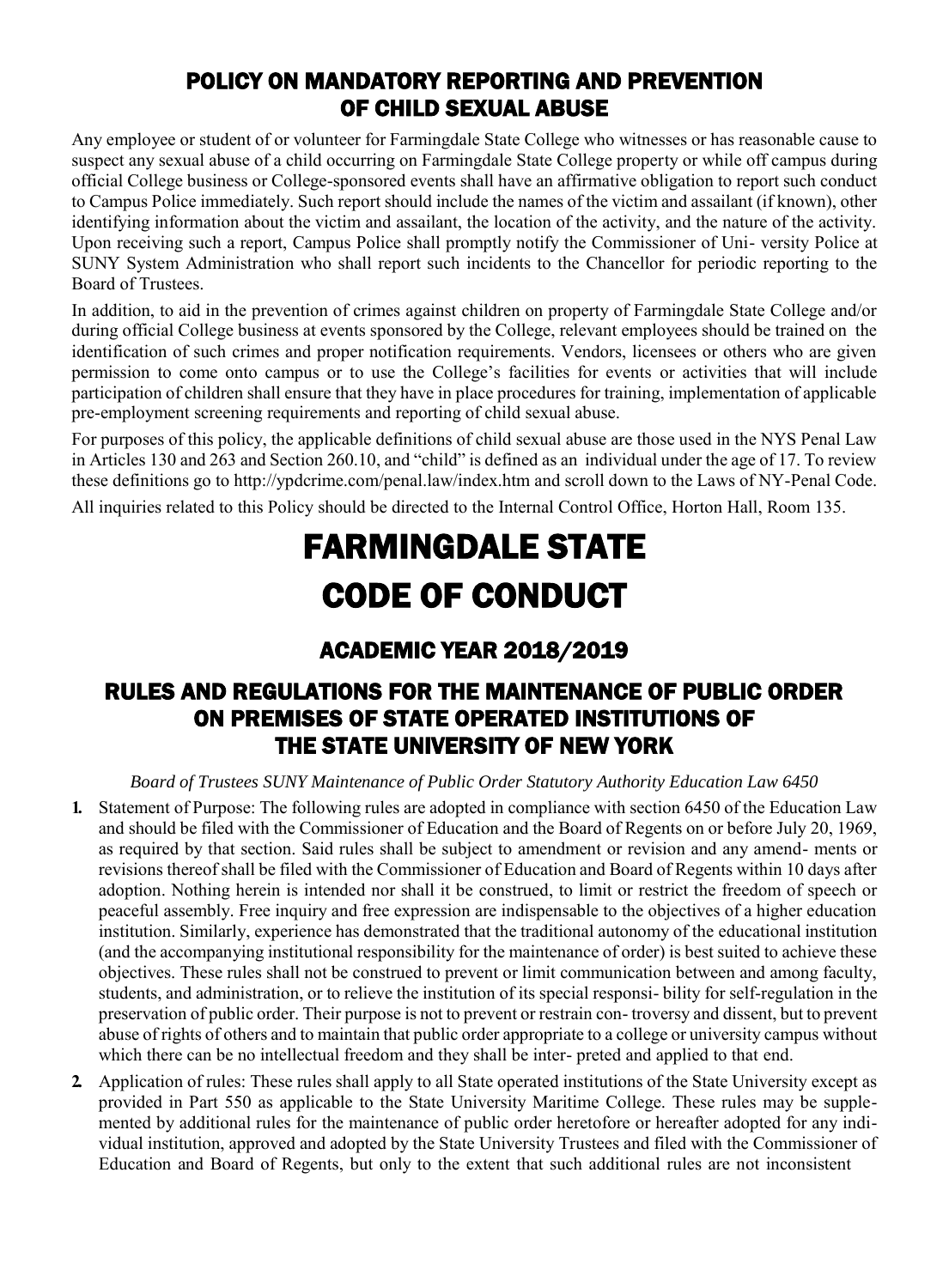## POLICY ON MANDATORY REPORTING AND PREVENTION OF CHILD SEXUAL ABUSE

Any employee or student of or volunteer for Farmingdale State College who witnesses or has reasonable cause to suspect any sexual abuse of a child occurring on Farmingdale State College property or while off campus during official College business or College-sponsored events shall have an affirmative obligation to report such conduct to Campus Police immediately. Such report should include the names of the victim and assailant (if known), other identifying information about the victim and assailant, the location of the activity, and the nature of the activity. Upon receiving such a report, Campus Police shall promptly notify the Commissioner of Uni- versity Police at SUNY System Administration who shall report such incidents to the Chancellor for periodic reporting to the Board of Trustees.

In addition, to aid in the prevention of crimes against children on property of Farmingdale State College and/or during official College business at events sponsored by the College, relevant employees should be trained on the identification of such crimes and proper notification requirements. Vendors, licensees or others who are given permission to come onto campus or to use the College's facilities for events or activities that will include participation of children shall ensure that they have in place procedures for training, implementation of applicable pre-employment screening requirements and reporting of child sexual abuse.

For purposes of this policy, the applicable definitions of child sexual abuse are those used in the NYS Penal Law in Articles 130 and 263 and Section 260.10, and "child" is defined as an individual under the age of 17. To review these definitions go t[o http://ypdcrime.com/penal.law/index.htm](http://ypdcrime.com/penal.law/index.htm) and scroll down to the Laws of NY-Penal Code.

All inquiries related to this Policy should be directed to the Internal Control Office, Horton Hall, Room 135.

# FARMINGDALE STATE CODE OF CONDUCT

## ACADEMIC YEAR 2018/2019

## RULES AND REGULATIONS FOR THE MAINTENANCE OF PUBLIC ORDER ON PREMISES OF STATE OPERATED INSTITUTIONS OF THE STATE UNIVERSITY OF NEW YORK

*Board of Trustees SUNY Maintenance of Public Order Statutory Authority Education Law 6450*

- **1.** Statement of Purpose: The following rules are adopted in compliance with section 6450 of the Education Law and should be filed with the Commissioner of Education and the Board of Regents on or before July 20, 1969, as required by that section. Said rules shall be subject to amendment or revision and any amend- ments or revisions thereof shall be filed with the Commissioner of Education and Board of Regents within 10 days after adoption. Nothing herein is intended nor shall it be construed, to limit or restrict the freedom of speech or peaceful assembly. Free inquiry and free expression are indispensable to the objectives of a higher education institution. Similarly, experience has demonstrated that the traditional autonomy of the educational institution (and the accompanying institutional responsibility for the maintenance of order) is best suited to achieve these objectives. These rules shall not be construed to prevent or limit communication between and among faculty, students, and administration, or to relieve the institution of its special responsi- bility for self-regulation in the preservation of public order. Their purpose is not to prevent or restrain con- troversy and dissent, but to prevent abuse of rights of others and to maintain that public order appropriate to a college or university campus without which there can be no intellectual freedom and they shall be inter- preted and applied to that end.
- **2.** Application of rules: These rules shall apply to all State operated institutions of the State University except as provided in Part 550 as applicable to the State University Maritime College. These rules may be supplemented by additional rules for the maintenance of public order heretofore or hereafter adopted for any individual institution, approved and adopted by the State University Trustees and filed with the Commissioner of Education and Board of Regents, but only to the extent that such additional rules are not inconsistent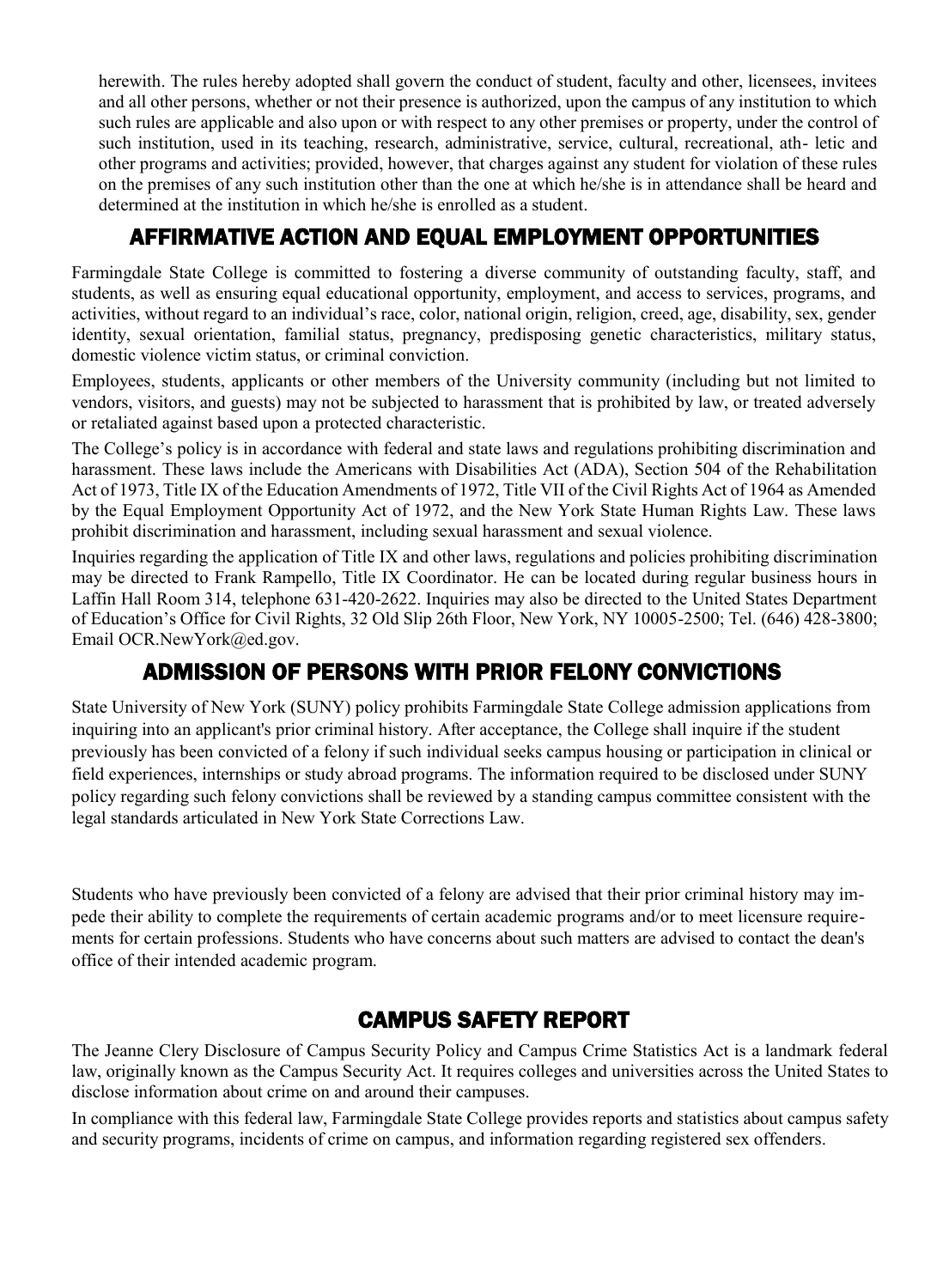herewith. The rules hereby adopted shall govern the conduct of student, faculty and other, licensees, invitees and all other persons, whether or not their presence is authorized, upon the campus of any institution to which such rules are applicable and also upon or with respect to any other premises or property, under the control of such institution, used in its teaching, research, administrative, service, cultural, recreational, ath- letic and other programs and activities; provided, however, that charges against any student for violation of these rules on the premises of any such institution other than the one at which he/she is in attendance shall be heard and determined at the institution in which he/she is enrolled as a student.

## AFFIRMATIVE ACTION AND EQUAL EMPLOYMENT OPPORTUNITIES

Farmingdale State College is committed to fostering a diverse community of outstanding faculty, staff, and students, as well as ensuring equal educational opportunity, employment, and access to services, programs, and activities, without regard to an individual's race, color, national origin, religion, creed, age, disability, sex, gender identity, sexual orientation, familial status, pregnancy, predisposing genetic characteristics, military status, domestic violence victim status, or criminal conviction.

Employees, students, applicants or other members of the University community (including but not limited to vendors, visitors, and guests) may not be subjected to harassment that is prohibited by law, or treated adversely or retaliated against based upon a protected characteristic.

The College's policy is in accordance with federal and state laws and regulations prohibiting discrimination and harassment. These laws include the Americans with Disabilities Act (ADA), Section 504 of the Rehabilitation Act of 1973, Title IX of the Education Amendments of 1972, Title VII of the Civil Rights Act of 1964 as Amended by the Equal Employment Opportunity Act of 1972, and the New York State Human Rights Law. These laws prohibit discrimination and harassment, including sexual harassment and sexual violence.

Inquiries regarding the application of Title IX and other laws, regulations and policies prohibiting discrimination may be directed to Frank Rampello, Title IX Coordinator. He can be located during regular business hours in Laffin Hall Room 314, telephone 631-420-2622. Inquiries may also be directed to the United States Department of Education's Office for Civil Rights, 32 Old Slip 26th Floor, New York, NY 10005-2500; Tel. (646) 428-3800; Emai[l OCR.NewYork@ed.gov.](mailto:OCR.NewYork@ed.gov)

## ADMISSION OF PERSONS WITH PRIOR FELONY CONVICTIONS

State University of New York (SUNY) policy prohibits Farmingdale State College admission applications from inquiring into an applicant's prior criminal history. After acceptance, the College shall inquire if the student previously has been convicted of a felony if such individual seeks campus housing or participation in clinical or field experiences, internships or study abroad programs. The information required to be disclosed under SUNY policy regarding such felony convictions shall be reviewed by a standing campus committee consistent with the legal standards articulated in New York State Corrections Law.

Students who have previously been convicted of a felony are advised that their prior criminal history may impede their ability to complete the requirements of certain academic programs and/or to meet licensure requirements for certain professions. Students who have concerns about such matters are advised to contact the dean's office of their intended academic program.

## CAMPUS SAFETY REPORT

The Jeanne Clery Disclosure of Campus Security Policy and Campus Crime Statistics Act is a landmark federal law, originally known as the Campus Security Act. It requires colleges and universities across the United States to disclose information about crime on and around their campuses.

In compliance with this federal law, Farmingdale State College provides reports and statistics about campus safety and security programs, incidents of crime on campus, and information regarding registered sex offenders.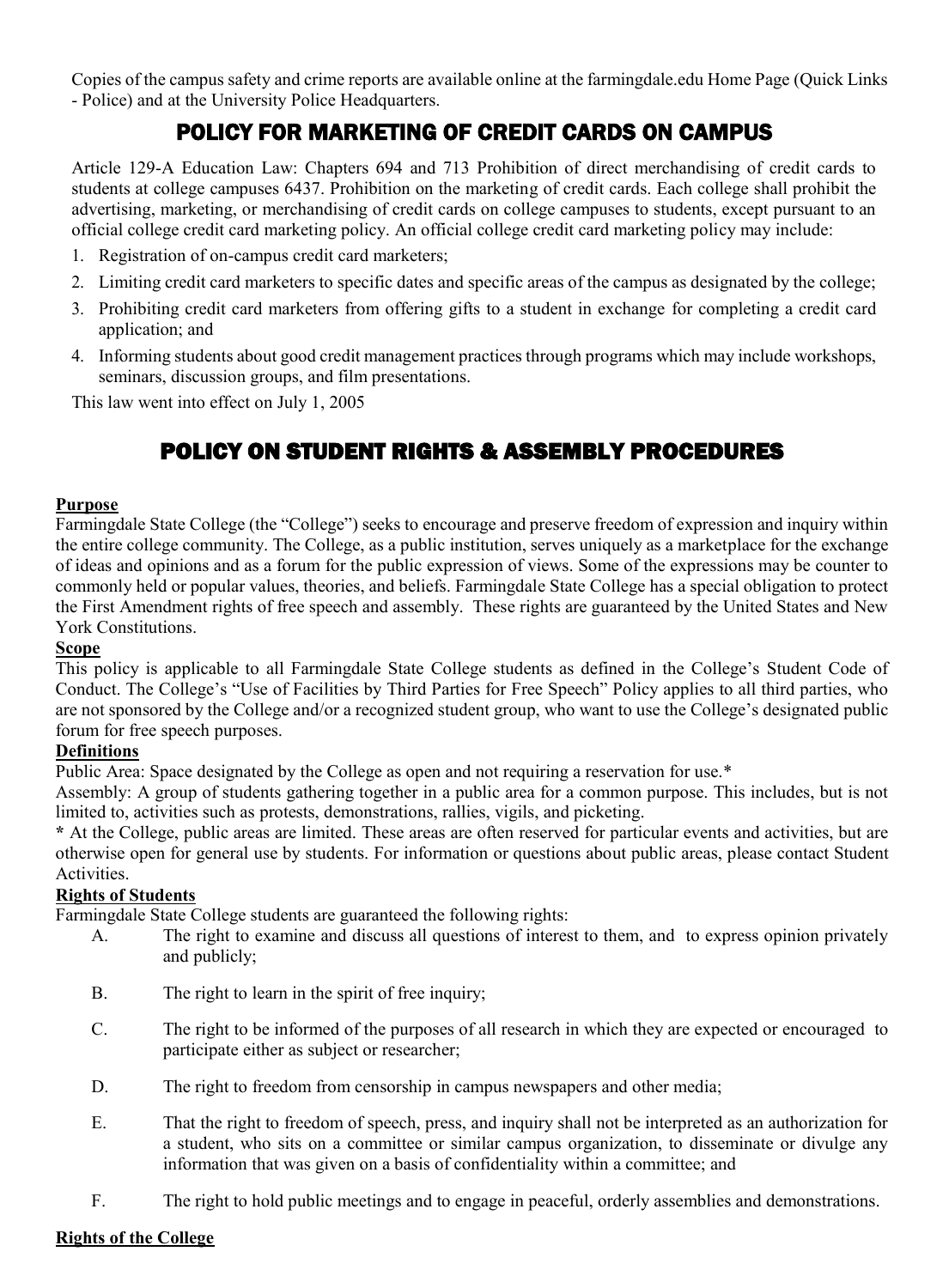Copies of the campus safety and crime reports are available online at the farmingdale.edu Home Page (Quick Links - Police) and at the University Police Headquarters.

## POLICY FOR MARKETING OF CREDIT CARDS ON CAMPUS

Article 129-A Education Law: Chapters 694 and 713 Prohibition of direct merchandising of credit cards to students at college campuses 6437. Prohibition on the marketing of credit cards. Each college shall prohibit the advertising, marketing, or merchandising of credit cards on college campuses to students, except pursuant to an official college credit card marketing policy. An official college credit card marketing policy may include:

- 1. Registration of on-campus credit card marketers;
- 2. Limiting credit card marketers to specific dates and specific areas of the campus as designated by the college;
- 3. Prohibiting credit card marketers from offering gifts to a student in exchange for completing a credit card application; and
- 4. Informing students about good credit management practices through programs which may include workshops, seminars, discussion groups, and film presentations.

This law went into effect on July 1, 2005

## POLICY ON STUDENT RIGHTS & ASSEMBLY PROCEDURES

#### **Purpose**

Farmingdale State College (the "College") seeks to encourage and preserve freedom of expression and inquiry within the entire college community. The College, as a public institution, serves uniquely as a marketplace for the exchange of ideas and opinions and as a forum for the public expression of views. Some of the expressions may be counter to commonly held or popular values, theories, and beliefs. Farmingdale State College has a special obligation to protect the First Amendment rights of free speech and assembly. These rights are guaranteed by the United States and New York Constitutions.

#### **Scope**

This policy is applicable to all Farmingdale State College students as defined in the College's Student Code of Conduct. The College's "Use of Facilities by Third Parties for Free Speech" Policy applies to all third parties, who are not sponsored by the College and/or a recognized student group, who want to use the College's designated public forum for free speech purposes.

#### **Definitions**

Public Area: Space designated by the College as open and not requiring a reservation for use.\*

Assembly: A group of students gathering together in a public area for a common purpose. This includes, but is not limited to, activities such as protests, demonstrations, rallies, vigils, and picketing.

**\*** At the College, public areas are limited. These areas are often reserved for particular events and activities, but are otherwise open for general use by students. For information or questions about public areas, please contact Student **Activities** 

#### **Rights of Students**

Farmingdale State College students are guaranteed the following rights:

- A. The right to examine and discuss all questions of interest to them, and to express opinion privately and publicly;
- B. The right to learn in the spirit of free inquiry;
- C. The right to be informed of the purposes of all research in which they are expected or encouraged to participate either as subject or researcher;
- D. The right to freedom from censorship in campus newspapers and other media;
- E. That the right to freedom of speech, press, and inquiry shall not be interpreted as an authorization for a student, who sits on a committee or similar campus organization, to disseminate or divulge any information that was given on a basis of confidentiality within a committee; and
- F. The right to hold public meetings and to engage in peaceful, orderly assemblies and demonstrations.

#### **Rights of the College**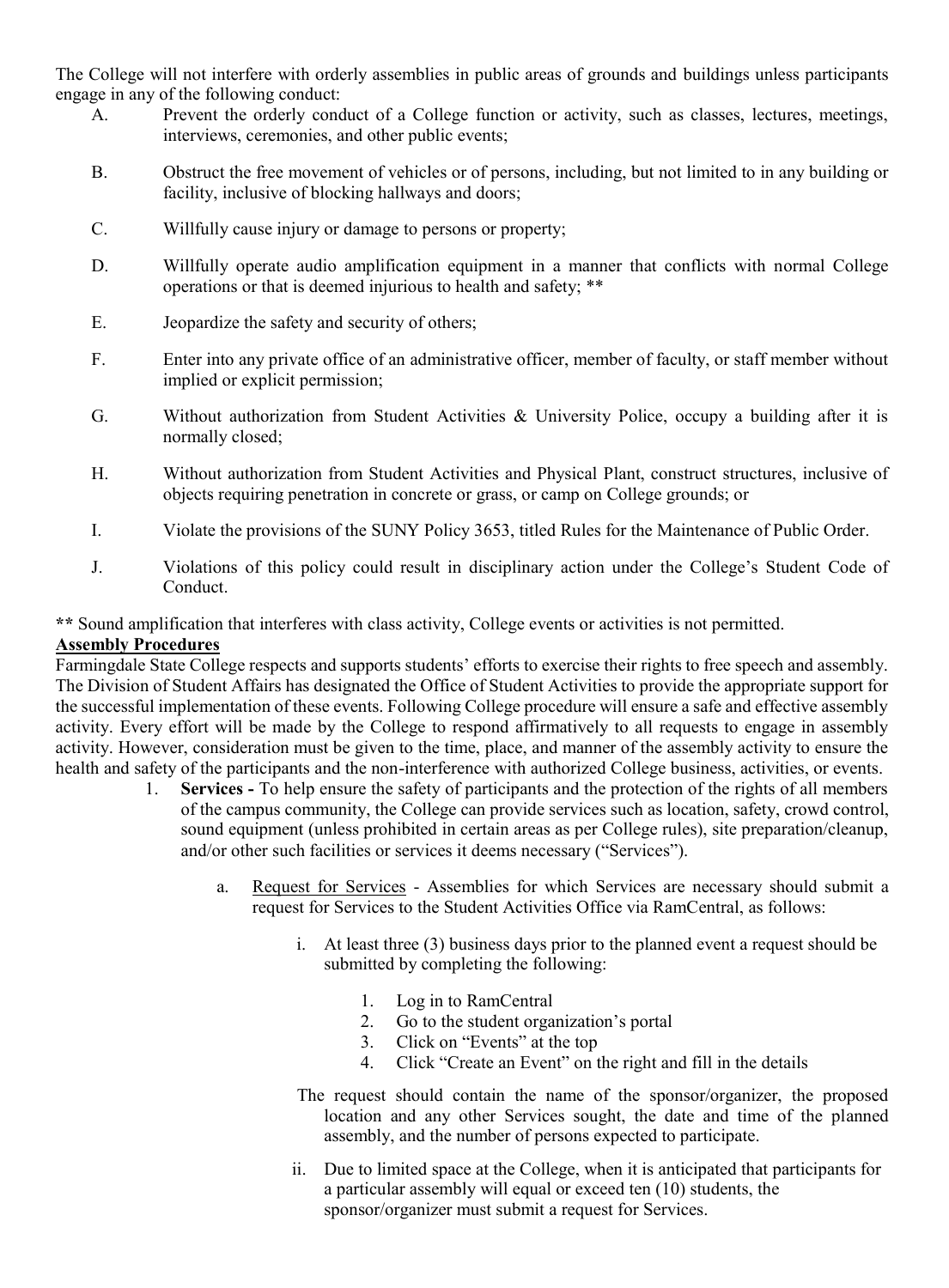The College will not interfere with orderly assemblies in public areas of grounds and buildings unless participants engage in any of the following conduct:

- A. Prevent the orderly conduct of a College function or activity, such as classes, lectures, meetings, interviews, ceremonies, and other public events;
- B. Obstruct the free movement of vehicles or of persons, including, but not limited to in any building or facility, inclusive of blocking hallways and doors;
- C. Willfully cause injury or damage to persons or property;
- D. Willfully operate audio amplification equipment in a manner that conflicts with normal College operations or that is deemed injurious to health and safety; \*\*
- E. Jeopardize the safety and security of others;
- F. Enter into any private office of an administrative officer, member of faculty, or staff member without implied or explicit permission;
- G. Without authorization from Student Activities & University Police, occupy a building after it is normally closed;
- H. Without authorization from Student Activities and Physical Plant, construct structures, inclusive of objects requiring penetration in concrete or grass, or camp on College grounds; or
- I. Violate the provisions of the SUNY Policy 3653, titled Rules for the Maintenance of Public Order.
- J. Violations of this policy could result in disciplinary action under the College's Student Code of Conduct.

**\*\*** Sound amplification that interferes with class activity, College events or activities is not permitted.

#### **Assembly Procedures**

Farmingdale State College respects and supports students' efforts to exercise their rights to free speech and assembly. The Division of Student Affairs has designated the Office of Student Activities to provide the appropriate support for the successful implementation of these events. Following College procedure will ensure a safe and effective assembly activity. Every effort will be made by the College to respond affirmatively to all requests to engage in assembly activity. However, consideration must be given to the time, place, and manner of the assembly activity to ensure the health and safety of the participants and the non-interference with authorized College business, activities, or events.

- 1. **Services -** To help ensure the safety of participants and the protection of the rights of all members of the campus community, the College can provide services such as location, safety, crowd control, sound equipment (unless prohibited in certain areas as per College rules), site preparation/cleanup, and/or other such facilities or services it deems necessary ("Services").
	- a. Request for Services Assemblies for which Services are necessary should submit a request for Services to the Student Activities Office via RamCentral, as follows:
		- i. At least three (3) business days prior to the planned event a request should be submitted by completing the following:
			- 1. Log in to RamCentral
			- 2. Go to the student organization's portal
			- 3. Click on "Events" at the top
			- 4. Click "Create an Event" on the right and fill in the details
		- The request should contain the name of the sponsor/organizer, the proposed location and any other Services sought, the date and time of the planned assembly, and the number of persons expected to participate.
		- ii. Due to limited space at the College, when it is anticipated that participants for a particular assembly will equal or exceed ten (10) students, the sponsor/organizer must submit a request for Services.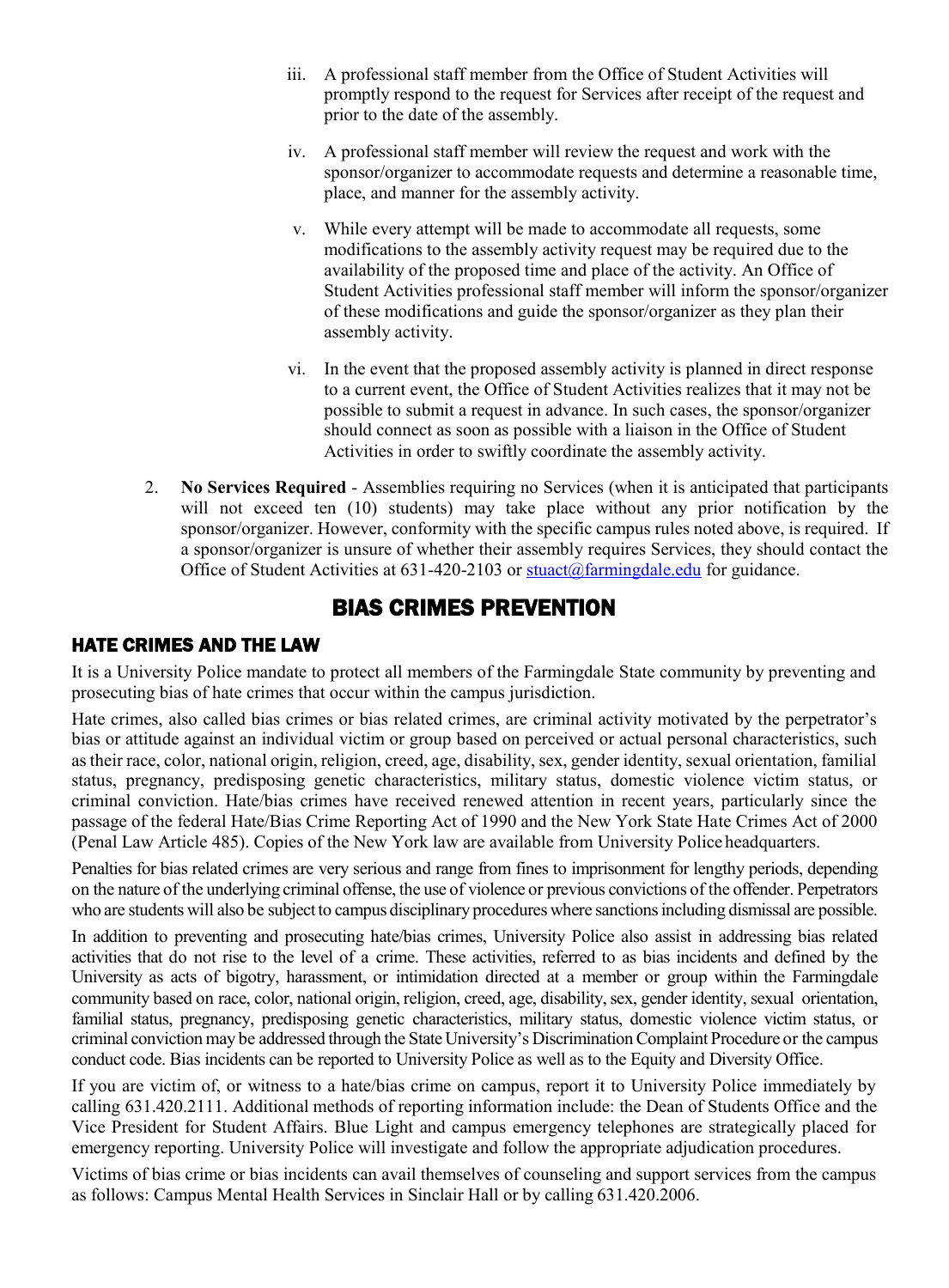- iii. A professional staff member from the Office of Student Activities will promptly respond to the request for Services after receipt of the request and prior to the date of the assembly.
- iv. A professional staff member will review the request and work with the sponsor/organizer to accommodate requests and determine a reasonable time, place, and manner for the assembly activity.
- v. While every attempt will be made to accommodate all requests, some modifications to the assembly activity request may be required due to the availability of the proposed time and place of the activity. An Office of Student Activities professional staff member will inform the sponsor/organizer of these modifications and guide the sponsor/organizer as they plan their assembly activity.
- vi. In the event that the proposed assembly activity is planned in direct response to a current event, the Office of Student Activities realizes that it may not be possible to submit a request in advance. In such cases, the sponsor/organizer should connect as soon as possible with a liaison in the Office of Student Activities in order to swiftly coordinate the assembly activity.
- 2. **No Services Required** Assemblies requiring no Services (when it is anticipated that participants will not exceed ten (10) students) may take place without any prior notification by the sponsor/organizer. However, conformity with the specific campus rules noted above, is required. If a sponsor/organizer is unsure of whether their assembly requires Services, they should contact the Office of Student Activities at  $631-420-2103$  o[r stuact@farmingdale.edu](mailto:stuact@farmingdale.edu) for guidance.

## BIAS CRIMES PREVENTION

### HATE CRIMES AND THE LAW

It is a University Police mandate to protect all members of the Farmingdale State community by preventing and prosecuting bias of hate crimes that occur within the campus jurisdiction.

Hate crimes, also called bias crimes or bias related crimes, are criminal activity motivated by the perpetrator's bias or attitude against an individual victim or group based on perceived or actual personal characteristics, such as their race, color, national origin, religion, creed, age, disability, sex, gender identity, sexual orientation, familial status, pregnancy, predisposing genetic characteristics, military status, domestic violence victim status, or criminal conviction. Hate/bias crimes have received renewed attention in recent years, particularly since the passage of the federal Hate/Bias Crime Reporting Act of 1990 and the New York State Hate Crimes Act of 2000 (Penal Law Article 485). Copies of the New York law are available from University Police headquarters.

Penalties for bias related crimes are very serious and range from fines to imprisonment for lengthy periods, depending on the nature of the underlying criminal offense, the use of violence or previous convictions of the offender. Perpetrators who are students will also be subject to campus disciplinary procedures where sanctions including dismissal are possible.

In addition to preventing and prosecuting hate/bias crimes, University Police also assist in addressing bias related activities that do not rise to the level of a crime. These activities, referred to as bias incidents and defined by the University as acts of bigotry, harassment, or intimidation directed at a member or group within the Farmingdale community based on race, color, national origin, religion, creed, age, disability, sex, gender identity, sexual orientation, familial status, pregnancy, predisposing genetic characteristics, military status, domestic violence victim status, or criminal conviction may be addressed through the State University's Discrimination Complaint Procedure or the campus conduct code. Bias incidents can be reported to University Police as well as to the Equity and Diversity Office.

If you are victim of, or witness to a hate/bias crime on campus, report it to University Police immediately by calling 631.420.2111. Additional methods of reporting information include: the Dean of Students Office and the Vice President for Student Affairs. Blue Light and campus emergency telephones are strategically placed for emergency reporting. University Police will investigate and follow the appropriate adjudication procedures.

Victims of bias crime or bias incidents can avail themselves of counseling and support services from the campus as follows: Campus Mental Health Services in Sinclair Hall or by calling 631.420.2006.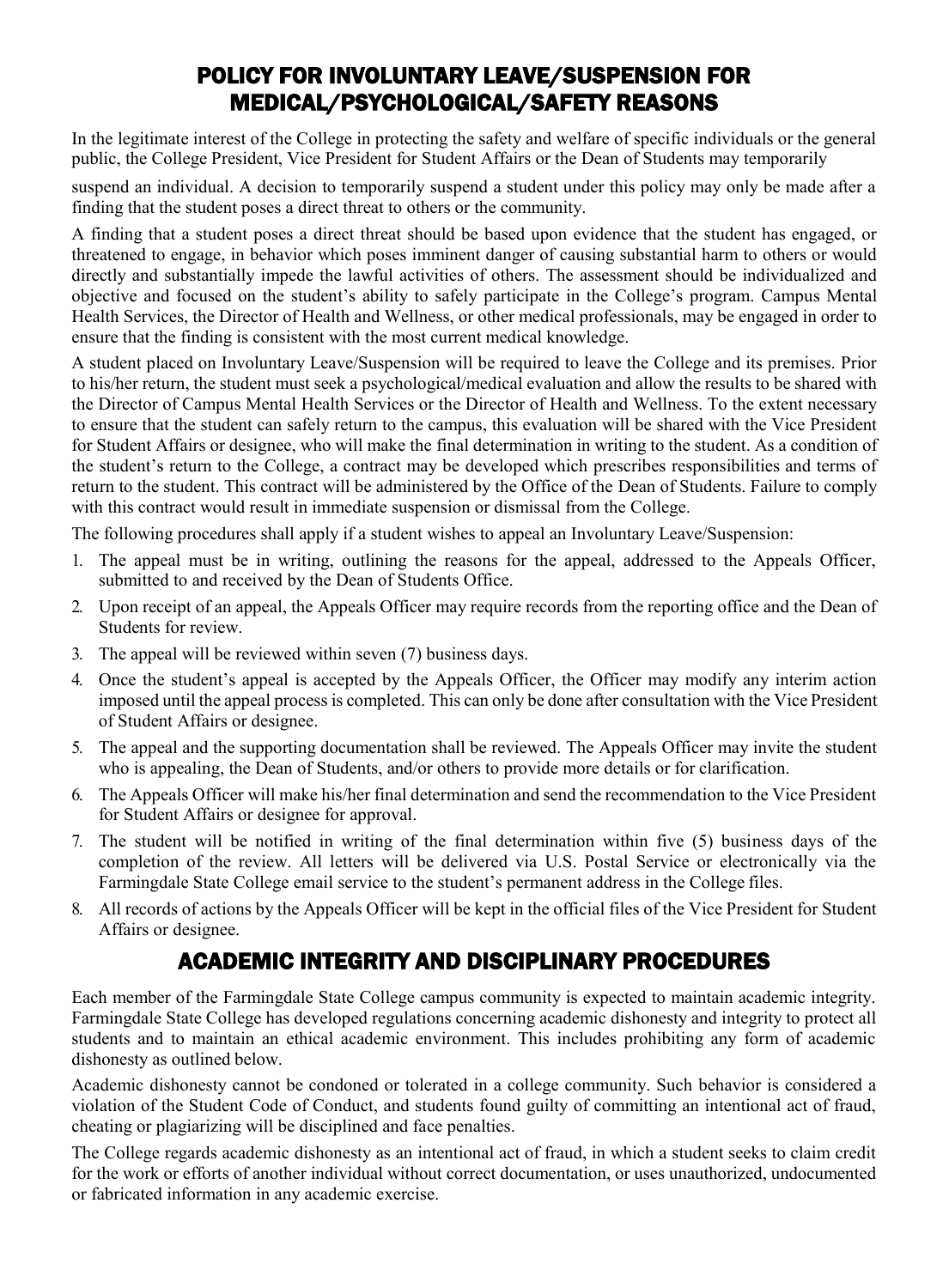## POLICY FOR INVOLUNTARY LEAVE/SUSPENSION FOR MEDICAL/PSYCHOLOGICAL/SAFETY REASONS

In the legitimate interest of the College in protecting the safety and welfare of specific individuals or the general public, the College President, Vice President for Student Affairs or the Dean of Students may temporarily

suspend an individual. A decision to temporarily suspend a student under this policy may only be made after a finding that the student poses a direct threat to others or the community.

A finding that a student poses a direct threat should be based upon evidence that the student has engaged, or threatened to engage, in behavior which poses imminent danger of causing substantial harm to others or would directly and substantially impede the lawful activities of others. The assessment should be individualized and objective and focused on the student's ability to safely participate in the College's program. Campus Mental Health Services, the Director of Health and Wellness, or other medical professionals, may be engaged in order to ensure that the finding is consistent with the most current medical knowledge.

A student placed on Involuntary Leave/Suspension will be required to leave the College and its premises. Prior to his/her return, the student must seek a psychological/medical evaluation and allow the results to be shared with the Director of Campus Mental Health Services or the Director of Health and Wellness. To the extent necessary to ensure that the student can safely return to the campus, this evaluation will be shared with the Vice President for Student Affairs or designee, who will make the final determination in writing to the student. As a condition of the student's return to the College, a contract may be developed which prescribes responsibilities and terms of return to the student. This contract will be administered by the Office of the Dean of Students. Failure to comply with this contract would result in immediate suspension or dismissal from the College.

The following procedures shall apply if a student wishes to appeal an Involuntary Leave/Suspension:

- 1. The appeal must be in writing, outlining the reasons for the appeal, addressed to the Appeals Officer, submitted to and received by the Dean of Students Office.
- 2. Upon receipt of an appeal, the Appeals Officer may require records from the reporting office and the Dean of Students for review.
- 3. The appeal will be reviewed within seven (7) business days.
- 4. Once the student's appeal is accepted by the Appeals Officer, the Officer may modify any interim action imposed until the appeal process is completed. This can only be done after consultation with the Vice President of Student Affairs or designee.
- 5. The appeal and the supporting documentation shall be reviewed. The Appeals Officer may invite the student who is appealing, the Dean of Students, and/or others to provide more details or for clarification.
- 6. The Appeals Officer will make his/her final determination and send the recommendation to the Vice President for Student Affairs or designee for approval.
- 7. The student will be notified in writing of the final determination within five (5) business days of the completion of the review. All letters will be delivered via U.S. Postal Service or electronically via the Farmingdale State College email service to the student's permanent address in the College files.
- 8. All records of actions by the Appeals Officer will be kept in the official files of the Vice President for Student Affairs or designee.

## ACADEMIC INTEGRITY AND DISCIPLINARY PROCEDURES

Each member of the Farmingdale State College campus community is expected to maintain academic integrity. Farmingdale State College has developed regulations concerning academic dishonesty and integrity to protect all students and to maintain an ethical academic environment. This includes prohibiting any form of academic dishonesty as outlined below.

Academic dishonesty cannot be condoned or tolerated in a college community. Such behavior is considered a violation of the Student Code of Conduct, and students found guilty of committing an intentional act of fraud, cheating or plagiarizing will be disciplined and face penalties.

The College regards academic dishonesty as an intentional act of fraud, in which a student seeks to claim credit for the work or efforts of another individual without correct documentation, or uses unauthorized, undocumented or fabricated information in any academic exercise.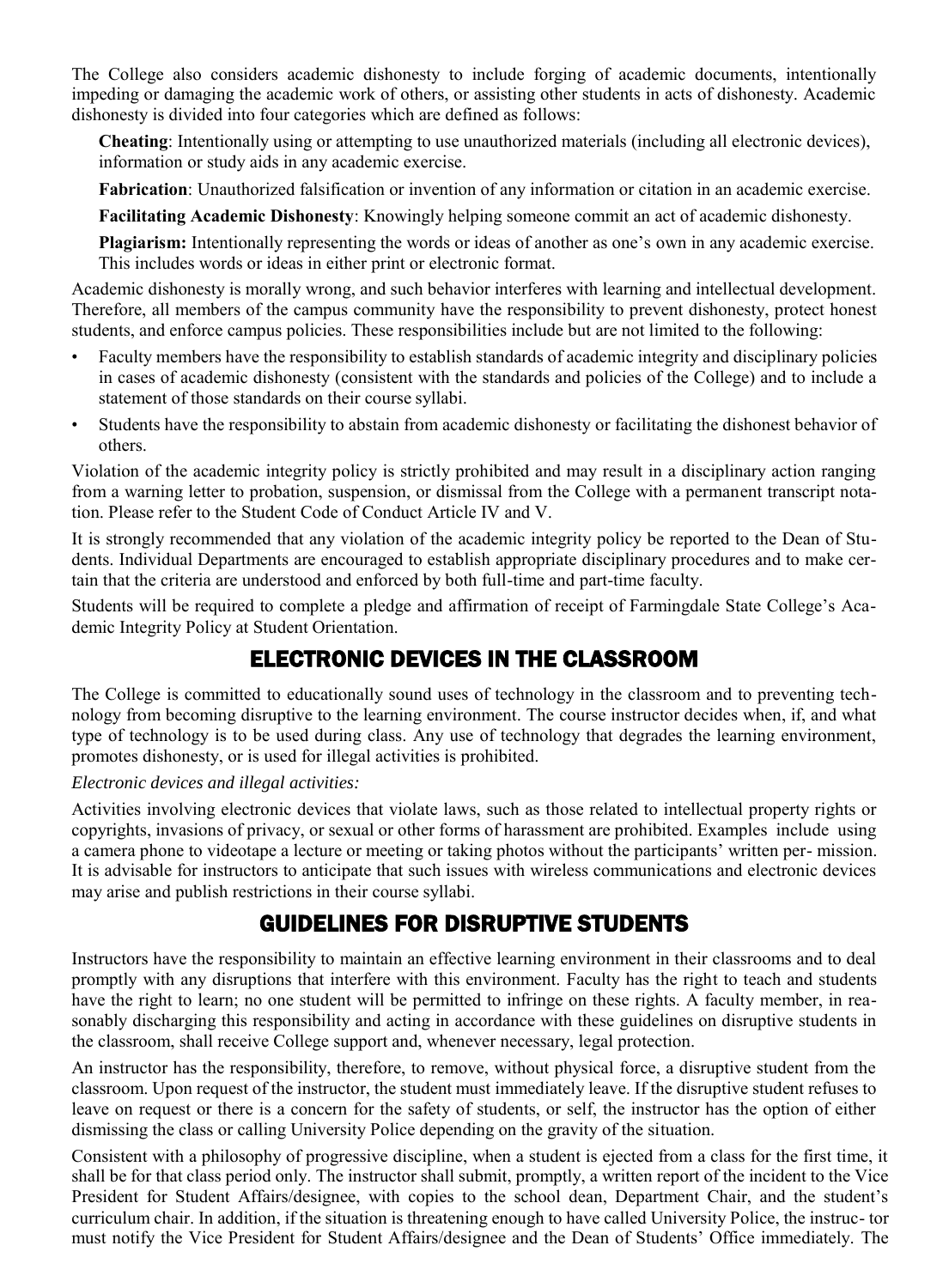The College also considers academic dishonesty to include forging of academic documents, intentionally impeding or damaging the academic work of others, or assisting other students in acts of dishonesty. Academic dishonesty is divided into four categories which are defined as follows:

**Cheating**: Intentionally using or attempting to use unauthorized materials (including all electronic devices), information or study aids in any academic exercise.

**Fabrication**: Unauthorized falsification or invention of any information or citation in an academic exercise.

**Facilitating Academic Dishonesty**: Knowingly helping someone commit an act of academic dishonesty.

**Plagiarism:** Intentionally representing the words or ideas of another as one's own in any academic exercise. This includes words or ideas in either print or electronic format.

Academic dishonesty is morally wrong, and such behavior interferes with learning and intellectual development. Therefore, all members of the campus community have the responsibility to prevent dishonesty, protect honest students, and enforce campus policies. These responsibilities include but are not limited to the following:

- Faculty members have the responsibility to establish standards of academic integrity and disciplinary policies in cases of academic dishonesty (consistent with the standards and policies of the College) and to include a statement of those standards on their course syllabi.
- Students have the responsibility to abstain from academic dishonesty or facilitating the dishonest behavior of others.

Violation of the academic integrity policy is strictly prohibited and may result in a disciplinary action ranging from a warning letter to probation, suspension, or dismissal from the College with a permanent transcript notation. Please refer to the Student Code of Conduct Article IV and V.

It is strongly recommended that any violation of the academic integrity policy be reported to the Dean of Students. Individual Departments are encouraged to establish appropriate disciplinary procedures and to make certain that the criteria are understood and enforced by both full-time and part-time faculty.

Students will be required to complete a pledge and affirmation of receipt of Farmingdale State College's Academic Integrity Policy at Student Orientation.

## ELECTRONIC DEVICES IN THE CLASSROOM

The College is committed to educationally sound uses of technology in the classroom and to preventing technology from becoming disruptive to the learning environment. The course instructor decides when, if, and what type of technology is to be used during class. Any use of technology that degrades the learning environment, promotes dishonesty, or is used for illegal activities is prohibited.

#### *Electronic devices and illegal activities:*

Activities involving electronic devices that violate laws, such as those related to intellectual property rights or copyrights, invasions of privacy, or sexual or other forms of harassment are prohibited. Examples include using a camera phone to videotape a lecture or meeting or taking photos without the participants' written per- mission. It is advisable for instructors to anticipate that such issues with wireless communications and electronic devices may arise and publish restrictions in their course syllabi.

## GUIDELINES FOR DISRUPTIVE STUDENTS

Instructors have the responsibility to maintain an effective learning environment in their classrooms and to deal promptly with any disruptions that interfere with this environment. Faculty has the right to teach and students have the right to learn; no one student will be permitted to infringe on these rights. A faculty member, in reasonably discharging this responsibility and acting in accordance with these guidelines on disruptive students in the classroom, shall receive College support and, whenever necessary, legal protection.

An instructor has the responsibility, therefore, to remove, without physical force, a disruptive student from the classroom. Upon request of the instructor, the student must immediately leave. If the disruptive student refuses to leave on request or there is a concern for the safety of students, or self, the instructor has the option of either dismissing the class or calling University Police depending on the gravity of the situation.

Consistent with a philosophy of progressive discipline, when a student is ejected from a class for the first time, it shall be for that class period only. The instructor shall submit, promptly, a written report of the incident to the Vice President for Student Affairs/designee, with copies to the school dean, Department Chair, and the student's curriculum chair. In addition, if the situation is threatening enough to have called University Police, the instruc- tor must notify the Vice President for Student Affairs/designee and the Dean of Students' Office immediately. The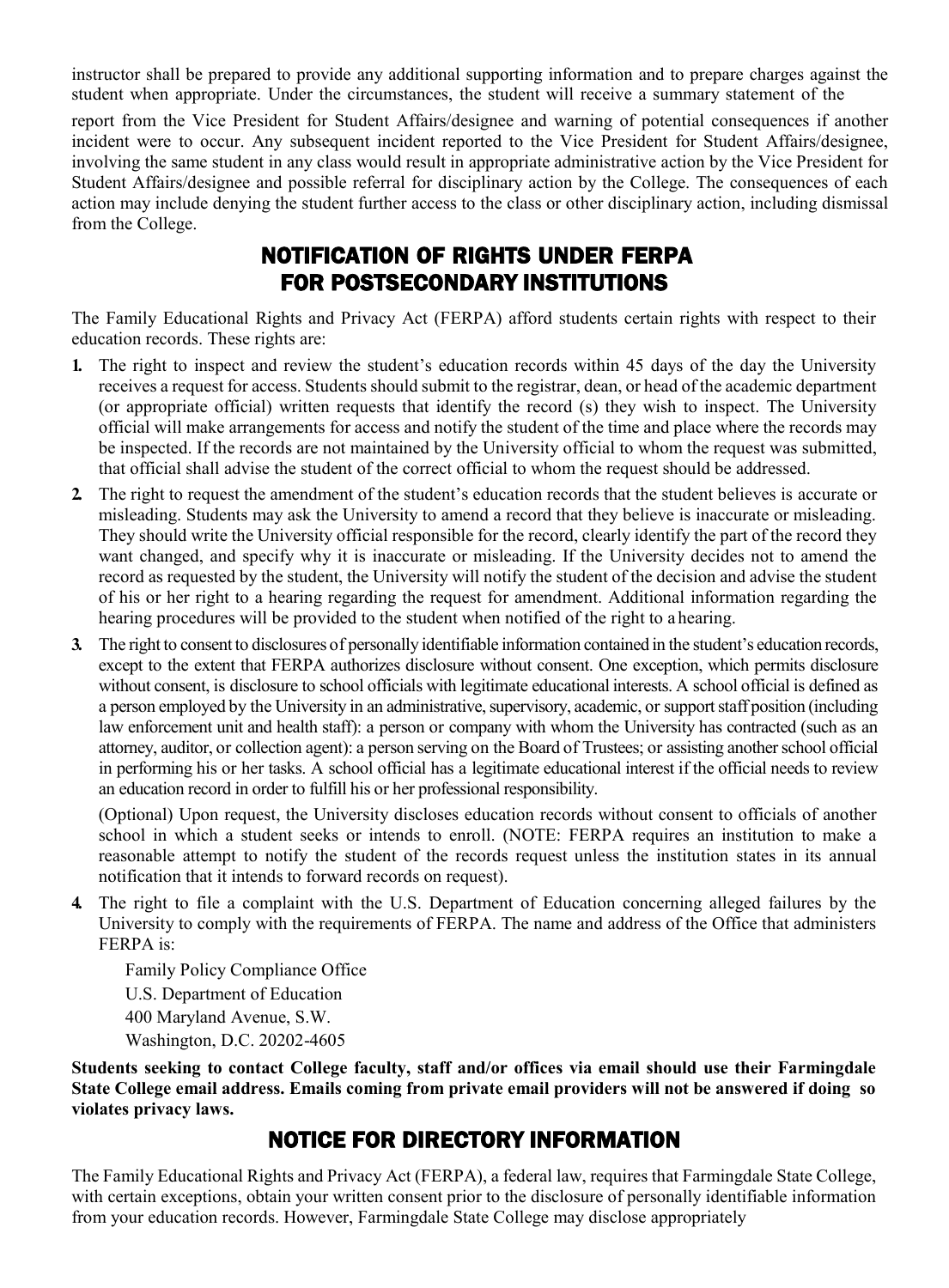instructor shall be prepared to provide any additional supporting information and to prepare charges against the student when appropriate. Under the circumstances, the student will receive a summary statement of the

report from the Vice President for Student Affairs/designee and warning of potential consequences if another incident were to occur. Any subsequent incident reported to the Vice President for Student Affairs/designee, involving the same student in any class would result in appropriate administrative action by the Vice President for Student Affairs/designee and possible referral for disciplinary action by the College. The consequences of each action may include denying the student further access to the class or other disciplinary action, including dismissal from the College.

## NOTIFICATION OF RIGHTS UNDER FERPA FOR POSTSECONDARY INSTITUTIONS

The Family Educational Rights and Privacy Act (FERPA) afford students certain rights with respect to their education records. These rights are:

- **1.** The right to inspect and review the student's education records within 45 days of the day the University receives a request for access. Students should submit to the registrar, dean, or head of the academic department (or appropriate official) written requests that identify the record (s) they wish to inspect. The University official will make arrangements for access and notify the student of the time and place where the records may be inspected. If the records are not maintained by the University official to whom the request was submitted, that official shall advise the student of the correct official to whom the request should be addressed.
- **2.** The right to request the amendment of the student's education records that the student believes is accurate or misleading. Students may ask the University to amend a record that they believe is inaccurate or misleading. They should write the University official responsible for the record, clearly identify the part of the record they want changed, and specify why it is inaccurate or misleading. If the University decides not to amend the record as requested by the student, the University will notify the student of the decision and advise the student of his or her right to a hearing regarding the request for amendment. Additional information regarding the hearing procedures will be provided to the student when notified of the right to a hearing.
- **3.** The right to consent to disclosures of personally identifiable information contained in the student's education records, except to the extent that FERPA authorizes disclosure without consent. One exception, which permits disclosure without consent, is disclosure to school officials with legitimate educational interests. A school official is defined as a person employed by the University in an administrative, supervisory, academic, or support staff position (including law enforcement unit and health staff): a person or company with whom the University has contracted (such as an attorney, auditor, or collection agent): a person serving on the Board of Trustees; or assisting another school official in performing his or her tasks. A school official has a legitimate educational interest if the official needs to review an education record in order to fulfill his or her professional responsibility.

(Optional) Upon request, the University discloses education records without consent to officials of another school in which a student seeks or intends to enroll. (NOTE: FERPA requires an institution to make a reasonable attempt to notify the student of the records request unless the institution states in its annual notification that it intends to forward records on request).

**4.** The right to file a complaint with the U.S. Department of Education concerning alleged failures by the University to comply with the requirements of FERPA. The name and address of the Office that administers FERPA is:

Family Policy Compliance Office U.S. Department of Education 400 Maryland Avenue, S.W. Washington, D.C. 20202-4605

**Students seeking to contact College faculty, staff and/or offices via email should use their Farmingdale State College email address. Emails coming from private email providers will not be answered if doing so violates privacy laws.**

## NOTICE FOR DIRECTORY INFORMATION

The Family Educational Rights and Privacy Act (FERPA), a federal law, requires that Farmingdale State College, with certain exceptions, obtain your written consent prior to the disclosure of personally identifiable information from your education records. However, Farmingdale State College may disclose appropriately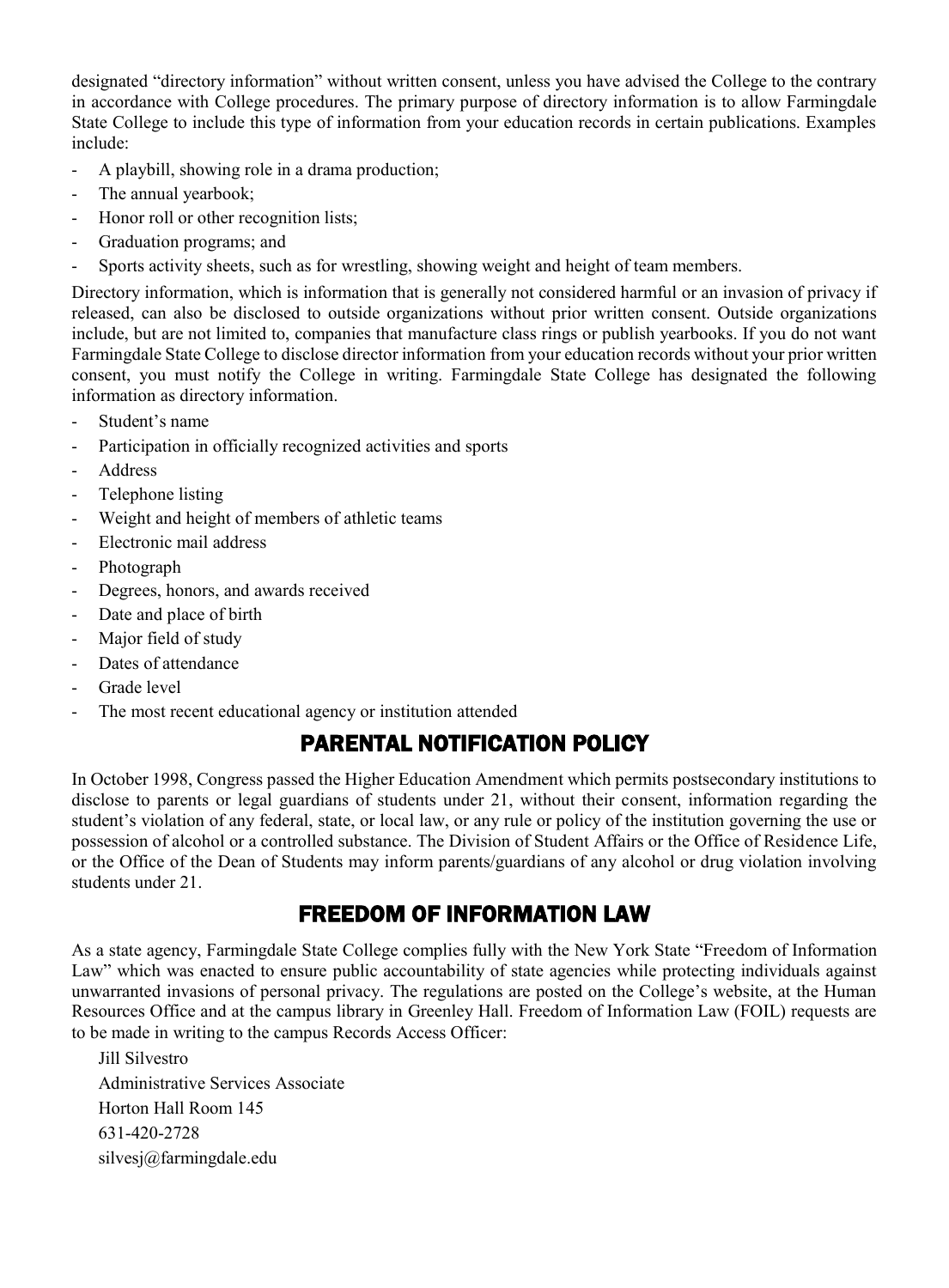designated "directory information" without written consent, unless you have advised the College to the contrary in accordance with College procedures. The primary purpose of directory information is to allow Farmingdale State College to include this type of information from your education records in certain publications. Examples include:

- A playbill, showing role in a drama production;
- The annual yearbook;
- Honor roll or other recognition lists;
- Graduation programs; and
- Sports activity sheets, such as for wrestling, showing weight and height of team members.

Directory information, which is information that is generally not considered harmful or an invasion of privacy if released, can also be disclosed to outside organizations without prior written consent. Outside organizations include, but are not limited to, companies that manufacture class rings or publish yearbooks. If you do not want Farmingdale State College to disclose director information from your education records without your prior written consent, you must notify the College in writing. Farmingdale State College has designated the following information as directory information.

- Student's name
- Participation in officially recognized activities and sports
- **Address**
- Telephone listing
- Weight and height of members of athletic teams
- Electronic mail address
- Photograph
- Degrees, honors, and awards received
- Date and place of birth
- Major field of study
- Dates of attendance
- Grade level
- The most recent educational agency or institution attended

## PARENTAL NOTIFICATION POLICY

In October 1998, Congress passed the Higher Education Amendment which permits postsecondary institutions to disclose to parents or legal guardians of students under 21, without their consent, information regarding the student's violation of any federal, state, or local law, or any rule or policy of the institution governing the use or possession of alcohol or a controlled substance. The Division of Student Affairs or the Office of Residence Life, or the Office of the Dean of Students may inform parents/guardians of any alcohol or drug violation involving students under 21.

## FREEDOM OF INFORMATION LAW

As a state agency, Farmingdale State College complies fully with the New York State "Freedom of Information Law" which was enacted to ensure public accountability of state agencies while protecting individuals against unwarranted invasions of personal privacy. The regulations are posted on the College's website, at the Human Resources Office and at the campus library in Greenley Hall. Freedom of Information Law (FOIL) requests are to be made in writing to the campus Records Access Officer:

Jill Silvestro Administrative Services Associate Horton Hall Room 145 631-420-2728 [silvesj@farmingdale.edu](mailto:silvesj@farmingdale.edu)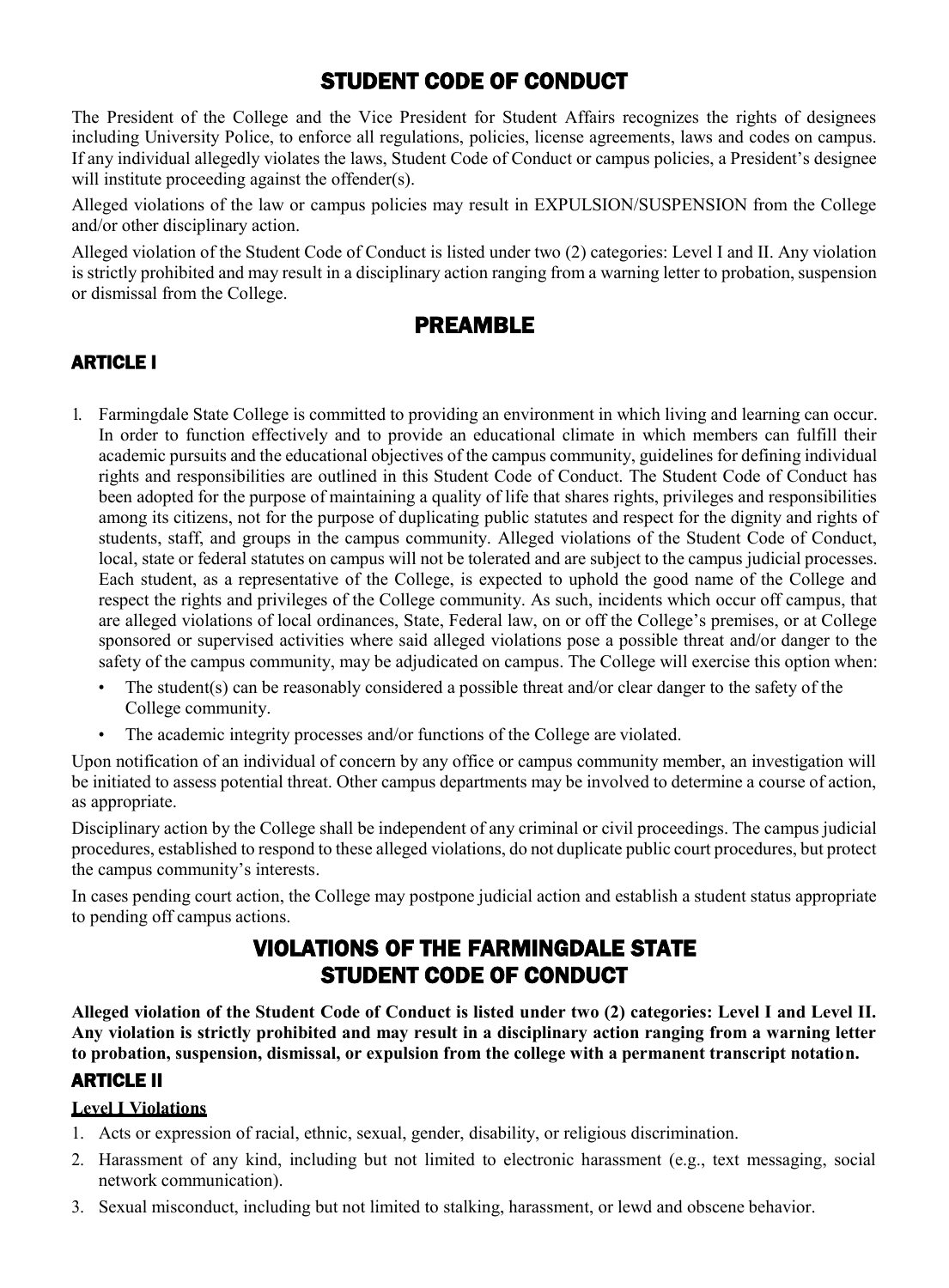## STUDENT CODE OF CONDUCT

The President of the College and the Vice President for Student Affairs recognizes the rights of designees including University Police, to enforce all regulations, policies, license agreements, laws and codes on campus. If any individual allegedly violates the laws, Student Code of Conduct or campus policies, a President's designee will institute proceeding against the offender(s).

Alleged violations of the law or campus policies may result in EXPULSION/SUSPENSION from the College and/or other disciplinary action.

Alleged violation of the Student Code of Conduct is listed under two (2) categories: Level I and II. Any violation is strictly prohibited and may result in a disciplinary action ranging from a warning letter to probation, suspension or dismissal from the College.

## PREAMBLE

### ARTICLE I

- 1. Farmingdale State College is committed to providing an environment in which living and learning can occur. In order to function effectively and to provide an educational climate in which members can fulfill their academic pursuits and the educational objectives of the campus community, guidelines for defining individual rights and responsibilities are outlined in this Student Code of Conduct. The Student Code of Conduct has been adopted for the purpose of maintaining a quality of life that shares rights, privileges and responsibilities among its citizens, not for the purpose of duplicating public statutes and respect for the dignity and rights of students, staff, and groups in the campus community. Alleged violations of the Student Code of Conduct, local, state or federal statutes on campus will not be tolerated and are subject to the campus judicial processes. Each student, as a representative of the College, is expected to uphold the good name of the College and respect the rights and privileges of the College community. As such, incidents which occur off campus, that are alleged violations of local ordinances, State, Federal law, on or off the College's premises, or at College sponsored or supervised activities where said alleged violations pose a possible threat and/or danger to the safety of the campus community, may be adjudicated on campus. The College will exercise this option when:
	- The student(s) can be reasonably considered a possible threat and/or clear danger to the safety of the College community.
	- The academic integrity processes and/or functions of the College are violated.

Upon notification of an individual of concern by any office or campus community member, an investigation will be initiated to assess potential threat. Other campus departments may be involved to determine a course of action, as appropriate.

Disciplinary action by the College shall be independent of any criminal or civil proceedings. The campus judicial procedures, established to respond to these alleged violations, do not duplicate public court procedures, but protect the campus community's interests.

In cases pending court action, the College may postpone judicial action and establish a student status appropriate to pending off campus actions.

## VIOLATIONS OF THE FARMINGDALE STATE STUDENT CODE OF CONDUCT

**Alleged violation of the Student Code of Conduct is listed under two (2) categories: Level I and Level II. Any violation is strictly prohibited and may result in a disciplinary action ranging from a warning letter to probation, suspension, dismissal, or expulsion from the college with a permanent transcript notation.** ARTICLE II

#### **Level I Violations**

- 1. Acts or expression of racial, ethnic, sexual, gender, disability, or religious discrimination.
- 2. Harassment of any kind, including but not limited to electronic harassment (e.g., text messaging, social network communication).
- 3. Sexual misconduct, including but not limited to stalking, harassment, or lewd and obscene behavior.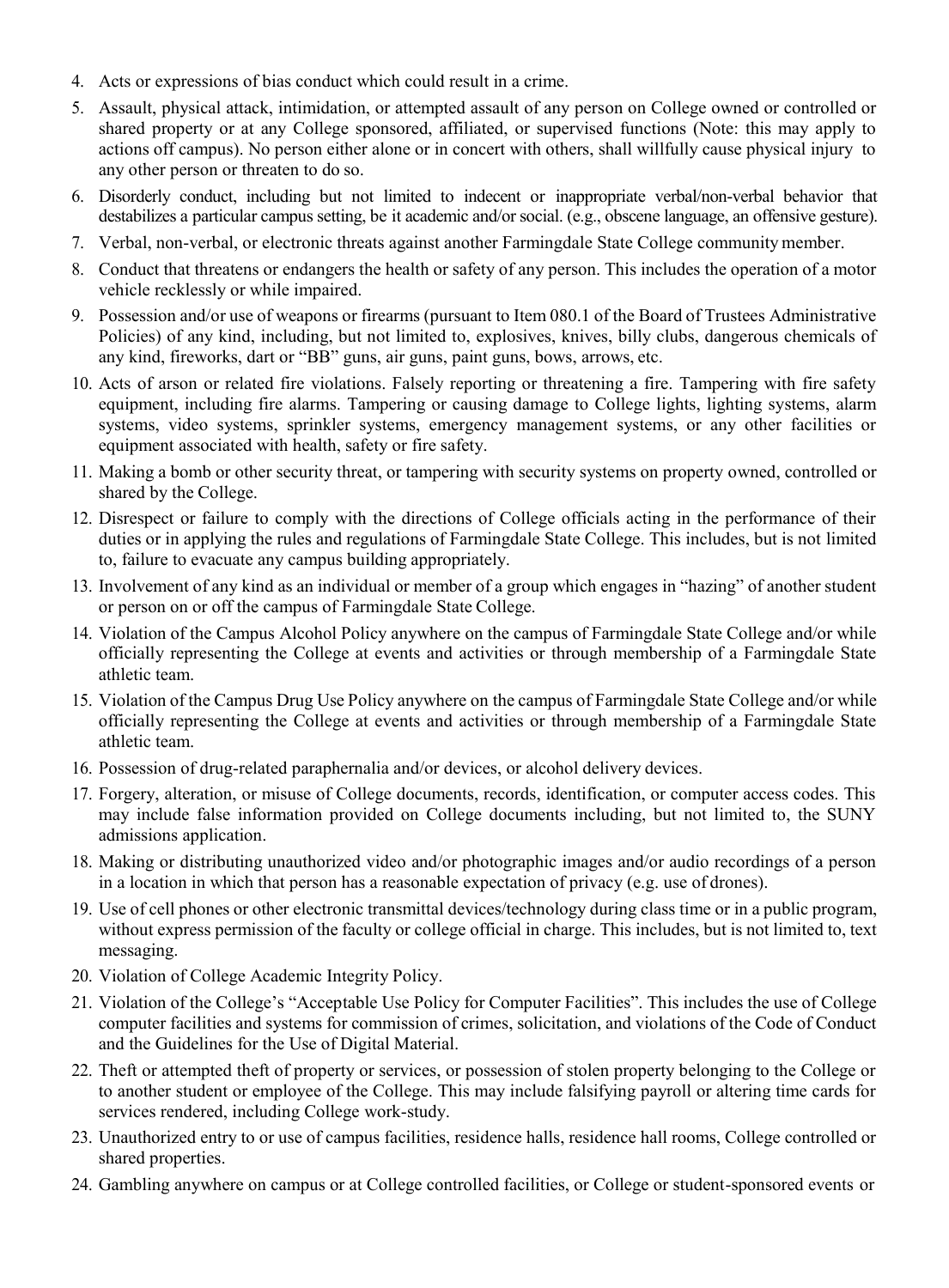- 4. Acts or expressions of bias conduct which could result in a crime.
- 5. Assault, physical attack, intimidation, or attempted assault of any person on College owned or controlled or shared property or at any College sponsored, affiliated, or supervised functions (Note: this may apply to actions off campus). No person either alone or in concert with others, shall willfully cause physical injury to any other person or threaten to do so.
- 6. Disorderly conduct, including but not limited to indecent or inappropriate verbal/non-verbal behavior that destabilizes a particular campus setting, be it academic and/or social. (e.g., obscene language, an offensive gesture).
- 7. Verbal, non-verbal, or electronic threats against another Farmingdale State College community member.
- 8. Conduct that threatens or endangers the health or safety of any person. This includes the operation of a motor vehicle recklessly or while impaired.
- 9. Possession and/or use of weapons or firearms (pursuant to Item 080.1 of the Board of Trustees Administrative Policies) of any kind, including, but not limited to, explosives, knives, billy clubs, dangerous chemicals of any kind, fireworks, dart or "BB" guns, air guns, paint guns, bows, arrows, etc.
- 10. Acts of arson or related fire violations. Falsely reporting or threatening a fire. Tampering with fire safety equipment, including fire alarms. Tampering or causing damage to College lights, lighting systems, alarm systems, video systems, sprinkler systems, emergency management systems, or any other facilities or equipment associated with health, safety or fire safety.
- 11. Making a bomb or other security threat, or tampering with security systems on property owned, controlled or shared by the College.
- 12. Disrespect or failure to comply with the directions of College officials acting in the performance of their duties or in applying the rules and regulations of Farmingdale State College. This includes, but is not limited to, failure to evacuate any campus building appropriately.
- 13. Involvement of any kind as an individual or member of a group which engages in "hazing" of another student or person on or off the campus of Farmingdale State College.
- 14. Violation of the Campus Alcohol Policy anywhere on the campus of Farmingdale State College and/or while officially representing the College at events and activities or through membership of a Farmingdale State athletic team.
- 15. Violation of the Campus Drug Use Policy anywhere on the campus of Farmingdale State College and/or while officially representing the College at events and activities or through membership of a Farmingdale State athletic team.
- 16. Possession of drug-related paraphernalia and/or devices, or alcohol delivery devices.
- 17. Forgery, alteration, or misuse of College documents, records, identification, or computer access codes. This may include false information provided on College documents including, but not limited to, the SUNY admissions application.
- 18. Making or distributing unauthorized video and/or photographic images and/or audio recordings of a person in a location in which that person has a reasonable expectation of privacy (e.g. use of drones).
- 19. Use of cell phones or other electronic transmittal devices/technology during class time or in a public program, without express permission of the faculty or college official in charge. This includes, but is not limited to, text messaging.
- 20. Violation of College Academic Integrity Policy.
- 21. Violation of the College's "Acceptable Use Policy for Computer Facilities". This includes the use of College computer facilities and systems for commission of crimes, solicitation, and violations of the Code of Conduct and the Guidelines for the Use of Digital Material.
- 22. Theft or attempted theft of property or services, or possession of stolen property belonging to the College or to another student or employee of the College. This may include falsifying payroll or altering time cards for services rendered, including College work-study.
- 23. Unauthorized entry to or use of campus facilities, residence halls, residence hall rooms, College controlled or shared properties.
- 24. Gambling anywhere on campus or at College controlled facilities, or College or student-sponsored events or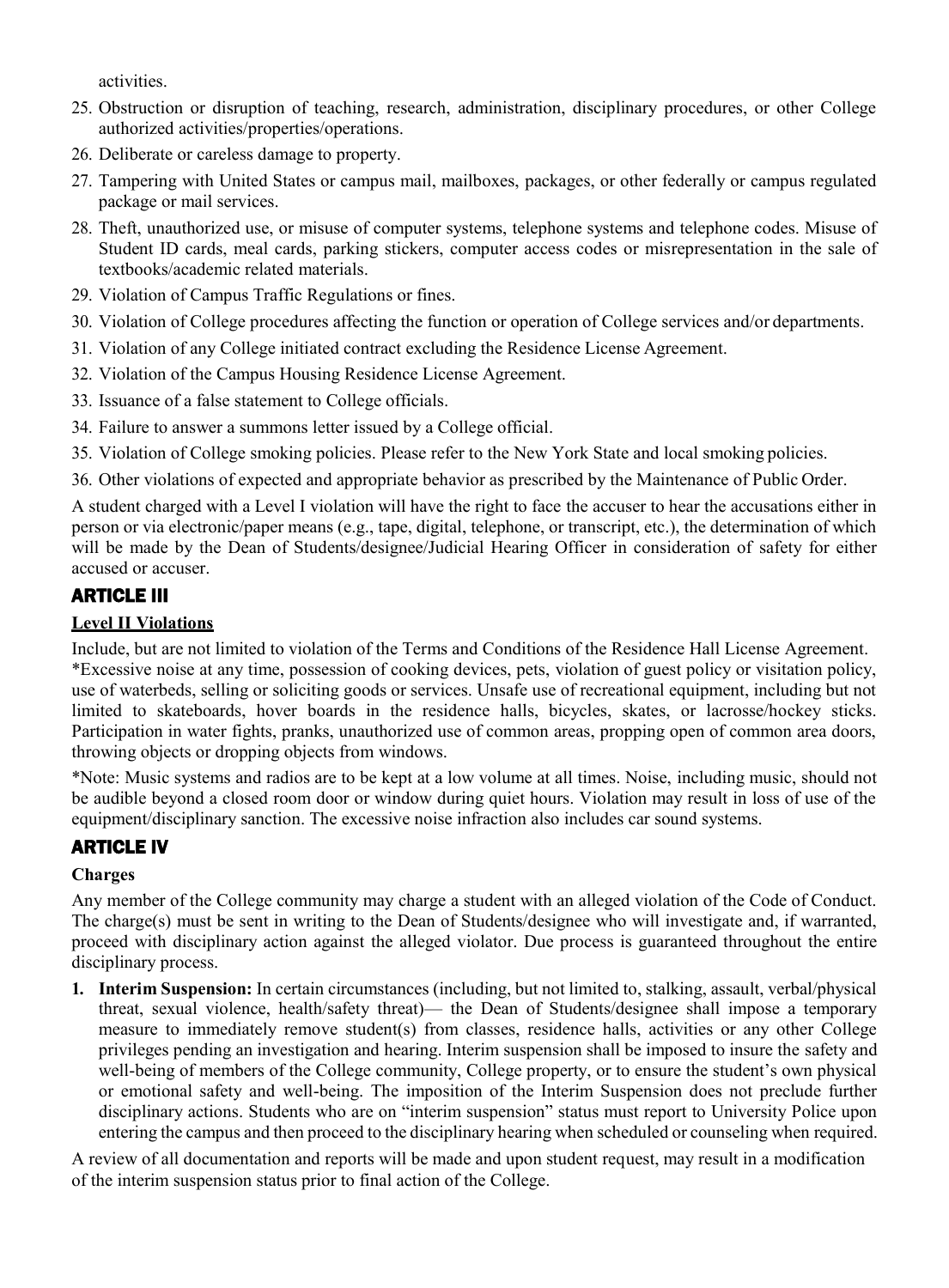activities.

- 25. Obstruction or disruption of teaching, research, administration, disciplinary procedures, or other College authorized activities/properties/operations.
- 26. Deliberate or careless damage to property.
- 27. Tampering with United States or campus mail, mailboxes, packages, or other federally or campus regulated package or mail services.
- 28. Theft, unauthorized use, or misuse of computer systems, telephone systems and telephone codes. Misuse of Student ID cards, meal cards, parking stickers, computer access codes or misrepresentation in the sale of textbooks/academic related materials.
- 29. Violation of Campus Traffic Regulations or fines.
- 30. Violation of College procedures affecting the function or operation of College services and/or departments.
- 31. Violation of any College initiated contract excluding the Residence License Agreement.
- 32. Violation of the Campus Housing Residence License Agreement.
- 33. Issuance of a false statement to College officials.
- 34. Failure to answer a summons letter issued by a College official.
- 35. Violation of College smoking policies. Please refer to the New York State and local smoking policies.
- 36. Other violations of expected and appropriate behavior as prescribed by the Maintenance of Public Order.

A student charged with a Level I violation will have the right to face the accuser to hear the accusations either in person or via electronic/paper means (e.g., tape, digital, telephone, or transcript, etc.), the determination of which will be made by the Dean of Students/designee/Judicial Hearing Officer in consideration of safety for either accused or accuser.

### ARTICLE III

#### **Level II Violations**

Include, but are not limited to violation of the Terms and Conditions of the Residence Hall License Agreement. \*Excessive noise at any time, possession of cooking devices, pets, violation of guest policy or visitation policy, use of waterbeds, selling or soliciting goods or services. Unsafe use of recreational equipment, including but not limited to skateboards, hover boards in the residence halls, bicycles, skates, or lacrosse/hockey sticks. Participation in water fights, pranks, unauthorized use of common areas, propping open of common area doors, throwing objects or dropping objects from windows.

\*Note: Music systems and radios are to be kept at a low volume at all times. Noise, including music, should not be audible beyond a closed room door or window during quiet hours. Violation may result in loss of use of the equipment/disciplinary sanction. The excessive noise infraction also includes car sound systems.

### ARTICLE IV

#### **Charges**

Any member of the College community may charge a student with an alleged violation of the Code of Conduct. The charge(s) must be sent in writing to the Dean of Students/designee who will investigate and, if warranted, proceed with disciplinary action against the alleged violator. Due process is guaranteed throughout the entire disciplinary process.

**1. Interim Suspension:** In certain circumstances (including, but not limited to, stalking, assault, verbal/physical threat, sexual violence, health/safety threat)— the Dean of Students/designee shall impose a temporary measure to immediately remove student(s) from classes, residence halls, activities or any other College privileges pending an investigation and hearing. Interim suspension shall be imposed to insure the safety and well-being of members of the College community, College property, or to ensure the student's own physical or emotional safety and well-being. The imposition of the Interim Suspension does not preclude further disciplinary actions. Students who are on "interim suspension" status must report to University Police upon entering the campus and then proceed to the disciplinary hearing when scheduled or counseling when required.

A review of all documentation and reports will be made and upon student request, may result in a modification of the interim suspension status prior to final action of the College.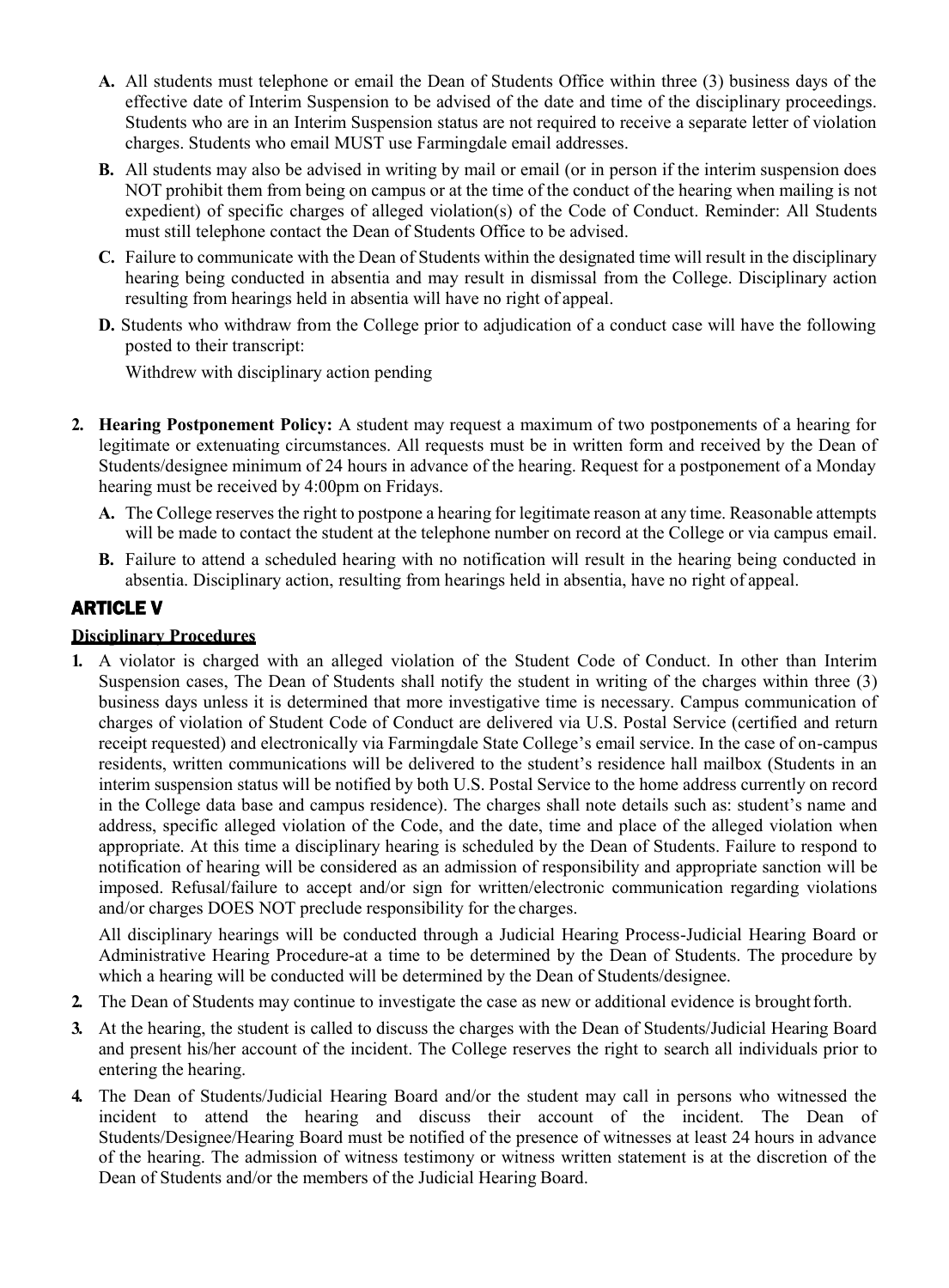- **A.** All students must telephone or email the Dean of Students Office within three (3) business days of the effective date of Interim Suspension to be advised of the date and time of the disciplinary proceedings. Students who are in an Interim Suspension status are not required to receive a separate letter of violation charges. Students who email MUST use Farmingdale email addresses.
- **B.** All students may also be advised in writing by mail or email (or in person if the interim suspension does NOT prohibit them from being on campus or at the time of the conduct of the hearing when mailing is not expedient) of specific charges of alleged violation(s) of the Code of Conduct. Reminder: All Students must still telephone contact the Dean of Students Office to be advised.
- **C.** Failure to communicate with the Dean of Students within the designated time will result in the disciplinary hearing being conducted in absentia and may result in dismissal from the College. Disciplinary action resulting from hearings held in absentia will have no right of appeal.
- **D.** Students who withdraw from the College prior to adjudication of a conduct case will have the following posted to their transcript:

Withdrew with disciplinary action pending

- **2. Hearing Postponement Policy:** A student may request a maximum of two postponements of a hearing for legitimate or extenuating circumstances. All requests must be in written form and received by the Dean of Students/designee minimum of 24 hours in advance of the hearing. Request for a postponement of a Monday hearing must be received by 4:00pm on Fridays.
	- **A.** The College reserves the right to postpone a hearing for legitimate reason at any time. Reasonable attempts will be made to contact the student at the telephone number on record at the College or via campus email.
	- **B.** Failure to attend a scheduled hearing with no notification will result in the hearing being conducted in absentia. Disciplinary action, resulting from hearings held in absentia, have no right of appeal.

### ARTICLE V

#### **Disciplinary Procedures**

**1.** A violator is charged with an alleged violation of the Student Code of Conduct. In other than Interim Suspension cases, The Dean of Students shall notify the student in writing of the charges within three (3) business days unless it is determined that more investigative time is necessary. Campus communication of charges of violation of Student Code of Conduct are delivered via U.S. Postal Service (certified and return receipt requested) and electronically via Farmingdale State College's email service. In the case of on-campus residents, written communications will be delivered to the student's residence hall mailbox (Students in an interim suspension status will be notified by both U.S. Postal Service to the home address currently on record in the College data base and campus residence). The charges shall note details such as: student's name and address, specific alleged violation of the Code, and the date, time and place of the alleged violation when appropriate. At this time a disciplinary hearing is scheduled by the Dean of Students. Failure to respond to notification of hearing will be considered as an admission of responsibility and appropriate sanction will be imposed. Refusal/failure to accept and/or sign for written/electronic communication regarding violations and/or charges DOES NOT preclude responsibility for the charges.

All disciplinary hearings will be conducted through a Judicial Hearing Process-Judicial Hearing Board or Administrative Hearing Procedure-at a time to be determined by the Dean of Students. The procedure by which a hearing will be conducted will be determined by the Dean of Students/designee.

- **2.** The Dean of Students may continue to investigate the case as new or additional evidence is brought forth.
- **3.** At the hearing, the student is called to discuss the charges with the Dean of Students/Judicial Hearing Board and present his/her account of the incident. The College reserves the right to search all individuals prior to entering the hearing.
- **4.** The Dean of Students/Judicial Hearing Board and/or the student may call in persons who witnessed the incident to attend the hearing and discuss their account of the incident. The Dean of Students/Designee/Hearing Board must be notified of the presence of witnesses at least 24 hours in advance of the hearing. The admission of witness testimony or witness written statement is at the discretion of the Dean of Students and/or the members of the Judicial Hearing Board.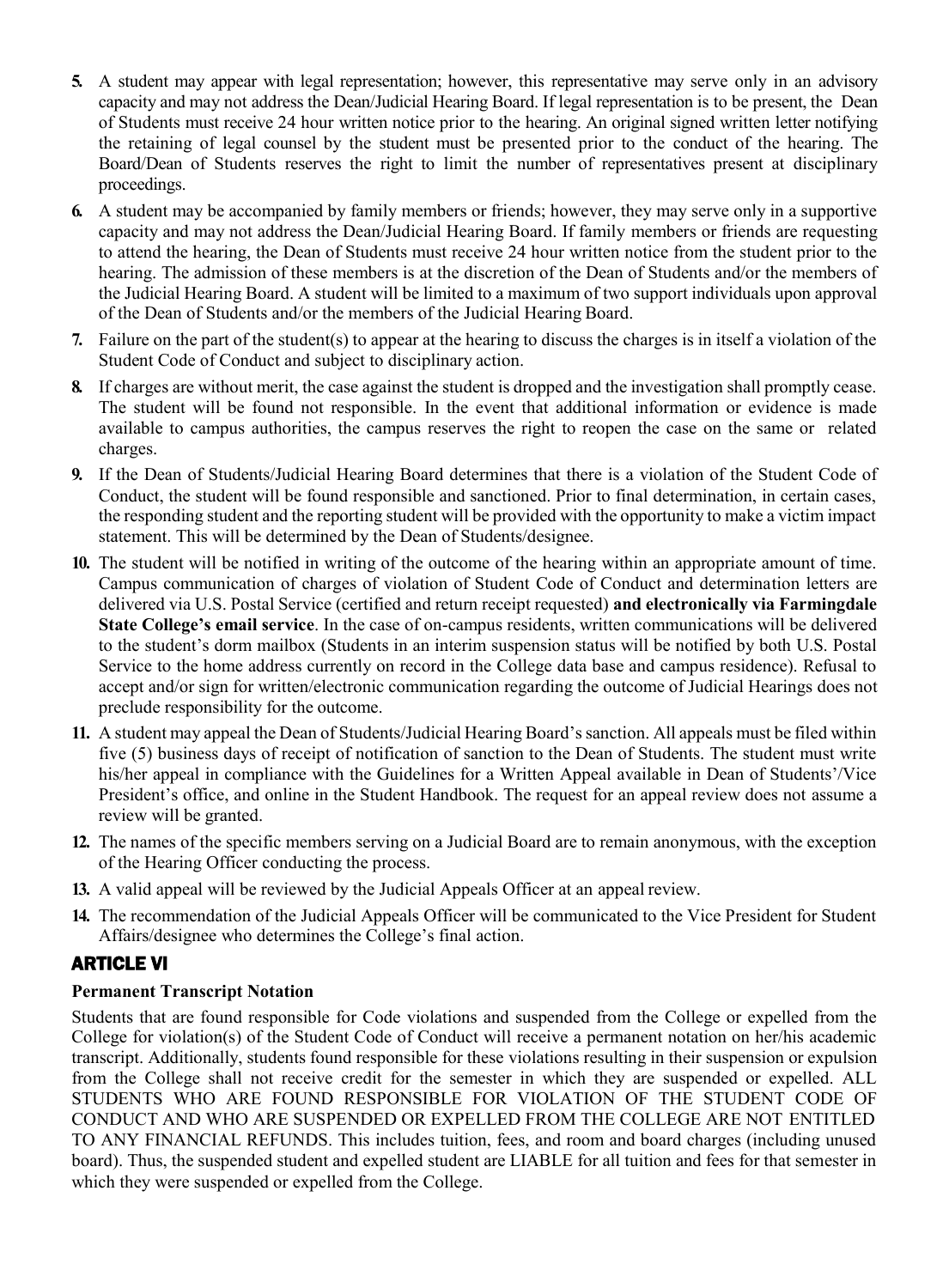- **5.** A student may appear with legal representation; however, this representative may serve only in an advisory capacity and may not address the Dean/Judicial Hearing Board. If legal representation is to be present, the Dean of Students must receive 24 hour written notice prior to the hearing. An original signed written letter notifying the retaining of legal counsel by the student must be presented prior to the conduct of the hearing. The Board/Dean of Students reserves the right to limit the number of representatives present at disciplinary proceedings.
- **6.** A student may be accompanied by family members or friends; however, they may serve only in a supportive capacity and may not address the Dean/Judicial Hearing Board. If family members or friends are requesting to attend the hearing, the Dean of Students must receive 24 hour written notice from the student prior to the hearing. The admission of these members is at the discretion of the Dean of Students and/or the members of the Judicial Hearing Board. A student will be limited to a maximum of two support individuals upon approval of the Dean of Students and/or the members of the Judicial Hearing Board.
- **7.** Failure on the part of the student(s) to appear at the hearing to discuss the charges is in itself a violation of the Student Code of Conduct and subject to disciplinary action.
- **8.** If charges are without merit, the case against the student is dropped and the investigation shall promptly cease. The student will be found not responsible. In the event that additional information or evidence is made available to campus authorities, the campus reserves the right to reopen the case on the same or related charges.
- **9.** If the Dean of Students/Judicial Hearing Board determines that there is a violation of the Student Code of Conduct, the student will be found responsible and sanctioned. Prior to final determination, in certain cases, the responding student and the reporting student will be provided with the opportunity to make a victim impact statement. This will be determined by the Dean of Students/designee.
- **10.** The student will be notified in writing of the outcome of the hearing within an appropriate amount of time. Campus communication of charges of violation of Student Code of Conduct and determination letters are delivered via U.S. Postal Service (certified and return receipt requested) **and electronically via Farmingdale State College's email service**. In the case of on-campus residents, written communications will be delivered to the student's dorm mailbox (Students in an interim suspension status will be notified by both U.S. Postal Service to the home address currently on record in the College data base and campus residence). Refusal to accept and/or sign for written/electronic communication regarding the outcome of Judicial Hearings does not preclude responsibility for the outcome.
- **11.** A student may appeal the Dean of Students/Judicial Hearing Board's sanction. All appeals must be filed within five (5) business days of receipt of notification of sanction to the Dean of Students. The student must write his/her appeal in compliance with the Guidelines for a Written Appeal available in Dean of Students'/Vice President's office, and online in the Student Handbook. The request for an appeal review does not assume a review will be granted.
- **12.** The names of the specific members serving on a Judicial Board are to remain anonymous, with the exception of the Hearing Officer conducting the process.
- **13.** A valid appeal will be reviewed by the Judicial Appeals Officer at an appeal review.
- **14.** The recommendation of the Judicial Appeals Officer will be communicated to the Vice President for Student Affairs/designee who determines the College's final action.

### ARTICLE VI

#### **Permanent Transcript Notation**

Students that are found responsible for Code violations and suspended from the College or expelled from the College for violation(s) of the Student Code of Conduct will receive a permanent notation on her/his academic transcript. Additionally, students found responsible for these violations resulting in their suspension or expulsion from the College shall not receive credit for the semester in which they are suspended or expelled. ALL STUDENTS WHO ARE FOUND RESPONSIBLE FOR VIOLATION OF THE STUDENT CODE OF CONDUCT AND WHO ARE SUSPENDED OR EXPELLED FROM THE COLLEGE ARE NOT ENTITLED TO ANY FINANCIAL REFUNDS. This includes tuition, fees, and room and board charges (including unused board). Thus, the suspended student and expelled student are LIABLE for all tuition and fees for that semester in which they were suspended or expelled from the College.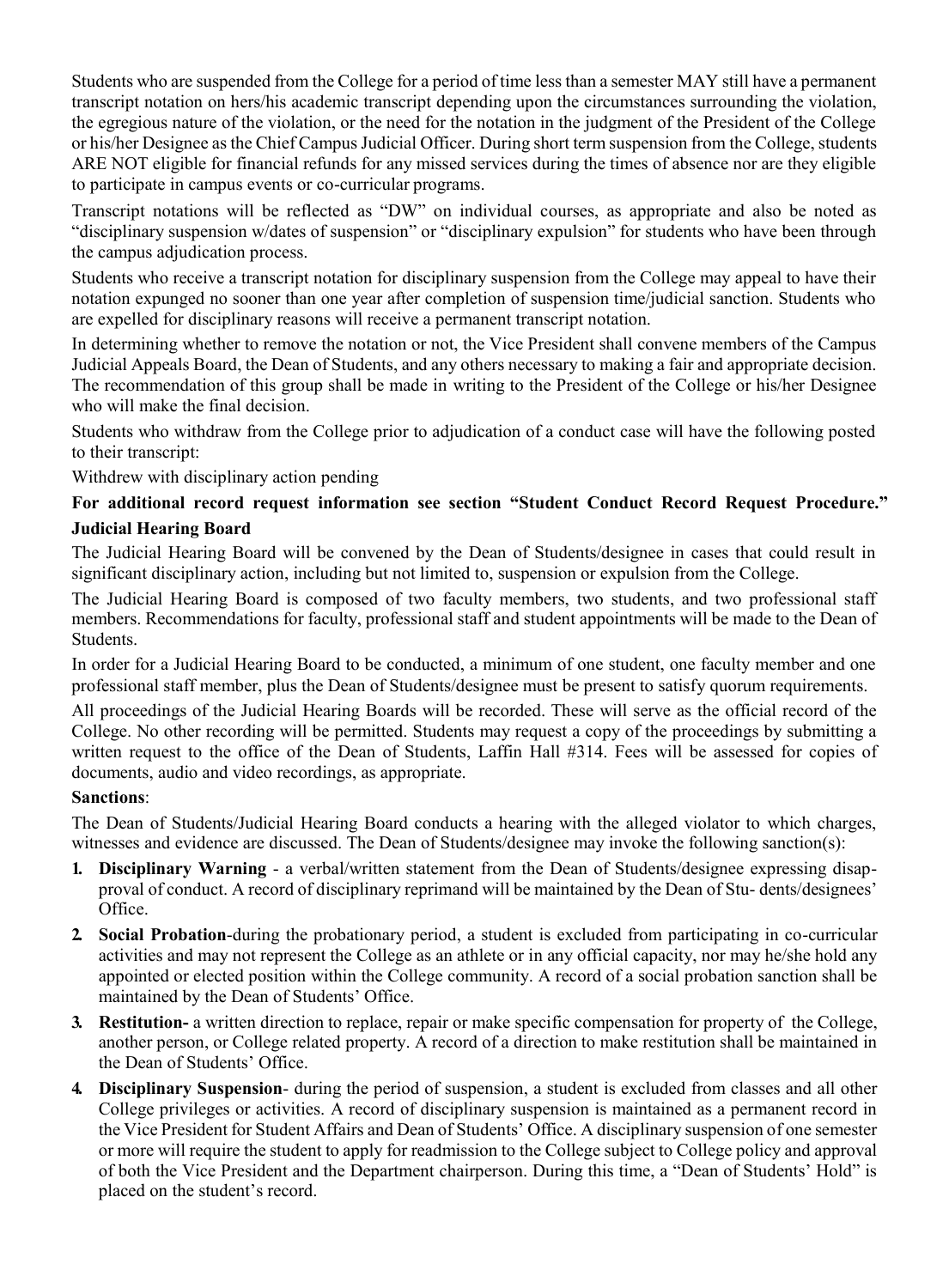Students who are suspended from the College for a period of time less than a semester MAY still have a permanent transcript notation on hers/his academic transcript depending upon the circumstances surrounding the violation, the egregious nature of the violation, or the need for the notation in the judgment of the President of the College or his/her Designee as the Chief Campus Judicial Officer. During short term suspension from the College, students ARE NOT eligible for financial refunds for any missed services during the times of absence nor are they eligible to participate in campus events or co-curricular programs.

Transcript notations will be reflected as "DW" on individual courses, as appropriate and also be noted as "disciplinary suspension w/dates of suspension" or "disciplinary expulsion" for students who have been through the campus adjudication process.

Students who receive a transcript notation for disciplinary suspension from the College may appeal to have their notation expunged no sooner than one year after completion of suspension time/judicial sanction. Students who are expelled for disciplinary reasons will receive a permanent transcript notation.

In determining whether to remove the notation or not, the Vice President shall convene members of the Campus Judicial Appeals Board, the Dean of Students, and any others necessary to making a fair and appropriate decision. The recommendation of this group shall be made in writing to the President of the College or his/her Designee who will make the final decision.

Students who withdraw from the College prior to adjudication of a conduct case will have the following posted to their transcript:

Withdrew with disciplinary action pending

#### **For additional record request information see section "Student Conduct Record Request Procedure." Judicial Hearing Board**

The Judicial Hearing Board will be convened by the Dean of Students/designee in cases that could result in significant disciplinary action, including but not limited to, suspension or expulsion from the College.

The Judicial Hearing Board is composed of two faculty members, two students, and two professional staff members. Recommendations for faculty, professional staff and student appointments will be made to the Dean of Students.

In order for a Judicial Hearing Board to be conducted, a minimum of one student, one faculty member and one professional staff member, plus the Dean of Students/designee must be present to satisfy quorum requirements.

All proceedings of the Judicial Hearing Boards will be recorded. These will serve as the official record of the College. No other recording will be permitted. Students may request a copy of the proceedings by submitting a written request to the office of the Dean of Students, Laffin Hall #314. Fees will be assessed for copies of documents, audio and video recordings, as appropriate.

#### **Sanctions**:

The Dean of Students/Judicial Hearing Board conducts a hearing with the alleged violator to which charges, witnesses and evidence are discussed. The Dean of Students/designee may invoke the following sanction(s):

- **1. Disciplinary Warning**  a verbal/written statement from the Dean of Students/designee expressing disapproval of conduct. A record of disciplinary reprimand will be maintained by the Dean of Stu- dents/designees' Office.
- **2. Social Probation**-during the probationary period, a student is excluded from participating in co-curricular activities and may not represent the College as an athlete or in any official capacity, nor may he/she hold any appointed or elected position within the College community. A record of a social probation sanction shall be maintained by the Dean of Students' Office.
- **3. Restitution-** a written direction to replace, repair or make specific compensation for property of the College, another person, or College related property. A record of a direction to make restitution shall be maintained in the Dean of Students' Office.
- **4. Disciplinary Suspension** during the period of suspension, a student is excluded from classes and all other College privileges or activities. A record of disciplinary suspension is maintained as a permanent record in the Vice President for Student Affairs and Dean of Students' Office. A disciplinary suspension of one semester or more will require the student to apply for readmission to the College subject to College policy and approval of both the Vice President and the Department chairperson. During this time, a "Dean of Students' Hold" is placed on the student's record.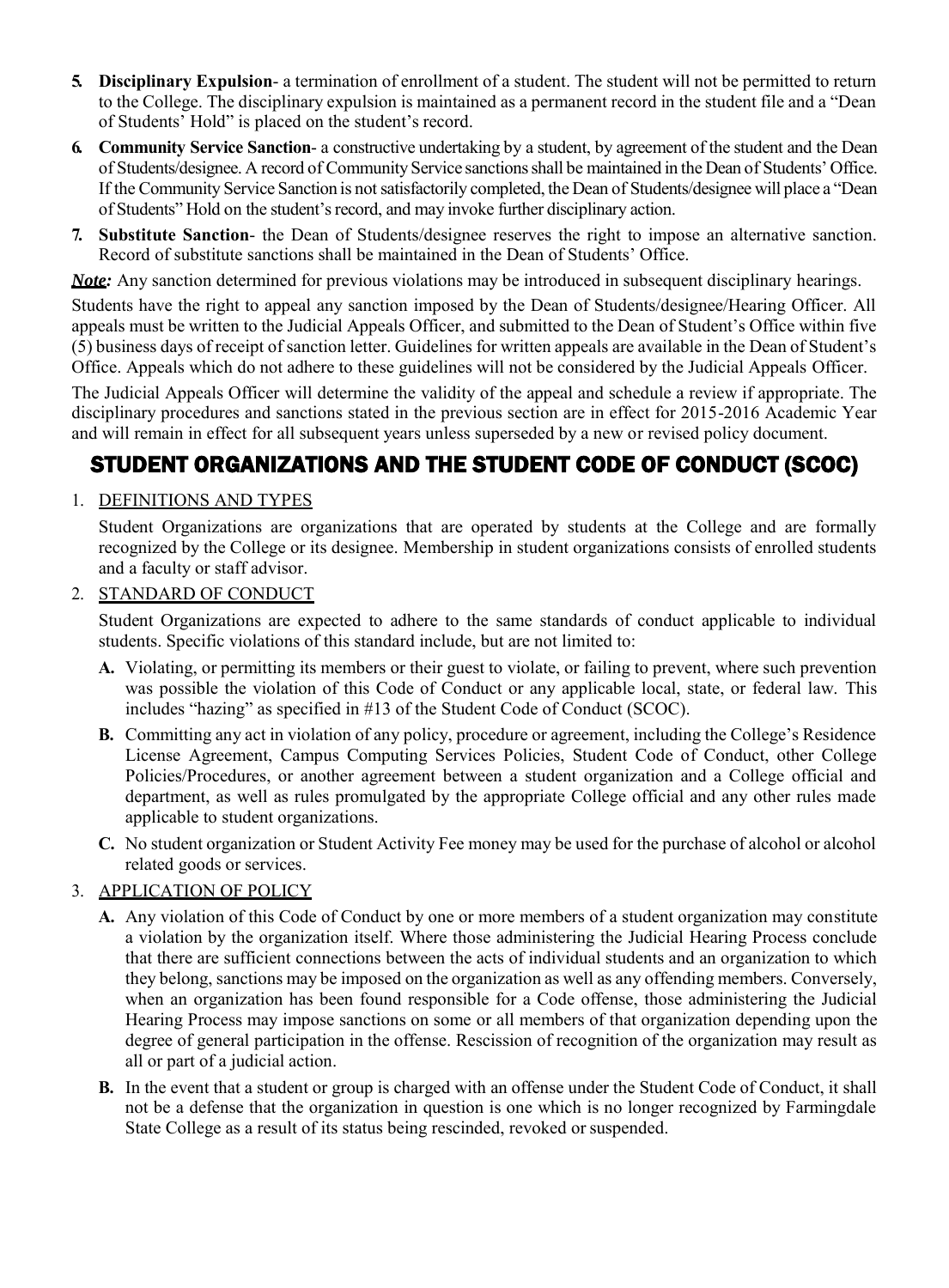- **5. Disciplinary Expulsion** a termination of enrollment of a student. The student will not be permitted to return to the College. The disciplinary expulsion is maintained as a permanent record in the student file and a "Dean of Students' Hold" is placed on the student's record.
- **6. Community Service Sanction** a constructive undertaking by a student, by agreement of the student and the Dean of Students/designee. A record of Community Service sanctions shall be maintained in the Dean of Students' Office. If the Community Service Sanction is not satisfactorily completed, the Dean of Students/designee will place a "Dean of Students" Hold on the student's record, and may invoke further disciplinary action.
- **7. Substitute Sanction** the Dean of Students/designee reserves the right to impose an alternative sanction. Record of substitute sanctions shall be maintained in the Dean of Students' Office.

*Note:* Any sanction determined for previous violations may be introduced in subsequent disciplinary hearings.

Students have the right to appeal any sanction imposed by the Dean of Students/designee/Hearing Officer. All appeals must be written to the Judicial Appeals Officer, and submitted to the Dean of Student's Office within five (5) business days of receipt of sanction letter. Guidelines for written appeals are available in the Dean of Student's Office. Appeals which do not adhere to these guidelines will not be considered by the Judicial Appeals Officer.

The Judicial Appeals Officer will determine the validity of the appeal and schedule a review if appropriate. The disciplinary procedures and sanctions stated in the previous section are in effect for 2015-2016 Academic Year and will remain in effect for all subsequent years unless superseded by a new or revised policy document.

## STUDENT ORGANIZATIONS AND THE STUDENT CODE OF CONDUCT (SCOC)

#### 1. DEFINITIONS AND TYPES

Student Organizations are organizations that are operated by students at the College and are formally recognized by the College or its designee. Membership in student organizations consists of enrolled students and a faculty or staff advisor.

#### 2. STANDARD OF CONDUCT

Student Organizations are expected to adhere to the same standards of conduct applicable to individual students. Specific violations of this standard include, but are not limited to:

- **A.** Violating, or permitting its members or their guest to violate, or failing to prevent, where such prevention was possible the violation of this Code of Conduct or any applicable local, state, or federal law. This includes "hazing" as specified in #13 of the Student Code of Conduct (SCOC).
- **B.** Committing any act in violation of any policy, procedure or agreement, including the College's Residence License Agreement, Campus Computing Services Policies, Student Code of Conduct, other College Policies/Procedures, or another agreement between a student organization and a College official and department, as well as rules promulgated by the appropriate College official and any other rules made applicable to student organizations.
- **C.** No student organization or Student Activity Fee money may be used for the purchase of alcohol or alcohol related goods or services.

#### 3. APPLICATION OF POLICY

- **A.** Any violation of this Code of Conduct by one or more members of a student organization may constitute a violation by the organization itself. Where those administering the Judicial Hearing Process conclude that there are sufficient connections between the acts of individual students and an organization to which they belong, sanctions may be imposed on the organization as well as any offending members. Conversely, when an organization has been found responsible for a Code offense, those administering the Judicial Hearing Process may impose sanctions on some or all members of that organization depending upon the degree of general participation in the offense. Rescission of recognition of the organization may result as all or part of a judicial action.
- **B.** In the event that a student or group is charged with an offense under the Student Code of Conduct, it shall not be a defense that the organization in question is one which is no longer recognized by Farmingdale State College as a result of its status being rescinded, revoked or suspended.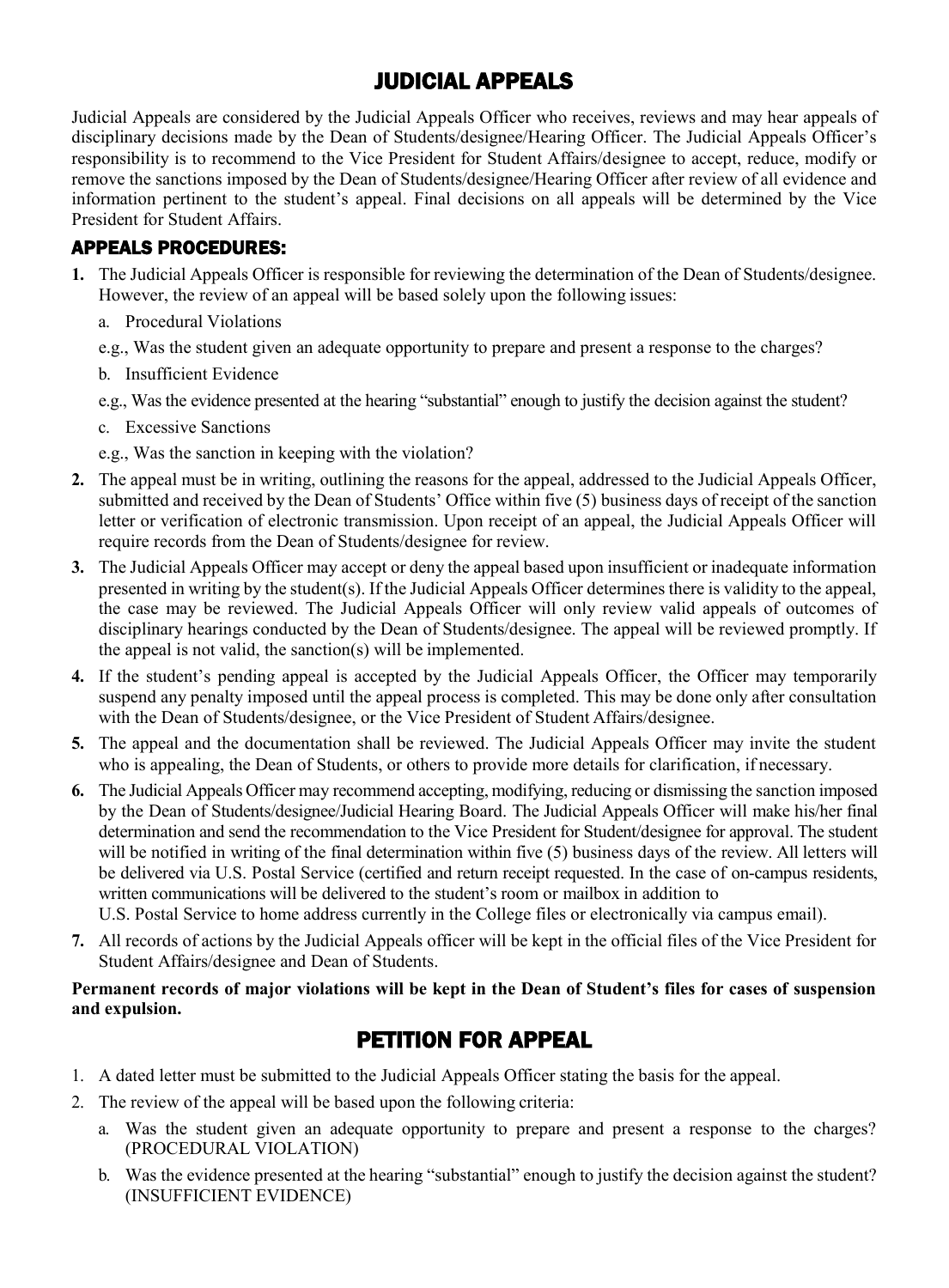## JUDICIAL APPEALS

Judicial Appeals are considered by the Judicial Appeals Officer who receives, reviews and may hear appeals of disciplinary decisions made by the Dean of Students/designee/Hearing Officer. The Judicial Appeals Officer's responsibility is to recommend to the Vice President for Student Affairs/designee to accept, reduce, modify or remove the sanctions imposed by the Dean of Students/designee/Hearing Officer after review of all evidence and information pertinent to the student's appeal. Final decisions on all appeals will be determined by the Vice President for Student Affairs.

### APPEALS PROCEDURES:

- **1.** The Judicial Appeals Officer is responsible for reviewing the determination of the Dean of Students/designee. However, the review of an appeal will be based solely upon the following issues:
	- a. Procedural Violations
	- e.g., Was the student given an adequate opportunity to prepare and present a response to the charges?
	- b. Insufficient Evidence
	- e.g., Was the evidence presented at the hearing "substantial" enough to justify the decision against the student?
	- c. Excessive Sanctions
	- e.g., Was the sanction in keeping with the violation?
- **2.** The appeal must be in writing, outlining the reasons for the appeal, addressed to the Judicial Appeals Officer, submitted and received by the Dean of Students' Office within five (5) business days of receipt of the sanction letter or verification of electronic transmission. Upon receipt of an appeal, the Judicial Appeals Officer will require records from the Dean of Students/designee for review.
- **3.** The Judicial Appeals Officer may accept or deny the appeal based upon insufficient or inadequate information presented in writing by the student(s). If the Judicial Appeals Officer determines there is validity to the appeal, the case may be reviewed. The Judicial Appeals Officer will only review valid appeals of outcomes of disciplinary hearings conducted by the Dean of Students/designee. The appeal will be reviewed promptly. If the appeal is not valid, the sanction(s) will be implemented.
- **4.** If the student's pending appeal is accepted by the Judicial Appeals Officer, the Officer may temporarily suspend any penalty imposed until the appeal process is completed. This may be done only after consultation with the Dean of Students/designee, or the Vice President of Student Affairs/designee.
- **5.** The appeal and the documentation shall be reviewed. The Judicial Appeals Officer may invite the student who is appealing, the Dean of Students, or others to provide more details for clarification, if necessary.
- **6.** The Judicial Appeals Officer may recommend accepting, modifying, reducing or dismissing the sanction imposed by the Dean of Students/designee/Judicial Hearing Board. The Judicial Appeals Officer will make his/her final determination and send the recommendation to the Vice President for Student/designee for approval. The student will be notified in writing of the final determination within five (5) business days of the review. All letters will be delivered via U.S. Postal Service (certified and return receipt requested. In the case of on-campus residents, written communications will be delivered to the student's room or mailbox in addition to
	- U.S. Postal Service to home address currently in the College files or electronically via campus email).
- **7.** All records of actions by the Judicial Appeals officer will be kept in the official files of the Vice President for Student Affairs/designee and Dean of Students.

#### **Permanent records of major violations will be kept in the Dean of Student's files for cases of suspension and expulsion.**

## PETITION FOR APPEAL

- 1. A dated letter must be submitted to the Judicial Appeals Officer stating the basis for the appeal.
- 2. The review of the appeal will be based upon the following criteria:
	- a. Was the student given an adequate opportunity to prepare and present a response to the charges? (PROCEDURAL VIOLATION)
	- b. Was the evidence presented at the hearing "substantial" enough to justify the decision against the student? (INSUFFICIENT EVIDENCE)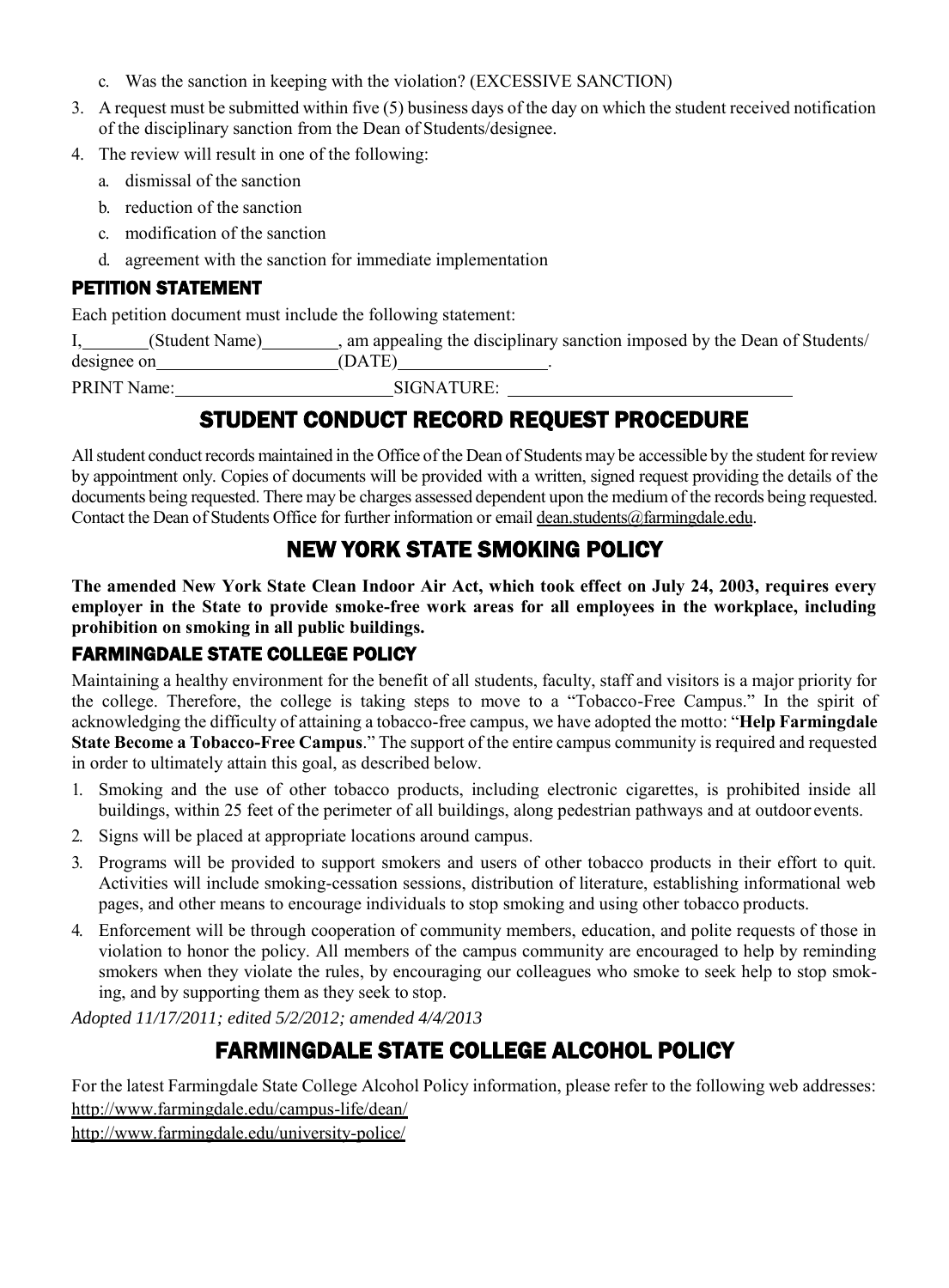- c. Was the sanction in keeping with the violation? (EXCESSIVE SANCTION)
- 3. A request must be submitted within five (5) business days of the day on which the student received notification of the disciplinary sanction from the Dean of Students/designee.
- 4. The review will result in one of the following:
	- a. dismissal of the sanction
	- b. reduction of the sanction
	- c. modification of the sanction
	- d. agreement with the sanction for immediate implementation

### PETITION STATEMENT

Each petition document must include the following statement:

I, (Student Name) am appealing the disciplinary sanction imposed by the Dean of Students/ designee on (DATE) .

PRINT Name: SIGNATURE:

## STUDENT CONDUCT RECORD REQUEST PROCEDURE

All student conduct records maintained in the Office of the Dean of Students may be accessible by the student for review by appointment only. Copies of documents will be provided with a written, signed request providing the details of the documents being requested. There may be charges assessed dependent upon the medium of the records being requested. Contact the Dean of Students Office for further information or email [dean.students@farmingdale.edu.](mailto:dean.students@farmingdale.edu)

## NEW YORK STATE SMOKING POLICY

**The amended New York State Clean Indoor Air Act, which took effect on July 24, 2003, requires every employer in the State to provide smoke-free work areas for all employees in the workplace, including prohibition on smoking in all public buildings.**

### FARMINGDALE STATE COLLEGE POLICY

Maintaining a healthy environment for the benefit of all students, faculty, staff and visitors is a major priority for the college. Therefore, the college is taking steps to move to a "Tobacco-Free Campus." In the spirit of acknowledging the difficulty of attaining a tobacco-free campus, we have adopted the motto: "**Help Farmingdale State Become a Tobacco-Free Campus**." The support of the entire campus community is required and requested in order to ultimately attain this goal, as described below.

- 1. Smoking and the use of other tobacco products, including electronic cigarettes, is prohibited inside all buildings, within 25 feet of the perimeter of all buildings, along pedestrian pathways and at outdoor events.
- 2. Signs will be placed at appropriate locations around campus.
- 3. Programs will be provided to support smokers and users of other tobacco products in their effort to quit. Activities will include smoking-cessation sessions, distribution of literature, establishing informational web pages, and other means to encourage individuals to stop smoking and using other tobacco products.
- 4. Enforcement will be through cooperation of community members, education, and polite requests of those in violation to honor the policy. All members of the campus community are encouraged to help by reminding smokers when they violate the rules, by encouraging our colleagues who smoke to seek help to stop smoking, and by supporting them as they seek to stop.

*Adopted 11/17/2011; edited 5/2/2012; amended 4/4/2013*

## FARMINGDALE STATE COLLEGE ALCOHOL POLICY

For the latest Farmingdale State College Alcohol Policy information, please refer to the following web addresses: <http://www.farmingdale.edu/campus-life/dean/> <http://www.farmingdale.edu/university-police/>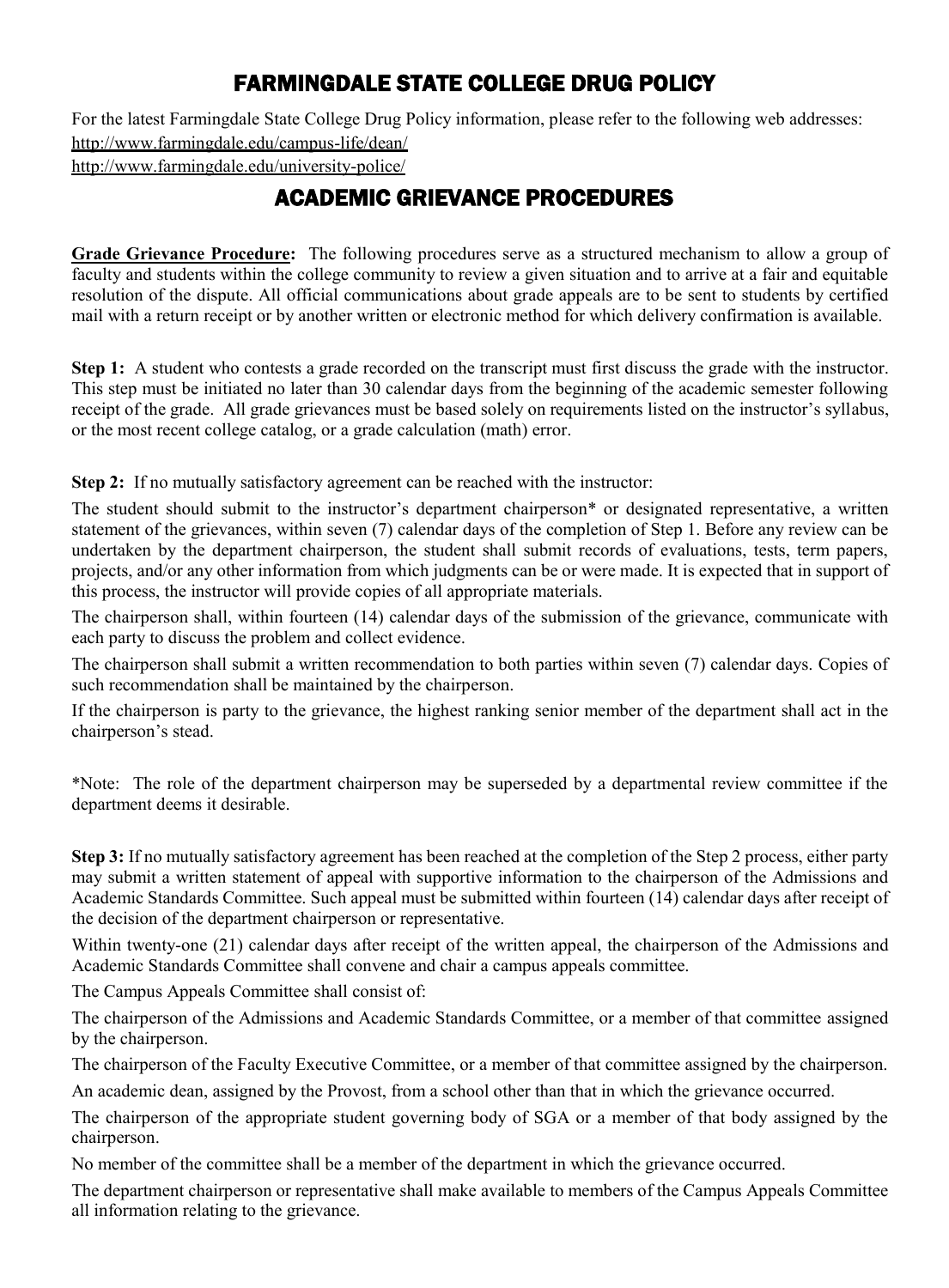## FARMINGDALE STATE COLLEGE DRUG POLICY

For the latest Farmingdale State College Drug Policy information, please refer to the following web addresses: <http://www.farmingdale.edu/campus-life/dean/> <http://www.farmingdale.edu/university-police/>

## ACADEMIC GRIEVANCE PROCEDURES

**Grade Grievance Procedure:** The following procedures serve as a structured mechanism to allow a group of faculty and students within the college community to review a given situation and to arrive at a fair and equitable resolution of the dispute. All official communications about grade appeals are to be sent to students by certified mail with a return receipt or by another written or electronic method for which delivery confirmation is available.

**Step 1:** A student who contests a grade recorded on the transcript must first discuss the grade with the instructor. This step must be initiated no later than 30 calendar days from the beginning of the academic semester following receipt of the grade. All grade grievances must be based solely on requirements listed on the instructor's syllabus, or the most recent college catalog, or a grade calculation (math) error.

**Step 2:** If no mutually satisfactory agreement can be reached with the instructor:

The student should submit to the instructor's department chairperson\* or designated representative, a written statement of the grievances, within seven (7) calendar days of the completion of Step 1. Before any review can be undertaken by the department chairperson, the student shall submit records of evaluations, tests, term papers, projects, and/or any other information from which judgments can be or were made. It is expected that in support of this process, the instructor will provide copies of all appropriate materials.

The chairperson shall, within fourteen (14) calendar days of the submission of the grievance, communicate with each party to discuss the problem and collect evidence.

The chairperson shall submit a written recommendation to both parties within seven (7) calendar days. Copies of such recommendation shall be maintained by the chairperson.

If the chairperson is party to the grievance, the highest ranking senior member of the department shall act in the chairperson's stead.

\*Note: The role of the department chairperson may be superseded by a departmental review committee if the department deems it desirable.

**Step 3:** If no mutually satisfactory agreement has been reached at the completion of the Step 2 process, either party may submit a written statement of appeal with supportive information to the chairperson of the Admissions and Academic Standards Committee. Such appeal must be submitted within fourteen (14) calendar days after receipt of the decision of the department chairperson or representative.

Within twenty-one (21) calendar days after receipt of the written appeal, the chairperson of the Admissions and Academic Standards Committee shall convene and chair a campus appeals committee.

The Campus Appeals Committee shall consist of:

The chairperson of the Admissions and Academic Standards Committee, or a member of that committee assigned by the chairperson.

The chairperson of the Faculty Executive Committee, or a member of that committee assigned by the chairperson.

An academic dean, assigned by the Provost, from a school other than that in which the grievance occurred.

The chairperson of the appropriate student governing body of SGA or a member of that body assigned by the chairperson.

No member of the committee shall be a member of the department in which the grievance occurred.

The department chairperson or representative shall make available to members of the Campus Appeals Committee all information relating to the grievance.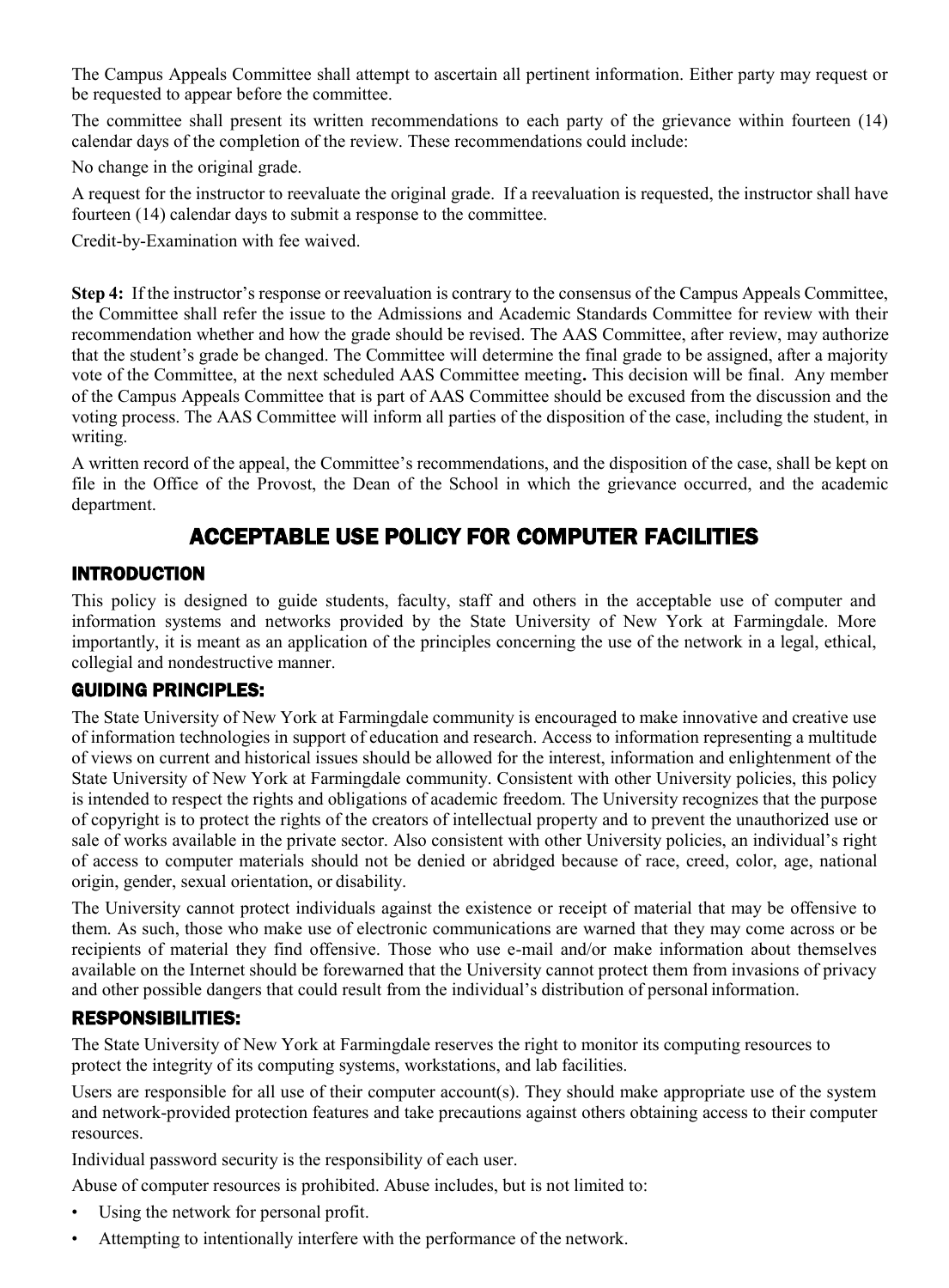The Campus Appeals Committee shall attempt to ascertain all pertinent information. Either party may request or be requested to appear before the committee.

The committee shall present its written recommendations to each party of the grievance within fourteen (14) calendar days of the completion of the review. These recommendations could include:

No change in the original grade.

A request for the instructor to reevaluate the original grade. If a reevaluation is requested, the instructor shall have fourteen (14) calendar days to submit a response to the committee.

Credit-by-Examination with fee waived.

**Step 4:** If the instructor's response or reevaluation is contrary to the consensus of the Campus Appeals Committee, the Committee shall refer the issue to the Admissions and Academic Standards Committee for review with their recommendation whether and how the grade should be revised. The AAS Committee, after review, may authorize that the student's grade be changed. The Committee will determine the final grade to be assigned, after a majority vote of the Committee, at the next scheduled AAS Committee meeting**.** This decision will be final. Any member of the Campus Appeals Committee that is part of AAS Committee should be excused from the discussion and the voting process. The AAS Committee will inform all parties of the disposition of the case, including the student, in writing.

A written record of the appeal, the Committee's recommendations, and the disposition of the case, shall be kept on file in the Office of the Provost, the Dean of the School in which the grievance occurred, and the academic department.

## ACCEPTABLE USE POLICY FOR COMPUTER FACILITIES

#### INTRODUCTION

This policy is designed to guide students, faculty, staff and others in the acceptable use of computer and information systems and networks provided by the State University of New York at Farmingdale. More importantly, it is meant as an application of the principles concerning the use of the network in a legal, ethical, collegial and nondestructive manner.

#### GUIDING PRINCIPLES:

The State University of New York at Farmingdale community is encouraged to make innovative and creative use of information technologies in support of education and research. Access to information representing a multitude of views on current and historical issues should be allowed for the interest, information and enlightenment of the State University of New York at Farmingdale community. Consistent with other University policies, this policy is intended to respect the rights and obligations of academic freedom. The University recognizes that the purpose of copyright is to protect the rights of the creators of intellectual property and to prevent the unauthorized use or sale of works available in the private sector. Also consistent with other University policies, an individual's right of access to computer materials should not be denied or abridged because of race, creed, color, age, national origin, gender, sexual orientation, or disability.

The University cannot protect individuals against the existence or receipt of material that may be offensive to them. As such, those who make use of electronic communications are warned that they may come across or be recipients of material they find offensive. Those who use e-mail and/or make information about themselves available on the Internet should be forewarned that the University cannot protect them from invasions of privacy and other possible dangers that could result from the individual's distribution of personal information.

#### RESPONSIBILITIES:

The State University of New York at Farmingdale reserves the right to monitor its computing resources to protect the integrity of its computing systems, workstations, and lab facilities.

Users are responsible for all use of their computer account(s). They should make appropriate use of the system and network-provided protection features and take precautions against others obtaining access to their computer resources.

Individual password security is the responsibility of each user.

Abuse of computer resources is prohibited. Abuse includes, but is not limited to:

- Using the network for personal profit.
- Attempting to intentionally interfere with the performance of the network.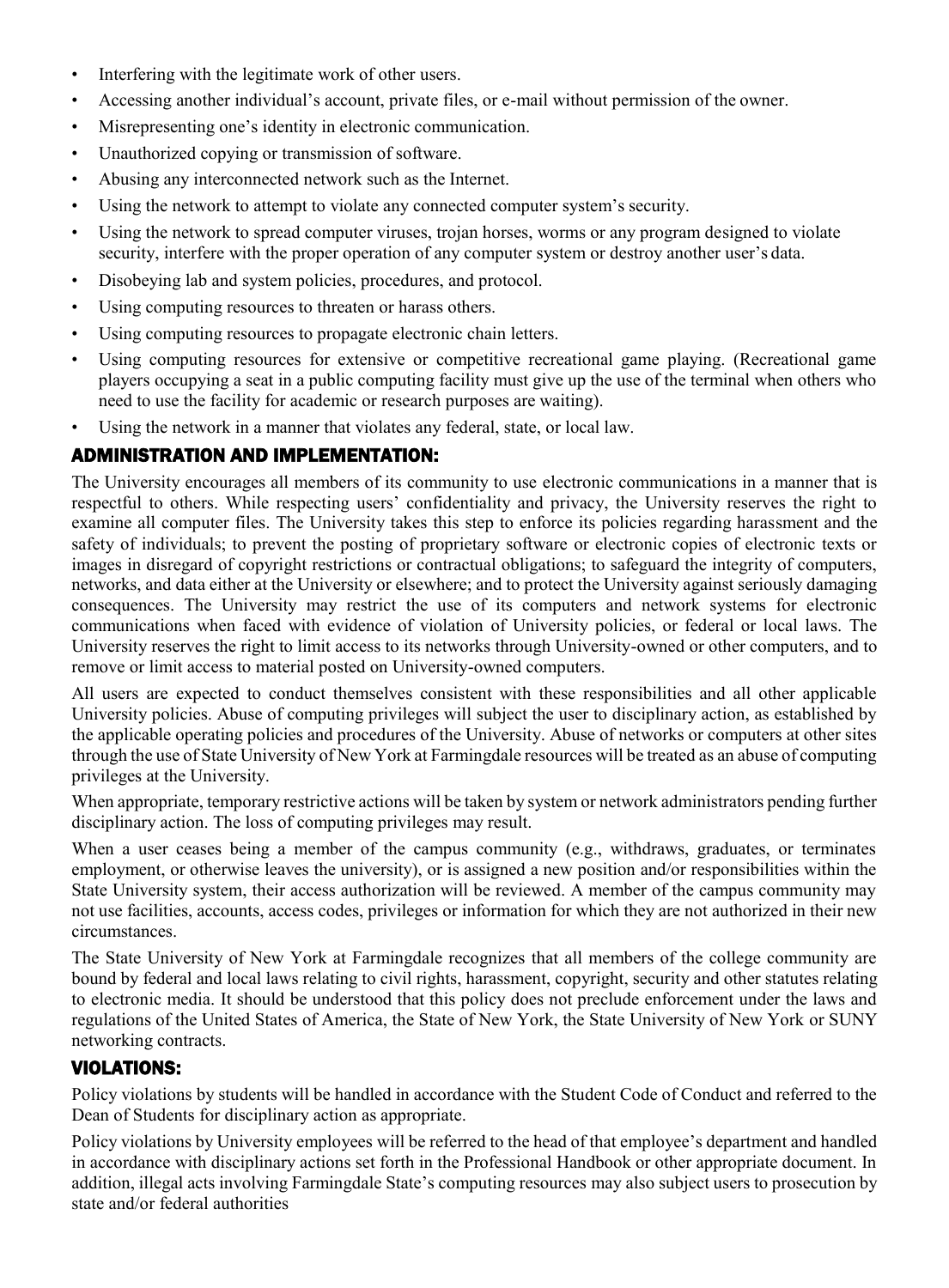- Interfering with the legitimate work of other users.
- Accessing another individual's account, private files, or e-mail without permission of the owner.
- Misrepresenting one's identity in electronic communication.
- Unauthorized copying or transmission of software.
- Abusing any interconnected network such as the Internet.
- Using the network to attempt to violate any connected computer system's security.
- Using the network to spread computer viruses, trojan horses, worms or any program designed to violate security, interfere with the proper operation of any computer system or destroy another user's data.
- Disobeying lab and system policies, procedures, and protocol.
- Using computing resources to threaten or harass others.
- Using computing resources to propagate electronic chain letters.
- Using computing resources for extensive or competitive recreational game playing. (Recreational game players occupying a seat in a public computing facility must give up the use of the terminal when others who need to use the facility for academic or research purposes are waiting).
- Using the network in a manner that violates any federal, state, or local law.

### ADMINISTRATION AND IMPLEMENTATION:

The University encourages all members of its community to use electronic communications in a manner that is respectful to others. While respecting users' confidentiality and privacy, the University reserves the right to examine all computer files. The University takes this step to enforce its policies regarding harassment and the safety of individuals; to prevent the posting of proprietary software or electronic copies of electronic texts or images in disregard of copyright restrictions or contractual obligations; to safeguard the integrity of computers, networks, and data either at the University or elsewhere; and to protect the University against seriously damaging consequences. The University may restrict the use of its computers and network systems for electronic communications when faced with evidence of violation of University policies, or federal or local laws. The University reserves the right to limit access to its networks through University-owned or other computers, and to remove or limit access to material posted on University-owned computers.

All users are expected to conduct themselves consistent with these responsibilities and all other applicable University policies. Abuse of computing privileges will subject the user to disciplinary action, as established by the applicable operating policies and procedures of the University. Abuse of networks or computers at other sites through the use of State University of New York at Farmingdale resources will be treated as an abuse of computing privileges at the University.

When appropriate, temporary restrictive actions will be taken by system or network administrators pending further disciplinary action. The loss of computing privileges may result.

When a user ceases being a member of the campus community (e.g., withdraws, graduates, or terminates employment, or otherwise leaves the university), or is assigned a new position and/or responsibilities within the State University system, their access authorization will be reviewed. A member of the campus community may not use facilities, accounts, access codes, privileges or information for which they are not authorized in their new circumstances.

The State University of New York at Farmingdale recognizes that all members of the college community are bound by federal and local laws relating to civil rights, harassment, copyright, security and other statutes relating to electronic media. It should be understood that this policy does not preclude enforcement under the laws and regulations of the United States of America, the State of New York, the State University of New York or SUNY networking contracts.

#### VIOLATIONS:

Policy violations by students will be handled in accordance with the Student Code of Conduct and referred to the Dean of Students for disciplinary action as appropriate.

Policy violations by University employees will be referred to the head of that employee's department and handled in accordance with disciplinary actions set forth in the Professional Handbook or other appropriate document. In addition, illegal acts involving Farmingdale State's computing resources may also subject users to prosecution by state and/or federal authorities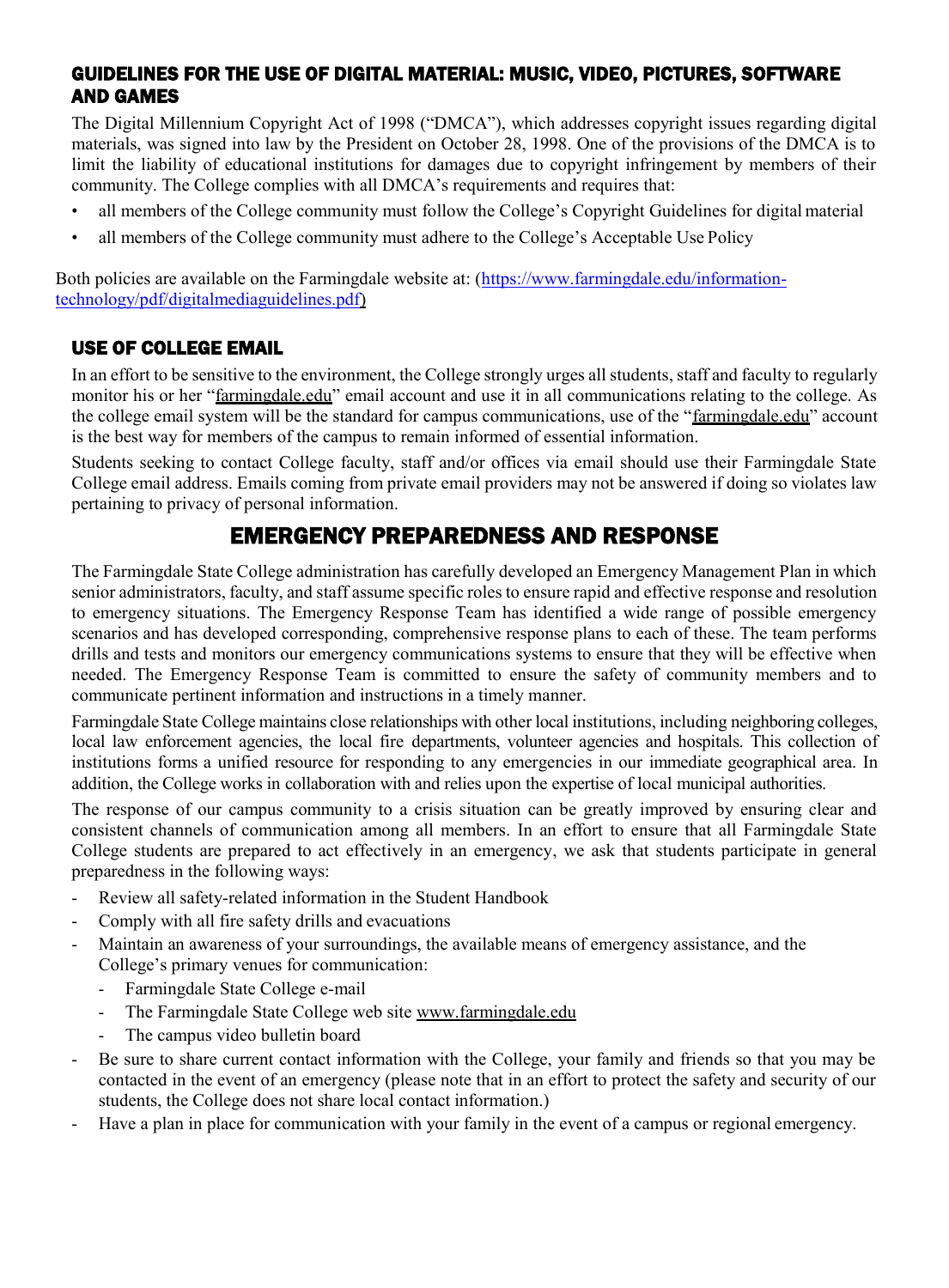### GUIDELINES FOR THE USE OF DIGITAL MATERIAL: MUSIC, VIDEO, PICTURES, SOFTWARE AND GAMES

The Digital Millennium Copyright Act of 1998 ("DMCA"), which addresses copyright issues regarding digital materials, was signed into law by the President on October 28, 1998. One of the provisions of the DMCA is to limit the liability of educational institutions for damages due to copyright infringement by members of their community. The College complies with all DMCA's requirements and requires that:

- all members of the College community must follow the College's Copyright Guidelines for digital material
- all members of the College community must adhere to the College's Acceptable Use Policy

Both policies are available on the Farmingdale website at: [\(https://www.farmingdale.edu/information](https://www.farmingdale.edu/information-technology/pdf/digitalmediaguidelines.pdf)[technology/pdf/digitalmediaguidelines.pdf](https://www.farmingdale.edu/information-technology/pdf/digitalmediaguidelines.pdf)[\)](http://www.farmingdale.edu/campuspages/informationservices/080808_digital_media_guidelines.pdf))

### USE OF COLLEGE EMAIL

In an effort to be sensitive to the environment, the College strongly urges all students, staff and faculty to regularly monitor his or her "farmingdale.edu" email account and use it in all communications relating to the college. As the college email system will be the standard for campus communications, use of the "farmingdale.edu" account is the best way for members of the campus to remain informed of essential information.

Students seeking to contact College faculty, staff and/or offices via email should use their Farmingdale State College email address. Emails coming from private email providers may not be answered if doing so violates law pertaining to privacy of personal information.

## EMERGENCY PREPAREDNESS AND RESPONSE

The Farmingdale State College administration has carefully developed an Emergency Management Plan in which senior administrators, faculty, and staff assume specific roles to ensure rapid and effective response and resolution to emergency situations. The Emergency Response Team has identified a wide range of possible emergency scenarios and has developed corresponding, comprehensive response plans to each of these. The team performs drills and tests and monitors our emergency communications systems to ensure that they will be effective when needed. The Emergency Response Team is committed to ensure the safety of community members and to communicate pertinent information and instructions in a timely manner.

Farmingdale State College maintains close relationships with other local institutions, including neighboring colleges, local law enforcement agencies, the local fire departments, volunteer agencies and hospitals. This collection of institutions forms a unified resource for responding to any emergencies in our immediate geographical area. In addition, the College works in collaboration with and relies upon the expertise of local municipal authorities.

The response of our campus community to a crisis situation can be greatly improved by ensuring clear and consistent channels of communication among all members. In an effort to ensure that all Farmingdale State College students are prepared to act effectively in an emergency, we ask that students participate in general preparedness in the following ways:

- Review all safety-related information in the Student Handbook
- Comply with all fire safety drills and evacuations
- Maintain an awareness of your surroundings, the available means of emergency assistance, and the College's primary venues for communication:
	- Farmingdale State College e-mail
	- The Farmingdale State College web site [www.farmingdale.edu](http://www.farmingdale.edu/)
	- The campus video bulletin board
- Be sure to share current contact information with the College, your family and friends so that you may be contacted in the event of an emergency (please note that in an effort to protect the safety and security of our students, the College does not share local contact information.)
- Have a plan in place for communication with your family in the event of a campus or regional emergency.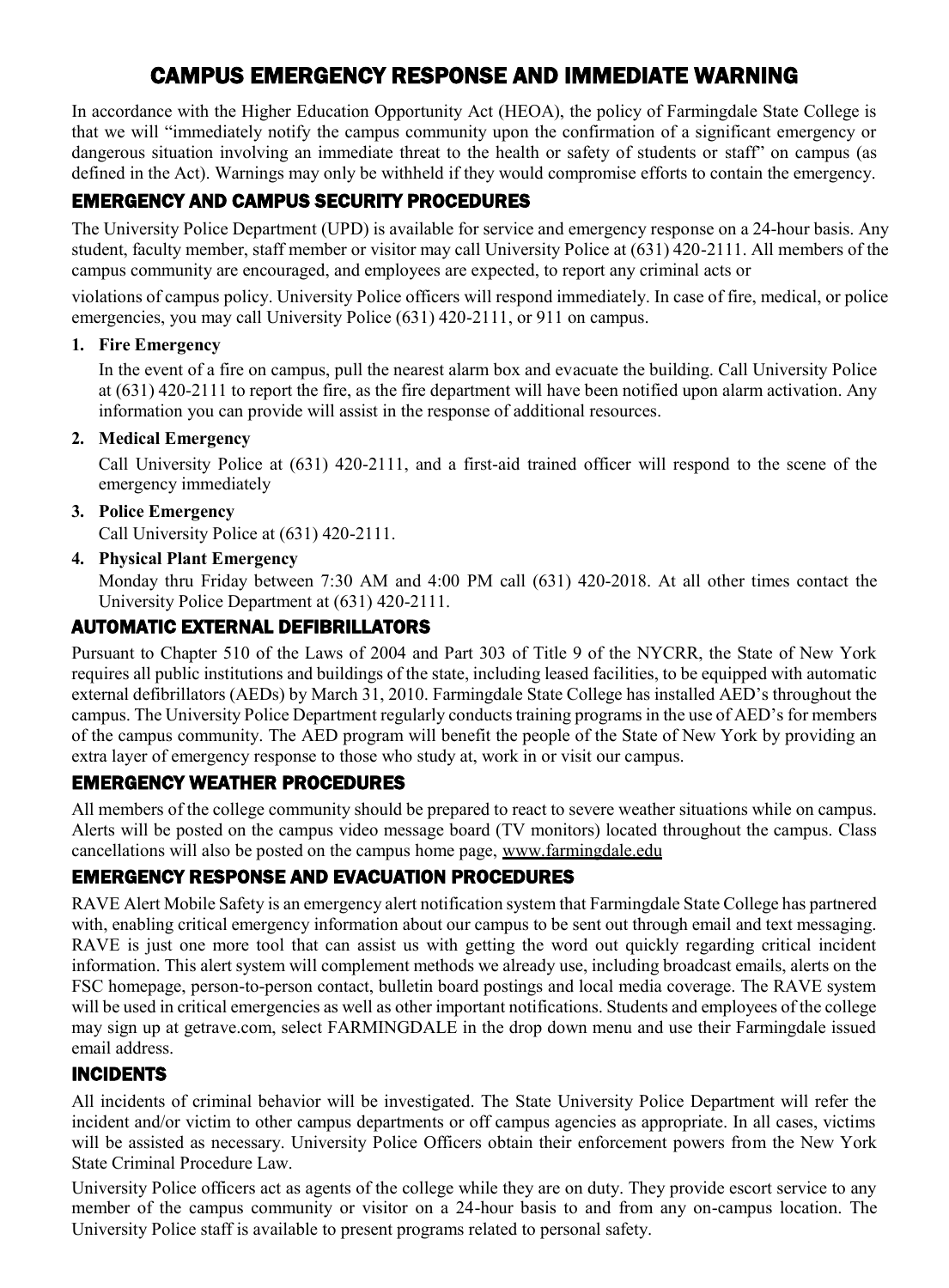## CAMPUS EMERGENCY RESPONSE AND IMMEDIATE WARNING

In accordance with the Higher Education Opportunity Act (HEOA), the policy of Farmingdale State College is that we will "immediately notify the campus community upon the confirmation of a significant emergency or dangerous situation involving an immediate threat to the health or safety of students or staff" on campus (as defined in the Act). Warnings may only be withheld if they would compromise efforts to contain the emergency.

### EMERGENCY AND CAMPUS SECURITY PROCEDURES

The University Police Department (UPD) is available for service and emergency response on a 24-hour basis. Any student, faculty member, staff member or visitor may call University Police at (631) 420-2111. All members of the campus community are encouraged, and employees are expected, to report any criminal acts or

violations of campus policy. University Police officers will respond immediately. In case of fire, medical, or police emergencies, you may call University Police (631) 420-2111, or 911 on campus.

#### **1. Fire Emergency**

In the event of a fire on campus, pull the nearest alarm box and evacuate the building. Call University Police at (631) 420-2111 to report the fire, as the fire department will have been notified upon alarm activation. Any information you can provide will assist in the response of additional resources.

#### **2. Medical Emergency**

Call University Police at (631) 420-2111, and a first-aid trained officer will respond to the scene of the emergency immediately

#### **3. Police Emergency**

Call University Police at (631) 420-2111.

#### **4. Physical Plant Emergency**

Monday thru Friday between 7:30 AM and 4:00 PM call (631) 420-2018. At all other times contact the University Police Department at (631) 420-2111.

#### AUTOMATIC EXTERNAL DEFIBRILLATORS

Pursuant to Chapter 510 of the Laws of 2004 and Part 303 of Title 9 of the NYCRR, the State of New York requires all public institutions and buildings of the state, including leased facilities, to be equipped with automatic external defibrillators (AEDs) by March 31, 2010. Farmingdale State College has installed AED's throughout the campus. The University Police Department regularly conducts training programs in the use of AED's for members of the campus community. The AED program will benefit the people of the State of New York by providing an extra layer of emergency response to those who study at, work in or visit our campus.

#### EMERGENCY WEATHER PROCEDURES

All members of the college community should be prepared to react to severe weather situations while on campus. Alerts will be posted on the campus video message board (TV monitors) located throughout the campus. Class cancellations will also be posted on the campus home page[, www.farmingdale.edu](http://www.farmingdale.edu/)

#### EMERGENCY RESPONSE AND EVACUATION PROCEDURES

RAVE Alert Mobile Safety is an emergency alert notification system that Farmingdale State College has partnered with, enabling critical emergency information about our campus to be sent out through email and text messaging. RAVE is just one more tool that can assist us with getting the word out quickly regarding critical incident information. This alert system will complement methods we already use, including broadcast emails, alerts on the FSC homepage, person-to-person contact, bulletin board postings and local media coverage. The RAVE system will be used in critical emergencies as well as other important notifications. Students and employees of the college may sign up at getrave.com, select FARMINGDALE in the drop down menu and use their Farmingdale issued email address.

### INCIDENTS

All incidents of criminal behavior will be investigated. The State University Police Department will refer the incident and/or victim to other campus departments or off campus agencies as appropriate. In all cases, victims will be assisted as necessary. University Police Officers obtain their enforcement powers from the New York State Criminal Procedure Law.

University Police officers act as agents of the college while they are on duty. They provide escort service to any member of the campus community or visitor on a 24-hour basis to and from any on-campus location. The University Police staff is available to present programs related to personal safety.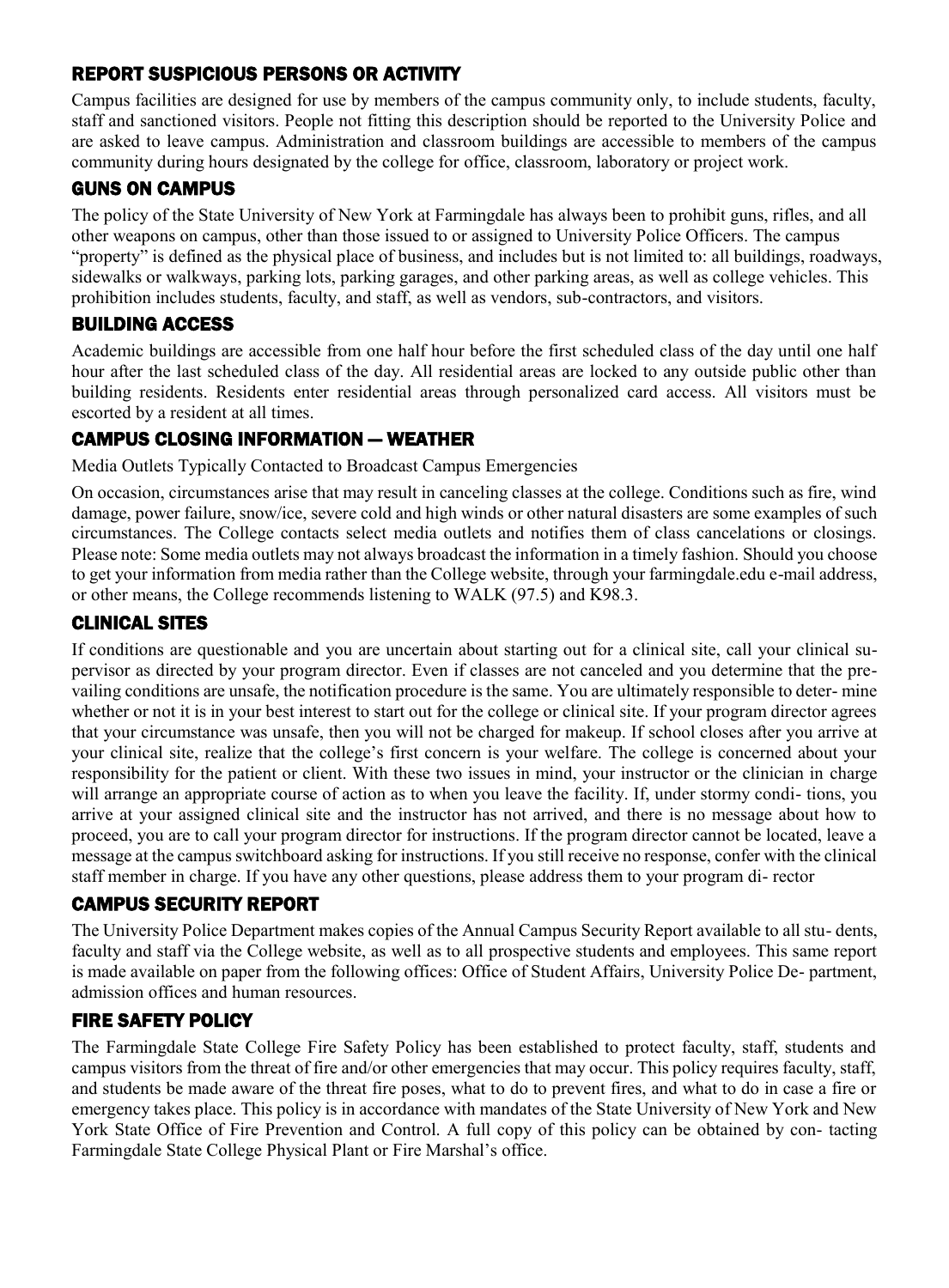### REPORT SUSPICIOUS PERSONS OR ACTIVITY

Campus facilities are designed for use by members of the campus community only, to include students, faculty, staff and sanctioned visitors. People not fitting this description should be reported to the University Police and are asked to leave campus. Administration and classroom buildings are accessible to members of the campus community during hours designated by the college for office, classroom, laboratory or project work.

### GUNS ON CAMPUS

The policy of the State University of New York at Farmingdale has always been to prohibit guns, rifles, and all other weapons on campus, other than those issued to or assigned to University Police Officers. The campus "property" is defined as the physical place of business, and includes but is not limited to: all buildings, roadways, sidewalks or walkways, parking lots, parking garages, and other parking areas, as well as college vehicles. This prohibition includes students, faculty, and staff, as well as vendors, sub-contractors, and visitors.

### BUILDING ACCESS

Academic buildings are accessible from one half hour before the first scheduled class of the day until one half hour after the last scheduled class of the day. All residential areas are locked to any outside public other than building residents. Residents enter residential areas through personalized card access. All visitors must be escorted by a resident at all times.

### CAMPUS CLOSING INFORMATION — WEATHER

Media Outlets Typically Contacted to Broadcast Campus Emergencies

On occasion, circumstances arise that may result in canceling classes at the college. Conditions such as fire, wind damage, power failure, snow/ice, severe cold and high winds or other natural disasters are some examples of such circumstances. The College contacts select media outlets and notifies them of class cancelations or closings. Please note: Some media outlets may not always broadcast the information in a timely fashion. Should you choose to get your information from media rather than the College website, through your farmingdale.edu e-mail address, or other means, the College recommends listening to WALK (97.5) and K98.3.

### CLINICAL SITES

If conditions are questionable and you are uncertain about starting out for a clinical site, call your clinical supervisor as directed by your program director. Even if classes are not canceled and you determine that the prevailing conditions are unsafe, the notification procedure is the same. You are ultimately responsible to deter- mine whether or not it is in your best interest to start out for the college or clinical site. If your program director agrees that your circumstance was unsafe, then you will not be charged for makeup. If school closes after you arrive at your clinical site, realize that the college's first concern is your welfare. The college is concerned about your responsibility for the patient or client. With these two issues in mind, your instructor or the clinician in charge will arrange an appropriate course of action as to when you leave the facility. If, under stormy condi- tions, you arrive at your assigned clinical site and the instructor has not arrived, and there is no message about how to proceed, you are to call your program director for instructions. If the program director cannot be located, leave a message at the campus switchboard asking for instructions. If you still receive no response, confer with the clinical staff member in charge. If you have any other questions, please address them to your program di- rector

### CAMPUS SECURITY REPORT

The University Police Department makes copies of the Annual Campus Security Report available to all stu- dents, faculty and staff via the College website, as well as to all prospective students and employees. This same report is made available on paper from the following offices: Office of Student Affairs, University Police De- partment, admission offices and human resources.

### FIRE SAFETY POLICY

The Farmingdale State College Fire Safety Policy has been established to protect faculty, staff, students and campus visitors from the threat of fire and/or other emergencies that may occur. This policy requires faculty, staff, and students be made aware of the threat fire poses, what to do to prevent fires, and what to do in case a fire or emergency takes place. This policy is in accordance with mandates of the State University of New York and New York State Office of Fire Prevention and Control. A full copy of this policy can be obtained by con- tacting Farmingdale State College Physical Plant or Fire Marshal's office.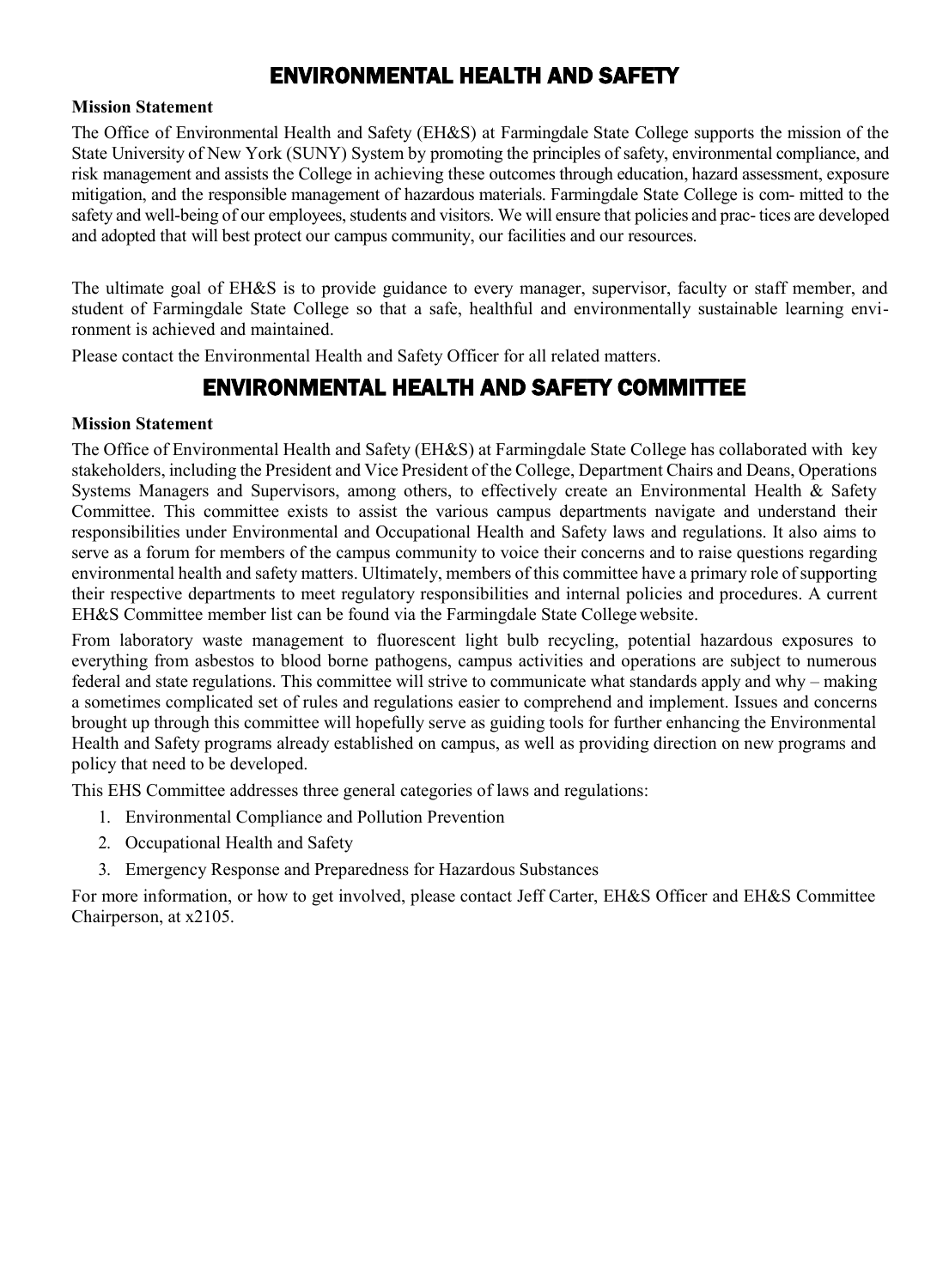## ENVIRONMENTAL HEALTH AND SAFETY

#### **Mission Statement**

The Office of Environmental Health and Safety (EH&S) at Farmingdale State College supports the mission of the State University of New York (SUNY) System by promoting the principles of safety, environmental compliance, and risk management and assists the College in achieving these outcomes through education, hazard assessment, exposure mitigation, and the responsible management of hazardous materials. Farmingdale State College is com- mitted to the safety and well-being of our employees, students and visitors. We will ensure that policies and prac- tices are developed and adopted that will best protect our campus community, our facilities and our resources.

The ultimate goal of EH&S is to provide guidance to every manager, supervisor, faculty or staff member, and student of Farmingdale State College so that a safe, healthful and environmentally sustainable learning environment is achieved and maintained.

Please contact the Environmental Health and Safety Officer for all related matters.

## ENVIRONMENTAL HEALTH AND SAFETY COMMITTEE

#### **Mission Statement**

The Office of Environmental Health and Safety (EH&S) at Farmingdale State College has collaborated with key stakeholders, including the President and Vice President of the College, Department Chairs and Deans, Operations Systems Managers and Supervisors, among others, to effectively create an Environmental Health & Safety Committee. This committee exists to assist the various campus departments navigate and understand their responsibilities under Environmental and Occupational Health and Safety laws and regulations. It also aims to serve as a forum for members of the campus community to voice their concerns and to raise questions regarding environmental health and safety matters. Ultimately, members of this committee have a primary role of supporting their respective departments to meet regulatory responsibilities and internal policies and procedures. A current EH&S Committee member list can be found via the Farmingdale State Collegewebsite.

From laboratory waste management to fluorescent light bulb recycling, potential hazardous exposures to everything from asbestos to blood borne pathogens, campus activities and operations are subject to numerous federal and state regulations. This committee will strive to communicate what standards apply and why – making a sometimes complicated set of rules and regulations easier to comprehend and implement. Issues and concerns brought up through this committee will hopefully serve as guiding tools for further enhancing the Environmental Health and Safety programs already established on campus, as well as providing direction on new programs and policy that need to be developed.

This EHS Committee addresses three general categories of laws and regulations:

- 1. Environmental Compliance and Pollution Prevention
- 2. Occupational Health and Safety
- 3. Emergency Response and Preparedness for Hazardous Substances

For more information, or how to get involved, please contact Jeff Carter, EH&S Officer and EH&S Committee Chairperson, at x2105.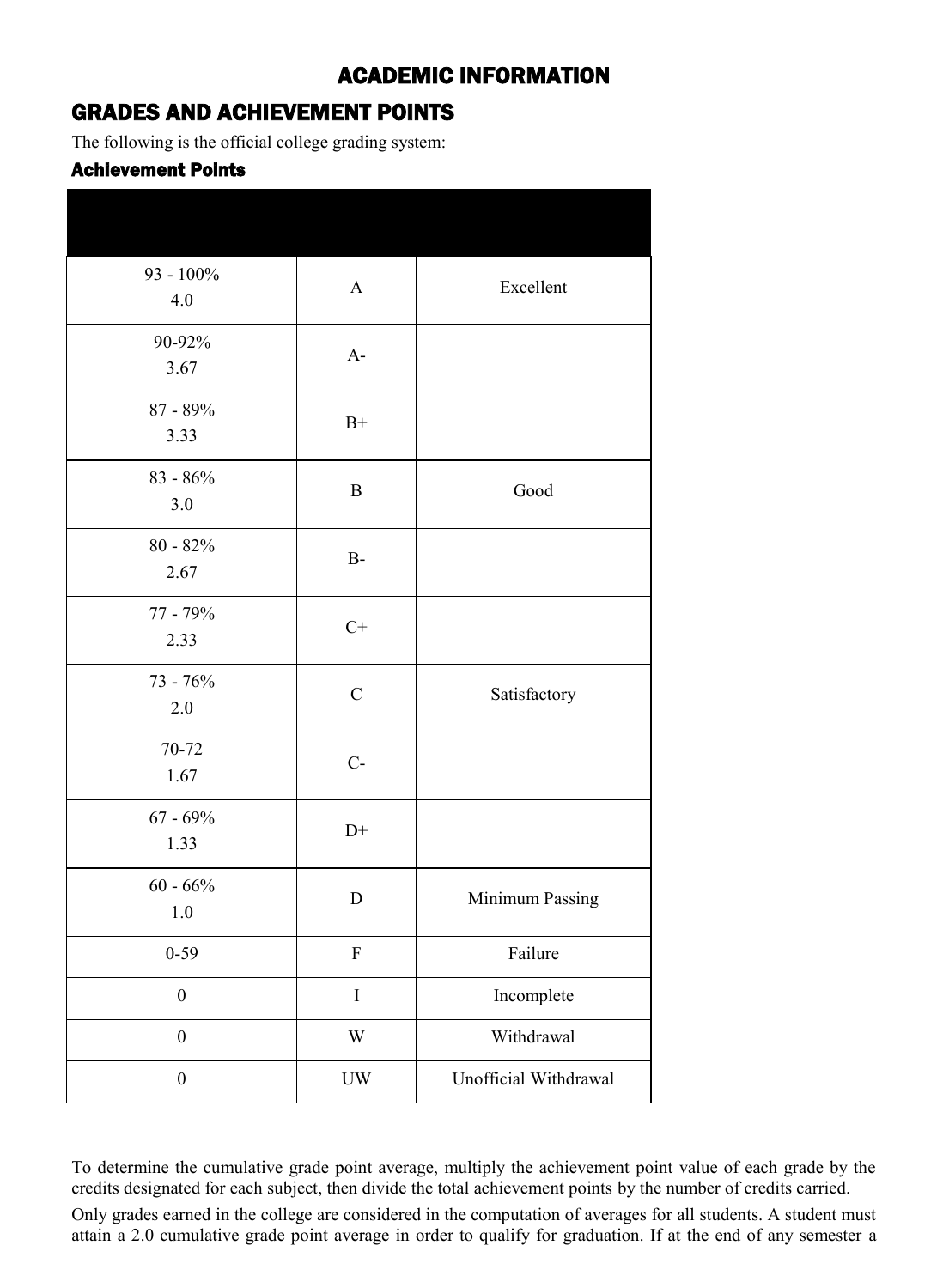## ACADEMIC INFORMATION

## GRADES AND ACHIEVEMENT POINTS

The following is the official college grading system:

#### Achievement Points

| 93 - 100%<br>4.0      | $\mathbf{A}$                                 | Excellent             |
|-----------------------|----------------------------------------------|-----------------------|
| 90-92%<br>3.67        | $A-$                                         |                       |
| 87 - 89%<br>3.33      | $B+$                                         |                       |
| $83 - 86%$<br>3.0     | B                                            | Good                  |
| $80 - 82%$<br>2.67    | $B-$                                         |                       |
| 77 - 79%<br>2.33      | $\mathrm{C}^{+}$                             |                       |
| 73 - 76%<br>2.0       | $\mathcal{C}$                                | Satisfactory          |
| 70-72<br>1.67         | $C-$                                         |                       |
| $67 - 69%$<br>1.33    | $D+$                                         |                       |
| $60 - 66%$<br>$1.0\,$ | ${\bf D}$                                    | Minimum Passing       |
| $0 - 59$              | ${\bf F}$                                    | Failure               |
| $\boldsymbol{0}$      | $\bf I$                                      | Incomplete            |
| $\boldsymbol{0}$      | W                                            | Withdrawal            |
| $\boldsymbol{0}$      | $\ensuremath{\text{U}}\ensuremath{\text{W}}$ | Unofficial Withdrawal |

To determine the cumulative grade point average, multiply the achievement point value of each grade by the credits designated for each subject, then divide the total achievement points by the number of credits carried.

Only grades earned in the college are considered in the computation of averages for all students. A student must attain a 2.0 cumulative grade point average in order to qualify for graduation. If at the end of any semester a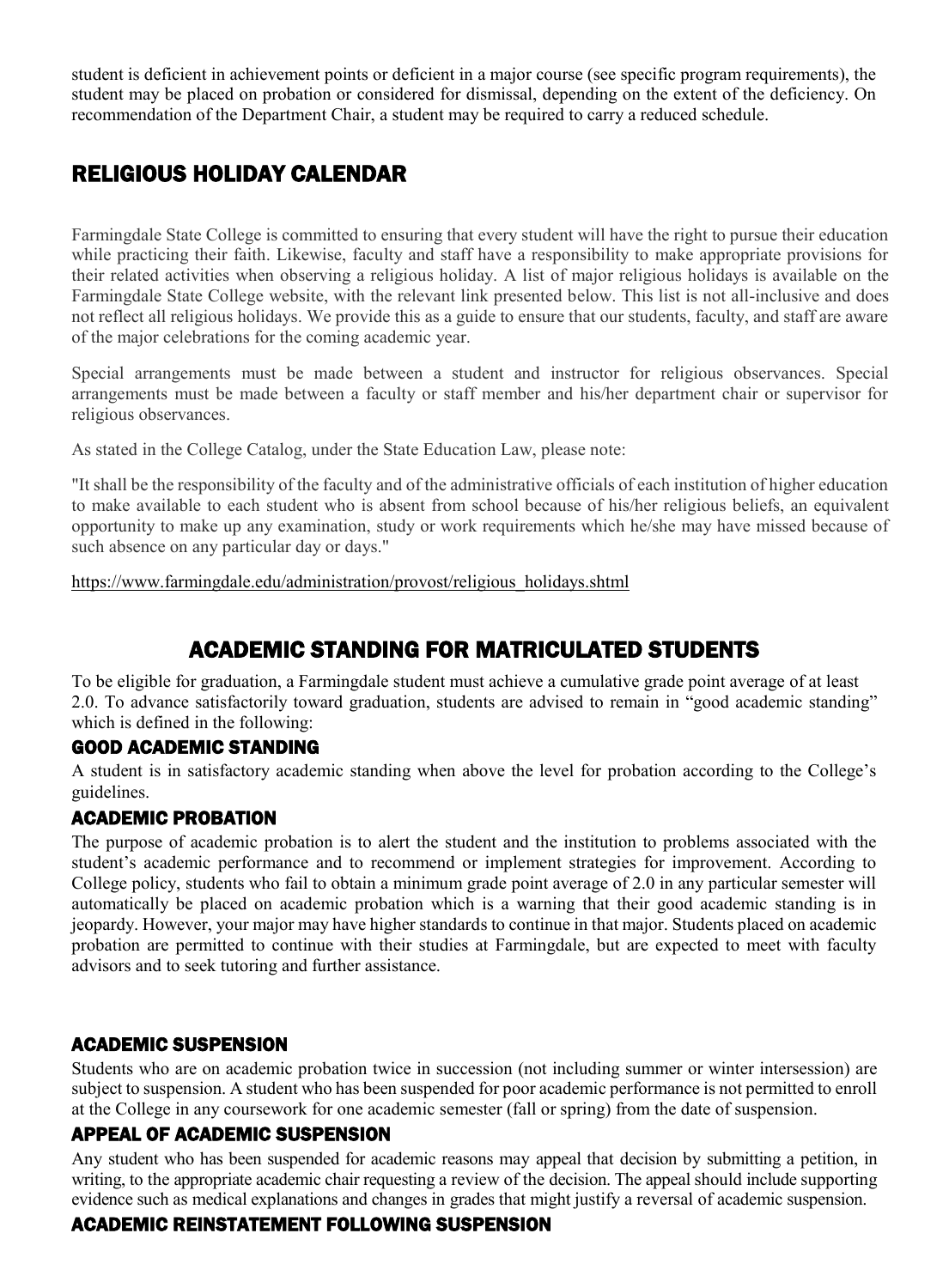student is deficient in achievement points or deficient in a major course (see specific program requirements), the student may be placed on probation or considered for dismissal, depending on the extent of the deficiency. On recommendation of the Department Chair, a student may be required to carry a reduced schedule.

## RELIGIOUS HOLIDAY CALENDAR

Farmingdale State College is committed to ensuring that every student will have the right to pursue their education while practicing their faith. Likewise, faculty and staff have a responsibility to make appropriate provisions for their related activities when observing a religious holiday. A list of major religious holidays is available on the Farmingdale State College website, with the relevant link presented below. This list is not all-inclusive and does not reflect all religious holidays. We provide this as a guide to ensure that our students, faculty, and staff are aware of the major celebrations for the coming academic year.

Special arrangements must be made between a student and instructor for religious observances. Special arrangements must be made between a faculty or staff member and his/her department chair or supervisor for religious observances.

As stated in the College Catalog, under the State Education Law, please note:

"It shall be the responsibility of the faculty and of the administrative officials of each institution of higher education to make available to each student who is absent from school because of his/her religious beliefs, an equivalent opportunity to make up any examination, study or work requirements which he/she may have missed because of such absence on any particular day or days."

[https://www.farmingdale.edu/administration/provost/religious\\_holidays.shtml](https://www.farmingdale.edu/administration/provost/religious_holidays.shtml)

## ACADEMIC STANDING FOR MATRICULATED STUDENTS

To be eligible for graduation, a Farmingdale student must achieve a cumulative grade point average of at least 2.0. To advance satisfactorily toward graduation, students are advised to remain in "good academic standing" which is defined in the following:

#### GOOD ACADEMIC STANDING

A student is in satisfactory academic standing when above the level for probation according to the College's guidelines.

#### ACADEMIC PROBATION

The purpose of academic probation is to alert the student and the institution to problems associated with the student's academic performance and to recommend or implement strategies for improvement. According to College policy, students who fail to obtain a minimum grade point average of 2.0 in any particular semester will automatically be placed on academic probation which is a warning that their good academic standing is in jeopardy. However, your major may have higher standards to continue in that major. Students placed on academic probation are permitted to continue with their studies at Farmingdale, but are expected to meet with faculty advisors and to seek tutoring and further assistance.

#### ACADEMIC SUSPENSION

Students who are on academic probation twice in succession (not including summer or winter intersession) are subject to suspension. A student who has been suspended for poor academic performance is not permitted to enroll at the College in any coursework for one academic semester (fall or spring) from the date of suspension.

#### APPEAL OF ACADEMIC SUSPENSION

Any student who has been suspended for academic reasons may appeal that decision by submitting a petition, in writing, to the appropriate academic chair requesting a review of the decision. The appeal should include supporting evidence such as medical explanations and changes in grades that might justify a reversal of academic suspension.

#### ACADEMIC REINSTATEMENT FOLLOWING SUSPENSION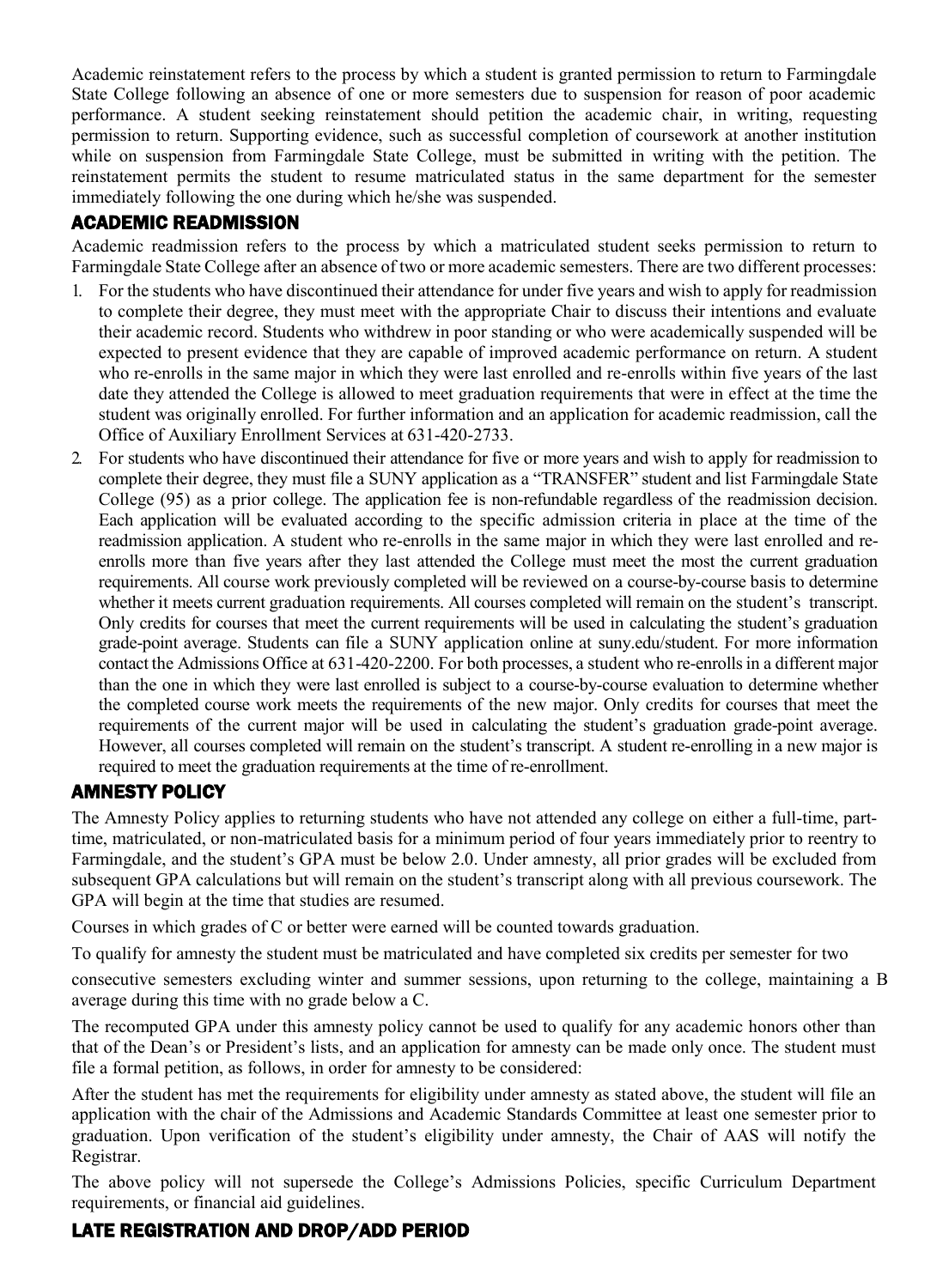Academic reinstatement refers to the process by which a student is granted permission to return to Farmingdale State College following an absence of one or more semesters due to suspension for reason of poor academic performance. A student seeking reinstatement should petition the academic chair, in writing, requesting permission to return. Supporting evidence, such as successful completion of coursework at another institution while on suspension from Farmingdale State College, must be submitted in writing with the petition. The reinstatement permits the student to resume matriculated status in the same department for the semester immediately following the one during which he/she was suspended.

### ACADEMIC READMISSION

Academic readmission refers to the process by which a matriculated student seeks permission to return to Farmingdale State College after an absence of two or more academic semesters. There are two different processes:

- 1. For the students who have discontinued their attendance for under five years and wish to apply for readmission to complete their degree, they must meet with the appropriate Chair to discuss their intentions and evaluate their academic record. Students who withdrew in poor standing or who were academically suspended will be expected to present evidence that they are capable of improved academic performance on return. A student who re-enrolls in the same major in which they were last enrolled and re-enrolls within five years of the last date they attended the College is allowed to meet graduation requirements that were in effect at the time the student was originally enrolled. For further information and an application for academic readmission, call the Office of Auxiliary Enrollment Services at 631-420-2733.
- 2. For students who have discontinued their attendance for five or more years and wish to apply for readmission to complete their degree, they must file a SUNY application as a "TRANSFER" student and list Farmingdale State College (95) as a prior college. The application fee is non-refundable regardless of the readmission decision. Each application will be evaluated according to the specific admission criteria in place at the time of the readmission application. A student who re-enrolls in the same major in which they were last enrolled and reenrolls more than five years after they last attended the College must meet the most the current graduation requirements. All course work previously completed will be reviewed on a course-by-course basis to determine whether it meets current graduation requirements. All courses completed will remain on the student's transcript. Only credits for courses that meet the current requirements will be used in calculating the student's graduation grade-point average. Students can file a SUNY application online at suny.edu/student. For more information contact the Admissions Office at 631-420-2200. For both processes, a student who re-enrolls in a different major than the one in which they were last enrolled is subject to a course-by-course evaluation to determine whether the completed course work meets the requirements of the new major. Only credits for courses that meet the requirements of the current major will be used in calculating the student's graduation grade-point average. However, all courses completed will remain on the student's transcript. A student re-enrolling in a new major is required to meet the graduation requirements at the time of re-enrollment.

### AMNESTY POLICY

The Amnesty Policy applies to returning students who have not attended any college on either a full-time, parttime, matriculated, or non-matriculated basis for a minimum period of four years immediately prior to reentry to Farmingdale, and the student's GPA must be below 2.0. Under amnesty, all prior grades will be excluded from subsequent GPA calculations but will remain on the student's transcript along with all previous coursework. The GPA will begin at the time that studies are resumed.

Courses in which grades of C or better were earned will be counted towards graduation.

To qualify for amnesty the student must be matriculated and have completed six credits per semester for two

consecutive semesters excluding winter and summer sessions, upon returning to the college, maintaining a B average during this time with no grade below a C.

The recomputed GPA under this amnesty policy cannot be used to qualify for any academic honors other than that of the Dean's or President's lists, and an application for amnesty can be made only once. The student must file a formal petition, as follows, in order for amnesty to be considered:

After the student has met the requirements for eligibility under amnesty as stated above, the student will file an application with the chair of the Admissions and Academic Standards Committee at least one semester prior to graduation. Upon verification of the student's eligibility under amnesty, the Chair of AAS will notify the Registrar.

The above policy will not supersede the College's Admissions Policies, specific Curriculum Department requirements, or financial aid guidelines.

### LATE REGISTRATION AND DROP/ADD PERIOD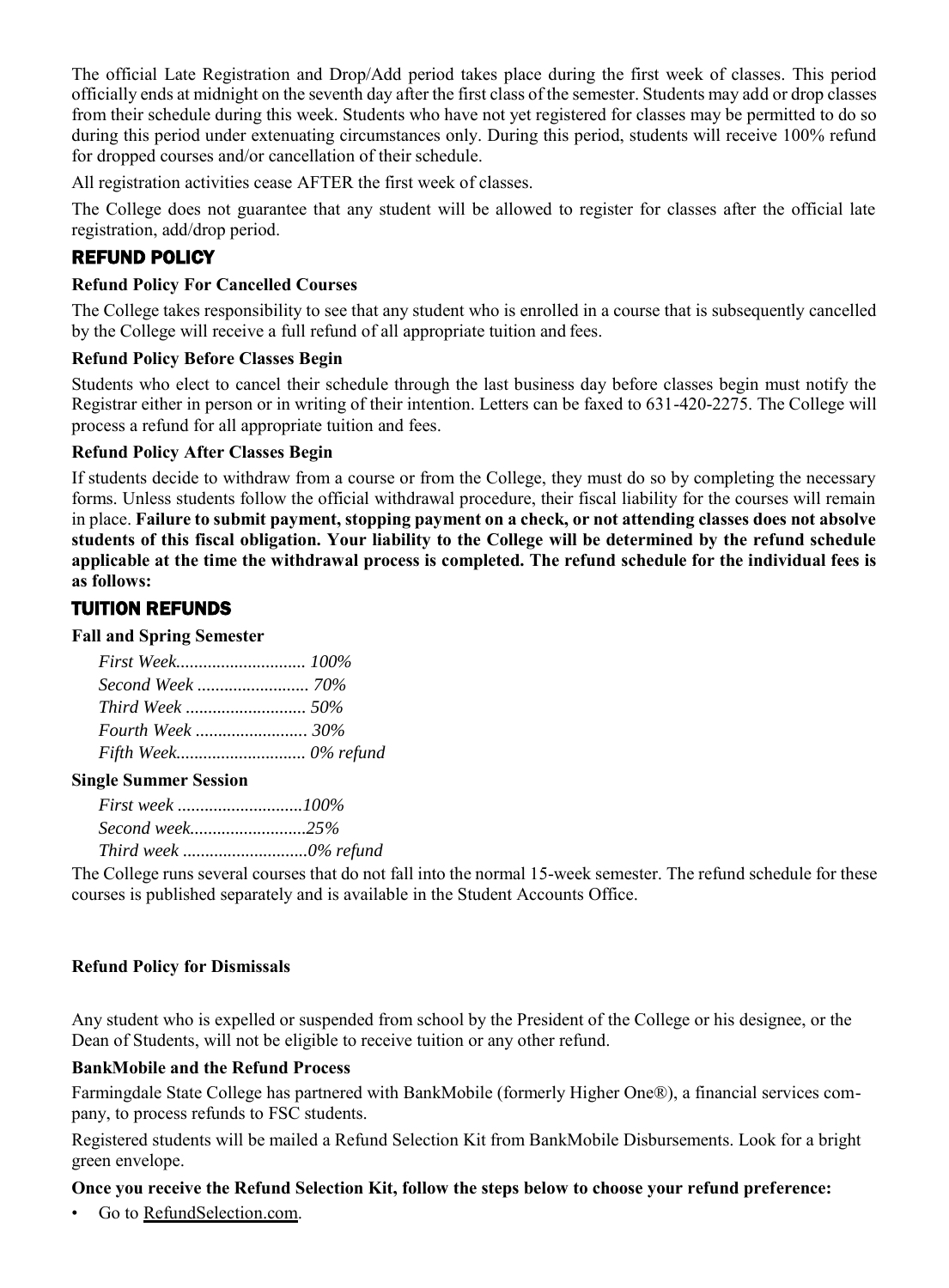The official Late Registration and Drop/Add period takes place during the first week of classes. This period officially ends at midnight on the seventh day after the first class of the semester. Students may add or drop classes from their schedule during this week. Students who have not yet registered for classes may be permitted to do so during this period under extenuating circumstances only. During this period, students will receive 100% refund for dropped courses and/or cancellation of their schedule.

All registration activities cease AFTER the first week of classes.

The College does not guarantee that any student will be allowed to register for classes after the official late registration, add/drop period.

### REFUND POLICY

#### **Refund Policy For Cancelled Courses**

The College takes responsibility to see that any student who is enrolled in a course that is subsequently cancelled by the College will receive a full refund of all appropriate tuition and fees.

#### **Refund Policy Before Classes Begin**

Students who elect to cancel their schedule through the last business day before classes begin must notify the Registrar either in person or in writing of their intention. Letters can be faxed to 631-420-2275. The College will process a refund for all appropriate tuition and fees.

#### **Refund Policy After Classes Begin**

If students decide to withdraw from a course or from the College, they must do so by completing the necessary forms. Unless students follow the official withdrawal procedure, their fiscal liability for the courses will remain in place. **Failure to submit payment, stopping payment on a check, or not attending classes does not absolve students of this fiscal obligation. Your liability to the College will be determined by the refund schedule applicable at the time the withdrawal process is completed. The refund schedule for the individual fees is as follows:**

### TUITION REFUNDS

#### **Fall and Spring Semester**

#### **Single Summer Session**

| Second week25% |  |
|----------------|--|
|                |  |

The College runs several courses that do not fall into the normal 15-week semester. The refund schedule for these courses is published separately and is available in the Student Accounts Office.

#### **Refund Policy for Dismissals**

Any student who is expelled or suspended from school by the President of the College or his designee, or the Dean of Students, will not be eligible to receive tuition or any other refund.

#### **BankMobile and the Refund Process**

Farmingdale State College has partnered with BankMobile (formerly Higher One®), a financial services company, to process refunds to FSC students.

Registered students will be mailed a Refund Selection Kit from BankMobile Disbursements. Look for a bright green envelope.

#### **Once you receive the Refund Selection Kit, follow the steps below to choose your refund preference:**

• Go to RefundSelection.com.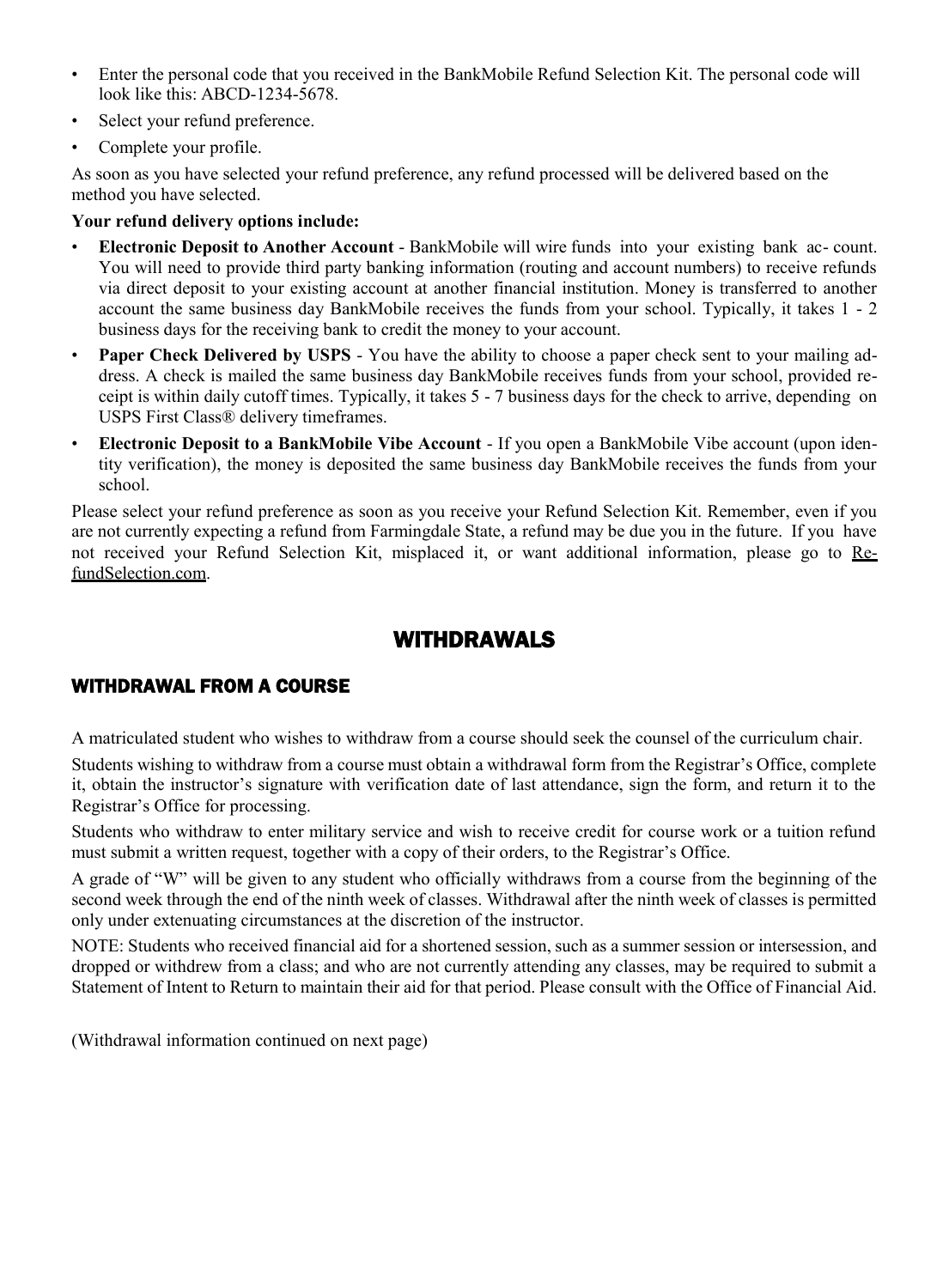- Enter the personal code that you received in the BankMobile Refund Selection Kit. The personal code will look like this: ABCD-1234-5678.
- Select your refund preference.
- Complete your profile.

As soon as you have selected your refund preference, any refund processed will be delivered based on the method you have selected.

#### **Your refund delivery options include:**

- **Electronic Deposit to Another Account**  BankMobile will wire funds into your existing bank ac- count. You will need to provide third party banking information (routing and account numbers) to receive refunds via direct deposit to your existing account at another financial institution. Money is transferred to another account the same business day BankMobile receives the funds from your school. Typically, it takes 1 - 2 business days for the receiving bank to credit the money to your account.
- **Paper Check Delivered by USPS**  You have the ability to choose a paper check sent to your mailing address. A check is mailed the same business day BankMobile receives funds from your school, provided receipt is within daily cutoff times. Typically, it takes 5 - 7 business days for the check to arrive, depending on USPS First Class® delivery timeframes.
- **Electronic Deposit to a BankMobile Vibe Account**  If you open a BankMobile Vibe account (upon identity verification), the money is deposited the same business day BankMobile receives the funds from your school.

Please select your refund preference as soon as you receive your Refund Selection Kit. Remember, even if you are not currently expecting a refund from Farmingdale State, a refund may be due you in the future. If you have not received your Refund Selection Kit, misplaced it, or want additional information, please go to RefundSelection.com.

## WITHDRAWALS

#### WITHDRAWAL FROM A COURSE

A matriculated student who wishes to withdraw from a course should seek the counsel of the curriculum chair.

Students wishing to withdraw from a course must obtain a withdrawal form from the Registrar's Office, complete it, obtain the instructor's signature with verification date of last attendance, sign the form, and return it to the Registrar's Office for processing.

Students who withdraw to enter military service and wish to receive credit for course work or a tuition refund must submit a written request, together with a copy of their orders, to the Registrar's Office.

A grade of "W" will be given to any student who officially withdraws from a course from the beginning of the second week through the end of the ninth week of classes. Withdrawal after the ninth week of classes is permitted only under extenuating circumstances at the discretion of the instructor.

NOTE: Students who received financial aid for a shortened session, such as a summer session or intersession, and dropped or withdrew from a class; and who are not currently attending any classes, may be required to submit a Statement of Intent to Return to maintain their aid for that period. Please consult with the Office of Financial Aid.

(Withdrawal information continued on next page)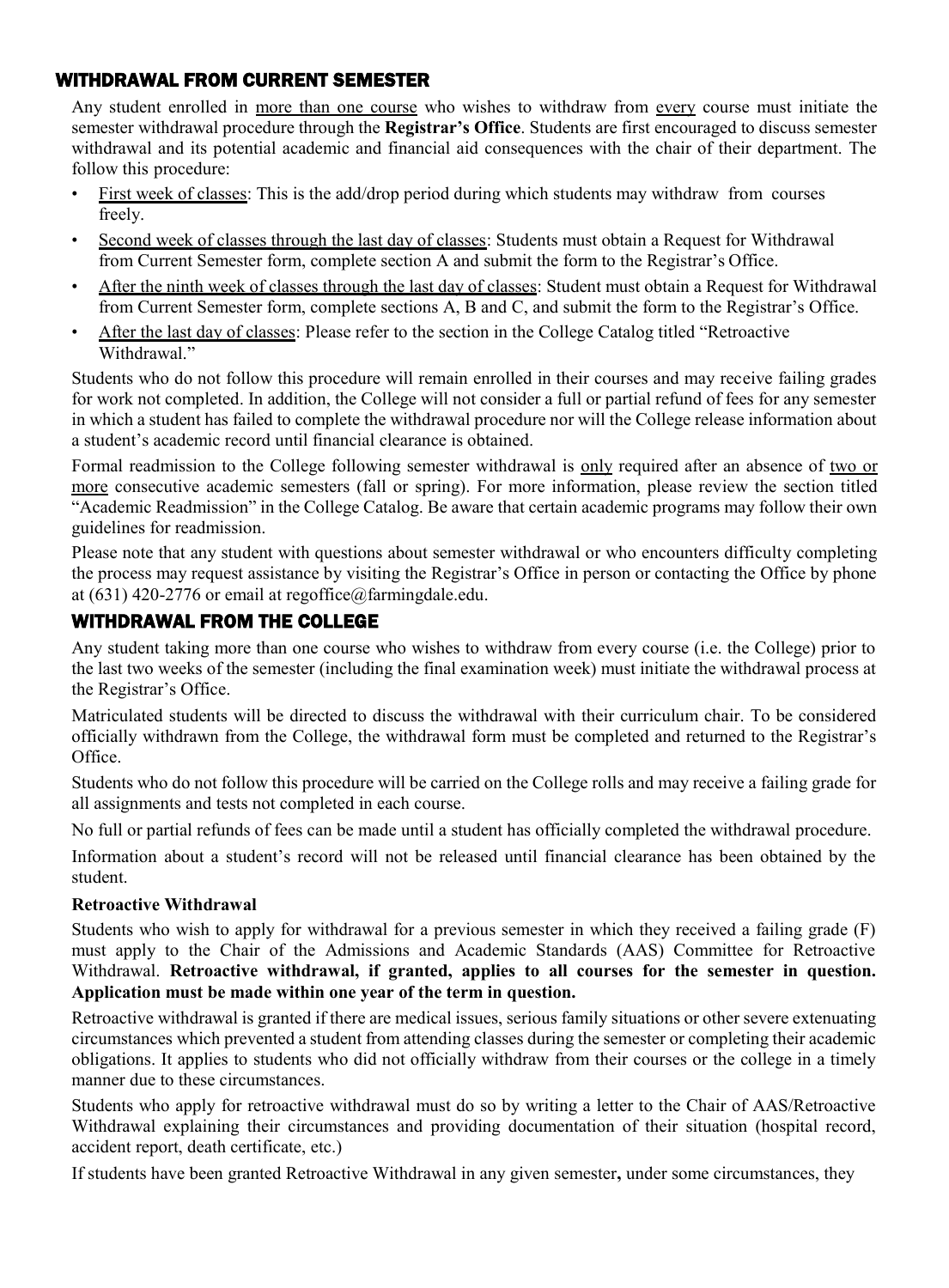### WITHDRAWAL FROM CURRENT SEMESTER

Any student enrolled in more than one course who wishes to withdraw from every course must initiate the semester withdrawal procedure through the **Registrar's Office**. Students are first encouraged to discuss semester withdrawal and its potential academic and financial aid consequences with the chair of their department. The follow this procedure:

- First week of classes: This is the add/drop period during which students may withdraw from courses freely.
- Second week of classes through the last day of classes: Students must obtain a Request for Withdrawal from Current Semester form, complete section A and submit the form to the Registrar's Office.
- After the ninth week of classes through the last day of classes: Student must obtain a Request for Withdrawal from Current Semester form, complete sections A, B and C, and submit the form to the Registrar's Office.
- After the last day of classes: Please refer to the section in the College Catalog titled "Retroactive Withdrawal<sup>"</sup>

Students who do not follow this procedure will remain enrolled in their courses and may receive failing grades for work not completed. In addition, the College will not consider a full or partial refund of fees for any semester in which a student has failed to complete the withdrawal procedure nor will the College release information about a student's academic record until financial clearance is obtained.

Formal readmission to the College following semester withdrawal is only required after an absence of two or more consecutive academic semesters (fall or spring). For more information, please review the section titled "Academic Readmission" in the College Catalog. Be aware that certain academic programs may follow their own guidelines for readmission.

Please note that any student with questions about semester withdrawal or who encounters difficulty completing the process may request assistance by visiting the Registrar's Office in person or contacting the Office by phone at  $(631)$  420-2776 or email [at regoffice@farmingdale.edu.](mailto:regoffice@farmingdale.edu)

### WITHDRAWAL FROM THE COLLEGE

Any student taking more than one course who wishes to withdraw from every course (i.e. the College) prior to the last two weeks of the semester (including the final examination week) must initiate the withdrawal process at the Registrar's Office.

Matriculated students will be directed to discuss the withdrawal with their curriculum chair. To be considered officially withdrawn from the College, the withdrawal form must be completed and returned to the Registrar's Office.

Students who do not follow this procedure will be carried on the College rolls and may receive a failing grade for all assignments and tests not completed in each course.

No full or partial refunds of fees can be made until a student has officially completed the withdrawal procedure.

Information about a student's record will not be released until financial clearance has been obtained by the student.

#### **Retroactive Withdrawal**

Students who wish to apply for withdrawal for a previous semester in which they received a failing grade (F) must apply to the Chair of the Admissions and Academic Standards (AAS) Committee for Retroactive Withdrawal. **Retroactive withdrawal, if granted, applies to all courses for the semester in question. Application must be made within one year of the term in question.**

Retroactive withdrawal is granted if there are medical issues, serious family situations or other severe extenuating circumstances which prevented a student from attending classes during the semester or completing their academic obligations. It applies to students who did not officially withdraw from their courses or the college in a timely manner due to these circumstances.

Students who apply for retroactive withdrawal must do so by writing a letter to the Chair of AAS/Retroactive Withdrawal explaining their circumstances and providing documentation of their situation (hospital record, accident report, death certificate, etc.)

If students have been granted Retroactive Withdrawal in any given semester**,** under some circumstances, they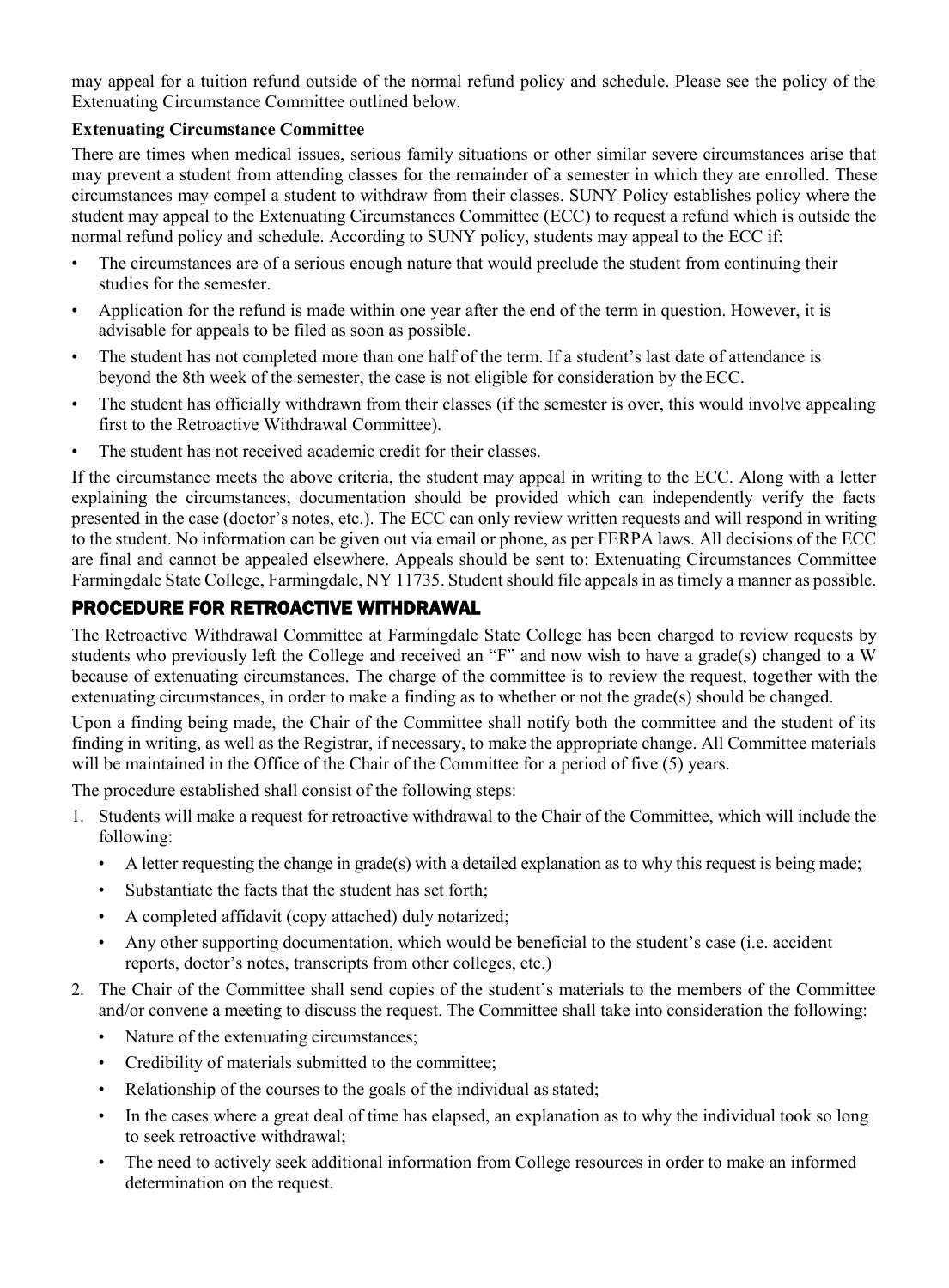may appeal for a tuition refund outside of the normal refund policy and schedule. Please see the policy of the Extenuating Circumstance Committee outlined below.

#### **Extenuating Circumstance Committee**

There are times when medical issues, serious family situations or other similar severe circumstances arise that may prevent a student from attending classes for the remainder of a semester in which they are enrolled. These circumstances may compel a student to withdraw from their classes. SUNY Policy establishes policy where the student may appeal to the Extenuating Circumstances Committee (ECC) to request a refund which is outside the normal refund policy and schedule. According to SUNY policy, students may appeal to the ECC if:

- The circumstances are of a serious enough nature that would preclude the student from continuing their studies for the semester.
- Application for the refund is made within one year after the end of the term in question. However, it is advisable for appeals to be filed as soon as possible.
- The student has not completed more than one half of the term. If a student's last date of attendance is beyond the 8th week of the semester, the case is not eligible for consideration by the ECC.
- The student has officially withdrawn from their classes (if the semester is over, this would involve appealing first to the Retroactive Withdrawal Committee).
- The student has not received academic credit for their classes.

If the circumstance meets the above criteria, the student may appeal in writing to the ECC. Along with a letter explaining the circumstances, documentation should be provided which can independently verify the facts presented in the case (doctor's notes, etc.). The ECC can only review written requests and will respond in writing to the student. No information can be given out via email or phone, as per FERPA laws. All decisions of the ECC are final and cannot be appealed elsewhere. Appeals should be sent to: Extenuating Circumstances Committee Farmingdale State College, Farmingdale, NY 11735. Student should file appeals in as timely a manner as possible.

### PROCEDURE FOR RETROACTIVE WITHDRAWAL

The Retroactive Withdrawal Committee at Farmingdale State College has been charged to review requests by students who previously left the College and received an "F" and now wish to have a grade(s) changed to a W because of extenuating circumstances. The charge of the committee is to review the request, together with the extenuating circumstances, in order to make a finding as to whether or not the grade(s) should be changed.

Upon a finding being made, the Chair of the Committee shall notify both the committee and the student of its finding in writing, as well as the Registrar, if necessary, to make the appropriate change. All Committee materials will be maintained in the Office of the Chair of the Committee for a period of five (5) years.

The procedure established shall consist of the following steps:

- 1. Students will make a request for retroactive withdrawal to the Chair of the Committee, which will include the following:
	- A letter requesting the change in grade(s) with a detailed explanation as to why this request is being made;
	- Substantiate the facts that the student has set forth;
	- A completed affidavit (copy attached) duly notarized;
	- Any other supporting documentation, which would be beneficial to the student's case (i.e. accident reports, doctor's notes, transcripts from other colleges, etc.)
- 2. The Chair of the Committee shall send copies of the student's materials to the members of the Committee and/or convene a meeting to discuss the request. The Committee shall take into consideration the following:
	- Nature of the extenuating circumstances;
	- Credibility of materials submitted to the committee;
	- Relationship of the courses to the goals of the individual as stated;
	- In the cases where a great deal of time has elapsed, an explanation as to why the individual took so long to seek retroactive withdrawal;
	- The need to actively seek additional information from College resources in order to make an informed determination on the request.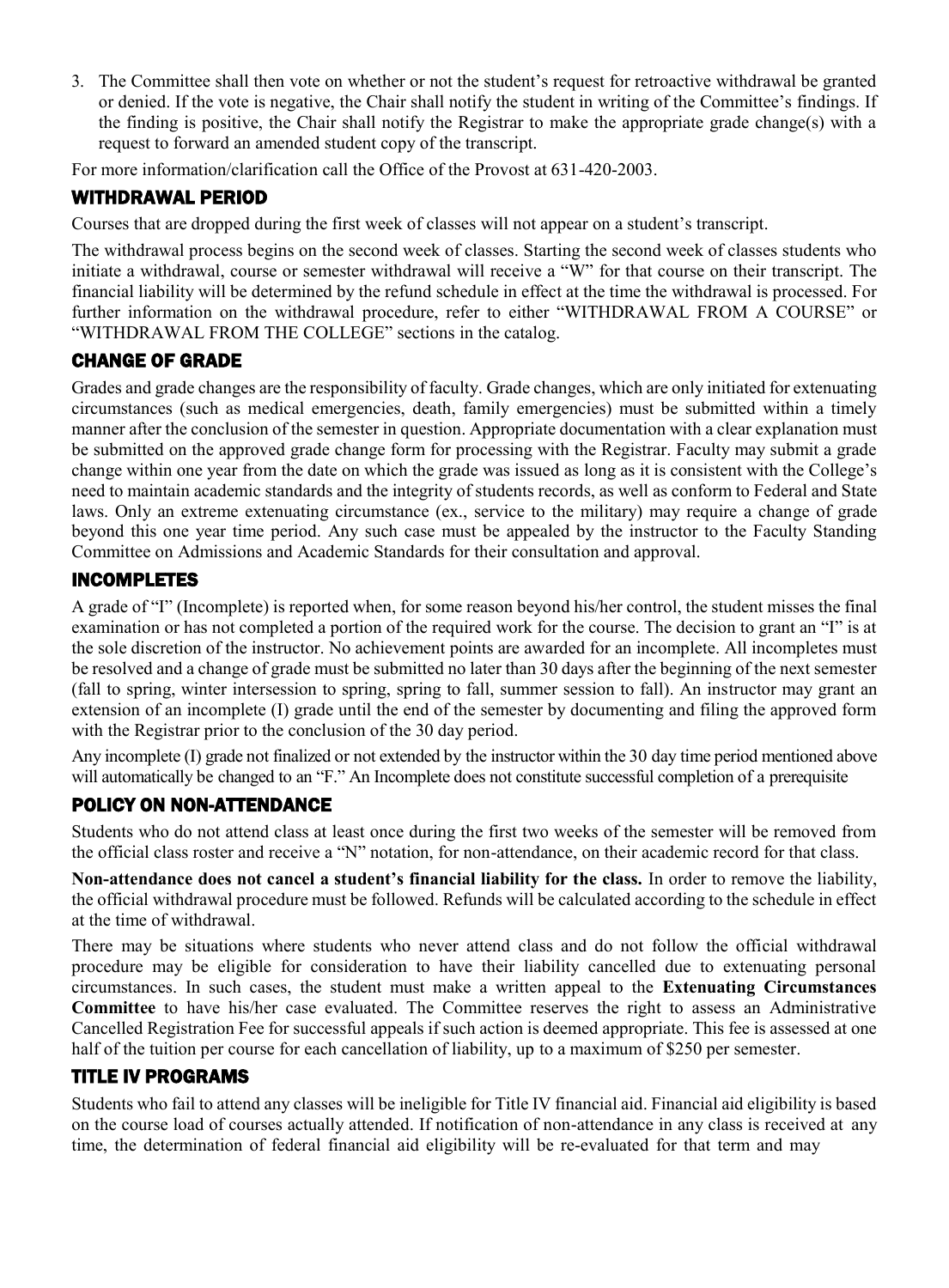3. The Committee shall then vote on whether or not the student's request for retroactive withdrawal be granted or denied. If the vote is negative, the Chair shall notify the student in writing of the Committee's findings. If the finding is positive, the Chair shall notify the Registrar to make the appropriate grade change(s) with a request to forward an amended student copy of the transcript.

For more information/clarification call the Office of the Provost at 631-420-2003.

### WITHDRAWAL PERIOD

Courses that are dropped during the first week of classes will not appear on a student's transcript.

The withdrawal process begins on the second week of classes. Starting the second week of classes students who initiate a withdrawal, course or semester withdrawal will receive a "W" for that course on their transcript. The financial liability will be determined by the refund schedule in effect at the time the withdrawal is processed. For further information on the withdrawal procedure, refer to either "WITHDRAWAL FROM A COURSE" or "WITHDRAWAL FROM THE COLLEGE" sections in the catalog.

### CHANGE OF GRADE

Grades and grade changes are the responsibility of faculty. Grade changes, which are only initiated for extenuating circumstances (such as medical emergencies, death, family emergencies) must be submitted within a timely manner after the conclusion of the semester in question. Appropriate documentation with a clear explanation must be submitted on the approved grade change form for processing with the Registrar. Faculty may submit a grade change within one year from the date on which the grade was issued as long as it is consistent with the College's need to maintain academic standards and the integrity of students records, as well as conform to Federal and State laws. Only an extreme extenuating circumstance (ex., service to the military) may require a change of grade beyond this one year time period. Any such case must be appealed by the instructor to the Faculty Standing Committee on Admissions and Academic Standards for their consultation and approval.

### INCOMPLETES

A grade of "I" (Incomplete) is reported when, for some reason beyond his/her control, the student misses the final examination or has not completed a portion of the required work for the course. The decision to grant an "I" is at the sole discretion of the instructor. No achievement points are awarded for an incomplete. All incompletes must be resolved and a change of grade must be submitted no later than 30 days after the beginning of the next semester (fall to spring, winter intersession to spring, spring to fall, summer session to fall). An instructor may grant an extension of an incomplete (I) grade until the end of the semester by documenting and filing the approved form with the Registrar prior to the conclusion of the 30 day period.

Any incomplete (I) grade not finalized or not extended by the instructor within the 30 day time period mentioned above will automatically be changed to an "F." An Incomplete does not constitute successful completion of a prerequisite

### POLICY ON NON-ATTENDANCE

Students who do not attend class at least once during the first two weeks of the semester will be removed from the official class roster and receive a "N" notation, for non-attendance, on their academic record for that class.

**Non-attendance does not cancel a student's financial liability for the class.** In order to remove the liability, the official withdrawal procedure must be followed. Refunds will be calculated according to the schedule in effect at the time of withdrawal.

There may be situations where students who never attend class and do not follow the official withdrawal procedure may be eligible for consideration to have their liability cancelled due to extenuating personal circumstances. In such cases, the student must make a written appeal to the **Extenuating Circumstances Committee** to have his/her case evaluated. The Committee reserves the right to assess an Administrative Cancelled Registration Fee for successful appeals if such action is deemed appropriate. This fee is assessed at one half of the tuition per course for each cancellation of liability, up to a maximum of \$250 per semester.

### TITLE IV PROGRAMS

Students who fail to attend any classes will be ineligible for Title IV financial aid. Financial aid eligibility is based on the course load of courses actually attended. If notification of non-attendance in any class is received at any time, the determination of federal financial aid eligibility will be re-evaluated for that term and may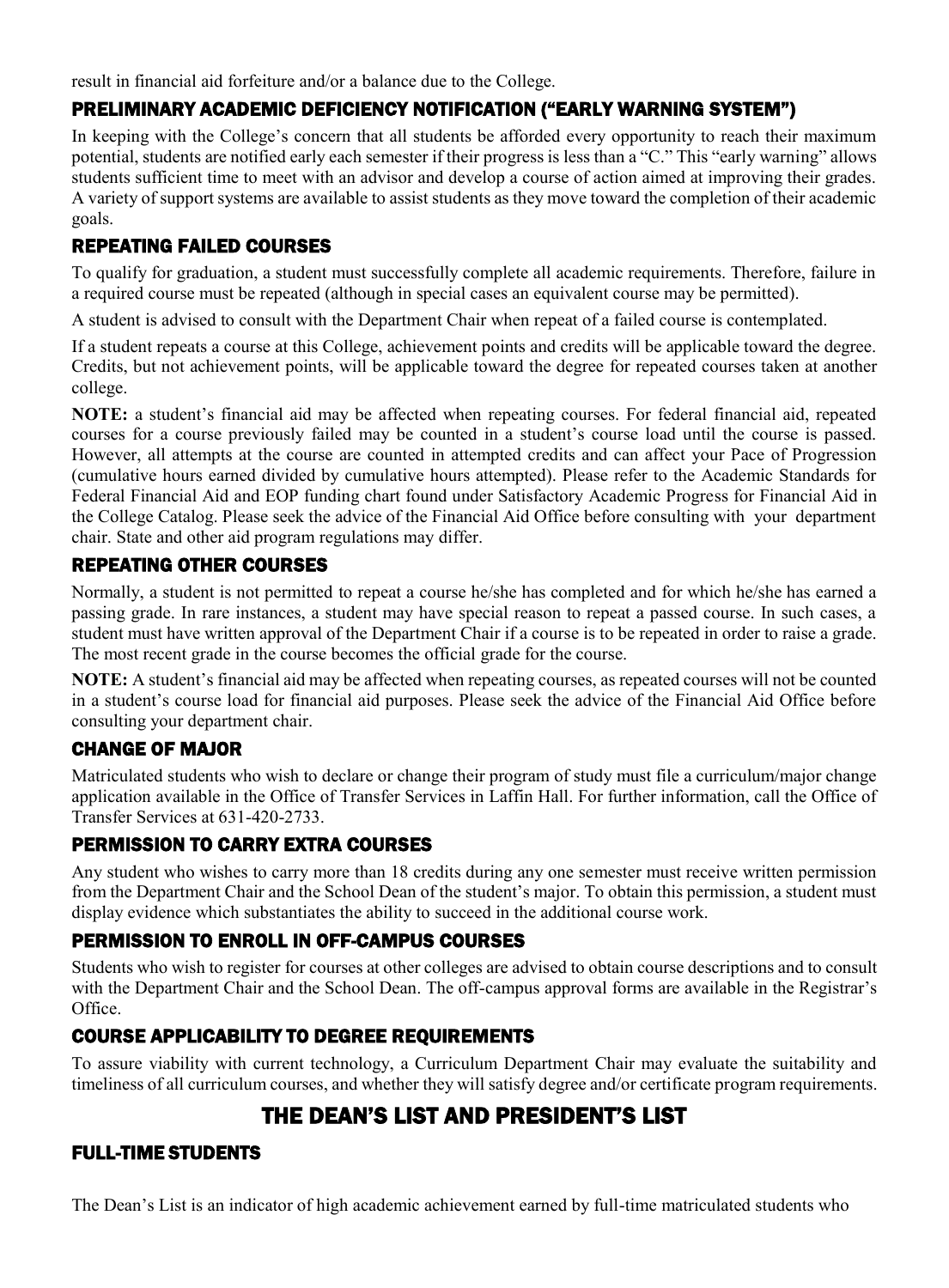result in financial aid forfeiture and/or a balance due to the College.

### PRELIMINARY ACADEMIC DEFICIENCY NOTIFICATION ("EARLY WARNING SYSTEM")

In keeping with the College's concern that all students be afforded every opportunity to reach their maximum potential, students are notified early each semester if their progress is less than a "C." This "early warning" allows students sufficient time to meet with an advisor and develop a course of action aimed at improving their grades. A variety of support systems are available to assist students as they move toward the completion of their academic goals.

### REPEATING FAILED COURSES

To qualify for graduation, a student must successfully complete all academic requirements. Therefore, failure in a required course must be repeated (although in special cases an equivalent course may be permitted).

A student is advised to consult with the Department Chair when repeat of a failed course is contemplated.

If a student repeats a course at this College, achievement points and credits will be applicable toward the degree. Credits, but not achievement points, will be applicable toward the degree for repeated courses taken at another college.

**NOTE:** a student's financial aid may be affected when repeating courses. For federal financial aid, repeated courses for a course previously failed may be counted in a student's course load until the course is passed. However, all attempts at the course are counted in attempted credits and can affect your Pace of Progression (cumulative hours earned divided by cumulative hours attempted). Please refer to the Academic Standards for Federal Financial Aid and EOP funding chart found under Satisfactory Academic Progress for Financial Aid in the College Catalog. Please seek the advice of the Financial Aid Office before consulting with your department chair. State and other aid program regulations may differ.

### REPEATING OTHER COURSES

Normally, a student is not permitted to repeat a course he/she has completed and for which he/she has earned a passing grade. In rare instances, a student may have special reason to repeat a passed course. In such cases, a student must have written approval of the Department Chair if a course is to be repeated in order to raise a grade. The most recent grade in the course becomes the official grade for the course.

**NOTE:** A student's financial aid may be affected when repeating courses, as repeated courses will not be counted in a student's course load for financial aid purposes. Please seek the advice of the Financial Aid Office before consulting your department chair.

### CHANGE OF MAJOR

Matriculated students who wish to declare or change their program of study must file a curriculum/major change application available in the Office of Transfer Services in Laffin Hall. For further information, call the Office of Transfer Services at 631-420-2733.

### PERMISSION TO CARRY EXTRA COURSES

Any student who wishes to carry more than 18 credits during any one semester must receive written permission from the Department Chair and the School Dean of the student's major. To obtain this permission, a student must display evidence which substantiates the ability to succeed in the additional course work.

### PERMISSION TO ENROLL IN OFF-CAMPUS COURSES

Students who wish to register for courses at other colleges are advised to obtain course descriptions and to consult with the Department Chair and the School Dean. The off-campus approval forms are available in the Registrar's Office.

### COURSE APPLICABILITY TO DEGREE REQUIREMENTS

To assure viability with current technology, a Curriculum Department Chair may evaluate the suitability and timeliness of all curriculum courses, and whether they will satisfy degree and/or certificate program requirements.

## THE DEAN'S LIST AND PRESIDENT'S LIST

### FULL-TIME STUDENTS

The Dean's List is an indicator of high academic achievement earned by full-time matriculated students who